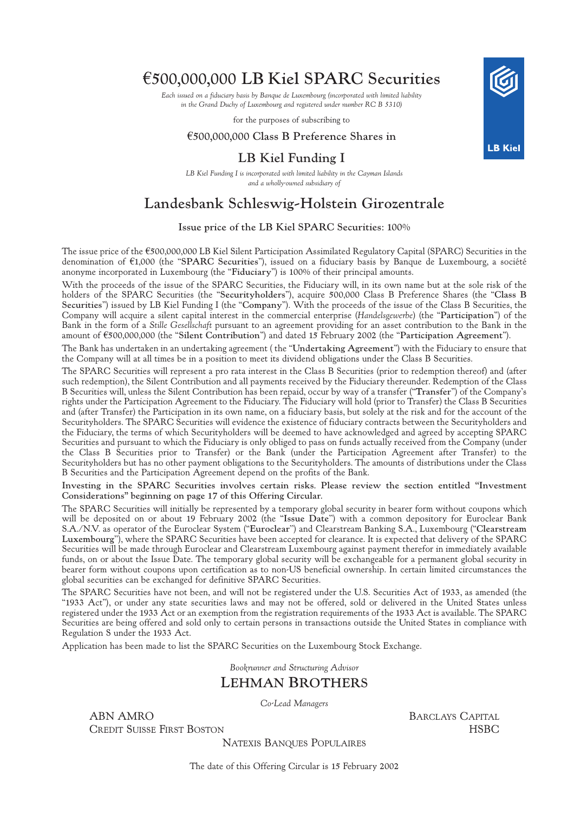# $£500,000,000$  LB Kiel SPARC Securities

*Each issued on a fiduciary basis by Banque de Luxembourg (incorporated with limited liability in the Grand Duchy of Luxembourg and registered under number RC B 5310)*

for the purposes of subscribing to

# $£500,000,000$  Class B Preference Shares in

# LB Kiel Funding I

*LB Kiel Funding I is incorporated with limited liability in the Cayman Islands and a wholly-owned subsidiary of*

# Landesbank Schleswig-Holstein Girozentrale

# Issue price of the LB Kiel SPARC Securities: 100%

The issue price of the  $\epsilon$ 500,000,000 LB Kiel Silent Participation Assimilated Regulatory Capital (SPARC) Securities in the denomination of €1,000 (the "SPARC Securities"), issued on a fiduciary basis by Banque de Luxembourg, a société anonyme incorporated in Luxembourg (the "Fiduciary") is 100% of their principal amounts.

With the proceeds of the issue of the SPARC Securities, the Fiduciary will, in its own name but at the sole risk of the holders of the SPARC Securities (the "Securityholders"), acquire 500,000 Class B Preference Shares (the "Class B Securities") issued by LB Kiel Funding I (the "Company"). With the proceeds of the issue of the Class B Securities, the Company will acquire a silent capital interest in the commercial enterprise (*Handelsgewerbe*) (the "Participation") of the Bank in the form of a *Stille Gesellschaft* pursuant to an agreement providing for an asset contribution to the Bank in the amount of €500,000,000 (the "Silent Contribution") and dated 15 February 2002 (the "Participation Agreement").

The Bank has undertaken in an undertaking agreement ( the "Undertaking Agreement") with the Fiduciary to ensure that the Company will at all times be in a position to meet its dividend obligations under the Class B Securities.

The SPARC Securities will represent a pro rata interest in the Class B Securities (prior to redemption thereof) and (after such redemption), the Silent Contribution and all payments received by the Fiduciary thereunder. Redemption of the Class B Securities will, unless the Silent Contribution has been repaid, occur by way of a transfer ("Transfer") of the Company's rights under the Participation Agreement to the Fiduciary. The Fiduciary will hold (prior to Transfer) the Class B Securities and (after Transfer) the Participation in its own name, on a fiduciary basis, but solely at the risk and for the account of the Securityholders. The SPARC Securities will evidence the existence of fiduciary contracts between the Securityholders and the Fiduciary, the terms of which Securityholders will be deemed to have acknowledged and agreed by accepting SPARC Securities and pursuant to which the Fiduciary is only obliged to pass on funds actually received from the Company (under the Class B Securities prior to Transfer) or the Bank (under the Participation Agreement after Transfer) to the Securityholders but has no other payment obligations to the Securityholders. The amounts of distributions under the Class B Securities and the Participation Agreement depend on the profits of the Bank.

Investing in the SPARC Securities involves certain risks. Please review the section entitled "Investment Considerations'' beginning on page 17 of this Offering Circular.

The SPARC Securities will initially be represented by a temporary global security in bearer form without coupons which will be deposited on or about 19 February 2002 (the "Issue Date'') with a common depository for Euroclear Bank S.A./N.V. as operator of the Euroclear System ("Euroclear'') and Clearstream Banking S.A., Luxembourg ("Clearstream Luxembourg''), where the SPARC Securities have been accepted for clearance. It is expected that delivery of the SPARC Securities will be made through Euroclear and Clearstream Luxembourg against payment therefor in immediately available funds, on or about the Issue Date. The temporary global security will be exchangeable for a permanent global security in bearer form without coupons upon certification as to non-US beneficial ownership. In certain limited circumstances the global securities can be exchanged for definitive SPARC Securities.

The SPARC Securities have not been, and will not be registered under the U.S. Securities Act of 1933, as amended (the "1933 Act"), or under any state securities laws and may not be offered, sold or delivered in the United States unless registered under the 1933 Act or an exemption from the registration requirements of the 1933 Act is available. The SPARC Securities are being offered and sold only to certain persons in transactions outside the United States in compliance with Regulation S under the 1933 Act.

Application has been made to list the SPARC Securities on the Luxembourg Stock Exchange.

*Bookrunner and Structuring Advisor*

# LEHMAN BROTHERS

*Co-Lead Managers*

ABN AMRO BARCLAYS CAPITAL CREDIT SUISSE FIRST BOSTON **HSBC** 

NATEXIS BANQUES POPULAIRES

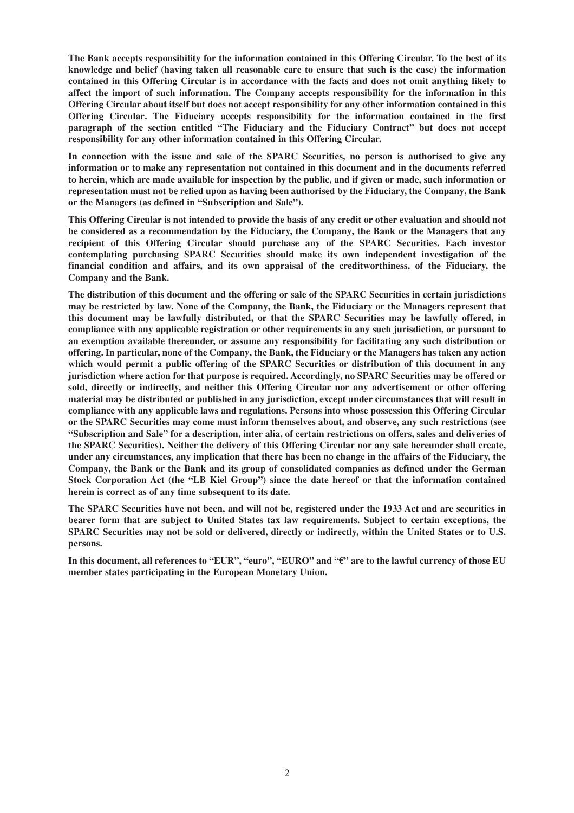**The Bank accepts responsibility for the information contained in this Offering Circular. To the best of its knowledge and belief (having taken all reasonable care to ensure that such is the case) the information contained in this Offering Circular is in accordance with the facts and does not omit anything likely to affect the import of such information. The Company accepts responsibility for the information in this Offering Circular about itself but does not accept responsibility for any other information contained in this Offering Circular. The Fiduciary accepts responsibility for the information contained in the first paragraph of the section entitled "The Fiduciary and the Fiduciary Contract" but does not accept responsibility for any other information contained in this Offering Circular.**

**In connection with the issue and sale of the SPARC Securities, no person is authorised to give any information or to make any representation not contained in this document and in the documents referred to herein, which are made available for inspection by the public, and if given or made, such information or representation must not be relied upon as having been authorised by the Fiduciary, the Company, the Bank or the Managers (as defined in "Subscription and Sale").**

**This Offering Circular is not intended to provide the basis of any credit or other evaluation and should not be considered as a recommendation by the Fiduciary, the Company, the Bank or the Managers that any recipient of this Offering Circular should purchase any of the SPARC Securities. Each investor contemplating purchasing SPARC Securities should make its own independent investigation of the financial condition and affairs, and its own appraisal of the creditworthiness, of the Fiduciary, the Company and the Bank.**

**The distribution of this document and the offering or sale of the SPARC Securities in certain jurisdictions may be restricted by law. None of the Company, the Bank, the Fiduciary or the Managers represent that this document may be lawfully distributed, or that the SPARC Securities may be lawfully offered, in compliance with any applicable registration or other requirements in any such jurisdiction, or pursuant to an exemption available thereunder, or assume any responsibility for facilitating any such distribution or offering. In particular, none of the Company, the Bank, the Fiduciary or the Managers has taken any action which would permit a public offering of the SPARC Securities or distribution of this document in any jurisdiction where action for that purpose is required. Accordingly, no SPARC Securities may be offered or sold, directly or indirectly, and neither this Offering Circular nor any advertisement or other offering material may be distributed or published in any jurisdiction, except under circumstances that will result in compliance with any applicable laws and regulations. Persons into whose possession this Offering Circular or the SPARC Securities may come must inform themselves about, and observe, any such restrictions (see "Subscription and Sale" for a description, inter alia, of certain restrictions on offers, sales and deliveries of the SPARC Securities). Neither the delivery of this Offering Circular nor any sale hereunder shall create, under any circumstances, any implication that there has been no change in the affairs of the Fiduciary, the Company, the Bank or the Bank and its group of consolidated companies as defined under the German Stock Corporation Act (the "LB Kiel Group") since the date hereof or that the information contained herein is correct as of any time subsequent to its date.**

**The SPARC Securities have not been, and will not be, registered under the 1933 Act and are securities in bearer form that are subject to United States tax law requirements. Subject to certain exceptions, the SPARC Securities may not be sold or delivered, directly or indirectly, within the United States or to U.S. persons.**

In this document, all references to "EUR", "euro", "EURO" and " $\epsilon$ " are to the lawful currency of those EU **member states participating in the European Monetary Union.**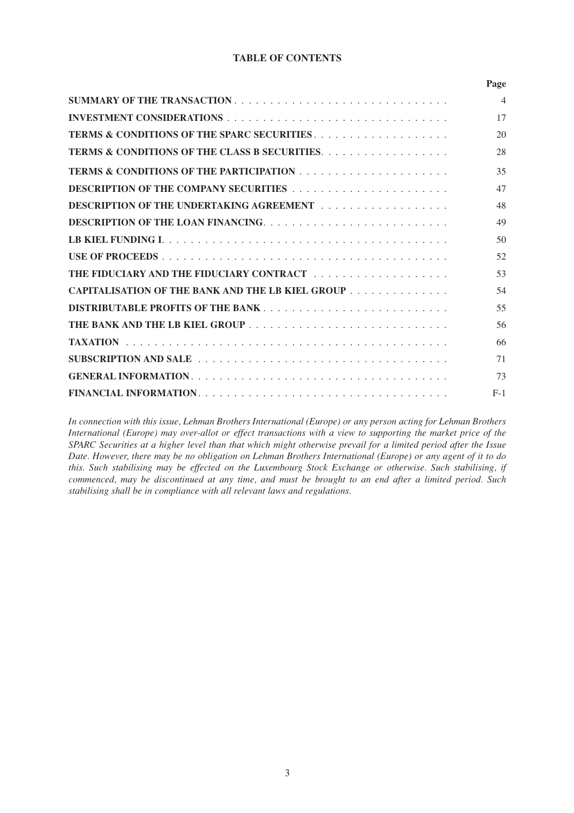# **TABLE OF CONTENTS**

|                                                    | Page           |
|----------------------------------------------------|----------------|
|                                                    | $\overline{4}$ |
|                                                    | 17             |
|                                                    | 20             |
|                                                    | 28             |
| <b>TERMS &amp; CONDITIONS OF THE PARTICIPATION</b> | 35             |
|                                                    | 47             |
| <b>DESCRIPTION OF THE UNDERTAKING AGREEMENT</b>    | 48             |
|                                                    | 49             |
|                                                    | 50             |
| USE OF PROCEEDS.                                   | 52             |
|                                                    | 53             |
| CAPITALISATION OF THE BANK AND THE LB KIEL GROUP   | 54             |
| <b>DISTRIBUTABLE PROFITS OF THE BANK</b>           | 55             |
|                                                    | 56             |
| TAXATION                                           | 66             |
|                                                    | 71             |
|                                                    | 73             |
|                                                    | $F-1$          |

*In connection with this issue, Lehman Brothers International (Europe) or any person acting for Lehman Brothers International (Europe) may over-allot or effect transactions with a view to supporting the market price of the SPARC Securities at a higher level than that which might otherwise prevail for a limited period after the Issue Date. However, there may be no obligation on Lehman Brothers International (Europe) or any agent of it to do this. Such stabilising may be effected on the Luxembourg Stock Exchange or otherwise. Such stabilising, if commenced, may be discontinued at any time, and must be brought to an end after a limited period. Such stabilising shall be in compliance with all relevant laws and regulations.*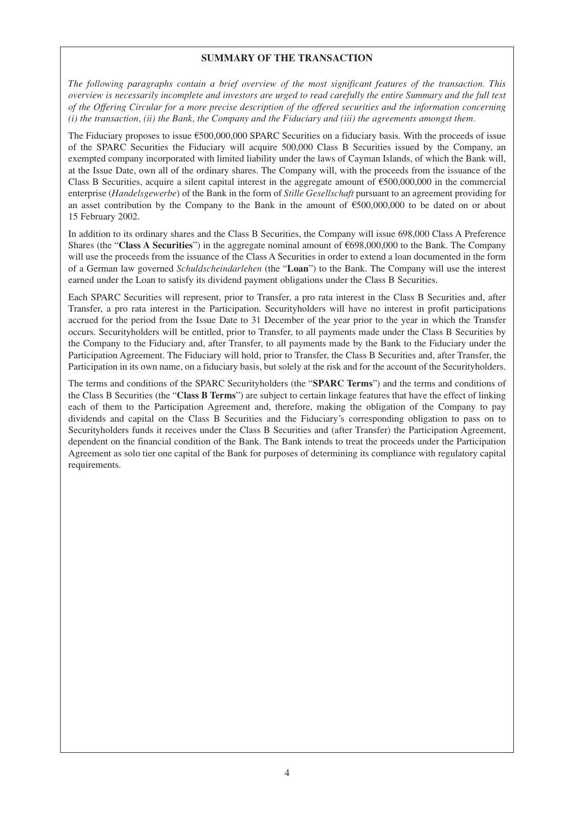## **SUMMARY OF THE TRANSACTION**

*The following paragraphs contain a brief overview of the most significant features of the transaction. This overview is necessarily incomplete and investors are urged to read carefully the entire Summary and the full text of the Offering Circular for a more precise description of the offered securities and the information concerning (i) the transaction, (ii) the Bank, the Company and the Fiduciary and (iii) the agreements amongst them.*

The Fiduciary proposes to issue  $\epsilon$ 500,000,000 SPARC Securities on a fiduciary basis. With the proceeds of issue of the SPARC Securities the Fiduciary will acquire 500,000 Class B Securities issued by the Company, an exempted company incorporated with limited liability under the laws of Cayman Islands, of which the Bank will, at the Issue Date, own all of the ordinary shares. The Company will, with the proceeds from the issuance of the Class B Securities, acquire a silent capital interest in the aggregate amount of  $\epsilon$ 500,000,000 in the commercial enterprise (*Handelsgewerbe*) of the Bank in the form of *Stille Gesellschaft* pursuant to an agreement providing for an asset contribution by the Company to the Bank in the amount of  $\epsilon$ 500,000,000 to be dated on or about 15 February 2002.

In addition to its ordinary shares and the Class B Securities, the Company will issue 698,000 Class A Preference Shares (the "**Class A Securities**") in the aggregate nominal amount of  $6698,000,000$  to the Bank. The Company will use the proceeds from the issuance of the Class A Securities in order to extend a loan documented in the form of a German law governed *Schuldscheindarlehen* (the "**Loan**") to the Bank. The Company will use the interest earned under the Loan to satisfy its dividend payment obligations under the Class B Securities.

Each SPARC Securities will represent, prior to Transfer, a pro rata interest in the Class B Securities and, after Transfer, a pro rata interest in the Participation. Securityholders will have no interest in profit participations accrued for the period from the Issue Date to 31 December of the year prior to the year in which the Transfer occurs. Securityholders will be entitled, prior to Transfer, to all payments made under the Class B Securities by the Company to the Fiduciary and, after Transfer, to all payments made by the Bank to the Fiduciary under the Participation Agreement. The Fiduciary will hold, prior to Transfer, the Class B Securities and, after Transfer, the Participation in its own name, on a fiduciary basis, but solely at the risk and for the account of the Securityholders.

The terms and conditions of the SPARC Securityholders (the "**SPARC Terms**") and the terms and conditions of the Class B Securities (the "**Class B Terms**") are subject to certain linkage features that have the effect of linking each of them to the Participation Agreement and, therefore, making the obligation of the Company to pay dividends and capital on the Class B Securities and the Fiduciary's corresponding obligation to pass on to Securityholders funds it receives under the Class B Securities and (after Transfer) the Participation Agreement, dependent on the financial condition of the Bank. The Bank intends to treat the proceeds under the Participation Agreement as solo tier one capital of the Bank for purposes of determining its compliance with regulatory capital requirements.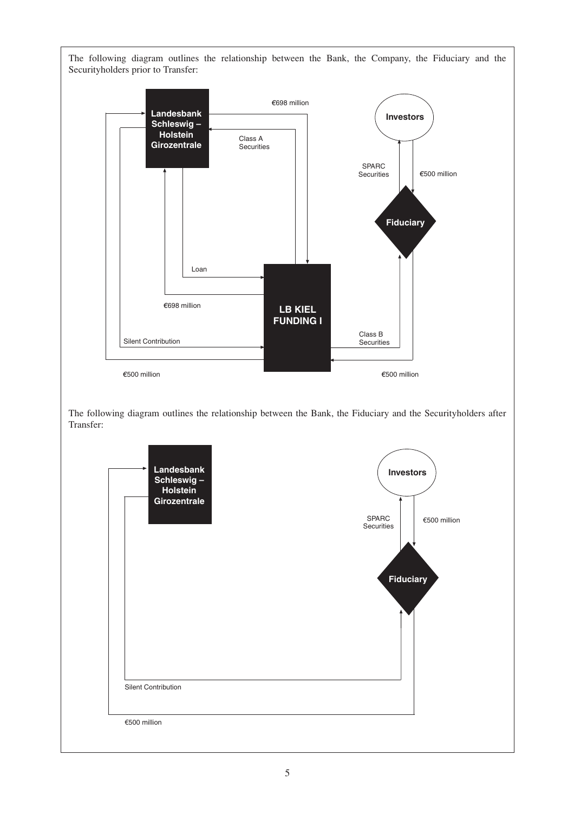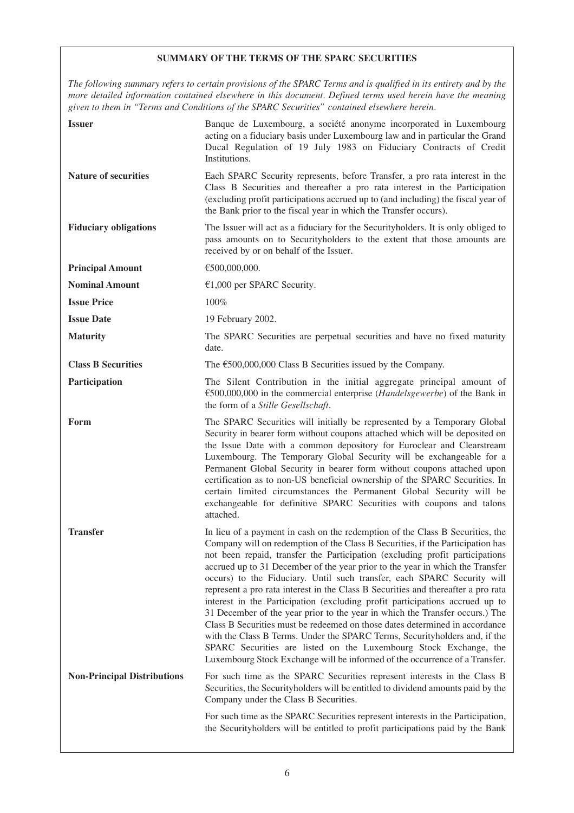# **SUMMARY OF THE TERMS OF THE SPARC SECURITIES**

*The following summary refers to certain provisions of the SPARC Terms and is qualified in its entirety and by the more detailed information contained elsewhere in this document. Defined terms used herein have the meaning given to them in "Terms and Conditions of the SPARC Securities" contained elsewhere herein.*

| <b>Issuer</b>                      | Banque de Luxembourg, a société anonyme incorporated in Luxembourg<br>acting on a fiduciary basis under Luxembourg law and in particular the Grand<br>Ducal Regulation of 19 July 1983 on Fiduciary Contracts of Credit<br>Institutions.                                                                                                                                                                                                                                                                                                                                                                                                                                                                                                                                                                                                                                                                                                                                          |
|------------------------------------|-----------------------------------------------------------------------------------------------------------------------------------------------------------------------------------------------------------------------------------------------------------------------------------------------------------------------------------------------------------------------------------------------------------------------------------------------------------------------------------------------------------------------------------------------------------------------------------------------------------------------------------------------------------------------------------------------------------------------------------------------------------------------------------------------------------------------------------------------------------------------------------------------------------------------------------------------------------------------------------|
| <b>Nature of securities</b>        | Each SPARC Security represents, before Transfer, a pro rata interest in the<br>Class B Securities and thereafter a pro rata interest in the Participation<br>(excluding profit participations accrued up to (and including) the fiscal year of<br>the Bank prior to the fiscal year in which the Transfer occurs).                                                                                                                                                                                                                                                                                                                                                                                                                                                                                                                                                                                                                                                                |
| <b>Fiduciary obligations</b>       | The Issuer will act as a fiduciary for the Securityholders. It is only obliged to<br>pass amounts on to Securityholders to the extent that those amounts are<br>received by or on behalf of the Issuer.                                                                                                                                                                                                                                                                                                                                                                                                                                                                                                                                                                                                                                                                                                                                                                           |
| <b>Principal Amount</b>            | €500,000,000.                                                                                                                                                                                                                                                                                                                                                                                                                                                                                                                                                                                                                                                                                                                                                                                                                                                                                                                                                                     |
| <b>Nominal Amount</b>              | €1,000 per SPARC Security.                                                                                                                                                                                                                                                                                                                                                                                                                                                                                                                                                                                                                                                                                                                                                                                                                                                                                                                                                        |
| <b>Issue Price</b>                 | 100%                                                                                                                                                                                                                                                                                                                                                                                                                                                                                                                                                                                                                                                                                                                                                                                                                                                                                                                                                                              |
| <b>Issue Date</b>                  | 19 February 2002.                                                                                                                                                                                                                                                                                                                                                                                                                                                                                                                                                                                                                                                                                                                                                                                                                                                                                                                                                                 |
| <b>Maturity</b>                    | The SPARC Securities are perpetual securities and have no fixed maturity<br>date.                                                                                                                                                                                                                                                                                                                                                                                                                                                                                                                                                                                                                                                                                                                                                                                                                                                                                                 |
| <b>Class B Securities</b>          | The $\epsilon$ 500,000,000 Class B Securities issued by the Company.                                                                                                                                                                                                                                                                                                                                                                                                                                                                                                                                                                                                                                                                                                                                                                                                                                                                                                              |
| Participation                      | The Silent Contribution in the initial aggregate principal amount of<br>€500,000,000 in the commercial enterprise (Handelsgewerbe) of the Bank in<br>the form of a Stille Gesellschaft.                                                                                                                                                                                                                                                                                                                                                                                                                                                                                                                                                                                                                                                                                                                                                                                           |
| Form                               | The SPARC Securities will initially be represented by a Temporary Global<br>Security in bearer form without coupons attached which will be deposited on<br>the Issue Date with a common depository for Euroclear and Clearstream<br>Luxembourg. The Temporary Global Security will be exchangeable for a<br>Permanent Global Security in bearer form without coupons attached upon<br>certification as to non-US beneficial ownership of the SPARC Securities. In<br>certain limited circumstances the Permanent Global Security will be<br>exchangeable for definitive SPARC Securities with coupons and talons<br>attached.                                                                                                                                                                                                                                                                                                                                                     |
| <b>Transfer</b>                    | In lieu of a payment in cash on the redemption of the Class B Securities, the<br>Company will on redemption of the Class B Securities, if the Participation has<br>not been repaid, transfer the Participation (excluding profit participations<br>accrued up to 31 December of the year prior to the year in which the Transfer<br>occurs) to the Fiduciary. Until such transfer, each SPARC Security will<br>represent a pro rata interest in the Class B Securities and thereafter a pro rata<br>interest in the Participation (excluding profit participations accrued up to<br>31 December of the year prior to the year in which the Transfer occurs.) The<br>Class B Securities must be redeemed on those dates determined in accordance<br>with the Class B Terms. Under the SPARC Terms, Securityholders and, if the<br>SPARC Securities are listed on the Luxembourg Stock Exchange, the<br>Luxembourg Stock Exchange will be informed of the occurrence of a Transfer. |
| <b>Non-Principal Distributions</b> | For such time as the SPARC Securities represent interests in the Class B<br>Securities, the Security holders will be entitled to dividend amounts paid by the<br>Company under the Class B Securities.                                                                                                                                                                                                                                                                                                                                                                                                                                                                                                                                                                                                                                                                                                                                                                            |
|                                    | For such time as the SPARC Securities represent interests in the Participation,<br>the Securityholders will be entitled to profit participations paid by the Bank                                                                                                                                                                                                                                                                                                                                                                                                                                                                                                                                                                                                                                                                                                                                                                                                                 |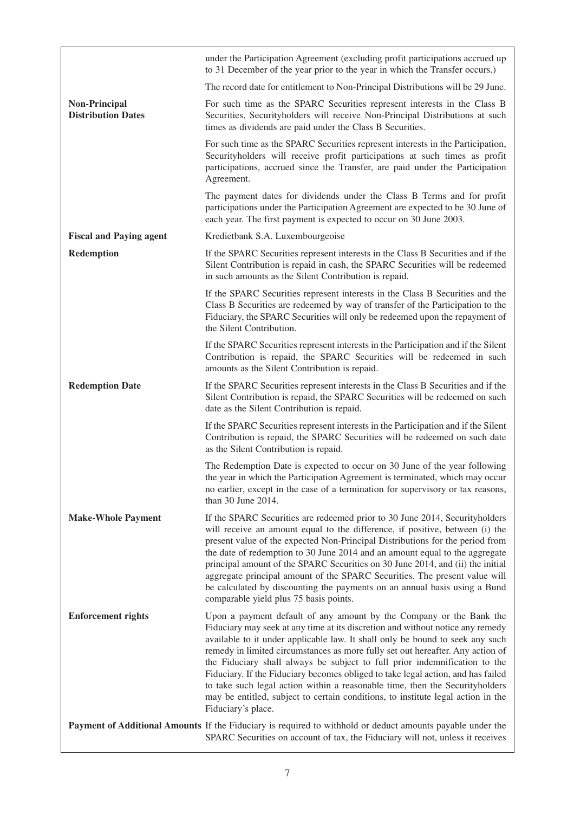|                                                   | under the Participation Agreement (excluding profit participations accrued up<br>to 31 December of the year prior to the year in which the Transfer occurs.)                                                                                                                                                                                                                                                                                                                                                                                                                                                                                                                         |
|---------------------------------------------------|--------------------------------------------------------------------------------------------------------------------------------------------------------------------------------------------------------------------------------------------------------------------------------------------------------------------------------------------------------------------------------------------------------------------------------------------------------------------------------------------------------------------------------------------------------------------------------------------------------------------------------------------------------------------------------------|
|                                                   | The record date for entitlement to Non-Principal Distributions will be 29 June.                                                                                                                                                                                                                                                                                                                                                                                                                                                                                                                                                                                                      |
| <b>Non-Principal</b><br><b>Distribution Dates</b> | For such time as the SPARC Securities represent interests in the Class B<br>Securities, Securityholders will receive Non-Principal Distributions at such<br>times as dividends are paid under the Class B Securities.                                                                                                                                                                                                                                                                                                                                                                                                                                                                |
|                                                   | For such time as the SPARC Securities represent interests in the Participation,<br>Securityholders will receive profit participations at such times as profit<br>participations, accrued since the Transfer, are paid under the Participation<br>Agreement.                                                                                                                                                                                                                                                                                                                                                                                                                          |
|                                                   | The payment dates for dividends under the Class B Terms and for profit<br>participations under the Participation Agreement are expected to be 30 June of<br>each year. The first payment is expected to occur on 30 June 2003.                                                                                                                                                                                                                                                                                                                                                                                                                                                       |
| <b>Fiscal and Paying agent</b>                    | Kredietbank S.A. Luxembourgeoise                                                                                                                                                                                                                                                                                                                                                                                                                                                                                                                                                                                                                                                     |
| Redemption                                        | If the SPARC Securities represent interests in the Class B Securities and if the<br>Silent Contribution is repaid in cash, the SPARC Securities will be redeemed<br>in such amounts as the Silent Contribution is repaid.                                                                                                                                                                                                                                                                                                                                                                                                                                                            |
|                                                   | If the SPARC Securities represent interests in the Class B Securities and the<br>Class B Securities are redeemed by way of transfer of the Participation to the<br>Fiduciary, the SPARC Securities will only be redeemed upon the repayment of<br>the Silent Contribution.                                                                                                                                                                                                                                                                                                                                                                                                           |
|                                                   | If the SPARC Securities represent interests in the Participation and if the Silent<br>Contribution is repaid, the SPARC Securities will be redeemed in such<br>amounts as the Silent Contribution is repaid.                                                                                                                                                                                                                                                                                                                                                                                                                                                                         |
| <b>Redemption Date</b>                            | If the SPARC Securities represent interests in the Class B Securities and if the<br>Silent Contribution is repaid, the SPARC Securities will be redeemed on such<br>date as the Silent Contribution is repaid.                                                                                                                                                                                                                                                                                                                                                                                                                                                                       |
|                                                   | If the SPARC Securities represent interests in the Participation and if the Silent<br>Contribution is repaid, the SPARC Securities will be redeemed on such date<br>as the Silent Contribution is repaid.                                                                                                                                                                                                                                                                                                                                                                                                                                                                            |
|                                                   | The Redemption Date is expected to occur on 30 June of the year following<br>the year in which the Participation Agreement is terminated, which may occur<br>no earlier, except in the case of a termination for supervisory or tax reasons,<br>than 30 June 2014.                                                                                                                                                                                                                                                                                                                                                                                                                   |
| <b>Make-Whole Payment</b>                         | If the SPARC Securities are redeemed prior to 30 June 2014, Securityholders<br>will receive an amount equal to the difference, if positive, between (i) the<br>present value of the expected Non-Principal Distributions for the period from<br>the date of redemption to 30 June 2014 and an amount equal to the aggregate<br>principal amount of the SPARC Securities on 30 June 2014, and (ii) the initial<br>aggregate principal amount of the SPARC Securities. The present value will<br>be calculated by discounting the payments on an annual basis using a Bund<br>comparable yield plus 75 basis points.                                                                   |
| <b>Enforcement rights</b>                         | Upon a payment default of any amount by the Company or the Bank the<br>Fiduciary may seek at any time at its discretion and without notice any remedy<br>available to it under applicable law. It shall only be bound to seek any such<br>remedy in limited circumstances as more fully set out hereafter. Any action of<br>the Fiduciary shall always be subject to full prior indemnification to the<br>Fiduciary. If the Fiduciary becomes obliged to take legal action, and has failed<br>to take such legal action within a reasonable time, then the Securityholders<br>may be entitled, subject to certain conditions, to institute legal action in the<br>Fiduciary's place. |
|                                                   | Payment of Additional Amounts If the Fiduciary is required to withhold or deduct amounts payable under the<br>SPARC Securities on account of tax, the Fiduciary will not, unless it receives                                                                                                                                                                                                                                                                                                                                                                                                                                                                                         |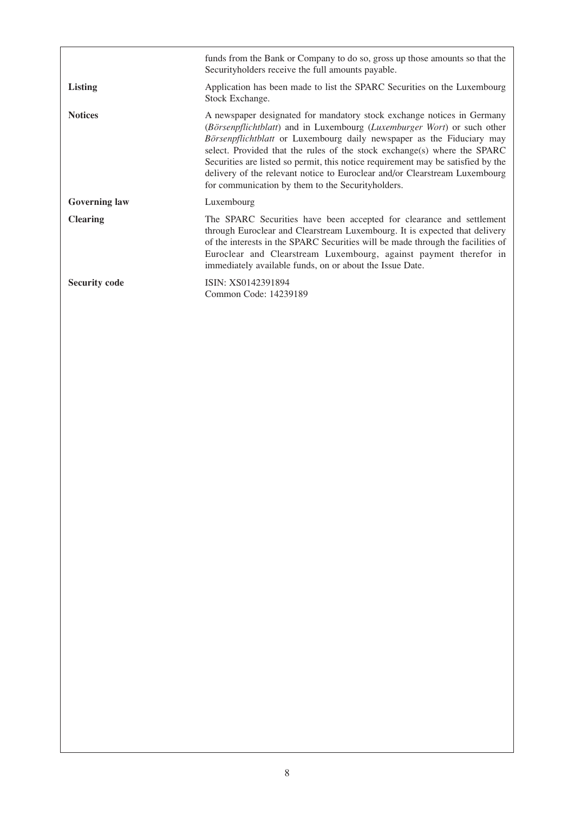|                      | funds from the Bank or Company to do so, gross up those amounts so that the<br>Security holders receive the full amounts payable.                                                                                                                                                                                                                                                                                                                                                                                             |
|----------------------|-------------------------------------------------------------------------------------------------------------------------------------------------------------------------------------------------------------------------------------------------------------------------------------------------------------------------------------------------------------------------------------------------------------------------------------------------------------------------------------------------------------------------------|
| <b>Listing</b>       | Application has been made to list the SPARC Securities on the Luxembourg<br>Stock Exchange.                                                                                                                                                                                                                                                                                                                                                                                                                                   |
| <b>Notices</b>       | A newspaper designated for mandatory stock exchange notices in Germany<br>(Börsenpflichtblatt) and in Luxembourg (Luxemburger Wort) or such other<br>Börsenpflichtblatt or Luxembourg daily newspaper as the Fiduciary may<br>select. Provided that the rules of the stock exchange(s) where the SPARC<br>Securities are listed so permit, this notice requirement may be satisfied by the<br>delivery of the relevant notice to Euroclear and/or Clearstream Luxembourg<br>for communication by them to the Securityholders. |
| <b>Governing law</b> | Luxembourg                                                                                                                                                                                                                                                                                                                                                                                                                                                                                                                    |
| <b>Clearing</b>      | The SPARC Securities have been accepted for clearance and settlement<br>through Euroclear and Clearstream Luxembourg. It is expected that delivery<br>of the interests in the SPARC Securities will be made through the facilities of<br>Euroclear and Clearstream Luxembourg, against payment therefor in<br>immediately available funds, on or about the Issue Date.                                                                                                                                                        |
| <b>Security code</b> | ISIN: XS0142391894<br>Common Code: 14239189                                                                                                                                                                                                                                                                                                                                                                                                                                                                                   |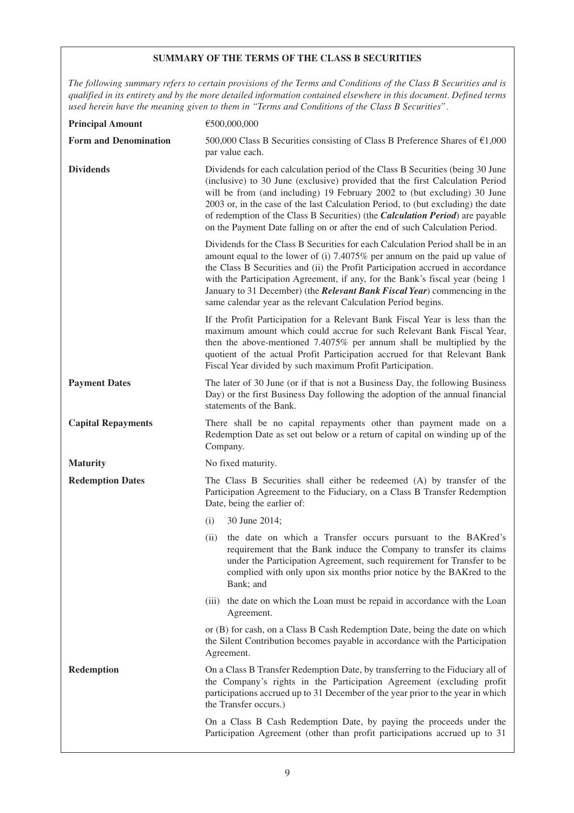# **SUMMARY OF THE TERMS OF THE CLASS B SECURITIES**

*The following summary refers to certain provisions of the Terms and Conditions of the Class B Securities and is qualified in its entirety and by the more detailed information contained elsewhere in this document. Defined terms used herein have the meaning given to them in "Terms and Conditions of the Class B Securities".*

| <b>Principal Amount</b>      | €500,000,000                                                                                                                                                                                                                                                                                                                                                                                                                                                                                            |
|------------------------------|---------------------------------------------------------------------------------------------------------------------------------------------------------------------------------------------------------------------------------------------------------------------------------------------------------------------------------------------------------------------------------------------------------------------------------------------------------------------------------------------------------|
| <b>Form and Denomination</b> | 500,000 Class B Securities consisting of Class B Preference Shares of $\epsilon$ 1,000<br>par value each.                                                                                                                                                                                                                                                                                                                                                                                               |
| <b>Dividends</b>             | Dividends for each calculation period of the Class B Securities (being 30 June<br>(inclusive) to 30 June (exclusive) provided that the first Calculation Period<br>will be from (and including) 19 February 2002 to (but excluding) 30 June<br>2003 or, in the case of the last Calculation Period, to (but excluding) the date<br>of redemption of the Class B Securities) (the <i>Calculation Period</i> ) are payable<br>on the Payment Date falling on or after the end of such Calculation Period. |
|                              | Dividends for the Class B Securities for each Calculation Period shall be in an<br>amount equal to the lower of (i) 7.4075% per annum on the paid up value of<br>the Class B Securities and (ii) the Profit Participation accrued in accordance<br>with the Participation Agreement, if any, for the Bank's fiscal year (being 1<br>January to 31 December) (the <i>Relevant Bank Fiscal Year</i> ) commencing in the<br>same calendar year as the relevant Calculation Period begins.                  |
|                              | If the Profit Participation for a Relevant Bank Fiscal Year is less than the<br>maximum amount which could accrue for such Relevant Bank Fiscal Year,<br>then the above-mentioned 7.4075% per annum shall be multiplied by the<br>quotient of the actual Profit Participation accrued for that Relevant Bank<br>Fiscal Year divided by such maximum Profit Participation.                                                                                                                               |
| <b>Payment Dates</b>         | The later of 30 June (or if that is not a Business Day, the following Business<br>Day) or the first Business Day following the adoption of the annual financial<br>statements of the Bank.                                                                                                                                                                                                                                                                                                              |
| <b>Capital Repayments</b>    | There shall be no capital repayments other than payment made on a<br>Redemption Date as set out below or a return of capital on winding up of the<br>Company.                                                                                                                                                                                                                                                                                                                                           |
| <b>Maturity</b>              | No fixed maturity.                                                                                                                                                                                                                                                                                                                                                                                                                                                                                      |
| <b>Redemption Dates</b>      | The Class B Securities shall either be redeemed (A) by transfer of the<br>Participation Agreement to the Fiduciary, on a Class B Transfer Redemption<br>Date, being the earlier of:                                                                                                                                                                                                                                                                                                                     |
|                              | 30 June 2014;<br>(i)                                                                                                                                                                                                                                                                                                                                                                                                                                                                                    |
|                              | the date on which a Transfer occurs pursuant to the BAKred's<br>(ii)<br>requirement that the Bank induce the Company to transfer its claims<br>under the Participation Agreement, such requirement for Transfer to be<br>complied with only upon six months prior notice by the BAKred to the<br>Bank; and                                                                                                                                                                                              |
|                              | (iii) the date on which the Loan must be repaid in accordance with the Loan<br>Agreement.                                                                                                                                                                                                                                                                                                                                                                                                               |
|                              | or (B) for cash, on a Class B Cash Redemption Date, being the date on which<br>the Silent Contribution becomes payable in accordance with the Participation<br>Agreement.                                                                                                                                                                                                                                                                                                                               |
| <b>Redemption</b>            | On a Class B Transfer Redemption Date, by transferring to the Fiduciary all of<br>the Company's rights in the Participation Agreement (excluding profit<br>participations accrued up to 31 December of the year prior to the year in which<br>the Transfer occurs.)                                                                                                                                                                                                                                     |
|                              | On a Class B Cash Redemption Date, by paying the proceeds under the<br>Participation Agreement (other than profit participations accrued up to 31                                                                                                                                                                                                                                                                                                                                                       |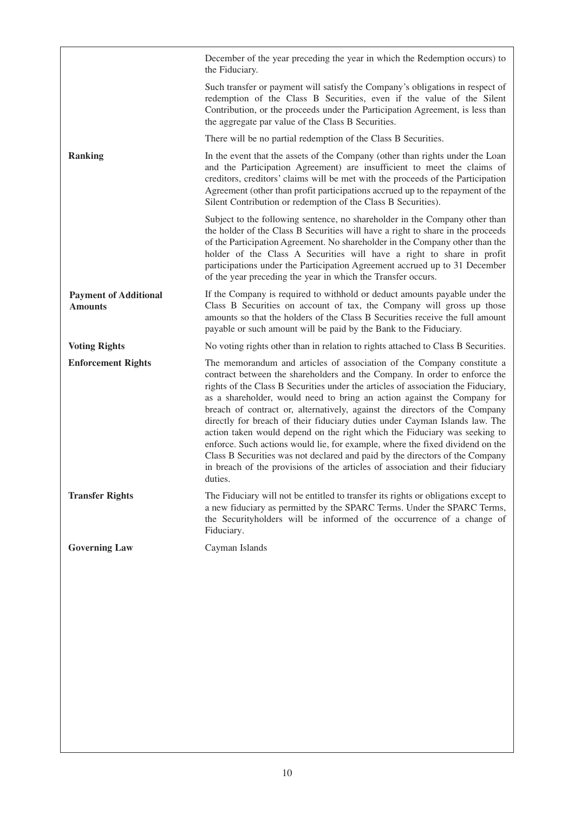|                                                | December of the year preceding the year in which the Redemption occurs) to<br>the Fiduciary.                                                                                                                                                                                                                                                                                                                                                                                                                                                                                                                                                                                                                                                                                                                                 |
|------------------------------------------------|------------------------------------------------------------------------------------------------------------------------------------------------------------------------------------------------------------------------------------------------------------------------------------------------------------------------------------------------------------------------------------------------------------------------------------------------------------------------------------------------------------------------------------------------------------------------------------------------------------------------------------------------------------------------------------------------------------------------------------------------------------------------------------------------------------------------------|
|                                                | Such transfer or payment will satisfy the Company's obligations in respect of<br>redemption of the Class B Securities, even if the value of the Silent<br>Contribution, or the proceeds under the Participation Agreement, is less than<br>the aggregate par value of the Class B Securities.                                                                                                                                                                                                                                                                                                                                                                                                                                                                                                                                |
|                                                | There will be no partial redemption of the Class B Securities.                                                                                                                                                                                                                                                                                                                                                                                                                                                                                                                                                                                                                                                                                                                                                               |
| <b>Ranking</b>                                 | In the event that the assets of the Company (other than rights under the Loan<br>and the Participation Agreement) are insufficient to meet the claims of<br>creditors, creditors' claims will be met with the proceeds of the Participation<br>Agreement (other than profit participations accrued up to the repayment of the<br>Silent Contribution or redemption of the Class B Securities).                                                                                                                                                                                                                                                                                                                                                                                                                               |
|                                                | Subject to the following sentence, no shareholder in the Company other than<br>the holder of the Class B Securities will have a right to share in the proceeds<br>of the Participation Agreement. No shareholder in the Company other than the<br>holder of the Class A Securities will have a right to share in profit<br>participations under the Participation Agreement accrued up to 31 December<br>of the year preceding the year in which the Transfer occurs.                                                                                                                                                                                                                                                                                                                                                        |
| <b>Payment of Additional</b><br><b>Amounts</b> | If the Company is required to withhold or deduct amounts payable under the<br>Class B Securities on account of tax, the Company will gross up those<br>amounts so that the holders of the Class B Securities receive the full amount<br>payable or such amount will be paid by the Bank to the Fiduciary.                                                                                                                                                                                                                                                                                                                                                                                                                                                                                                                    |
| <b>Voting Rights</b>                           | No voting rights other than in relation to rights attached to Class B Securities.                                                                                                                                                                                                                                                                                                                                                                                                                                                                                                                                                                                                                                                                                                                                            |
| <b>Enforcement Rights</b>                      | The memorandum and articles of association of the Company constitute a<br>contract between the shareholders and the Company. In order to enforce the<br>rights of the Class B Securities under the articles of association the Fiduciary,<br>as a shareholder, would need to bring an action against the Company for<br>breach of contract or, alternatively, against the directors of the Company<br>directly for breach of their fiduciary duties under Cayman Islands law. The<br>action taken would depend on the right which the Fiduciary was seeking to<br>enforce. Such actions would lie, for example, where the fixed dividend on the<br>Class B Securities was not declared and paid by the directors of the Company<br>in breach of the provisions of the articles of association and their fiduciary<br>duties. |
| <b>Transfer Rights</b>                         | The Fiduciary will not be entitled to transfer its rights or obligations except to<br>a new fiduciary as permitted by the SPARC Terms. Under the SPARC Terms,<br>the Securityholders will be informed of the occurrence of a change of<br>Fiduciary.                                                                                                                                                                                                                                                                                                                                                                                                                                                                                                                                                                         |
| <b>Governing Law</b>                           | Cayman Islands                                                                                                                                                                                                                                                                                                                                                                                                                                                                                                                                                                                                                                                                                                                                                                                                               |
|                                                |                                                                                                                                                                                                                                                                                                                                                                                                                                                                                                                                                                                                                                                                                                                                                                                                                              |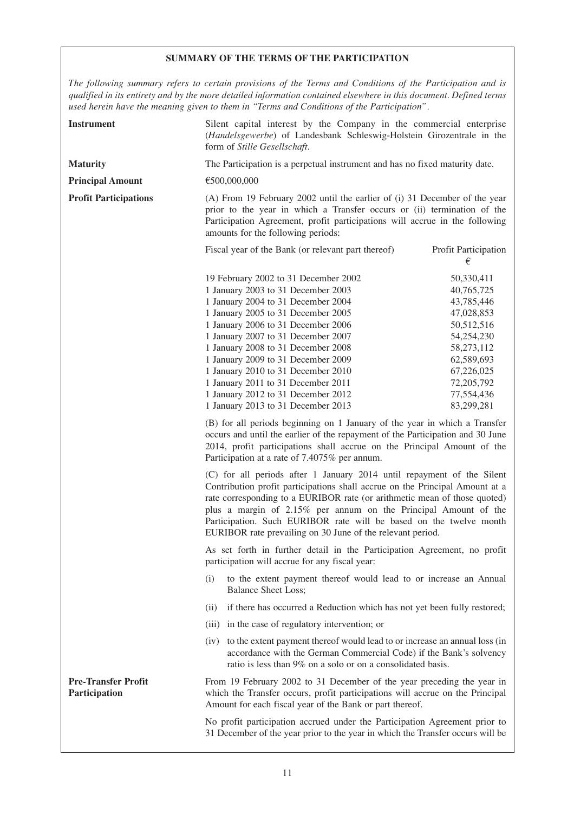# **SUMMARY OF THE TERMS OF THE PARTICIPATION**

*The following summary refers to certain provisions of the Terms and Conditions of the Participation and is qualified in its entirety and by the more detailed information contained elsewhere in this document. Defined terms used herein have the meaning given to them in "Terms and Conditions of the Participation".*

| <b>Instrument</b>                           | Silent capital interest by the Company in the commercial enterprise<br>(Handelsgewerbe) of Landesbank Schleswig-Holstein Girozentrale in the<br>form of Stille Gesellschaft.                                                                                                                                                                                                                                                                                           |                                                                                                                                                                      |  |
|---------------------------------------------|------------------------------------------------------------------------------------------------------------------------------------------------------------------------------------------------------------------------------------------------------------------------------------------------------------------------------------------------------------------------------------------------------------------------------------------------------------------------|----------------------------------------------------------------------------------------------------------------------------------------------------------------------|--|
| <b>Maturity</b>                             | The Participation is a perpetual instrument and has no fixed maturity date.                                                                                                                                                                                                                                                                                                                                                                                            |                                                                                                                                                                      |  |
| <b>Principal Amount</b>                     | €500,000,000                                                                                                                                                                                                                                                                                                                                                                                                                                                           |                                                                                                                                                                      |  |
| <b>Profit Participations</b>                | (A) From 19 February 2002 until the earlier of (i) 31 December of the year<br>prior to the year in which a Transfer occurs or (ii) termination of the<br>Participation Agreement, profit participations will accrue in the following<br>amounts for the following periods:                                                                                                                                                                                             |                                                                                                                                                                      |  |
|                                             | Fiscal year of the Bank (or relevant part thereof)                                                                                                                                                                                                                                                                                                                                                                                                                     | Profit Participation<br>€                                                                                                                                            |  |
|                                             | 19 February 2002 to 31 December 2002<br>1 January 2003 to 31 December 2003<br>1 January 2004 to 31 December 2004<br>1 January 2005 to 31 December 2005<br>1 January 2006 to 31 December 2006<br>1 January 2007 to 31 December 2007<br>1 January 2008 to 31 December 2008<br>1 January 2009 to 31 December 2009<br>1 January 2010 to 31 December 2010<br>1 January 2011 to 31 December 2011<br>1 January 2012 to 31 December 2012<br>1 January 2013 to 31 December 2013 | 50,330,411<br>40,765,725<br>43,785,446<br>47,028,853<br>50,512,516<br>54,254,230<br>58,273,112<br>62,589,693<br>67,226,025<br>72,205,792<br>77,554,436<br>83,299,281 |  |
|                                             | (B) for all periods beginning on 1 January of the year in which a Transfer<br>occurs and until the earlier of the repayment of the Participation and 30 June<br>2014, profit participations shall accrue on the Principal Amount of the<br>Participation at a rate of 7.4075% per annum.                                                                                                                                                                               |                                                                                                                                                                      |  |
|                                             | (C) for all periods after 1 January 2014 until repayment of the Silent<br>Contribution profit participations shall accrue on the Principal Amount at a<br>rate corresponding to a EURIBOR rate (or arithmetic mean of those quoted)<br>plus a margin of 2.15% per annum on the Principal Amount of the<br>Participation. Such EURIBOR rate will be based on the twelve month<br>EURIBOR rate prevailing on 30 June of the relevant period.                             |                                                                                                                                                                      |  |
|                                             | As set forth in further detail in the Participation Agreement, no profit<br>participation will accrue for any fiscal year:                                                                                                                                                                                                                                                                                                                                             |                                                                                                                                                                      |  |
|                                             | (i)<br>to the extent payment thereof would lead to or increase an Annual<br><b>Balance Sheet Loss;</b>                                                                                                                                                                                                                                                                                                                                                                 |                                                                                                                                                                      |  |
|                                             | if there has occurred a Reduction which has not yet been fully restored;<br>(11)                                                                                                                                                                                                                                                                                                                                                                                       |                                                                                                                                                                      |  |
|                                             | (iii) in the case of regulatory intervention; or                                                                                                                                                                                                                                                                                                                                                                                                                       |                                                                                                                                                                      |  |
|                                             | (iv) to the extent payment thereof would lead to or increase an annual loss (in<br>accordance with the German Commercial Code) if the Bank's solvency<br>ratio is less than 9% on a solo or on a consolidated basis.                                                                                                                                                                                                                                                   |                                                                                                                                                                      |  |
| <b>Pre-Transfer Profit</b><br>Participation | From 19 February 2002 to 31 December of the year preceding the year in<br>which the Transfer occurs, profit participations will accrue on the Principal<br>Amount for each fiscal year of the Bank or part thereof.                                                                                                                                                                                                                                                    |                                                                                                                                                                      |  |
|                                             | No profit participation accrued under the Participation Agreement prior to<br>31 December of the year prior to the year in which the Transfer occurs will be                                                                                                                                                                                                                                                                                                           |                                                                                                                                                                      |  |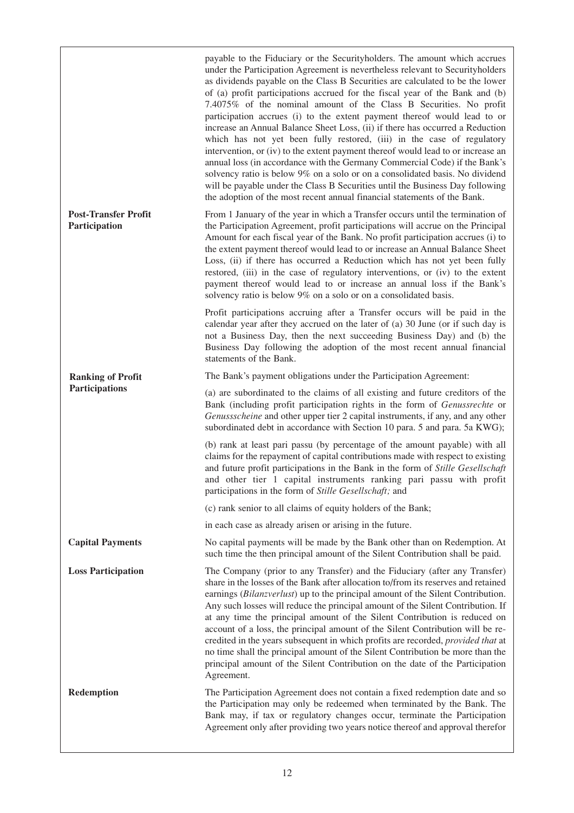|                                              | payable to the Fiduciary or the Securityholders. The amount which accrues<br>under the Participation Agreement is nevertheless relevant to Securityholders<br>as dividends payable on the Class B Securities are calculated to be the lower<br>of (a) profit participations accrued for the fiscal year of the Bank and (b)<br>7.4075% of the nominal amount of the Class B Securities. No profit<br>participation accrues (i) to the extent payment thereof would lead to or<br>increase an Annual Balance Sheet Loss, (ii) if there has occurred a Reduction<br>which has not yet been fully restored, (iii) in the case of regulatory<br>intervention, or (iv) to the extent payment thereof would lead to or increase an<br>annual loss (in accordance with the Germany Commercial Code) if the Bank's<br>solvency ratio is below 9% on a solo or on a consolidated basis. No dividend<br>will be payable under the Class B Securities until the Business Day following<br>the adoption of the most recent annual financial statements of the Bank. |  |  |
|----------------------------------------------|---------------------------------------------------------------------------------------------------------------------------------------------------------------------------------------------------------------------------------------------------------------------------------------------------------------------------------------------------------------------------------------------------------------------------------------------------------------------------------------------------------------------------------------------------------------------------------------------------------------------------------------------------------------------------------------------------------------------------------------------------------------------------------------------------------------------------------------------------------------------------------------------------------------------------------------------------------------------------------------------------------------------------------------------------------|--|--|
| <b>Post-Transfer Profit</b><br>Participation | From 1 January of the year in which a Transfer occurs until the termination of<br>the Participation Agreement, profit participations will accrue on the Principal<br>Amount for each fiscal year of the Bank. No profit participation accrues (i) to<br>the extent payment thereof would lead to or increase an Annual Balance Sheet<br>Loss, (ii) if there has occurred a Reduction which has not yet been fully<br>restored, (iii) in the case of regulatory interventions, or (iv) to the extent<br>payment thereof would lead to or increase an annual loss if the Bank's<br>solvency ratio is below 9% on a solo or on a consolidated basis.                                                                                                                                                                                                                                                                                                                                                                                                       |  |  |
|                                              | Profit participations accruing after a Transfer occurs will be paid in the<br>calendar year after they accrued on the later of (a) 30 June (or if such day is<br>not a Business Day, then the next succeeding Business Day) and (b) the<br>Business Day following the adoption of the most recent annual financial<br>statements of the Bank.                                                                                                                                                                                                                                                                                                                                                                                                                                                                                                                                                                                                                                                                                                           |  |  |
| <b>Ranking of Profit</b>                     | The Bank's payment obligations under the Participation Agreement:                                                                                                                                                                                                                                                                                                                                                                                                                                                                                                                                                                                                                                                                                                                                                                                                                                                                                                                                                                                       |  |  |
| Participations                               | (a) are subordinated to the claims of all existing and future creditors of the<br>Bank (including profit participation rights in the form of Genussrechte or<br>Genussscheine and other upper tier 2 capital instruments, if any, and any other<br>subordinated debt in accordance with Section 10 para. 5 and para. 5a KWG);                                                                                                                                                                                                                                                                                                                                                                                                                                                                                                                                                                                                                                                                                                                           |  |  |
|                                              | (b) rank at least pari passu (by percentage of the amount payable) with all<br>claims for the repayment of capital contributions made with respect to existing<br>and future profit participations in the Bank in the form of Stille Gesellschaft<br>and other tier 1 capital instruments ranking pari passu with profit<br>participations in the form of Stille Gesellschaft; and                                                                                                                                                                                                                                                                                                                                                                                                                                                                                                                                                                                                                                                                      |  |  |
|                                              | (c) rank senior to all claims of equity holders of the Bank;                                                                                                                                                                                                                                                                                                                                                                                                                                                                                                                                                                                                                                                                                                                                                                                                                                                                                                                                                                                            |  |  |
|                                              | in each case as already arisen or arising in the future.                                                                                                                                                                                                                                                                                                                                                                                                                                                                                                                                                                                                                                                                                                                                                                                                                                                                                                                                                                                                |  |  |
| <b>Capital Payments</b>                      | No capital payments will be made by the Bank other than on Redemption. At<br>such time the then principal amount of the Silent Contribution shall be paid.                                                                                                                                                                                                                                                                                                                                                                                                                                                                                                                                                                                                                                                                                                                                                                                                                                                                                              |  |  |
| <b>Loss Participation</b>                    | The Company (prior to any Transfer) and the Fiduciary (after any Transfer)<br>share in the losses of the Bank after allocation to/from its reserves and retained<br>earnings (Bilanzverlust) up to the principal amount of the Silent Contribution.<br>Any such losses will reduce the principal amount of the Silent Contribution. If<br>at any time the principal amount of the Silent Contribution is reduced on<br>account of a loss, the principal amount of the Silent Contribution will be re-<br>credited in the years subsequent in which profits are recorded, provided that at<br>no time shall the principal amount of the Silent Contribution be more than the<br>principal amount of the Silent Contribution on the date of the Participation<br>Agreement.                                                                                                                                                                                                                                                                               |  |  |
| Redemption                                   | The Participation Agreement does not contain a fixed redemption date and so<br>the Participation may only be redeemed when terminated by the Bank. The<br>Bank may, if tax or regulatory changes occur, terminate the Participation<br>Agreement only after providing two years notice thereof and approval therefor                                                                                                                                                                                                                                                                                                                                                                                                                                                                                                                                                                                                                                                                                                                                    |  |  |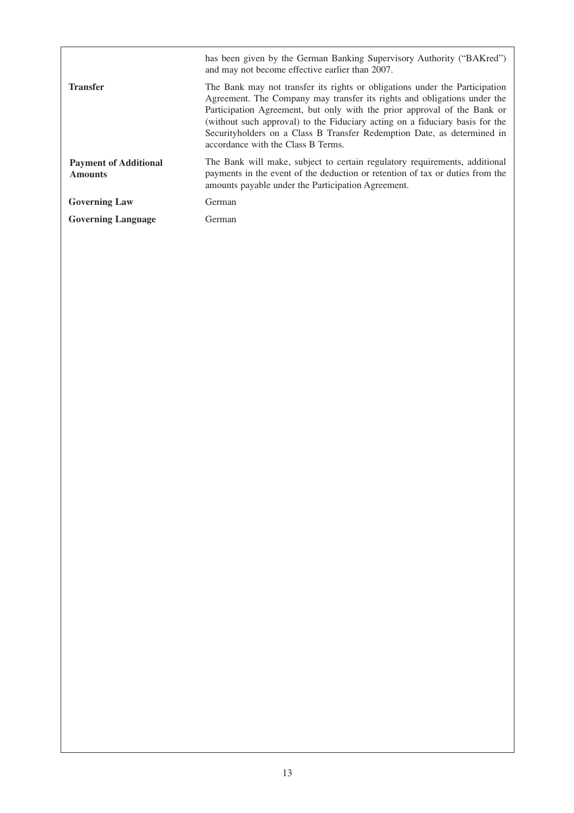|                                                | has been given by the German Banking Supervisory Authority ("BAKred")<br>and may not become effective earlier than 2007.                                                                                                                                                                                                                                                                                                              |
|------------------------------------------------|---------------------------------------------------------------------------------------------------------------------------------------------------------------------------------------------------------------------------------------------------------------------------------------------------------------------------------------------------------------------------------------------------------------------------------------|
| <b>Transfer</b>                                | The Bank may not transfer its rights or obligations under the Participation<br>Agreement. The Company may transfer its rights and obligations under the<br>Participation Agreement, but only with the prior approval of the Bank or<br>(without such approval) to the Fiduciary acting on a fiduciary basis for the<br>Security holders on a Class B Transfer Redemption Date, as determined in<br>accordance with the Class B Terms. |
| <b>Payment of Additional</b><br><b>Amounts</b> | The Bank will make, subject to certain regulatory requirements, additional<br>payments in the event of the deduction or retention of tax or duties from the<br>amounts payable under the Participation Agreement.                                                                                                                                                                                                                     |
| <b>Governing Law</b>                           | German                                                                                                                                                                                                                                                                                                                                                                                                                                |
| <b>Governing Language</b>                      | German                                                                                                                                                                                                                                                                                                                                                                                                                                |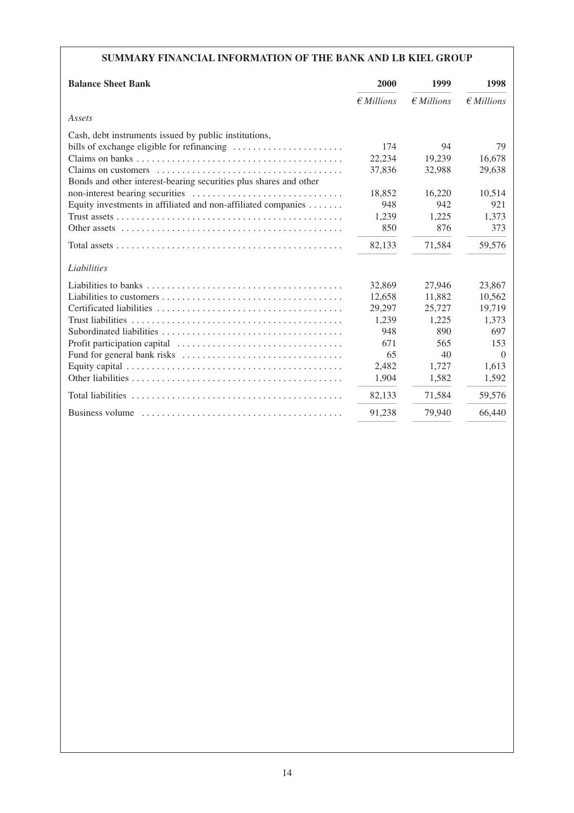# **SUMMARY FINANCIAL INFORMATION OF THE BANK AND LB KIEL GROUP**

| <b>Balance Sheet Bank</b>                                         | 2000              | 1999              | 1998              |
|-------------------------------------------------------------------|-------------------|-------------------|-------------------|
|                                                                   | $\n  EMillions\n$ | $\n  EMillions\n$ | $\n  EMillions\n$ |
| Assets                                                            |                   |                   |                   |
| Cash, debt instruments issued by public institutions,             |                   |                   |                   |
| bills of exchange eligible for refinancing                        | 174               | 94                | 79                |
|                                                                   | 22,234            | 19,239            | 16,678            |
|                                                                   | 37,836            | 32,988            | 29,638            |
| Bonds and other interest-bearing securities plus shares and other |                   |                   |                   |
|                                                                   | 18,852            | 16,220            | 10,514            |
| Equity investments in affiliated and non-affiliated companies     | 948               | 942               | 921               |
|                                                                   | 1,239             | 1,225             | 1,373             |
|                                                                   | 850               | 876               | 373               |
|                                                                   | 82,133            | 71,584            | 59,576            |
| Liabilities                                                       |                   |                   |                   |
|                                                                   | 32,869            | 27,946            | 23,867            |
|                                                                   | 12,658            | 11,882            | 10,562            |
|                                                                   | 29,297            | 25,727            | 19,719            |
| <b>Trust liabilities</b>                                          | 1.239             | 1,225             | 1.373             |
|                                                                   | 948               | 890               | 697               |
|                                                                   | 671               | 565               | 153               |
|                                                                   | 65                | 40                | $\Omega$          |
|                                                                   | 2,482             | 1,727             | 1.613             |
|                                                                   | 1,904             | 1,582             | 1,592             |
|                                                                   | 82,133            | 71,584            | 59,576            |
|                                                                   | 91,238            | 79,940            | 66,440            |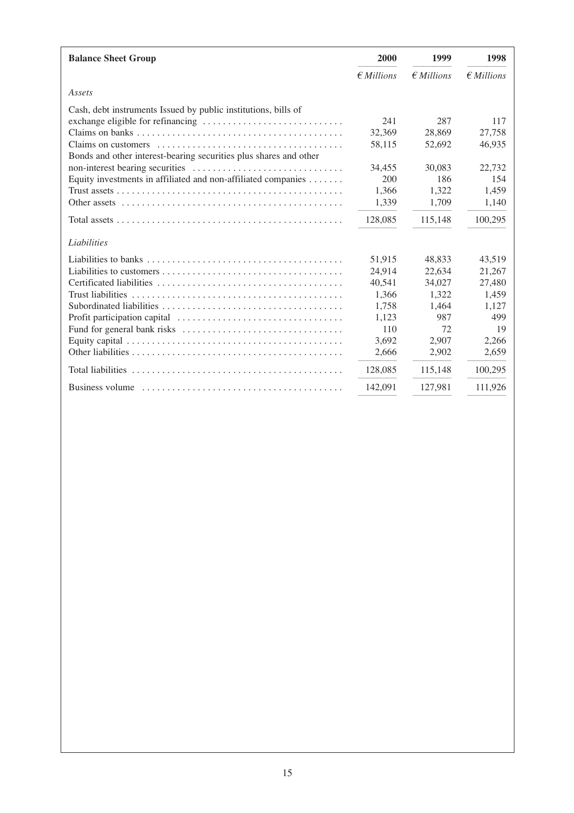| <b>Balance Sheet Group</b>                                                                                     | 2000              | 1999             | 1998              |
|----------------------------------------------------------------------------------------------------------------|-------------------|------------------|-------------------|
|                                                                                                                | $\n  EMillions\n$ | $\n  Fillions\n$ | $\n  EMillions\n$ |
| Assets                                                                                                         |                   |                  |                   |
| Cash, debt instruments Issued by public institutions, bills of                                                 |                   |                  |                   |
|                                                                                                                | 241               | 287              | 117               |
|                                                                                                                | 32,369            | 28,869           | 27,758            |
|                                                                                                                | 58,115            | 52,692           | 46,935            |
| Bonds and other interest-bearing securities plus shares and other                                              |                   |                  |                   |
|                                                                                                                | 34,455            | 30,083           | 22,732            |
| Equity investments in affiliated and non-affiliated companies                                                  | 200               | 186              | 154               |
|                                                                                                                | 1,366             | 1,322            | 1.459             |
| Other assets $\dots \dots \dots \dots \dots \dots \dots \dots \dots \dots \dots \dots \dots \dots \dots \dots$ | 1,339             | 1,709            | 1,140             |
|                                                                                                                | 128,085           | 115,148          | 100,295           |
| Liabilities                                                                                                    |                   |                  |                   |
|                                                                                                                | 51,915            | 48.833           | 43.519            |
|                                                                                                                | 24,914            | 22,634           | 21,267            |
|                                                                                                                | 40,541            | 34,027           | 27,480            |
|                                                                                                                | 1,366             | 1.322            | 1,459             |
|                                                                                                                | 1,758             | 1,464            | 1,127             |
|                                                                                                                | 1,123             | 987              | 499               |
|                                                                                                                | 110               | 72               | 19                |
|                                                                                                                | 3,692             | 2,907            | 2,266             |
|                                                                                                                | 2,666             | 2,902            | 2,659             |
|                                                                                                                | 128,085           | 115,148          | 100,295           |
| Business volume                                                                                                | 142,091           | 127,981          | 111,926           |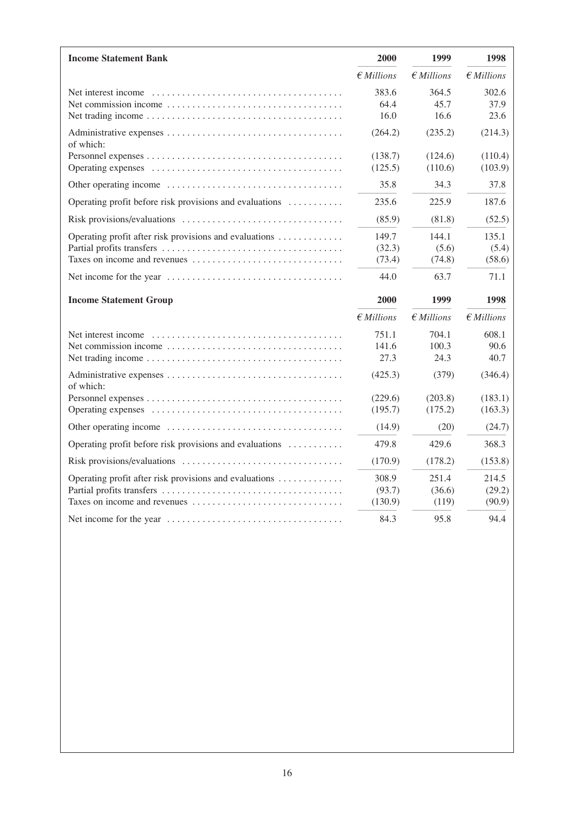| <b>Income Statement Bank</b>                            | 2000              | 1999                | 1998                |
|---------------------------------------------------------|-------------------|---------------------|---------------------|
|                                                         | $\notin$ Millions | $\n  EMillions\n$   | $\notin$ Millions   |
|                                                         | 383.6             | 364.5               | 302.6               |
|                                                         | 64.4              | 45.7                | 37.9                |
|                                                         | 16.0              | 16.6                | 23.6                |
| of which:                                               | (264.2)           | (235.2)             | (214.3)             |
|                                                         | (138.7)           | (124.6)             | (110.4)             |
|                                                         | (125.5)           | (110.6)             | (103.9)             |
|                                                         | 35.8              | 34.3                | 37.8                |
| Operating profit before risk provisions and evaluations | 235.6             | 225.9               | 187.6               |
|                                                         | (85.9)            | (81.8)              | (52.5)              |
| Operating profit after risk provisions and evaluations  | 149.7             | 144.1               | 135.1               |
|                                                         | (32.3)            | (5.6)               | (5.4)               |
|                                                         | (73.4)            | (74.8)              | (58.6)              |
|                                                         | 44.0              | 63.7                | 71.1                |
| <b>Income Statement Group</b>                           | 2000              | 1999                | 1998                |
|                                                         | $\notin$ Millions | $\epsilon$ Millions | $\epsilon$ Millions |
|                                                         | 751.1             | 704.1               | 608.1               |
|                                                         | 141.6             | 100.3               | 90.6                |
|                                                         | 27.3              | 24.3                | 40.7                |
| of which:                                               | (425.3)           | (379)               | (346.4)             |
|                                                         | (229.6)           | (203.8)             | (183.1)             |
|                                                         | (195.7)           | (175.2)             | (163.3)             |
|                                                         | (14.9)            | (20)                | (24.7)              |
| Operating profit before risk provisions and evaluations | 479.8             | 429.6               | 368.3               |
|                                                         | (170.9)           | (178.2)             | (153.8)             |
| Operating profit after risk provisions and evaluations  | 308.9             | 251.4               | 214.5               |
|                                                         | (93.7)            | (36.6)              | (29.2)              |
|                                                         | (130.9)           | (119)               | (90.9)              |
|                                                         | 84.3              | 95.8                | 94.4                |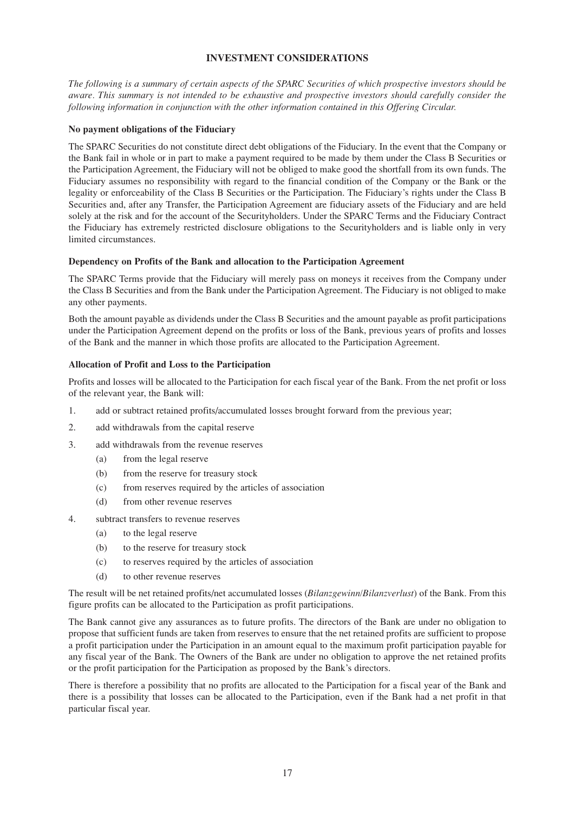## **INVESTMENT CONSIDERATIONS**

*The following is a summary of certain aspects of the SPARC Securities of which prospective investors should be aware. This summary is not intended to be exhaustive and prospective investors should carefully consider the following information in conjunction with the other information contained in this Offering Circular.*

#### **No payment obligations of the Fiduciary**

The SPARC Securities do not constitute direct debt obligations of the Fiduciary. In the event that the Company or the Bank fail in whole or in part to make a payment required to be made by them under the Class B Securities or the Participation Agreement, the Fiduciary will not be obliged to make good the shortfall from its own funds. The Fiduciary assumes no responsibility with regard to the financial condition of the Company or the Bank or the legality or enforceability of the Class B Securities or the Participation. The Fiduciary's rights under the Class B Securities and, after any Transfer, the Participation Agreement are fiduciary assets of the Fiduciary and are held solely at the risk and for the account of the Securityholders. Under the SPARC Terms and the Fiduciary Contract the Fiduciary has extremely restricted disclosure obligations to the Securityholders and is liable only in very limited circumstances.

#### **Dependency on Profits of the Bank and allocation to the Participation Agreement**

The SPARC Terms provide that the Fiduciary will merely pass on moneys it receives from the Company under the Class B Securities and from the Bank under the Participation Agreement. The Fiduciary is not obliged to make any other payments.

Both the amount payable as dividends under the Class B Securities and the amount payable as profit participations under the Participation Agreement depend on the profits or loss of the Bank, previous years of profits and losses of the Bank and the manner in which those profits are allocated to the Participation Agreement.

#### **Allocation of Profit and Loss to the Participation**

Profits and losses will be allocated to the Participation for each fiscal year of the Bank. From the net profit or loss of the relevant year, the Bank will:

- 1. add or subtract retained profits/accumulated losses brought forward from the previous year;
- 2. add withdrawals from the capital reserve
- 3. add withdrawals from the revenue reserves
	- (a) from the legal reserve
	- (b) from the reserve for treasury stock
	- (c) from reserves required by the articles of association
	- (d) from other revenue reserves
- 4. subtract transfers to revenue reserves
	- (a) to the legal reserve
	- (b) to the reserve for treasury stock
	- (c) to reserves required by the articles of association
	- (d) to other revenue reserves

The result will be net retained profits/net accumulated losses (*Bilanzgewinn/Bilanzverlust*) of the Bank. From this figure profits can be allocated to the Participation as profit participations.

The Bank cannot give any assurances as to future profits. The directors of the Bank are under no obligation to propose that sufficient funds are taken from reserves to ensure that the net retained profits are sufficient to propose a profit participation under the Participation in an amount equal to the maximum profit participation payable for any fiscal year of the Bank. The Owners of the Bank are under no obligation to approve the net retained profits or the profit participation for the Participation as proposed by the Bank's directors.

There is therefore a possibility that no profits are allocated to the Participation for a fiscal year of the Bank and there is a possibility that losses can be allocated to the Participation, even if the Bank had a net profit in that particular fiscal year.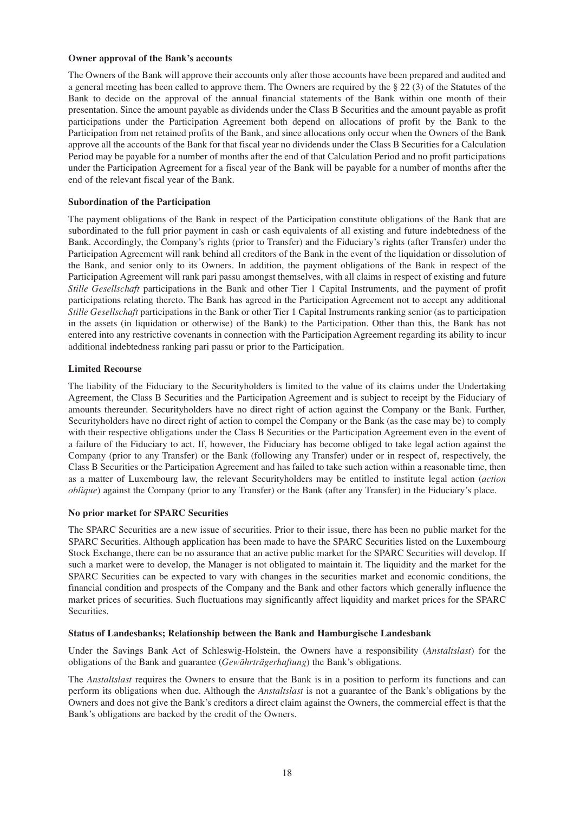#### **Owner approval of the Bank's accounts**

The Owners of the Bank will approve their accounts only after those accounts have been prepared and audited and a general meeting has been called to approve them. The Owners are required by the  $\S 22$  (3) of the Statutes of the Bank to decide on the approval of the annual financial statements of the Bank within one month of their presentation. Since the amount payable as dividends under the Class B Securities and the amount payable as profit participations under the Participation Agreement both depend on allocations of profit by the Bank to the Participation from net retained profits of the Bank, and since allocations only occur when the Owners of the Bank approve all the accounts of the Bank for that fiscal year no dividends under the Class B Securities for a Calculation Period may be payable for a number of months after the end of that Calculation Period and no profit participations under the Participation Agreement for a fiscal year of the Bank will be payable for a number of months after the end of the relevant fiscal year of the Bank.

## **Subordination of the Participation**

The payment obligations of the Bank in respect of the Participation constitute obligations of the Bank that are subordinated to the full prior payment in cash or cash equivalents of all existing and future indebtedness of the Bank. Accordingly, the Company's rights (prior to Transfer) and the Fiduciary's rights (after Transfer) under the Participation Agreement will rank behind all creditors of the Bank in the event of the liquidation or dissolution of the Bank, and senior only to its Owners. In addition, the payment obligations of the Bank in respect of the Participation Agreement will rank pari passu amongst themselves, with all claims in respect of existing and future *Stille Gesellschaft* participations in the Bank and other Tier 1 Capital Instruments, and the payment of profit participations relating thereto. The Bank has agreed in the Participation Agreement not to accept any additional *Stille Gesellschaft* participations in the Bank or other Tier 1 Capital Instruments ranking senior (as to participation in the assets (in liquidation or otherwise) of the Bank) to the Participation. Other than this, the Bank has not entered into any restrictive covenants in connection with the Participation Agreement regarding its ability to incur additional indebtedness ranking pari passu or prior to the Participation.

## **Limited Recourse**

The liability of the Fiduciary to the Securityholders is limited to the value of its claims under the Undertaking Agreement, the Class B Securities and the Participation Agreement and is subject to receipt by the Fiduciary of amounts thereunder. Securityholders have no direct right of action against the Company or the Bank. Further, Securityholders have no direct right of action to compel the Company or the Bank (as the case may be) to comply with their respective obligations under the Class B Securities or the Participation Agreement even in the event of a failure of the Fiduciary to act. If, however, the Fiduciary has become obliged to take legal action against the Company (prior to any Transfer) or the Bank (following any Transfer) under or in respect of, respectively, the Class B Securities or the Participation Agreement and has failed to take such action within a reasonable time, then as a matter of Luxembourg law, the relevant Securityholders may be entitled to institute legal action (*action oblique*) against the Company (prior to any Transfer) or the Bank (after any Transfer) in the Fiduciary's place.

## **No prior market for SPARC Securities**

The SPARC Securities are a new issue of securities. Prior to their issue, there has been no public market for the SPARC Securities. Although application has been made to have the SPARC Securities listed on the Luxembourg Stock Exchange, there can be no assurance that an active public market for the SPARC Securities will develop. If such a market were to develop, the Manager is not obligated to maintain it. The liquidity and the market for the SPARC Securities can be expected to vary with changes in the securities market and economic conditions, the financial condition and prospects of the Company and the Bank and other factors which generally influence the market prices of securities. Such fluctuations may significantly affect liquidity and market prices for the SPARC Securities.

## **Status of Landesbanks; Relationship between the Bank and Hamburgische Landesbank**

Under the Savings Bank Act of Schleswig-Holstein, the Owners have a responsibility (*Anstaltslast*) for the obligations of the Bank and guarantee (*Gewährträgerhaftung*) the Bank's obligations.

The *Anstaltslast* requires the Owners to ensure that the Bank is in a position to perform its functions and can perform its obligations when due. Although the *Anstaltslast* is not a guarantee of the Bank's obligations by the Owners and does not give the Bank's creditors a direct claim against the Owners, the commercial effect is that the Bank's obligations are backed by the credit of the Owners.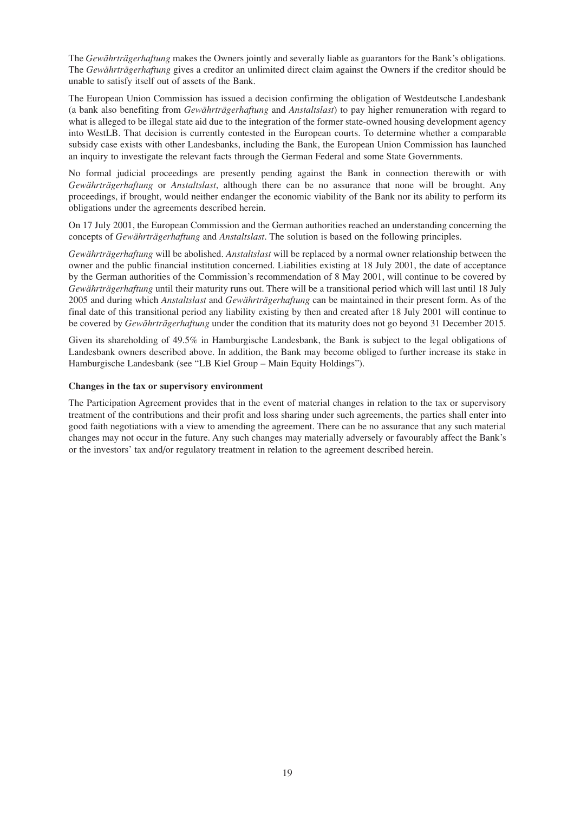The *Gewährträgerhaftung* makes the Owners jointly and severally liable as guarantors for the Bank's obligations. The *Gewährträgerhaftung* gives a creditor an unlimited direct claim against the Owners if the creditor should be unable to satisfy itself out of assets of the Bank.

The European Union Commission has issued a decision confirming the obligation of Westdeutsche Landesbank (a bank also benefiting from *Gewährträgerhaftung* and *Anstaltslast*) to pay higher remuneration with regard to what is alleged to be illegal state aid due to the integration of the former state-owned housing development agency into WestLB. That decision is currently contested in the European courts. To determine whether a comparable subsidy case exists with other Landesbanks, including the Bank, the European Union Commission has launched an inquiry to investigate the relevant facts through the German Federal and some State Governments.

No formal judicial proceedings are presently pending against the Bank in connection therewith or with *Gewährträgerhaftung* or *Anstaltslast*, although there can be no assurance that none will be brought. Any proceedings, if brought, would neither endanger the economic viability of the Bank nor its ability to perform its obligations under the agreements described herein.

On 17 July 2001, the European Commission and the German authorities reached an understanding concerning the concepts of *Gewährträgerhaftung* and *Anstaltslast*. The solution is based on the following principles.

*Gewährträgerhaftung* will be abolished. *Anstaltslast* will be replaced by a normal owner relationship between the owner and the public financial institution concerned. Liabilities existing at 18 July 2001, the date of acceptance by the German authorities of the Commission's recommendation of 8 May 2001, will continue to be covered by *Gewährträgerhaftung* until their maturity runs out. There will be a transitional period which will last until 18 July 2005 and during which *Anstaltslast* and *Gewährträgerhaftung* can be maintained in their present form. As of the final date of this transitional period any liability existing by then and created after 18 July 2001 will continue to be covered by *Gewährträgerhaftung* under the condition that its maturity does not go beyond 31 December 2015.

Given its shareholding of 49.5% in Hamburgische Landesbank, the Bank is subject to the legal obligations of Landesbank owners described above. In addition, the Bank may become obliged to further increase its stake in Hamburgische Landesbank (see "LB Kiel Group – Main Equity Holdings").

## **Changes in the tax or supervisory environment**

The Participation Agreement provides that in the event of material changes in relation to the tax or supervisory treatment of the contributions and their profit and loss sharing under such agreements, the parties shall enter into good faith negotiations with a view to amending the agreement. There can be no assurance that any such material changes may not occur in the future. Any such changes may materially adversely or favourably affect the Bank's or the investors' tax and/or regulatory treatment in relation to the agreement described herein.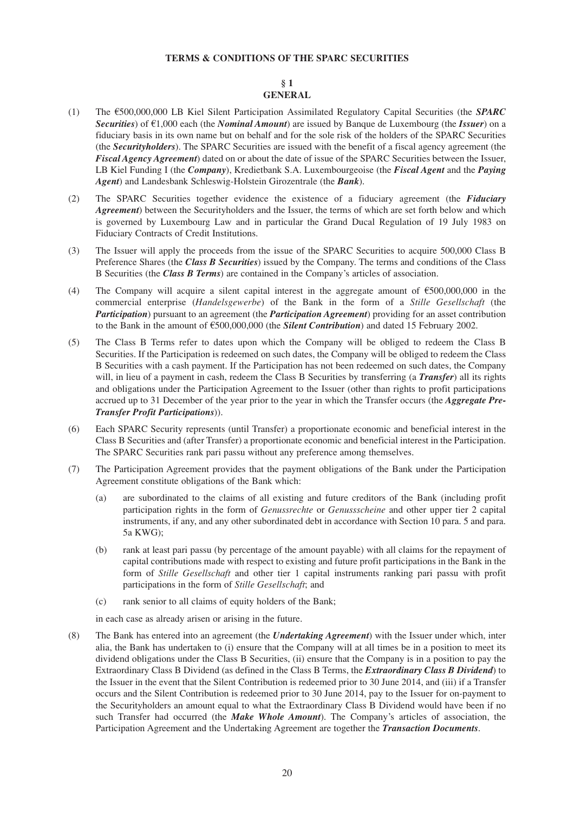## **TERMS & CONDITIONS OF THE SPARC SECURITIES**

#### **§ 1 GENERAL**

- (1) The A500,000,000 LB Kiel Silent Participation Assimilated Regulatory Capital Securities (the *SPARC Securities*) of  $\epsilon$ 1,000 each (the *Nominal Amount*) are issued by Banque de Luxembourg (the *Issuer*) on a fiduciary basis in its own name but on behalf and for the sole risk of the holders of the SPARC Securities (the *Securityholders*). The SPARC Securities are issued with the benefit of a fiscal agency agreement (the *Fiscal Agency Agreement*) dated on or about the date of issue of the SPARC Securities between the Issuer, LB Kiel Funding I (the *Company*), Kredietbank S.A. Luxembourgeoise (the *Fiscal Agent* and the *Paying Agent*) and Landesbank Schleswig-Holstein Girozentrale (the *Bank*).
- (2) The SPARC Securities together evidence the existence of a fiduciary agreement (the *Fiduciary Agreement*) between the Securityholders and the Issuer, the terms of which are set forth below and which is governed by Luxembourg Law and in particular the Grand Ducal Regulation of 19 July 1983 on Fiduciary Contracts of Credit Institutions.
- (3) The Issuer will apply the proceeds from the issue of the SPARC Securities to acquire 500,000 Class B Preference Shares (the *Class B Securities*) issued by the Company. The terms and conditions of the Class B Securities (the *Class B Terms*) are contained in the Company's articles of association.
- (4) The Company will acquire a silent capital interest in the aggregate amount of  $\epsilon$ 500,000,000 in the commercial enterprise (*Handelsgewerbe*) of the Bank in the form of a *Stille Gesellschaft* (the *Participation*) pursuant to an agreement (the *Participation Agreement*) providing for an asset contribution to the Bank in the amount of  $\epsilon$ 500,000,000 (the **Silent Contribution**) and dated 15 February 2002.
- (5) The Class B Terms refer to dates upon which the Company will be obliged to redeem the Class B Securities. If the Participation is redeemed on such dates, the Company will be obliged to redeem the Class B Securities with a cash payment. If the Participation has not been redeemed on such dates, the Company will, in lieu of a payment in cash, redeem the Class B Securities by transferring (a *Transfer*) all its rights and obligations under the Participation Agreement to the Issuer (other than rights to profit participations accrued up to 31 December of the year prior to the year in which the Transfer occurs (the *Aggregate Pre-Transfer Profit Participations*)).
- (6) Each SPARC Security represents (until Transfer) a proportionate economic and beneficial interest in the Class B Securities and (after Transfer) a proportionate economic and beneficial interest in the Participation. The SPARC Securities rank pari passu without any preference among themselves.
- (7) The Participation Agreement provides that the payment obligations of the Bank under the Participation Agreement constitute obligations of the Bank which:
	- (a) are subordinated to the claims of all existing and future creditors of the Bank (including profit participation rights in the form of *Genussrechte* or *Genussscheine* and other upper tier 2 capital instruments, if any, and any other subordinated debt in accordance with Section 10 para. 5 and para. 5a KWG);
	- (b) rank at least pari passu (by percentage of the amount payable) with all claims for the repayment of capital contributions made with respect to existing and future profit participations in the Bank in the form of *Stille Gesellschaft* and other tier 1 capital instruments ranking pari passu with profit participations in the form of *Stille Gesellschaft*; and
	- (c) rank senior to all claims of equity holders of the Bank;

in each case as already arisen or arising in the future.

(8) The Bank has entered into an agreement (the *Undertaking Agreement*) with the Issuer under which, inter alia, the Bank has undertaken to (i) ensure that the Company will at all times be in a position to meet its dividend obligations under the Class B Securities, (ii) ensure that the Company is in a position to pay the Extraordinary Class B Dividend (as defined in the Class B Terms, the *Extraordinary Class B Dividend*) to the Issuer in the event that the Silent Contribution is redeemed prior to 30 June 2014, and (iii) if a Transfer occurs and the Silent Contribution is redeemed prior to 30 June 2014, pay to the Issuer for on-payment to the Securityholders an amount equal to what the Extraordinary Class B Dividend would have been if no such Transfer had occurred (the *Make Whole Amount*). The Company's articles of association, the Participation Agreement and the Undertaking Agreement are together the *Transaction Documents*.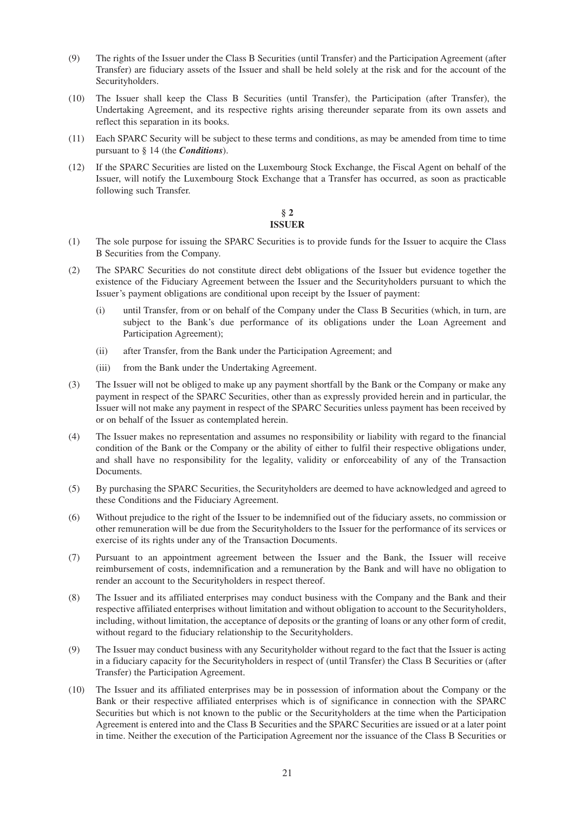- (9) The rights of the Issuer under the Class B Securities (until Transfer) and the Participation Agreement (after Transfer) are fiduciary assets of the Issuer and shall be held solely at the risk and for the account of the Securityholders.
- (10) The Issuer shall keep the Class B Securities (until Transfer), the Participation (after Transfer), the Undertaking Agreement, and its respective rights arising thereunder separate from its own assets and reflect this separation in its books.
- (11) Each SPARC Security will be subject to these terms and conditions, as may be amended from time to time pursuant to § 14 (the *Conditions*).
- (12) If the SPARC Securities are listed on the Luxembourg Stock Exchange, the Fiscal Agent on behalf of the Issuer, will notify the Luxembourg Stock Exchange that a Transfer has occurred, as soon as practicable following such Transfer.

## **§ 2 ISSUER**

- (1) The sole purpose for issuing the SPARC Securities is to provide funds for the Issuer to acquire the Class B Securities from the Company.
- (2) The SPARC Securities do not constitute direct debt obligations of the Issuer but evidence together the existence of the Fiduciary Agreement between the Issuer and the Securityholders pursuant to which the Issuer's payment obligations are conditional upon receipt by the Issuer of payment:
	- (i) until Transfer, from or on behalf of the Company under the Class B Securities (which, in turn, are subject to the Bank's due performance of its obligations under the Loan Agreement and Participation Agreement);
	- (ii) after Transfer, from the Bank under the Participation Agreement; and
	- (iii) from the Bank under the Undertaking Agreement.
- (3) The Issuer will not be obliged to make up any payment shortfall by the Bank or the Company or make any payment in respect of the SPARC Securities, other than as expressly provided herein and in particular, the Issuer will not make any payment in respect of the SPARC Securities unless payment has been received by or on behalf of the Issuer as contemplated herein.
- (4) The Issuer makes no representation and assumes no responsibility or liability with regard to the financial condition of the Bank or the Company or the ability of either to fulfil their respective obligations under, and shall have no responsibility for the legality, validity or enforceability of any of the Transaction Documents.
- (5) By purchasing the SPARC Securities, the Securityholders are deemed to have acknowledged and agreed to these Conditions and the Fiduciary Agreement.
- (6) Without prejudice to the right of the Issuer to be indemnified out of the fiduciary assets, no commission or other remuneration will be due from the Securityholders to the Issuer for the performance of its services or exercise of its rights under any of the Transaction Documents.
- (7) Pursuant to an appointment agreement between the Issuer and the Bank, the Issuer will receive reimbursement of costs, indemnification and a remuneration by the Bank and will have no obligation to render an account to the Securityholders in respect thereof.
- (8) The Issuer and its affiliated enterprises may conduct business with the Company and the Bank and their respective affiliated enterprises without limitation and without obligation to account to the Securityholders, including, without limitation, the acceptance of deposits or the granting of loans or any other form of credit, without regard to the fiduciary relationship to the Securityholders.
- (9) The Issuer may conduct business with any Securityholder without regard to the fact that the Issuer is acting in a fiduciary capacity for the Securityholders in respect of (until Transfer) the Class B Securities or (after Transfer) the Participation Agreement.
- (10) The Issuer and its affiliated enterprises may be in possession of information about the Company or the Bank or their respective affiliated enterprises which is of significance in connection with the SPARC Securities but which is not known to the public or the Securityholders at the time when the Participation Agreement is entered into and the Class B Securities and the SPARC Securities are issued or at a later point in time. Neither the execution of the Participation Agreement nor the issuance of the Class B Securities or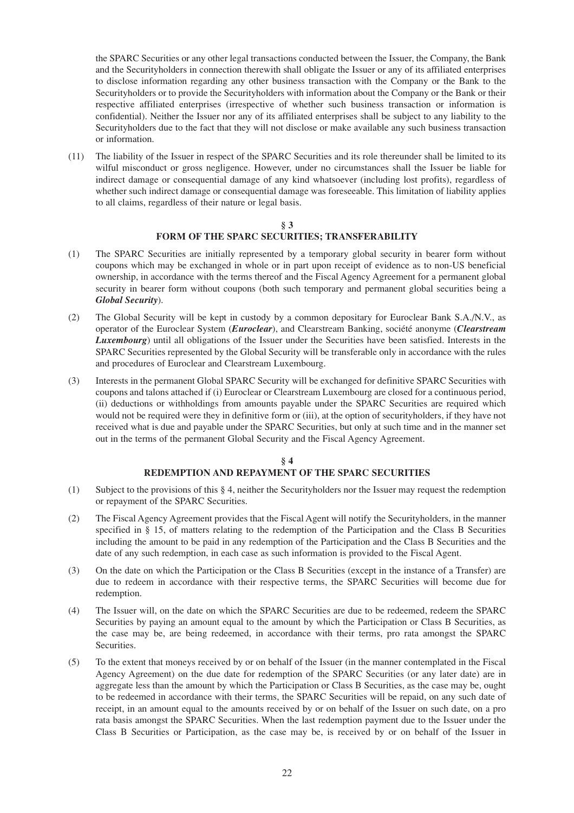the SPARC Securities or any other legal transactions conducted between the Issuer, the Company, the Bank and the Securityholders in connection therewith shall obligate the Issuer or any of its affiliated enterprises to disclose information regarding any other business transaction with the Company or the Bank to the Securityholders or to provide the Securityholders with information about the Company or the Bank or their respective affiliated enterprises (irrespective of whether such business transaction or information is confidential). Neither the Issuer nor any of its affiliated enterprises shall be subject to any liability to the Securityholders due to the fact that they will not disclose or make available any such business transaction or information.

(11) The liability of the Issuer in respect of the SPARC Securities and its role thereunder shall be limited to its wilful misconduct or gross negligence. However, under no circumstances shall the Issuer be liable for indirect damage or consequential damage of any kind whatsoever (including lost profits), regardless of whether such indirect damage or consequential damage was foreseeable. This limitation of liability applies to all claims, regardless of their nature or legal basis.

## **§ 3 FORM OF THE SPARC SECURITIES; TRANSFERABILITY**

- (1) The SPARC Securities are initially represented by a temporary global security in bearer form without coupons which may be exchanged in whole or in part upon receipt of evidence as to non-US beneficial ownership, in accordance with the terms thereof and the Fiscal Agency Agreement for a permanent global security in bearer form without coupons (both such temporary and permanent global securities being a *Global Security*).
- (2) The Global Security will be kept in custody by a common depositary for Euroclear Bank S.A./N.V., as operator of the Euroclear System (*Euroclear*), and Clearstream Banking, société anonyme (*Clearstream Luxembourg*) until all obligations of the Issuer under the Securities have been satisfied. Interests in the SPARC Securities represented by the Global Security will be transferable only in accordance with the rules and procedures of Euroclear and Clearstream Luxembourg.
- (3) Interests in the permanent Global SPARC Security will be exchanged for definitive SPARC Securities with coupons and talons attached if (i) Euroclear or Clearstream Luxembourg are closed for a continuous period, (ii) deductions or withholdings from amounts payable under the SPARC Securities are required which would not be required were they in definitive form or (iii), at the option of securityholders, if they have not received what is due and payable under the SPARC Securities, but only at such time and in the manner set out in the terms of the permanent Global Security and the Fiscal Agency Agreement.

## **§ 4 REDEMPTION AND REPAYMENT OF THE SPARC SECURITIES**

- (1) Subject to the provisions of this § 4, neither the Securityholders nor the Issuer may request the redemption or repayment of the SPARC Securities.
- (2) The Fiscal Agency Agreement provides that the Fiscal Agent will notify the Securityholders, in the manner specified in § 15, of matters relating to the redemption of the Participation and the Class B Securities including the amount to be paid in any redemption of the Participation and the Class B Securities and the date of any such redemption, in each case as such information is provided to the Fiscal Agent.
- (3) On the date on which the Participation or the Class B Securities (except in the instance of a Transfer) are due to redeem in accordance with their respective terms, the SPARC Securities will become due for redemption.
- (4) The Issuer will, on the date on which the SPARC Securities are due to be redeemed, redeem the SPARC Securities by paying an amount equal to the amount by which the Participation or Class B Securities, as the case may be, are being redeemed, in accordance with their terms, pro rata amongst the SPARC Securities.
- (5) To the extent that moneys received by or on behalf of the Issuer (in the manner contemplated in the Fiscal Agency Agreement) on the due date for redemption of the SPARC Securities (or any later date) are in aggregate less than the amount by which the Participation or Class B Securities, as the case may be, ought to be redeemed in accordance with their terms, the SPARC Securities will be repaid, on any such date of receipt, in an amount equal to the amounts received by or on behalf of the Issuer on such date, on a pro rata basis amongst the SPARC Securities. When the last redemption payment due to the Issuer under the Class B Securities or Participation, as the case may be, is received by or on behalf of the Issuer in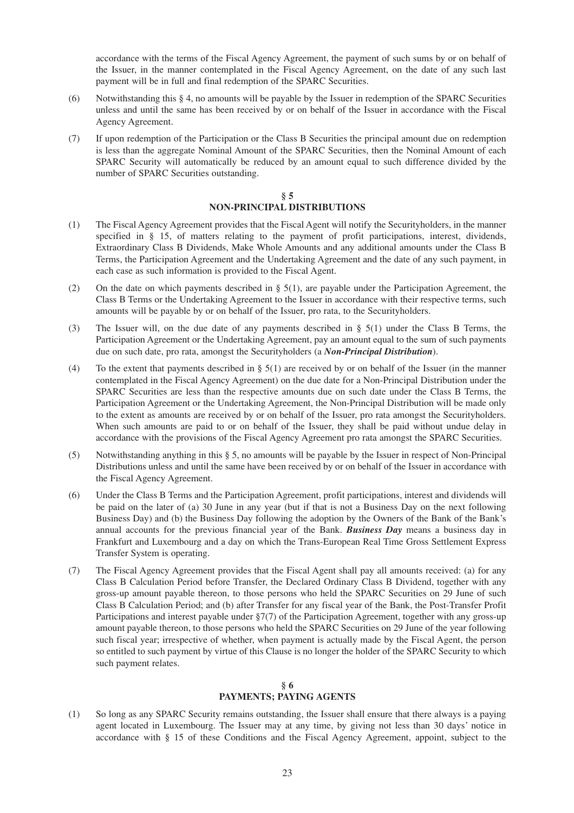accordance with the terms of the Fiscal Agency Agreement, the payment of such sums by or on behalf of the Issuer, in the manner contemplated in the Fiscal Agency Agreement, on the date of any such last payment will be in full and final redemption of the SPARC Securities.

- (6) Notwithstanding this § 4, no amounts will be payable by the Issuer in redemption of the SPARC Securities unless and until the same has been received by or on behalf of the Issuer in accordance with the Fiscal Agency Agreement.
- (7) If upon redemption of the Participation or the Class B Securities the principal amount due on redemption is less than the aggregate Nominal Amount of the SPARC Securities, then the Nominal Amount of each SPARC Security will automatically be reduced by an amount equal to such difference divided by the number of SPARC Securities outstanding.

## **§ 5 NON-PRINCIPAL DISTRIBUTIONS**

- (1) The Fiscal Agency Agreement provides that the Fiscal Agent will notify the Securityholders, in the manner specified in § 15, of matters relating to the payment of profit participations, interest, dividends, Extraordinary Class B Dividends, Make Whole Amounts and any additional amounts under the Class B Terms, the Participation Agreement and the Undertaking Agreement and the date of any such payment, in each case as such information is provided to the Fiscal Agent.
- (2) On the date on which payments described in  $\S$  5(1), are payable under the Participation Agreement, the Class B Terms or the Undertaking Agreement to the Issuer in accordance with their respective terms, such amounts will be payable by or on behalf of the Issuer, pro rata, to the Securityholders.
- (3) The Issuer will, on the due date of any payments described in § 5(1) under the Class B Terms, the Participation Agreement or the Undertaking Agreement, pay an amount equal to the sum of such payments due on such date, pro rata, amongst the Securityholders (a *Non-Principal Distribution*).
- (4) To the extent that payments described in  $\S$  5(1) are received by or on behalf of the Issuer (in the manner contemplated in the Fiscal Agency Agreement) on the due date for a Non-Principal Distribution under the SPARC Securities are less than the respective amounts due on such date under the Class B Terms, the Participation Agreement or the Undertaking Agreement, the Non-Principal Distribution will be made only to the extent as amounts are received by or on behalf of the Issuer, pro rata amongst the Securityholders. When such amounts are paid to or on behalf of the Issuer, they shall be paid without undue delay in accordance with the provisions of the Fiscal Agency Agreement pro rata amongst the SPARC Securities.
- (5) Notwithstanding anything in this § 5, no amounts will be payable by the Issuer in respect of Non-Principal Distributions unless and until the same have been received by or on behalf of the Issuer in accordance with the Fiscal Agency Agreement.
- (6) Under the Class B Terms and the Participation Agreement, profit participations, interest and dividends will be paid on the later of (a) 30 June in any year (but if that is not a Business Day on the next following Business Day) and (b) the Business Day following the adoption by the Owners of the Bank of the Bank's annual accounts for the previous financial year of the Bank. *Business Day* means a business day in Frankfurt and Luxembourg and a day on which the Trans-European Real Time Gross Settlement Express Transfer System is operating.
- (7) The Fiscal Agency Agreement provides that the Fiscal Agent shall pay all amounts received: (a) for any Class B Calculation Period before Transfer, the Declared Ordinary Class B Dividend, together with any gross-up amount payable thereon, to those persons who held the SPARC Securities on 29 June of such Class B Calculation Period; and (b) after Transfer for any fiscal year of the Bank, the Post-Transfer Profit Participations and interest payable under §7(7) of the Participation Agreement, together with any gross-up amount payable thereon, to those persons who held the SPARC Securities on 29 June of the year following such fiscal year; irrespective of whether, when payment is actually made by the Fiscal Agent, the person so entitled to such payment by virtue of this Clause is no longer the holder of the SPARC Security to which such payment relates.

## **§ 6 PAYMENTS; PAYING AGENTS**

(1) So long as any SPARC Security remains outstanding, the Issuer shall ensure that there always is a paying agent located in Luxembourg. The Issuer may at any time, by giving not less than 30 days' notice in accordance with § 15 of these Conditions and the Fiscal Agency Agreement, appoint, subject to the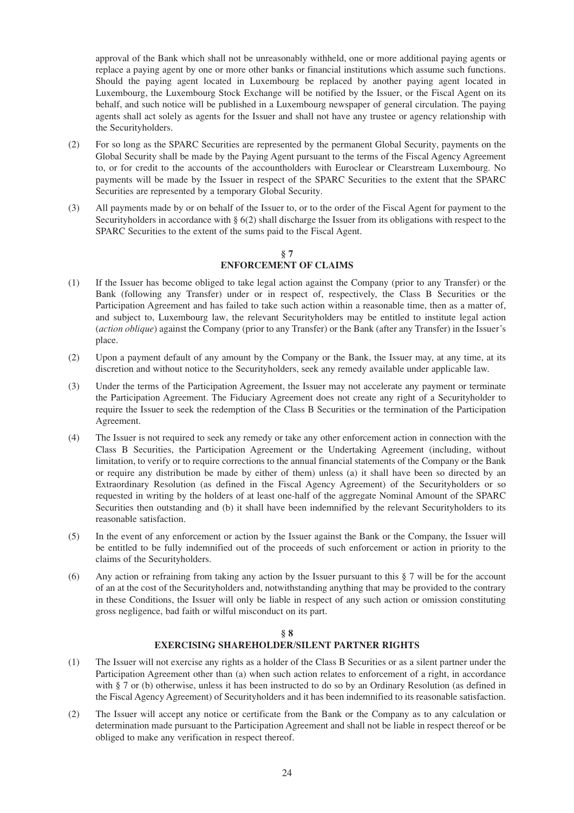approval of the Bank which shall not be unreasonably withheld, one or more additional paying agents or replace a paying agent by one or more other banks or financial institutions which assume such functions. Should the paying agent located in Luxembourg be replaced by another paying agent located in Luxembourg, the Luxembourg Stock Exchange will be notified by the Issuer, or the Fiscal Agent on its behalf, and such notice will be published in a Luxembourg newspaper of general circulation. The paying agents shall act solely as agents for the Issuer and shall not have any trustee or agency relationship with the Securityholders.

- (2) For so long as the SPARC Securities are represented by the permanent Global Security, payments on the Global Security shall be made by the Paying Agent pursuant to the terms of the Fiscal Agency Agreement to, or for credit to the accounts of the accountholders with Euroclear or Clearstream Luxembourg. No payments will be made by the Issuer in respect of the SPARC Securities to the extent that the SPARC Securities are represented by a temporary Global Security.
- (3) All payments made by or on behalf of the Issuer to, or to the order of the Fiscal Agent for payment to the Securityholders in accordance with § 6(2) shall discharge the Issuer from its obligations with respect to the SPARC Securities to the extent of the sums paid to the Fiscal Agent.

## **§ 7 ENFORCEMENT OF CLAIMS**

- (1) If the Issuer has become obliged to take legal action against the Company (prior to any Transfer) or the Bank (following any Transfer) under or in respect of, respectively, the Class B Securities or the Participation Agreement and has failed to take such action within a reasonable time, then as a matter of, and subject to, Luxembourg law, the relevant Securityholders may be entitled to institute legal action (*action oblique*) against the Company (prior to any Transfer) or the Bank (after any Transfer) in the Issuer's place.
- (2) Upon a payment default of any amount by the Company or the Bank, the Issuer may, at any time, at its discretion and without notice to the Securityholders, seek any remedy available under applicable law.
- (3) Under the terms of the Participation Agreement, the Issuer may not accelerate any payment or terminate the Participation Agreement. The Fiduciary Agreement does not create any right of a Securityholder to require the Issuer to seek the redemption of the Class B Securities or the termination of the Participation Agreement.
- (4) The Issuer is not required to seek any remedy or take any other enforcement action in connection with the Class B Securities, the Participation Agreement or the Undertaking Agreement (including, without limitation, to verify or to require corrections to the annual financial statements of the Company or the Bank or require any distribution be made by either of them) unless (a) it shall have been so directed by an Extraordinary Resolution (as defined in the Fiscal Agency Agreement) of the Securityholders or so requested in writing by the holders of at least one-half of the aggregate Nominal Amount of the SPARC Securities then outstanding and (b) it shall have been indemnified by the relevant Securityholders to its reasonable satisfaction.
- (5) In the event of any enforcement or action by the Issuer against the Bank or the Company, the Issuer will be entitled to be fully indemnified out of the proceeds of such enforcement or action in priority to the claims of the Securityholders.
- (6) Any action or refraining from taking any action by the Issuer pursuant to this § 7 will be for the account of an at the cost of the Securityholders and, notwithstanding anything that may be provided to the contrary in these Conditions, the Issuer will only be liable in respect of any such action or omission constituting gross negligence, bad faith or wilful misconduct on its part.

# **§ 8 EXERCISING SHAREHOLDER/SILENT PARTNER RIGHTS**

- (1) The Issuer will not exercise any rights as a holder of the Class B Securities or as a silent partner under the Participation Agreement other than (a) when such action relates to enforcement of a right, in accordance with § 7 or (b) otherwise, unless it has been instructed to do so by an Ordinary Resolution (as defined in the Fiscal Agency Agreement) of Securityholders and it has been indemnified to its reasonable satisfaction.
- (2) The Issuer will accept any notice or certificate from the Bank or the Company as to any calculation or determination made pursuant to the Participation Agreement and shall not be liable in respect thereof or be obliged to make any verification in respect thereof.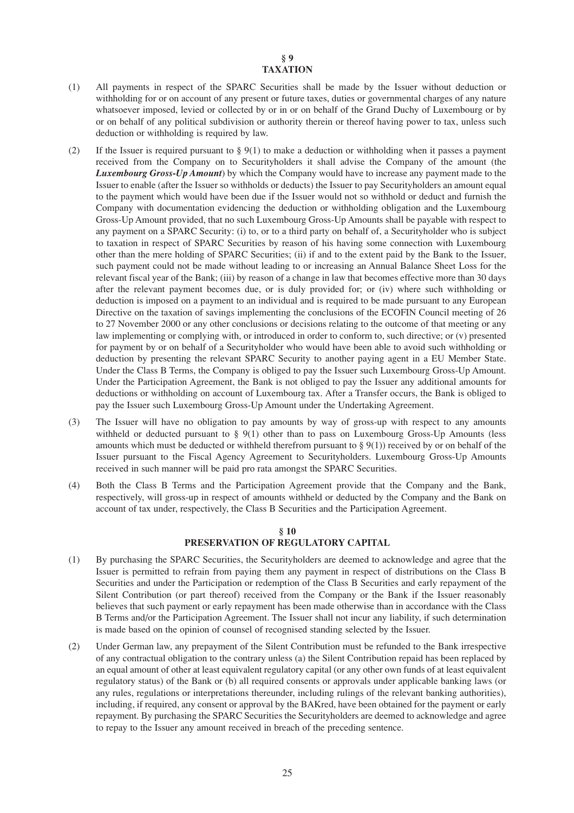## **§ 9 TAXATION**

- (1) All payments in respect of the SPARC Securities shall be made by the Issuer without deduction or withholding for or on account of any present or future taxes, duties or governmental charges of any nature whatsoever imposed, levied or collected by or in or on behalf of the Grand Duchy of Luxembourg or by or on behalf of any political subdivision or authority therein or thereof having power to tax, unless such deduction or withholding is required by law.
- (2) If the Issuer is required pursuant to  $\S 9(1)$  to make a deduction or withholding when it passes a payment received from the Company on to Securityholders it shall advise the Company of the amount (the *Luxembourg Gross-Up Amount*) by which the Company would have to increase any payment made to the Issuer to enable (after the Issuer so withholds or deducts) the Issuer to pay Securityholders an amount equal to the payment which would have been due if the Issuer would not so withhold or deduct and furnish the Company with documentation evidencing the deduction or withholding obligation and the Luxembourg Gross-Up Amount provided, that no such Luxembourg Gross-Up Amounts shall be payable with respect to any payment on a SPARC Security: (i) to, or to a third party on behalf of, a Securityholder who is subject to taxation in respect of SPARC Securities by reason of his having some connection with Luxembourg other than the mere holding of SPARC Securities; (ii) if and to the extent paid by the Bank to the Issuer, such payment could not be made without leading to or increasing an Annual Balance Sheet Loss for the relevant fiscal year of the Bank; (iii) by reason of a change in law that becomes effective more than 30 days after the relevant payment becomes due, or is duly provided for; or (iv) where such withholding or deduction is imposed on a payment to an individual and is required to be made pursuant to any European Directive on the taxation of savings implementing the conclusions of the ECOFIN Council meeting of 26 to 27 November 2000 or any other conclusions or decisions relating to the outcome of that meeting or any law implementing or complying with, or introduced in order to conform to, such directive; or (v) presented for payment by or on behalf of a Securityholder who would have been able to avoid such withholding or deduction by presenting the relevant SPARC Security to another paying agent in a EU Member State. Under the Class B Terms, the Company is obliged to pay the Issuer such Luxembourg Gross-Up Amount. Under the Participation Agreement, the Bank is not obliged to pay the Issuer any additional amounts for deductions or withholding on account of Luxembourg tax. After a Transfer occurs, the Bank is obliged to pay the Issuer such Luxembourg Gross-Up Amount under the Undertaking Agreement.
- (3) The Issuer will have no obligation to pay amounts by way of gross-up with respect to any amounts withheld or deducted pursuant to  $\S$  9(1) other than to pass on Luxembourg Gross-Up Amounts (less amounts which must be deducted or withheld therefrom pursuant to  $\S 9(1)$ ) received by or on behalf of the Issuer pursuant to the Fiscal Agency Agreement to Securityholders. Luxembourg Gross-Up Amounts received in such manner will be paid pro rata amongst the SPARC Securities.
- (4) Both the Class B Terms and the Participation Agreement provide that the Company and the Bank, respectively, will gross-up in respect of amounts withheld or deducted by the Company and the Bank on account of tax under, respectively, the Class B Securities and the Participation Agreement.

# **§ 10 PRESERVATION OF REGULATORY CAPITAL**

- (1) By purchasing the SPARC Securities, the Securityholders are deemed to acknowledge and agree that the Issuer is permitted to refrain from paying them any payment in respect of distributions on the Class B Securities and under the Participation or redemption of the Class B Securities and early repayment of the Silent Contribution (or part thereof) received from the Company or the Bank if the Issuer reasonably believes that such payment or early repayment has been made otherwise than in accordance with the Class B Terms and/or the Participation Agreement. The Issuer shall not incur any liability, if such determination is made based on the opinion of counsel of recognised standing selected by the Issuer.
- (2) Under German law, any prepayment of the Silent Contribution must be refunded to the Bank irrespective of any contractual obligation to the contrary unless (a) the Silent Contribution repaid has been replaced by an equal amount of other at least equivalent regulatory capital (or any other own funds of at least equivalent regulatory status) of the Bank or (b) all required consents or approvals under applicable banking laws (or any rules, regulations or interpretations thereunder, including rulings of the relevant banking authorities), including, if required, any consent or approval by the BAKred, have been obtained for the payment or early repayment. By purchasing the SPARC Securities the Securityholders are deemed to acknowledge and agree to repay to the Issuer any amount received in breach of the preceding sentence.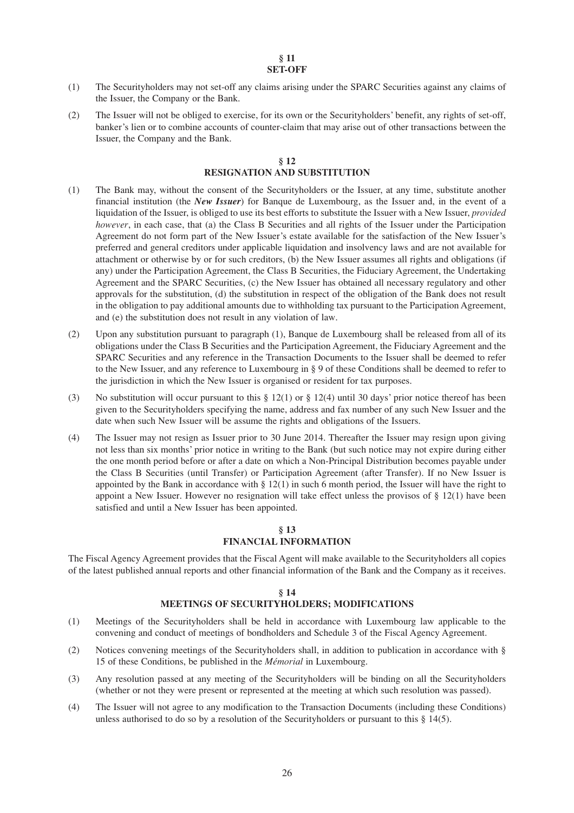#### **§ 11 SET-OFF**

- (1) The Securityholders may not set-off any claims arising under the SPARC Securities against any claims of the Issuer, the Company or the Bank.
- (2) The Issuer will not be obliged to exercise, for its own or the Securityholders' benefit, any rights of set-off, banker's lien or to combine accounts of counter-claim that may arise out of other transactions between the Issuer, the Company and the Bank.

#### **§ 12 RESIGNATION AND SUBSTITUTION**

- (1) The Bank may, without the consent of the Securityholders or the Issuer, at any time, substitute another financial institution (the *New Issuer*) for Banque de Luxembourg, as the Issuer and, in the event of a liquidation of the Issuer, is obliged to use its best efforts to substitute the Issuer with a New Issuer, *provided however*, in each case, that (a) the Class B Securities and all rights of the Issuer under the Participation Agreement do not form part of the New Issuer's estate available for the satisfaction of the New Issuer's preferred and general creditors under applicable liquidation and insolvency laws and are not available for attachment or otherwise by or for such creditors, (b) the New Issuer assumes all rights and obligations (if any) under the Participation Agreement, the Class B Securities, the Fiduciary Agreement, the Undertaking Agreement and the SPARC Securities, (c) the New Issuer has obtained all necessary regulatory and other approvals for the substitution, (d) the substitution in respect of the obligation of the Bank does not result in the obligation to pay additional amounts due to withholding tax pursuant to the Participation Agreement, and (e) the substitution does not result in any violation of law.
- (2) Upon any substitution pursuant to paragraph (1), Banque de Luxembourg shall be released from all of its obligations under the Class B Securities and the Participation Agreement, the Fiduciary Agreement and the SPARC Securities and any reference in the Transaction Documents to the Issuer shall be deemed to refer to the New Issuer, and any reference to Luxembourg in § 9 of these Conditions shall be deemed to refer to the jurisdiction in which the New Issuer is organised or resident for tax purposes.
- (3) No substitution will occur pursuant to this  $\S 12(1)$  or  $\S 12(4)$  until 30 days' prior notice thereof has been given to the Securityholders specifying the name, address and fax number of any such New Issuer and the date when such New Issuer will be assume the rights and obligations of the Issuers.
- (4) The Issuer may not resign as Issuer prior to 30 June 2014. Thereafter the Issuer may resign upon giving not less than six months' prior notice in writing to the Bank (but such notice may not expire during either the one month period before or after a date on which a Non-Principal Distribution becomes payable under the Class B Securities (until Transfer) or Participation Agreement (after Transfer). If no New Issuer is appointed by the Bank in accordance with  $\S 12(1)$  in such 6 month period, the Issuer will have the right to appoint a New Issuer. However no resignation will take effect unless the provisos of  $\S 12(1)$  have been satisfied and until a New Issuer has been appointed.

## **§ 13 FINANCIAL INFORMATION**

The Fiscal Agency Agreement provides that the Fiscal Agent will make available to the Securityholders all copies of the latest published annual reports and other financial information of the Bank and the Company as it receives.

#### **§ 14**

# **MEETINGS OF SECURITYHOLDERS; MODIFICATIONS**

- (1) Meetings of the Securityholders shall be held in accordance with Luxembourg law applicable to the convening and conduct of meetings of bondholders and Schedule 3 of the Fiscal Agency Agreement.
- (2) Notices convening meetings of the Securityholders shall, in addition to publication in accordance with § 15 of these Conditions, be published in the *Mémorial* in Luxembourg.
- (3) Any resolution passed at any meeting of the Securityholders will be binding on all the Securityholders (whether or not they were present or represented at the meeting at which such resolution was passed).
- (4) The Issuer will not agree to any modification to the Transaction Documents (including these Conditions) unless authorised to do so by a resolution of the Securityholders or pursuant to this  $\S$  14(5).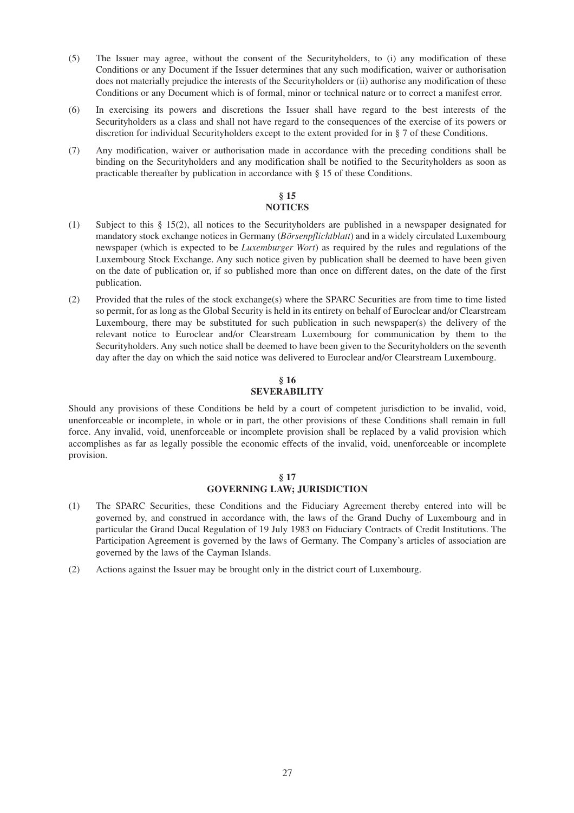- (5) The Issuer may agree, without the consent of the Securityholders, to (i) any modification of these Conditions or any Document if the Issuer determines that any such modification, waiver or authorisation does not materially prejudice the interests of the Securityholders or (ii) authorise any modification of these Conditions or any Document which is of formal, minor or technical nature or to correct a manifest error.
- (6) In exercising its powers and discretions the Issuer shall have regard to the best interests of the Securityholders as a class and shall not have regard to the consequences of the exercise of its powers or discretion for individual Securityholders except to the extent provided for in § 7 of these Conditions.
- (7) Any modification, waiver or authorisation made in accordance with the preceding conditions shall be binding on the Securityholders and any modification shall be notified to the Securityholders as soon as practicable thereafter by publication in accordance with § 15 of these Conditions.

## **§ 15 NOTICES**

- (1) Subject to this § 15(2), all notices to the Securityholders are published in a newspaper designated for mandatory stock exchange notices in Germany (*Börsenpflichtblatt*) and in a widely circulated Luxembourg newspaper (which is expected to be *Luxemburger Wort*) as required by the rules and regulations of the Luxembourg Stock Exchange. Any such notice given by publication shall be deemed to have been given on the date of publication or, if so published more than once on different dates, on the date of the first publication.
- (2) Provided that the rules of the stock exchange(s) where the SPARC Securities are from time to time listed so permit, for as long as the Global Security is held in its entirety on behalf of Euroclear and/or Clearstream Luxembourg, there may be substituted for such publication in such newspaper(s) the delivery of the relevant notice to Euroclear and/or Clearstream Luxembourg for communication by them to the Securityholders. Any such notice shall be deemed to have been given to the Securityholders on the seventh day after the day on which the said notice was delivered to Euroclear and/or Clearstream Luxembourg.

# **§ 16 SEVERABILITY**

Should any provisions of these Conditions be held by a court of competent jurisdiction to be invalid, void, unenforceable or incomplete, in whole or in part, the other provisions of these Conditions shall remain in full force. Any invalid, void, unenforceable or incomplete provision shall be replaced by a valid provision which accomplishes as far as legally possible the economic effects of the invalid, void, unenforceable or incomplete provision.

## **§ 17 GOVERNING LAW; JURISDICTION**

- (1) The SPARC Securities, these Conditions and the Fiduciary Agreement thereby entered into will be governed by, and construed in accordance with, the laws of the Grand Duchy of Luxembourg and in particular the Grand Ducal Regulation of 19 July 1983 on Fiduciary Contracts of Credit Institutions. The Participation Agreement is governed by the laws of Germany. The Company's articles of association are governed by the laws of the Cayman Islands.
- (2) Actions against the Issuer may be brought only in the district court of Luxembourg.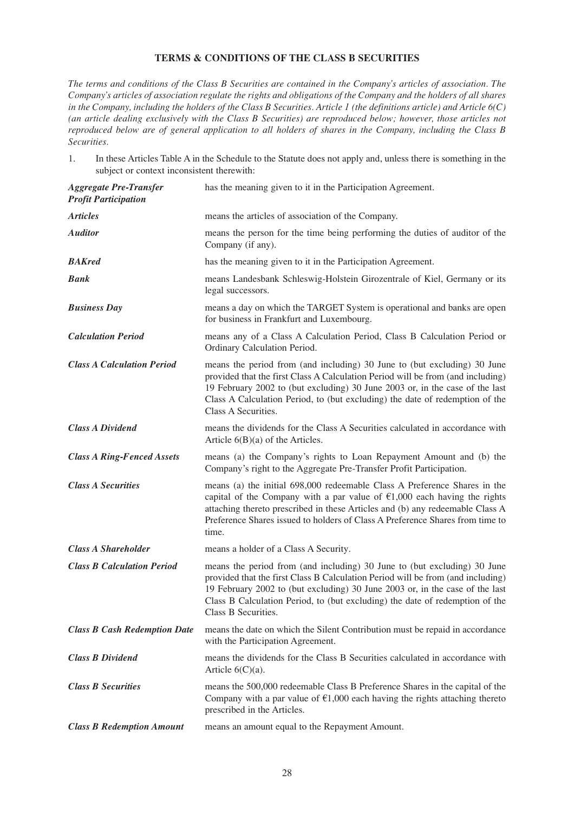# **TERMS & CONDITIONS OF THE CLASS B SECURITIES**

*The terms and conditions of the Class B Securities are contained in the Company's articles of association. The Company's articles of association regulate the rights and obligations of the Company and the holders of all shares in the Company, including the holders of the Class B Securities. Article 1 (the definitions article) and Article 6(C) (an article dealing exclusively with the Class B Securities) are reproduced below; however, those articles not reproduced below are of general application to all holders of shares in the Company, including the Class B Securities.*

1. In these Articles Table A in the Schedule to the Statute does not apply and, unless there is something in the subject or context inconsistent therewith:

| <b>Aggregate Pre-Transfer</b><br><b>Profit Participation</b> | has the meaning given to it in the Participation Agreement.                                                                                                                                                                                                                                                                                        |
|--------------------------------------------------------------|----------------------------------------------------------------------------------------------------------------------------------------------------------------------------------------------------------------------------------------------------------------------------------------------------------------------------------------------------|
| <b>Articles</b>                                              | means the articles of association of the Company.                                                                                                                                                                                                                                                                                                  |
| <b>Auditor</b>                                               | means the person for the time being performing the duties of auditor of the<br>Company (if any).                                                                                                                                                                                                                                                   |
| <b>BAKred</b>                                                | has the meaning given to it in the Participation Agreement.                                                                                                                                                                                                                                                                                        |
| <b>Bank</b>                                                  | means Landesbank Schleswig-Holstein Girozentrale of Kiel, Germany or its<br>legal successors.                                                                                                                                                                                                                                                      |
| <b>Business Day</b>                                          | means a day on which the TARGET System is operational and banks are open<br>for business in Frankfurt and Luxembourg.                                                                                                                                                                                                                              |
| <b>Calculation Period</b>                                    | means any of a Class A Calculation Period, Class B Calculation Period or<br>Ordinary Calculation Period.                                                                                                                                                                                                                                           |
| <b>Class A Calculation Period</b>                            | means the period from (and including) 30 June to (but excluding) 30 June<br>provided that the first Class A Calculation Period will be from (and including)<br>19 February 2002 to (but excluding) 30 June 2003 or, in the case of the last<br>Class A Calculation Period, to (but excluding) the date of redemption of the<br>Class A Securities. |
| <b>Class A Dividend</b>                                      | means the dividends for the Class A Securities calculated in accordance with<br>Article $6(B)(a)$ of the Articles.                                                                                                                                                                                                                                 |
| <b>Class A Ring-Fenced Assets</b>                            | means (a) the Company's rights to Loan Repayment Amount and (b) the<br>Company's right to the Aggregate Pre-Transfer Profit Participation.                                                                                                                                                                                                         |
| <b>Class A Securities</b>                                    | means (a) the initial 698,000 redeemable Class A Preference Shares in the<br>capital of the Company with a par value of $£1,000$ each having the rights<br>attaching thereto prescribed in these Articles and (b) any redeemable Class A<br>Preference Shares issued to holders of Class A Preference Shares from time to<br>time.                 |
| <b>Class A Shareholder</b>                                   | means a holder of a Class A Security.                                                                                                                                                                                                                                                                                                              |
| <b>Class B Calculation Period</b>                            | means the period from (and including) 30 June to (but excluding) 30 June<br>provided that the first Class B Calculation Period will be from (and including)<br>19 February 2002 to (but excluding) 30 June 2003 or, in the case of the last<br>Class B Calculation Period, to (but excluding) the date of redemption of the<br>Class B Securities. |
| <b>Class B Cash Redemption Date</b>                          | means the date on which the Silent Contribution must be repaid in accordance<br>with the Participation Agreement.                                                                                                                                                                                                                                  |
| <b>Class B Dividend</b>                                      | means the dividends for the Class B Securities calculated in accordance with<br>Article $6(C)(a)$ .                                                                                                                                                                                                                                                |
| <b>Class B Securities</b>                                    | means the 500,000 redeemable Class B Preference Shares in the capital of the<br>Company with a par value of $\epsilon$ 1,000 each having the rights attaching thereto<br>prescribed in the Articles.                                                                                                                                               |
| <b>Class B Redemption Amount</b>                             | means an amount equal to the Repayment Amount.                                                                                                                                                                                                                                                                                                     |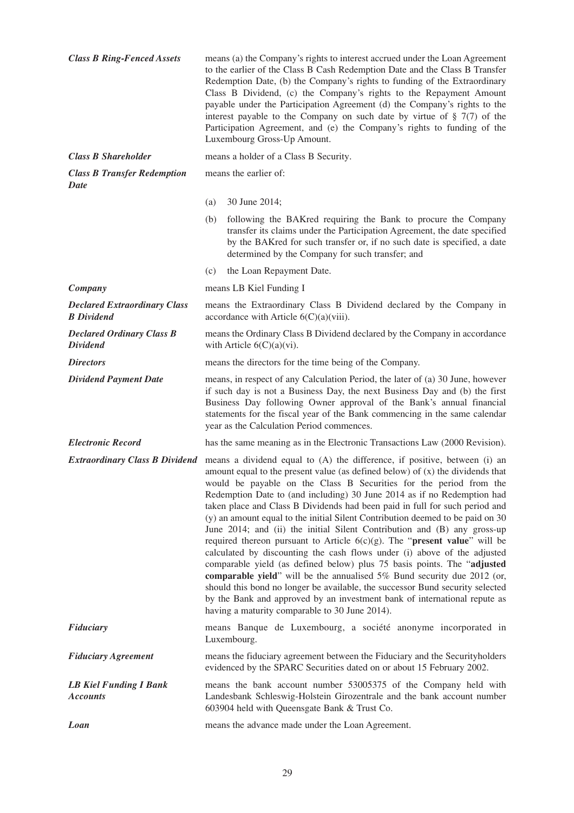| <b>Class B Ring-Fenced Assets</b>                        | means (a) the Company's rights to interest accrued under the Loan Agreement<br>to the earlier of the Class B Cash Redemption Date and the Class B Transfer<br>Redemption Date, (b) the Company's rights to funding of the Extraordinary<br>Class B Dividend, (c) the Company's rights to the Repayment Amount<br>payable under the Participation Agreement (d) the Company's rights to the<br>interest payable to the Company on such date by virtue of $\S$ 7(7) of the<br>Participation Agreement, and (e) the Company's rights to funding of the<br>Luxembourg Gross-Up Amount. |                                                                                                                                                                                                                                                                                                                                                                                                                                                                                                                                                                                                                                                                                                                                                                                                                                                                                                                                                                                                                                                                                                        |  |
|----------------------------------------------------------|------------------------------------------------------------------------------------------------------------------------------------------------------------------------------------------------------------------------------------------------------------------------------------------------------------------------------------------------------------------------------------------------------------------------------------------------------------------------------------------------------------------------------------------------------------------------------------|--------------------------------------------------------------------------------------------------------------------------------------------------------------------------------------------------------------------------------------------------------------------------------------------------------------------------------------------------------------------------------------------------------------------------------------------------------------------------------------------------------------------------------------------------------------------------------------------------------------------------------------------------------------------------------------------------------------------------------------------------------------------------------------------------------------------------------------------------------------------------------------------------------------------------------------------------------------------------------------------------------------------------------------------------------------------------------------------------------|--|
| <b>Class B Shareholder</b>                               |                                                                                                                                                                                                                                                                                                                                                                                                                                                                                                                                                                                    | means a holder of a Class B Security.                                                                                                                                                                                                                                                                                                                                                                                                                                                                                                                                                                                                                                                                                                                                                                                                                                                                                                                                                                                                                                                                  |  |
| <b>Class B Transfer Redemption</b><br>Date               |                                                                                                                                                                                                                                                                                                                                                                                                                                                                                                                                                                                    | means the earlier of:                                                                                                                                                                                                                                                                                                                                                                                                                                                                                                                                                                                                                                                                                                                                                                                                                                                                                                                                                                                                                                                                                  |  |
|                                                          | (a)                                                                                                                                                                                                                                                                                                                                                                                                                                                                                                                                                                                | 30 June 2014;                                                                                                                                                                                                                                                                                                                                                                                                                                                                                                                                                                                                                                                                                                                                                                                                                                                                                                                                                                                                                                                                                          |  |
|                                                          | (b)                                                                                                                                                                                                                                                                                                                                                                                                                                                                                                                                                                                | following the BAKred requiring the Bank to procure the Company<br>transfer its claims under the Participation Agreement, the date specified<br>by the BAKred for such transfer or, if no such date is specified, a date<br>determined by the Company for such transfer; and                                                                                                                                                                                                                                                                                                                                                                                                                                                                                                                                                                                                                                                                                                                                                                                                                            |  |
|                                                          | (c)                                                                                                                                                                                                                                                                                                                                                                                                                                                                                                                                                                                | the Loan Repayment Date.                                                                                                                                                                                                                                                                                                                                                                                                                                                                                                                                                                                                                                                                                                                                                                                                                                                                                                                                                                                                                                                                               |  |
| Company                                                  |                                                                                                                                                                                                                                                                                                                                                                                                                                                                                                                                                                                    | means LB Kiel Funding I                                                                                                                                                                                                                                                                                                                                                                                                                                                                                                                                                                                                                                                                                                                                                                                                                                                                                                                                                                                                                                                                                |  |
| <b>Declared Extraordinary Class</b><br><b>B</b> Dividend |                                                                                                                                                                                                                                                                                                                                                                                                                                                                                                                                                                                    | means the Extraordinary Class B Dividend declared by the Company in<br>accordance with Article $6(C)(a)(viii)$ .                                                                                                                                                                                                                                                                                                                                                                                                                                                                                                                                                                                                                                                                                                                                                                                                                                                                                                                                                                                       |  |
| <b>Declared Ordinary Class B</b><br><b>Dividend</b>      |                                                                                                                                                                                                                                                                                                                                                                                                                                                                                                                                                                                    | means the Ordinary Class B Dividend declared by the Company in accordance<br>with Article $6(C)(a)(vi)$ .                                                                                                                                                                                                                                                                                                                                                                                                                                                                                                                                                                                                                                                                                                                                                                                                                                                                                                                                                                                              |  |
| <b>Directors</b>                                         |                                                                                                                                                                                                                                                                                                                                                                                                                                                                                                                                                                                    | means the directors for the time being of the Company.                                                                                                                                                                                                                                                                                                                                                                                                                                                                                                                                                                                                                                                                                                                                                                                                                                                                                                                                                                                                                                                 |  |
| <b>Dividend Payment Date</b>                             |                                                                                                                                                                                                                                                                                                                                                                                                                                                                                                                                                                                    | means, in respect of any Calculation Period, the later of (a) 30 June, however<br>if such day is not a Business Day, the next Business Day and (b) the first<br>Business Day following Owner approval of the Bank's annual financial<br>statements for the fiscal year of the Bank commencing in the same calendar<br>year as the Calculation Period commences.                                                                                                                                                                                                                                                                                                                                                                                                                                                                                                                                                                                                                                                                                                                                        |  |
| <b>Electronic Record</b>                                 |                                                                                                                                                                                                                                                                                                                                                                                                                                                                                                                                                                                    | has the same meaning as in the Electronic Transactions Law (2000 Revision).                                                                                                                                                                                                                                                                                                                                                                                                                                                                                                                                                                                                                                                                                                                                                                                                                                                                                                                                                                                                                            |  |
| <b>Extraordinary Class B Dividend</b>                    |                                                                                                                                                                                                                                                                                                                                                                                                                                                                                                                                                                                    | means a dividend equal to (A) the difference, if positive, between (i) an<br>amount equal to the present value (as defined below) of $(x)$ the dividends that<br>would be payable on the Class B Securities for the period from the<br>Redemption Date to (and including) 30 June 2014 as if no Redemption had<br>taken place and Class B Dividends had been paid in full for such period and<br>(y) an amount equal to the initial Silent Contribution deemed to be paid on 30<br>June 2014; and (ii) the initial Silent Contribution and (B) any gross-up<br>required thereon pursuant to Article $6(c)(g)$ . The " <b>present value</b> " will be<br>calculated by discounting the cash flows under (i) above of the adjusted<br>comparable yield (as defined below) plus 75 basis points. The "adjusted<br>comparable yield" will be the annualised 5% Bund security due 2012 (or,<br>should this bond no longer be available, the successor Bund security selected<br>by the Bank and approved by an investment bank of international repute as<br>having a maturity comparable to 30 June 2014). |  |
| Fiduciary                                                |                                                                                                                                                                                                                                                                                                                                                                                                                                                                                                                                                                                    | means Banque de Luxembourg, a société anonyme incorporated in<br>Luxembourg.                                                                                                                                                                                                                                                                                                                                                                                                                                                                                                                                                                                                                                                                                                                                                                                                                                                                                                                                                                                                                           |  |
| <b>Fiduciary Agreement</b>                               |                                                                                                                                                                                                                                                                                                                                                                                                                                                                                                                                                                                    | means the fiduciary agreement between the Fiduciary and the Securityholders<br>evidenced by the SPARC Securities dated on or about 15 February 2002.                                                                                                                                                                                                                                                                                                                                                                                                                                                                                                                                                                                                                                                                                                                                                                                                                                                                                                                                                   |  |
| <b>LB Kiel Funding I Bank</b><br><b>Accounts</b>         |                                                                                                                                                                                                                                                                                                                                                                                                                                                                                                                                                                                    | means the bank account number 53005375 of the Company held with<br>Landesbank Schleswig-Holstein Girozentrale and the bank account number<br>603904 held with Queensgate Bank & Trust Co.                                                                                                                                                                                                                                                                                                                                                                                                                                                                                                                                                                                                                                                                                                                                                                                                                                                                                                              |  |
| Loan                                                     |                                                                                                                                                                                                                                                                                                                                                                                                                                                                                                                                                                                    | means the advance made under the Loan Agreement.                                                                                                                                                                                                                                                                                                                                                                                                                                                                                                                                                                                                                                                                                                                                                                                                                                                                                                                                                                                                                                                       |  |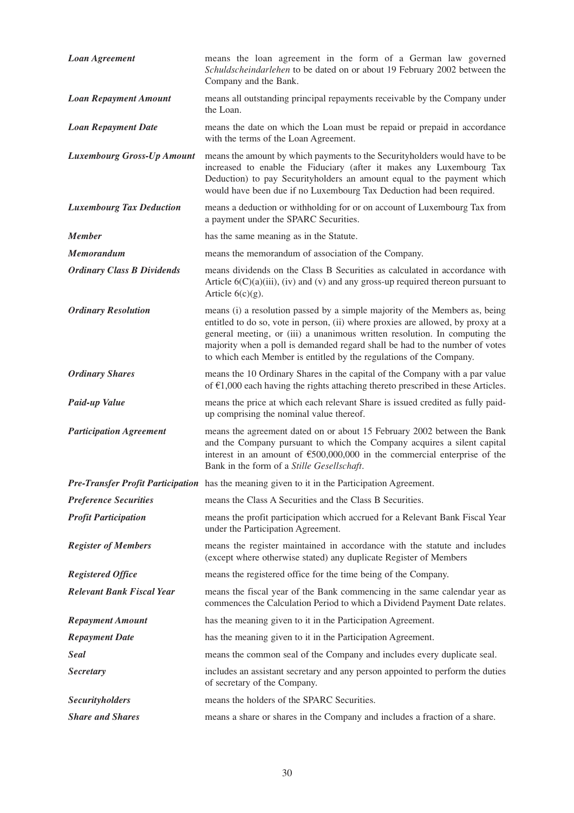| <b>Loan Agreement</b>             | means the loan agreement in the form of a German law governed<br>Schuldscheindarlehen to be dated on or about 19 February 2002 between the<br>Company and the Bank.                                                                                                                                                                                                                                 |
|-----------------------------------|-----------------------------------------------------------------------------------------------------------------------------------------------------------------------------------------------------------------------------------------------------------------------------------------------------------------------------------------------------------------------------------------------------|
| <b>Loan Repayment Amount</b>      | means all outstanding principal repayments receivable by the Company under<br>the Loan.                                                                                                                                                                                                                                                                                                             |
| <b>Loan Repayment Date</b>        | means the date on which the Loan must be repaid or prepaid in accordance<br>with the terms of the Loan Agreement.                                                                                                                                                                                                                                                                                   |
| <b>Luxembourg Gross-Up Amount</b> | means the amount by which payments to the Securityholders would have to be<br>increased to enable the Fiduciary (after it makes any Luxembourg Tax<br>Deduction) to pay Securityholders an amount equal to the payment which<br>would have been due if no Luxembourg Tax Deduction had been required.                                                                                               |
| <b>Luxembourg Tax Deduction</b>   | means a deduction or withholding for or on account of Luxembourg Tax from<br>a payment under the SPARC Securities.                                                                                                                                                                                                                                                                                  |
| <b>Member</b>                     | has the same meaning as in the Statute.                                                                                                                                                                                                                                                                                                                                                             |
| <b>Memorandum</b>                 | means the memorandum of association of the Company.                                                                                                                                                                                                                                                                                                                                                 |
| <b>Ordinary Class B Dividends</b> | means dividends on the Class B Securities as calculated in accordance with<br>Article $6(C)(a)(iii)$ , (iv) and (v) and any gross-up required thereon pursuant to<br>Article $6(c)(g)$ .                                                                                                                                                                                                            |
| <b>Ordinary Resolution</b>        | means (i) a resolution passed by a simple majority of the Members as, being<br>entitled to do so, vote in person, (ii) where proxies are allowed, by proxy at a<br>general meeting, or (iii) a unanimous written resolution. In computing the<br>majority when a poll is demanded regard shall be had to the number of votes<br>to which each Member is entitled by the regulations of the Company. |
| <b>Ordinary Shares</b>            | means the 10 Ordinary Shares in the capital of the Company with a par value<br>of $\epsilon$ 1,000 each having the rights attaching thereto prescribed in these Articles.                                                                                                                                                                                                                           |
| Paid-up Value                     | means the price at which each relevant Share is issued credited as fully paid-<br>up comprising the nominal value thereof.                                                                                                                                                                                                                                                                          |
| <b>Participation Agreement</b>    | means the agreement dated on or about 15 February 2002 between the Bank<br>and the Company pursuant to which the Company acquires a silent capital<br>interest in an amount of $\text{\textsterling}500,000,000$ in the commercial enterprise of the<br>Bank in the form of a Stille Gesellschaft.                                                                                                  |
|                                   | Pre-Transfer Profit Participation has the meaning given to it in the Participation Agreement.                                                                                                                                                                                                                                                                                                       |
| <b>Preference Securities</b>      | means the Class A Securities and the Class B Securities.                                                                                                                                                                                                                                                                                                                                            |
| <b>Profit Participation</b>       | means the profit participation which accrued for a Relevant Bank Fiscal Year<br>under the Participation Agreement.                                                                                                                                                                                                                                                                                  |
| <b>Register of Members</b>        | means the register maintained in accordance with the statute and includes<br>(except where otherwise stated) any duplicate Register of Members                                                                                                                                                                                                                                                      |
| <b>Registered Office</b>          | means the registered office for the time being of the Company.                                                                                                                                                                                                                                                                                                                                      |
| <b>Relevant Bank Fiscal Year</b>  | means the fiscal year of the Bank commencing in the same calendar year as<br>commences the Calculation Period to which a Dividend Payment Date relates.                                                                                                                                                                                                                                             |
| <b>Repayment Amount</b>           | has the meaning given to it in the Participation Agreement.                                                                                                                                                                                                                                                                                                                                         |
| <b>Repayment Date</b>             | has the meaning given to it in the Participation Agreement.                                                                                                                                                                                                                                                                                                                                         |
| <b>Seal</b>                       | means the common seal of the Company and includes every duplicate seal.                                                                                                                                                                                                                                                                                                                             |
| <b>Secretary</b>                  | includes an assistant secretary and any person appointed to perform the duties<br>of secretary of the Company.                                                                                                                                                                                                                                                                                      |
| <b>Securityholders</b>            | means the holders of the SPARC Securities.                                                                                                                                                                                                                                                                                                                                                          |
| <b>Share and Shares</b>           | means a share or shares in the Company and includes a fraction of a share.                                                                                                                                                                                                                                                                                                                          |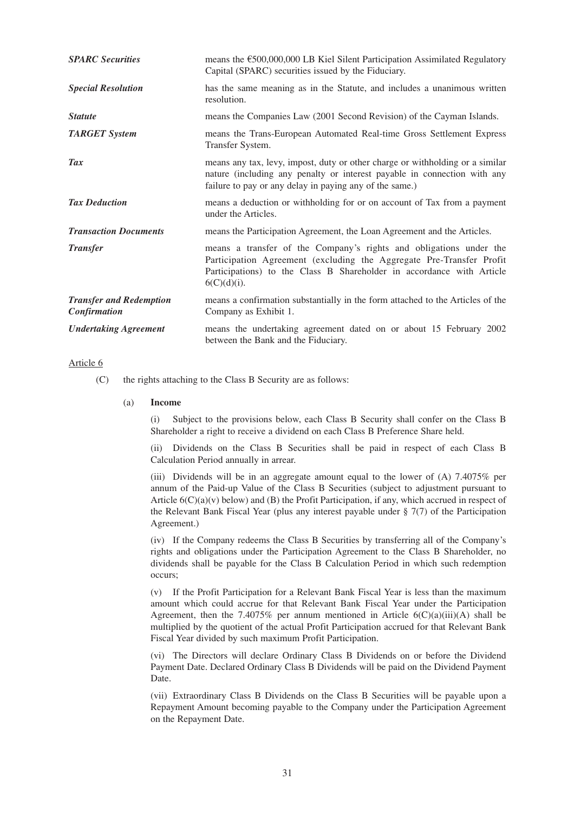| <b>SPARC</b> Securities                        | means the €500,000,000 LB Kiel Silent Participation Assimilated Regulatory<br>Capital (SPARC) securities issued by the Fiduciary.                                                                                                     |
|------------------------------------------------|---------------------------------------------------------------------------------------------------------------------------------------------------------------------------------------------------------------------------------------|
| <b>Special Resolution</b>                      | has the same meaning as in the Statute, and includes a unanimous written<br>resolution.                                                                                                                                               |
| <b>Statute</b>                                 | means the Companies Law (2001 Second Revision) of the Cayman Islands.                                                                                                                                                                 |
| <b>TARGET System</b>                           | means the Trans-European Automated Real-time Gross Settlement Express<br>Transfer System.                                                                                                                                             |
| Tax                                            | means any tax, levy, impost, duty or other charge or withholding or a similar<br>nature (including any penalty or interest payable in connection with any<br>failure to pay or any delay in paying any of the same.)                  |
| <b>Tax Deduction</b>                           | means a deduction or withholding for or on account of Tax from a payment<br>under the Articles.                                                                                                                                       |
| <b>Transaction Documents</b>                   | means the Participation Agreement, the Loan Agreement and the Articles.                                                                                                                                                               |
| <b>Transfer</b>                                | means a transfer of the Company's rights and obligations under the<br>Participation Agreement (excluding the Aggregate Pre-Transfer Profit<br>Participations) to the Class B Shareholder in accordance with Article<br>$6(C)(d)(i)$ . |
| <b>Transfer and Redemption</b><br>Confirmation | means a confirmation substantially in the form attached to the Articles of the<br>Company as Exhibit 1.                                                                                                                               |
| <b>Undertaking Agreement</b>                   | means the undertaking agreement dated on or about 15 February 2002<br>between the Bank and the Fiduciary.                                                                                                                             |

## Article 6

(C) the rights attaching to the Class B Security are as follows:

#### (a) **Income**

(i) Subject to the provisions below, each Class B Security shall confer on the Class B Shareholder a right to receive a dividend on each Class B Preference Share held.

(ii) Dividends on the Class B Securities shall be paid in respect of each Class B Calculation Period annually in arrear.

(iii) Dividends will be in an aggregate amount equal to the lower of (A) 7.4075% per annum of the Paid-up Value of the Class B Securities (subject to adjustment pursuant to Article  $6(C)(a)(v)$  below) and (B) the Profit Participation, if any, which accrued in respect of the Relevant Bank Fiscal Year (plus any interest payable under § 7(7) of the Participation Agreement.)

(iv) If the Company redeems the Class B Securities by transferring all of the Company's rights and obligations under the Participation Agreement to the Class B Shareholder, no dividends shall be payable for the Class B Calculation Period in which such redemption occurs;

(v) If the Profit Participation for a Relevant Bank Fiscal Year is less than the maximum amount which could accrue for that Relevant Bank Fiscal Year under the Participation Agreement, then the 7.4075% per annum mentioned in Article  $6(C)(a)(iii)(A)$  shall be multiplied by the quotient of the actual Profit Participation accrued for that Relevant Bank Fiscal Year divided by such maximum Profit Participation.

(vi) The Directors will declare Ordinary Class B Dividends on or before the Dividend Payment Date. Declared Ordinary Class B Dividends will be paid on the Dividend Payment Date.

(vii) Extraordinary Class B Dividends on the Class B Securities will be payable upon a Repayment Amount becoming payable to the Company under the Participation Agreement on the Repayment Date.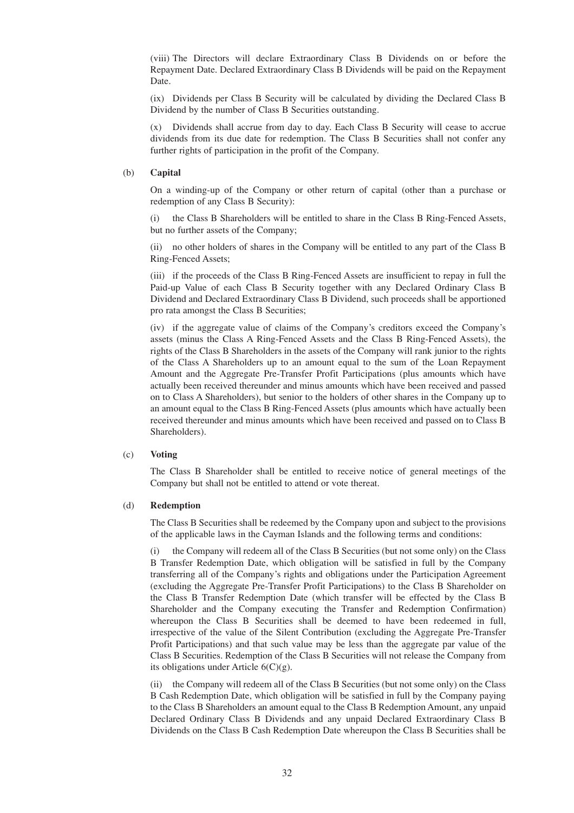(viii) The Directors will declare Extraordinary Class B Dividends on or before the Repayment Date. Declared Extraordinary Class B Dividends will be paid on the Repayment Date.

(ix) Dividends per Class B Security will be calculated by dividing the Declared Class B Dividend by the number of Class B Securities outstanding.

(x) Dividends shall accrue from day to day. Each Class B Security will cease to accrue dividends from its due date for redemption. The Class B Securities shall not confer any further rights of participation in the profit of the Company.

#### (b) **Capital**

On a winding-up of the Company or other return of capital (other than a purchase or redemption of any Class B Security):

(i) the Class B Shareholders will be entitled to share in the Class B Ring-Fenced Assets, but no further assets of the Company;

(ii) no other holders of shares in the Company will be entitled to any part of the Class B Ring-Fenced Assets;

(iii) if the proceeds of the Class B Ring-Fenced Assets are insufficient to repay in full the Paid-up Value of each Class B Security together with any Declared Ordinary Class B Dividend and Declared Extraordinary Class B Dividend, such proceeds shall be apportioned pro rata amongst the Class B Securities;

(iv) if the aggregate value of claims of the Company's creditors exceed the Company's assets (minus the Class A Ring-Fenced Assets and the Class B Ring-Fenced Assets), the rights of the Class B Shareholders in the assets of the Company will rank junior to the rights of the Class A Shareholders up to an amount equal to the sum of the Loan Repayment Amount and the Aggregate Pre-Transfer Profit Participations (plus amounts which have actually been received thereunder and minus amounts which have been received and passed on to Class A Shareholders), but senior to the holders of other shares in the Company up to an amount equal to the Class B Ring-Fenced Assets (plus amounts which have actually been received thereunder and minus amounts which have been received and passed on to Class B Shareholders).

#### (c) **Voting**

The Class B Shareholder shall be entitled to receive notice of general meetings of the Company but shall not be entitled to attend or vote thereat.

#### (d) **Redemption**

The Class B Securities shall be redeemed by the Company upon and subject to the provisions of the applicable laws in the Cayman Islands and the following terms and conditions:

(i) the Company will redeem all of the Class B Securities (but not some only) on the Class B Transfer Redemption Date, which obligation will be satisfied in full by the Company transferring all of the Company's rights and obligations under the Participation Agreement (excluding the Aggregate Pre-Transfer Profit Participations) to the Class B Shareholder on the Class B Transfer Redemption Date (which transfer will be effected by the Class B Shareholder and the Company executing the Transfer and Redemption Confirmation) whereupon the Class B Securities shall be deemed to have been redeemed in full, irrespective of the value of the Silent Contribution (excluding the Aggregate Pre-Transfer Profit Participations) and that such value may be less than the aggregate par value of the Class B Securities. Redemption of the Class B Securities will not release the Company from its obligations under Article 6(C)(g).

(ii) the Company will redeem all of the Class B Securities (but not some only) on the Class B Cash Redemption Date, which obligation will be satisfied in full by the Company paying to the Class B Shareholders an amount equal to the Class B Redemption Amount, any unpaid Declared Ordinary Class B Dividends and any unpaid Declared Extraordinary Class B Dividends on the Class B Cash Redemption Date whereupon the Class B Securities shall be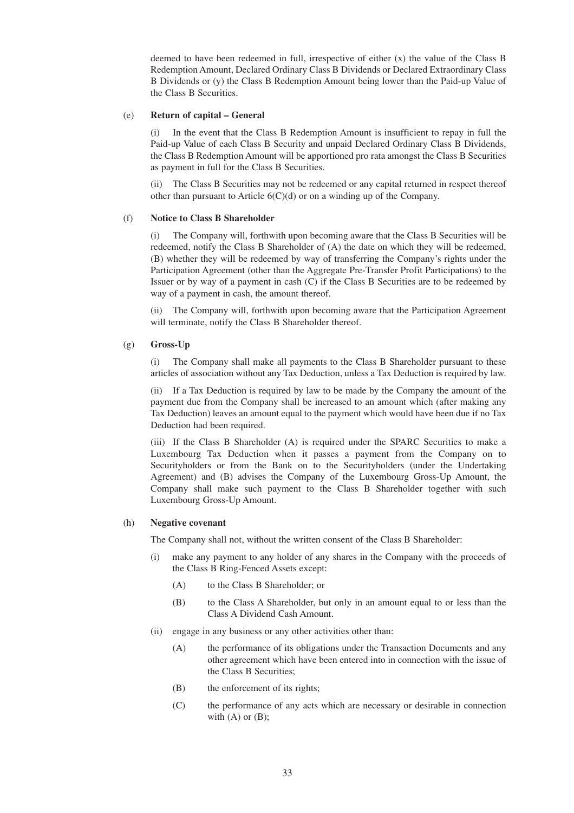deemed to have been redeemed in full, irrespective of either (x) the value of the Class B Redemption Amount, Declared Ordinary Class B Dividends or Declared Extraordinary Class B Dividends or (y) the Class B Redemption Amount being lower than the Paid-up Value of the Class B Securities.

#### (e) **Return of capital – General**

In the event that the Class B Redemption Amount is insufficient to repay in full the Paid-up Value of each Class B Security and unpaid Declared Ordinary Class B Dividends, the Class B Redemption Amount will be apportioned pro rata amongst the Class B Securities as payment in full for the Class B Securities.

(ii) The Class B Securities may not be redeemed or any capital returned in respect thereof other than pursuant to Article 6(C)(d) or on a winding up of the Company.

#### (f) **Notice to Class B Shareholder**

(i) The Company will, forthwith upon becoming aware that the Class B Securities will be redeemed, notify the Class B Shareholder of (A) the date on which they will be redeemed, (B) whether they will be redeemed by way of transferring the Company's rights under the Participation Agreement (other than the Aggregate Pre-Transfer Profit Participations) to the Issuer or by way of a payment in cash (C) if the Class B Securities are to be redeemed by way of a payment in cash, the amount thereof.

(ii) The Company will, forthwith upon becoming aware that the Participation Agreement will terminate, notify the Class B Shareholder thereof.

#### (g) **Gross-Up**

(i) The Company shall make all payments to the Class B Shareholder pursuant to these articles of association without any Tax Deduction, unless a Tax Deduction is required by law.

(ii) If a Tax Deduction is required by law to be made by the Company the amount of the payment due from the Company shall be increased to an amount which (after making any Tax Deduction) leaves an amount equal to the payment which would have been due if no Tax Deduction had been required.

(iii) If the Class B Shareholder (A) is required under the SPARC Securities to make a Luxembourg Tax Deduction when it passes a payment from the Company on to Securityholders or from the Bank on to the Securityholders (under the Undertaking Agreement) and (B) advises the Company of the Luxembourg Gross-Up Amount, the Company shall make such payment to the Class B Shareholder together with such Luxembourg Gross-Up Amount.

#### (h) **Negative covenant**

The Company shall not, without the written consent of the Class B Shareholder:

- (i) make any payment to any holder of any shares in the Company with the proceeds of the Class B Ring-Fenced Assets except:
	- (A) to the Class B Shareholder; or
	- (B) to the Class A Shareholder, but only in an amount equal to or less than the Class A Dividend Cash Amount.
- (ii) engage in any business or any other activities other than:
	- (A) the performance of its obligations under the Transaction Documents and any other agreement which have been entered into in connection with the issue of the Class B Securities;
	- (B) the enforcement of its rights;
	- (C) the performance of any acts which are necessary or desirable in connection with  $(A)$  or  $(B)$ ;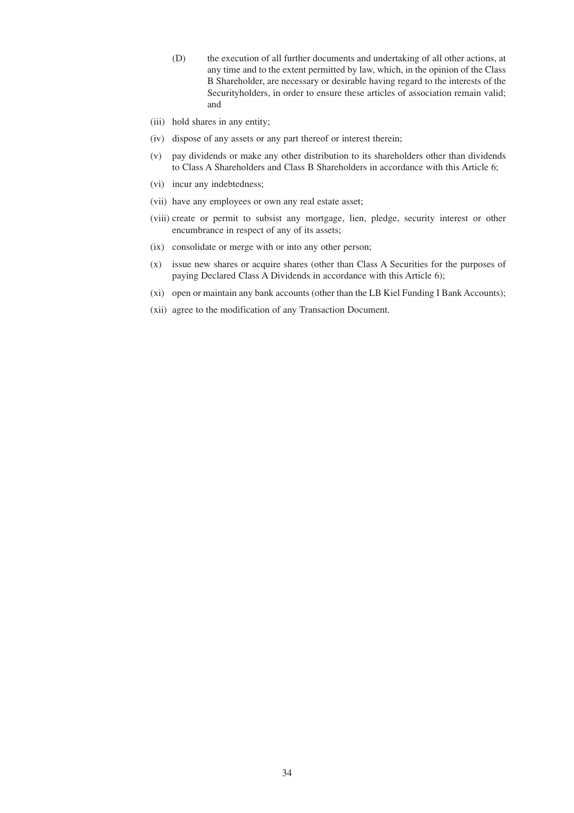- (D) the execution of all further documents and undertaking of all other actions, at any time and to the extent permitted by law, which, in the opinion of the Class B Shareholder, are necessary or desirable having regard to the interests of the Securityholders, in order to ensure these articles of association remain valid; and
- (iii) hold shares in any entity;
- (iv) dispose of any assets or any part thereof or interest therein;
- (v) pay dividends or make any other distribution to its shareholders other than dividends to Class A Shareholders and Class B Shareholders in accordance with this Article 6;
- (vi) incur any indebtedness;
- (vii) have any employees or own any real estate asset;
- (viii) create or permit to subsist any mortgage, lien, pledge, security interest or other encumbrance in respect of any of its assets;
- (ix) consolidate or merge with or into any other person;
- (x) issue new shares or acquire shares (other than Class A Securities for the purposes of paying Declared Class A Dividends in accordance with this Article 6);
- (xi) open or maintain any bank accounts (other than the LB Kiel Funding I Bank Accounts);
- (xii) agree to the modification of any Transaction Document.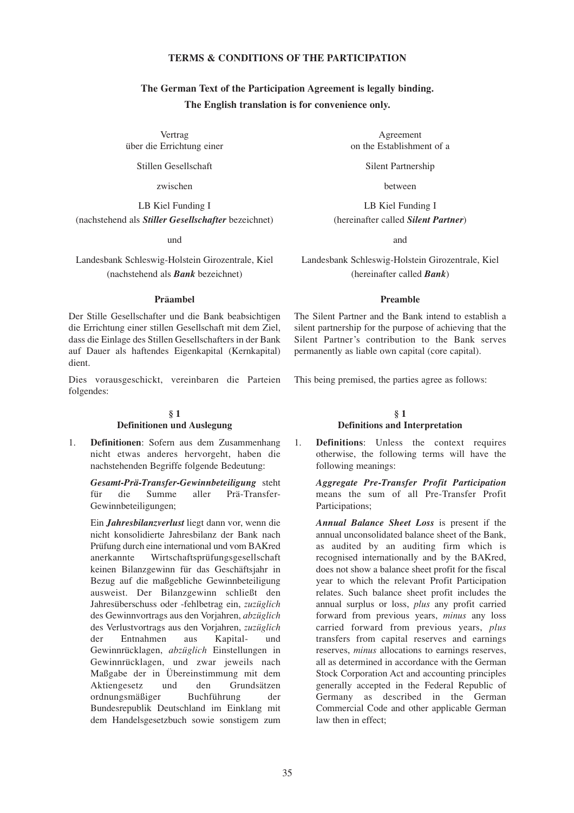# **TERMS & CONDITIONS OF THE PARTICIPATION**

# **The German Text of the Participation Agreement is legally binding. The English translation is for convenience only.**

Vertrag über die Errichtung einer

Stillen Gesellschaft

zwischen

LB Kiel Funding I (nachstehend als *Stiller Gesellschafter* bezeichnet)

und

Landesbank Schleswig-Holstein Girozentrale, Kiel (nachstehend als *Bank* bezeichnet)

#### **Präambel**

Der Stille Gesellschafter und die Bank beabsichtigen die Errichtung einer stillen Gesellschaft mit dem Ziel, dass die Einlage des Stillen Gesellschafters in der Bank auf Dauer als haftendes Eigenkapital (Kernkapital) dient.

Dies vorausgeschickt, vereinbaren die Parteien folgendes:

# **§ 1**

#### **Definitionen und Auslegung**

1. **Definitionen**: Sofern aus dem Zusammenhang nicht etwas anderes hervorgeht, haben die nachstehenden Begriffe folgende Bedeutung:

*Gesamt-Prä-Transfer-Gewinnbeteiligung* steht für die Summe aller Prä-Transfer-Gewinnbeteiligungen;

Ein *Jahresbilanzverlust* liegt dann vor, wenn die nicht konsolidierte Jahresbilanz der Bank nach Prüfung durch eine international und vom BAKred anerkannte Wirtschaftsprüfungsgesellschaft keinen Bilanzgewinn für das Geschäftsjahr in Bezug auf die maßgebliche Gewinnbeteiligung ausweist. Der Bilanzgewinn schließt den Jahresüberschuss oder -fehlbetrag ein, *zuzüglich* des Gewinnvortrags aus den Vorjahren, *abzüglich* des Verlustvortrags aus den Vorjahren, *zuzüglich* der Entnahmen aus Kapital- und Gewinnrücklagen, *abzüglich* Einstellungen in Gewinnrücklagen, und zwar jeweils nach Maßgabe der in Übereinstimmung mit dem Aktiengesetz und den Grundsätzen ordnungsmäßiger Buchführung der Bundesrepublik Deutschland im Einklang mit dem Handelsgesetzbuch sowie sonstigem zum

Agreement on the Establishment of a

Silent Partnership

between

LB Kiel Funding I (hereinafter called *Silent Partner*)

and

Landesbank Schleswig-Holstein Girozentrale, Kiel (hereinafter called *Bank*)

#### **Preamble**

The Silent Partner and the Bank intend to establish a silent partnership for the purpose of achieving that the Silent Partner's contribution to the Bank serves permanently as liable own capital (core capital).

This being premised, the parties agree as follows:

#### **§ 1 Definitions and Interpretation**

1. **Definitions**: Unless the context requires otherwise, the following terms will have the following meanings:

*Aggregate Pre-Transfer Profit Participation* means the sum of all Pre-Transfer Profit Participations;

*Annual Balance Sheet Loss* is present if the annual unconsolidated balance sheet of the Bank, as audited by an auditing firm which is recognised internationally and by the BAKred, does not show a balance sheet profit for the fiscal year to which the relevant Profit Participation relates. Such balance sheet profit includes the annual surplus or loss, *plus* any profit carried forward from previous years, *minus* any loss carried forward from previous years, *plus* transfers from capital reserves and earnings reserves, *minus* allocations to earnings reserves, all as determined in accordance with the German Stock Corporation Act and accounting principles generally accepted in the Federal Republic of Germany as described in the German Commercial Code and other applicable German law then in effect;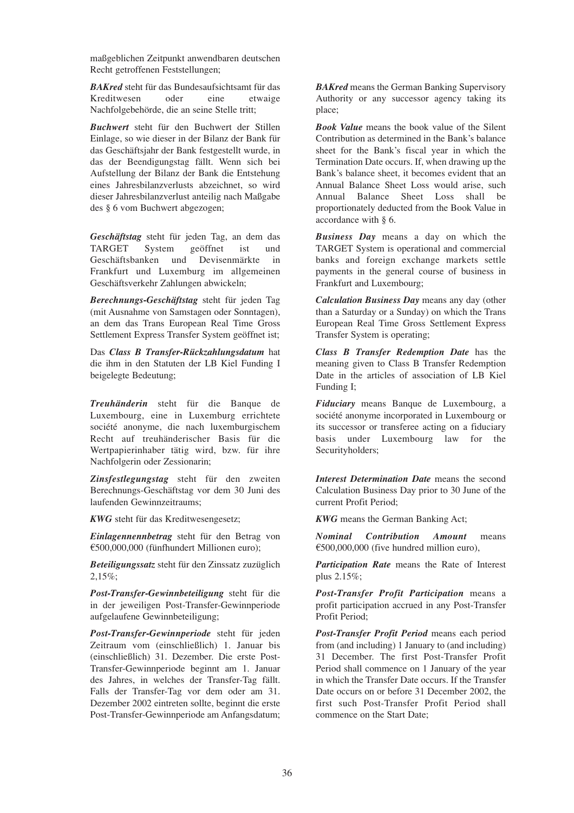maßgeblichen Zeitpunkt anwendbaren deutschen Recht getroffenen Feststellungen;

*BAKred* steht für das Bundesaufsichtsamt für das Kreditwesen oder eine etwaige Nachfolgebehörde, die an seine Stelle tritt;

*Buchwert* steht für den Buchwert der Stillen Einlage, so wie dieser in der Bilanz der Bank für das Geschäftsjahr der Bank festgestellt wurde, in das der Beendigungstag fällt. Wenn sich bei Aufstellung der Bilanz der Bank die Entstehung eines Jahresbilanzverlusts abzeichnet, so wird dieser Jahresbilanzverlust anteilig nach Maßgabe des § 6 vom Buchwert abgezogen;

*Geschäftstag* steht für jeden Tag, an dem das TARGET System geöffnet ist und Geschäftsbanken und Devisenmärkte in Frankfurt und Luxemburg im allgemeinen Geschäftsverkehr Zahlungen abwickeln;

*Berechnungs-Geschäftstag* steht für jeden Tag (mit Ausnahme von Samstagen oder Sonntagen), an dem das Trans European Real Time Gross Settlement Express Transfer System geöffnet ist;

Das *Class B Transfer-Rückzahlungsdatum* hat die ihm in den Statuten der LB Kiel Funding I beigelegte Bedeutung;

*Treuhänderin* steht für die Banque de Luxembourg, eine in Luxemburg errichtete société anonyme, die nach luxemburgischem Recht auf treuhänderischer Basis für die Wertpapierinhaber tätig wird, bzw. für ihre Nachfolgerin oder Zessionarin;

*Zinsfestlegungstag* steht für den zweiten Berechnungs-Geschäftstag vor dem 30 Juni des laufenden Gewinnzeitraums;

*KWG* steht für das Kreditwesengesetz;

*Einlagennennbetrag* steht für den Betrag von  $£500,000,000$  (fünfhundert Millionen euro);

*Beteiligungssatz* steht für den Zinssatz zuzüglich 2,15%;

*Post-Transfer-Gewinnbeteiligung* steht für die in der jeweiligen Post-Transfer-Gewinnperiode aufgelaufene Gewinnbeteiligung;

*Post-Transfer-Gewinnperiode* steht für jeden Zeitraum vom (einschließlich) 1. Januar bis (einschließlich) 31. Dezember. Die erste Post-Transfer-Gewinnperiode beginnt am 1. Januar des Jahres, in welches der Transfer-Tag fällt. Falls der Transfer-Tag vor dem oder am 31. Dezember 2002 eintreten sollte, beginnt die erste Post-Transfer-Gewinnperiode am Anfangsdatum; *BAKred* means the German Banking Supervisory Authority or any successor agency taking its place;

*Book Value* means the book value of the Silent Contribution as determined in the Bank's balance sheet for the Bank's fiscal year in which the Termination Date occurs. If, when drawing up the Bank's balance sheet, it becomes evident that an Annual Balance Sheet Loss would arise, such Annual Balance Sheet Loss shall be proportionately deducted from the Book Value in accordance with § 6.

*Business Day* means a day on which the TARGET System is operational and commercial banks and foreign exchange markets settle payments in the general course of business in Frankfurt and Luxembourg;

*Calculation Business Day* means any day (other than a Saturday or a Sunday) on which the Trans European Real Time Gross Settlement Express Transfer System is operating;

*Class B Transfer Redemption Date* has the meaning given to Class B Transfer Redemption Date in the articles of association of LB Kiel Funding I;

*Fiduciary* means Banque de Luxembourg, a société anonyme incorporated in Luxembourg or its successor or transferee acting on a fiduciary basis under Luxembourg law for the Securityholders;

*Interest Determination Date* means the second Calculation Business Day prior to 30 June of the current Profit Period;

*KWG* means the German Banking Act;

*Nominal Contribution Amount* means  $£500,000,000$  (five hundred million euro),

*Participation Rate* means the Rate of Interest plus 2.15%;

*Post-Transfer Profit Participation* means a profit participation accrued in any Post-Transfer Profit Period;

*Post-Transfer Profit Period* means each period from (and including) 1 January to (and including) 31 December. The first Post-Transfer Profit Period shall commence on 1 January of the year in which the Transfer Date occurs. If the Transfer Date occurs on or before 31 December 2002, the first such Post-Transfer Profit Period shall commence on the Start Date;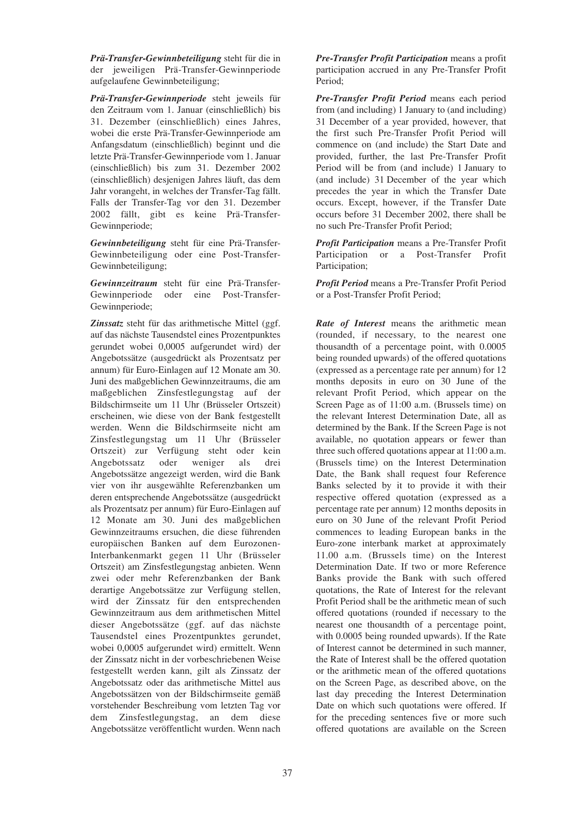*Prä-Transfer-Gewinnbeteiligung* steht für die in der jeweiligen Prä-Transfer-Gewinnperiode aufgelaufene Gewinnbeteiligung;

*Prä-Transfer-Gewinnperiode* steht jeweils für den Zeitraum vom 1. Januar (einschließlich) bis 31. Dezember (einschließlich) eines Jahres, wobei die erste Prä-Transfer-Gewinnperiode am Anfangsdatum (einschließlich) beginnt und die letzte Prä-Transfer-Gewinnperiode vom 1. Januar (einschließlich) bis zum 31. Dezember 2002 (einschließlich) desjenigen Jahres läuft, das dem Jahr vorangeht, in welches der Transfer-Tag fällt. Falls der Transfer-Tag vor den 31. Dezember 2002 fällt, gibt es keine Prä-Transfer-Gewinnperiode;

*Gewinnbeteiligung* steht für eine Prä-Transfer-Gewinnbeteiligung oder eine Post-Transfer-Gewinnbeteiligung;

*Gewinnzeitraum* steht für eine Prä-Transfer-Gewinnperiode oder eine Post-Transfer-Gewinnperiode;

*Zinssatz* steht für das arithmetische Mittel (ggf. auf das nächste Tausendstel eines Prozentpunktes gerundet wobei 0,0005 aufgerundet wird) der Angebotssätze (ausgedrückt als Prozentsatz per annum) für Euro-Einlagen auf 12 Monate am 30. Juni des maßgeblichen Gewinnzeitraums, die am maßgeblichen Zinsfestlegungstag auf der Bildschirmseite um 11 Uhr (Brüsseler Ortszeit) erscheinen, wie diese von der Bank festgestellt werden. Wenn die Bildschirmseite nicht am Zinsfestlegungstag um 11 Uhr (Brüsseler Ortszeit) zur Verfügung steht oder kein Angebotssatz oder weniger als drei Angebotssätze angezeigt werden, wird die Bank vier von ihr ausgewählte Referenzbanken um deren entsprechende Angebotssätze (ausgedrückt als Prozentsatz per annum) für Euro-Einlagen auf 12 Monate am 30. Juni des maßgeblichen Gewinnzeitraums ersuchen, die diese führenden europäischen Banken auf dem Eurozonen-Interbankenmarkt gegen 11 Uhr (Brüsseler Ortszeit) am Zinsfestlegungstag anbieten. Wenn zwei oder mehr Referenzbanken der Bank derartige Angebotssätze zur Verfügung stellen, wird der Zinssatz für den entsprechenden Gewinnzeitraum aus dem arithmetischen Mittel dieser Angebotssätze (ggf. auf das nächste Tausendstel eines Prozentpunktes gerundet, wobei 0,0005 aufgerundet wird) ermittelt. Wenn der Zinssatz nicht in der vorbeschriebenen Weise festgestellt werden kann, gilt als Zinssatz der Angebotssatz oder das arithmetische Mittel aus Angebotssätzen von der Bildschirmseite gemäß vorstehender Beschreibung vom letzten Tag vor dem Zinsfestlegungstag, an dem diese Angebotssätze veröffentlicht wurden. Wenn nach *Pre-Transfer Profit Participation* means a profit participation accrued in any Pre-Transfer Profit Period;

*Pre-Transfer Profit Period* means each period from (and including) 1 January to (and including) 31 December of a year provided, however, that the first such Pre-Transfer Profit Period will commence on (and include) the Start Date and provided, further, the last Pre-Transfer Profit Period will be from (and include) 1 January to (and include) 31 December of the year which precedes the year in which the Transfer Date occurs. Except, however, if the Transfer Date occurs before 31 December 2002, there shall be no such Pre-Transfer Profit Period;

*Profit Participation* means a Pre-Transfer Profit Participation or a Post-Transfer Profit Participation;

*Profit Period* means a Pre-Transfer Profit Period or a Post-Transfer Profit Period;

*Rate of Interest* means the arithmetic mean (rounded, if necessary, to the nearest one thousandth of a percentage point, with 0.0005 being rounded upwards) of the offered quotations (expressed as a percentage rate per annum) for 12 months deposits in euro on 30 June of the relevant Profit Period, which appear on the Screen Page as of 11:00 a.m. (Brussels time) on the relevant Interest Determination Date, all as determined by the Bank. If the Screen Page is not available, no quotation appears or fewer than three such offered quotations appear at 11:00 a.m. (Brussels time) on the Interest Determination Date, the Bank shall request four Reference Banks selected by it to provide it with their respective offered quotation (expressed as a percentage rate per annum) 12 months deposits in euro on 30 June of the relevant Profit Period commences to leading European banks in the Euro-zone interbank market at approximately 11.00 a.m. (Brussels time) on the Interest Determination Date. If two or more Reference Banks provide the Bank with such offered quotations, the Rate of Interest for the relevant Profit Period shall be the arithmetic mean of such offered quotations (rounded if necessary to the nearest one thousandth of a percentage point, with 0.0005 being rounded upwards). If the Rate of Interest cannot be determined in such manner, the Rate of Interest shall be the offered quotation or the arithmetic mean of the offered quotations on the Screen Page, as described above, on the last day preceding the Interest Determination Date on which such quotations were offered. If for the preceding sentences five or more such offered quotations are available on the Screen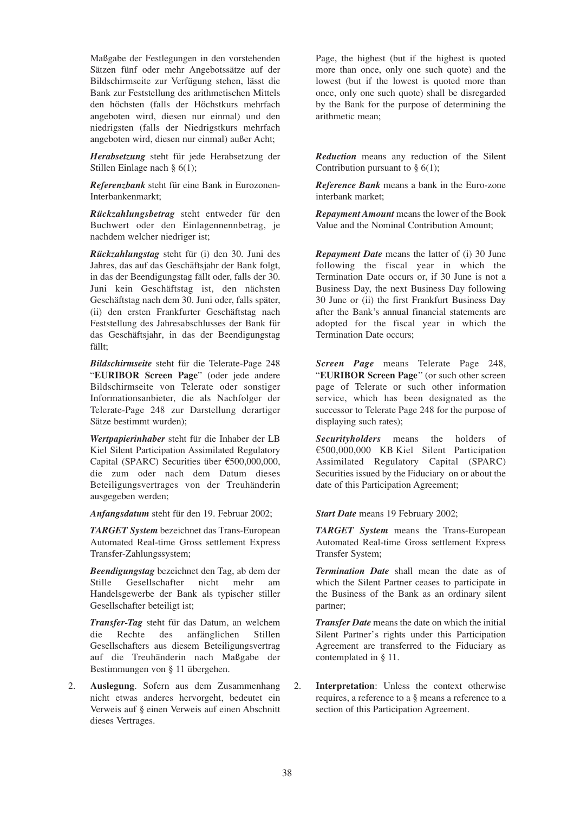Maßgabe der Festlegungen in den vorstehenden Sätzen fünf oder mehr Angebotssätze auf der Bildschirmseite zur Verfügung stehen, lässt die Bank zur Feststellung des arithmetischen Mittels den höchsten (falls der Höchstkurs mehrfach angeboten wird, diesen nur einmal) und den niedrigsten (falls der Niedrigstkurs mehrfach angeboten wird, diesen nur einmal) außer Acht;

*Herabsetzung* steht für jede Herabsetzung der Stillen Einlage nach § 6(1);

*Referenzbank* steht für eine Bank in Eurozonen-Interbankenmarkt;

*Rückzahlungsbetrag* steht entweder für den Buchwert oder den Einlagennennbetrag, je nachdem welcher niedriger ist;

*Rückzahlungstag* steht für (i) den 30. Juni des Jahres, das auf das Geschäftsjahr der Bank folgt, in das der Beendigungstag fällt oder, falls der 30. Juni kein Geschäftstag ist, den nächsten Geschäftstag nach dem 30. Juni oder, falls später, (ii) den ersten Frankfurter Geschäftstag nach Feststellung des Jahresabschlusses der Bank für das Geschäftsjahr, in das der Beendigungstag fällt;

*Bildschirmseite* steht für die Telerate-Page 248 "**EURIBOR Screen Page**" (oder jede andere Bildschirmseite von Telerate oder sonstiger Informationsanbieter, die als Nachfolger der Telerate-Page 248 zur Darstellung derartiger Sätze bestimmt wurden);

*Wertpapierinhaber* steht für die Inhaber der LB Kiel Silent Participation Assimilated Regulatory Capital (SPARC) Securities über  $\text{\textsterling}500,000,000$ , die zum oder nach dem Datum dieses Beteiligungsvertrages von der Treuhänderin ausgegeben werden;

*Anfangsdatum* steht für den 19. Februar 2002;

*TARGET System* bezeichnet das Trans-European Automated Real-time Gross settlement Express Transfer-Zahlungssystem;

*Beendigungstag* bezeichnet den Tag, ab dem der Stille Gesellschafter nicht mehr am Handelsgewerbe der Bank als typischer stiller Gesellschafter beteiligt ist;

*Transfer-Tag* steht für das Datum, an welchem die Rechte des anfänglichen Stillen Gesellschafters aus diesem Beteiligungsvertrag auf die Treuhänderin nach Maßgabe der Bestimmungen von § 11 übergehen.

2. **Auslegung**. Sofern aus dem Zusammenhang nicht etwas anderes hervorgeht, bedeutet ein Verweis auf § einen Verweis auf einen Abschnitt dieses Vertrages.

Page, the highest (but if the highest is quoted more than once, only one such quote) and the lowest (but if the lowest is quoted more than once, only one such quote) shall be disregarded by the Bank for the purpose of determining the arithmetic mean;

*Reduction* means any reduction of the Silent Contribution pursuant to  $§$  6(1):

*Reference Bank* means a bank in the Euro-zone interbank market;

*Repayment Amount* means the lower of the Book Value and the Nominal Contribution Amount;

*Repayment Date* means the latter of (i) 30 June following the fiscal year in which the Termination Date occurs or, if 30 June is not a Business Day, the next Business Day following 30 June or (ii) the first Frankfurt Business Day after the Bank's annual financial statements are adopted for the fiscal year in which the Termination Date occurs;

*Screen Page* means Telerate Page 248, "**EURIBOR Screen Page**'' (or such other screen page of Telerate or such other information service, which has been designated as the successor to Telerate Page 248 for the purpose of displaying such rates);

*Securityholders* means the holders of A500,000,000 KB Kiel Silent Participation Assimilated Regulatory Capital (SPARC) Securities issued by the Fiduciary on or about the date of this Participation Agreement;

**Start Date** means 19 February 2002;

*TARGET System* means the Trans-European Automated Real-time Gross settlement Express Transfer System;

*Termination Date* shall mean the date as of which the Silent Partner ceases to participate in the Business of the Bank as an ordinary silent partner;

*Transfer Date* means the date on which the initial Silent Partner's rights under this Participation Agreement are transferred to the Fiduciary as contemplated in § 11.

2. **Interpretation**: Unless the context otherwise requires, a reference to a § means a reference to a section of this Participation Agreement.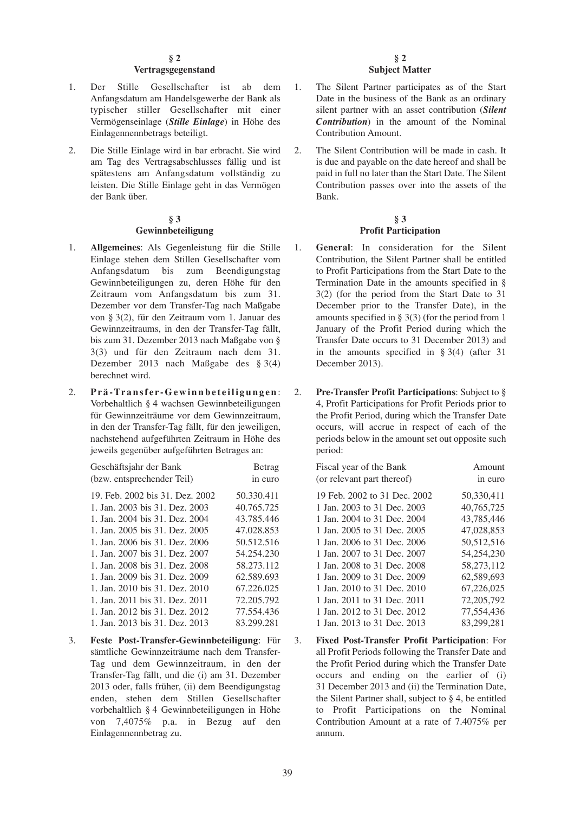## **§ 2**

#### **Vertragsgegenstand**

- 1. Der Stille Gesellschafter ist ab dem Anfangsdatum am Handelsgewerbe der Bank als typischer stiller Gesellschafter mit einer Vermögenseinlage (*Stille Einlage*) in Höhe des Einlagennennbetrags beteiligt.
- 2. Die Stille Einlage wird in bar erbracht. Sie wird am Tag des Vertragsabschlusses fällig und ist spätestens am Anfangsdatum vollständig zu leisten. Die Stille Einlage geht in das Vermögen der Bank über.

#### **§ 3 Gewinnbeteiligung**

- 1. **Allgemeines**: Als Gegenleistung für die Stille Einlage stehen dem Stillen Gesellschafter vom Anfangsdatum bis zum Beendigungstag Gewinnbeteiligungen zu, deren Höhe für den Zeitraum vom Anfangsdatum bis zum 31. Dezember vor dem Transfer-Tag nach Maßgabe von § 3(2), für den Zeitraum vom 1. Januar des Gewinnzeitraums, in den der Transfer-Tag fällt, bis zum 31. Dezember 2013 nach Maßgabe von § 3(3) und für den Zeitraum nach dem 31. Dezember 2013 nach Maßgabe des § 3(4) berechnet wird.
- 2. **Prä-Transfer-Gewinnbeteiligungen** : Vorbehaltlich § 4 wachsen Gewinnbeteiligungen für Gewinnzeiträume vor dem Gewinnzeitraum, in den der Transfer-Tag fällt, für den jeweiligen, nachstehend aufgeführten Zeitraum in Höhe des jeweils gegenüber aufgeführten Betrages an:

| Geschäftsjahr der Bank          | Betrag     |
|---------------------------------|------------|
| (bzw. entsprechender Teil)      | in euro    |
| 19. Feb. 2002 bis 31. Dez. 2002 | 50.330.411 |
| 1. Jan. 2003 bis 31. Dez. 2003  | 40.765.725 |
| 1. Jan. 2004 bis 31. Dez. 2004  | 43.785.446 |
| 1. Jan. 2005 bis 31. Dez. 2005  | 47.028.853 |
| 1. Jan. 2006 bis 31. Dez. 2006  | 50.512.516 |
| 1. Jan. 2007 bis 31. Dez. 2007  | 54.254.230 |
| 1. Jan. 2008 bis 31. Dez. 2008  | 58.273.112 |
| 1. Jan. 2009 bis 31. Dez. 2009  | 62.589.693 |
| 1. Jan. 2010 bis 31. Dez. 2010  | 67.226.025 |
| 1. Jan. 2011 bis 31. Dez. 2011  | 72.205.792 |
| 1. Jan. 2012 bis 31. Dez. 2012  | 77.554.436 |
| 1. Jan. 2013 bis 31. Dez. 2013  | 83.299.281 |

3. **Feste Post-Transfer-Gewinnbeteiligung**: Für sämtliche Gewinnzeiträume nach dem Transfer-Tag und dem Gewinnzeitraum, in den der Transfer-Tag fällt, und die (i) am 31. Dezember 2013 oder, falls früher, (ii) dem Beendigungstag enden, stehen dem Stillen Gesellschafter vorbehaltlich § 4 Gewinnbeteiligungen in Höhe von 7,4075% p.a. in Bezug auf den Einlagennennbetrag zu.

#### **§ 2 Subject Matter**

- 1. The Silent Partner participates as of the Start Date in the business of the Bank as an ordinary silent partner with an asset contribution (*Silent Contribution*) in the amount of the Nominal Contribution Amount.
- 2. The Silent Contribution will be made in cash. It is due and payable on the date hereof and shall be paid in full no later than the Start Date. The Silent Contribution passes over into the assets of the Bank.

#### **§ 3 Profit Participation**

- 1. **General**: In consideration for the Silent Contribution, the Silent Partner shall be entitled to Profit Participations from the Start Date to the Termination Date in the amounts specified in § 3(2) (for the period from the Start Date to 31 December prior to the Transfer Date), in the amounts specified in § 3(3) (for the period from 1 January of the Profit Period during which the Transfer Date occurs to 31 December 2013) and in the amounts specified in  $\S 3(4)$  (after 31) December 2013).
- 2. **Pre-Transfer Profit Participations**: Subject to § 4, Profit Participations for Profit Periods prior to the Profit Period, during which the Transfer Date occurs, will accrue in respect of each of the periods below in the amount set out opposite such period:

| Fiscal year of the Bank      | Amount       |
|------------------------------|--------------|
| (or relevant part thereof)   | in euro      |
| 19 Feb. 2002 to 31 Dec. 2002 | 50,330,411   |
| 1 Jan. 2003 to 31 Dec. 2003  | 40,765,725   |
| 1 Jan. 2004 to 31 Dec. 2004  | 43,785,446   |
| 1 Jan. 2005 to 31 Dec. 2005  | 47,028,853   |
| 1 Jan. 2006 to 31 Dec. 2006  | 50,512,516   |
| 1 Jan. 2007 to 31 Dec. 2007  | 54.254.230   |
| 1 Jan. 2008 to 31 Dec. 2008  | 58,273,112   |
| 1 Jan. 2009 to 31 Dec. 2009  | 62,589,693   |
| 1 Jan. 2010 to 31 Dec. 2010  | 67,226,025   |
| 1 Jan. 2011 to 31 Dec. 2011  | 72, 205, 792 |
| 1 Jan. 2012 to 31 Dec. 2012  | 77,554,436   |
| 1 Jan. 2013 to 31 Dec. 2013  | 83,299,281   |

3. **Fixed Post-Transfer Profit Participation**: For all Profit Periods following the Transfer Date and the Profit Period during which the Transfer Date occurs and ending on the earlier of (i) 31 December 2013 and (ii) the Termination Date, the Silent Partner shall, subject to § 4, be entitled to Profit Participations on the Nominal Contribution Amount at a rate of 7.4075% per annum.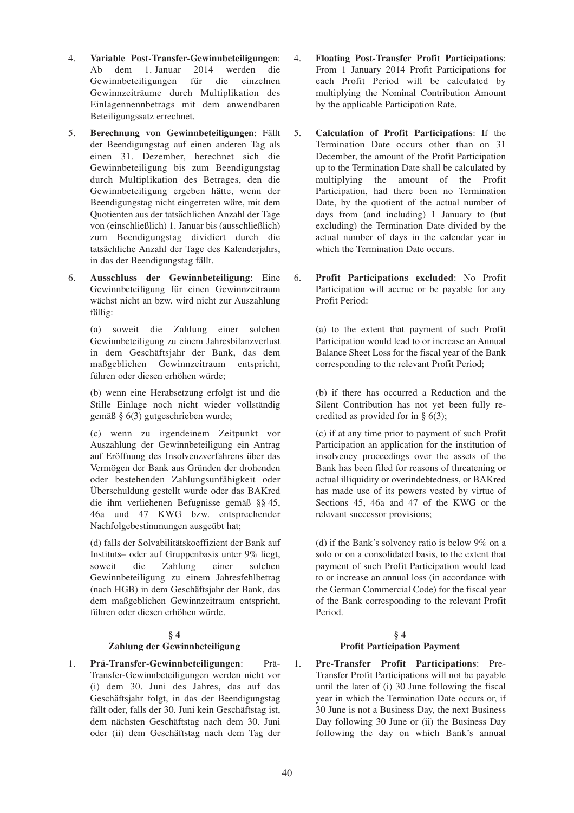- 4. **Variable Post-Transfer-Gewinnbeteiligungen**: Ab dem 1. Januar 2014 werden die Gewinnbeteiligungen für die einzelnen Gewinnzeiträume durch Multiplikation des Einlagennennbetrags mit dem anwendbaren Beteiligungssatz errechnet.
- 5. **Berechnung von Gewinnbeteiligungen**: Fällt der Beendigungstag auf einen anderen Tag als einen 31. Dezember, berechnet sich die Gewinnbeteiligung bis zum Beendigungstag durch Multiplikation des Betrages, den die Gewinnbeteiligung ergeben hätte, wenn der Beendigungstag nicht eingetreten wäre, mit dem Quotienten aus der tatsächlichen Anzahl der Tage von (einschließlich) 1. Januar bis (ausschließlich) zum Beendigungstag dividiert durch die tatsächliche Anzahl der Tage des Kalenderjahrs, in das der Beendigungstag fällt.
- 6. **Ausschluss der Gewinnbeteiligung**: Eine Gewinnbeteiligung für einen Gewinnzeitraum wächst nicht an bzw. wird nicht zur Auszahlung fällig:

(a) soweit die Zahlung einer solchen Gewinnbeteiligung zu einem Jahresbilanzverlust in dem Geschäftsjahr der Bank, das dem maßgeblichen Gewinnzeitraum entspricht, führen oder diesen erhöhen würde;

(b) wenn eine Herabsetzung erfolgt ist und die Stille Einlage noch nicht wieder vollständig gemäß § 6(3) gutgeschrieben wurde;

(c) wenn zu irgendeinem Zeitpunkt vor Auszahlung der Gewinnbeteiligung ein Antrag auf Eröffnung des Insolvenzverfahrens über das Vermögen der Bank aus Gründen der drohenden oder bestehenden Zahlungsunfähigkeit oder Überschuldung gestellt wurde oder das BAKred die ihm verliehenen Befugnisse gemäß §§ 45, 46a und 47 KWG bzw. entsprechender Nachfolgebestimmungen ausgeübt hat;

(d) falls der Solvabilitätskoeffizient der Bank auf Instituts– oder auf Gruppenbasis unter 9% liegt, soweit die Zahlung einer solchen Gewinnbeteiligung zu einem Jahresfehlbetrag (nach HGB) in dem Geschäftsjahr der Bank, das dem maßgeblichen Gewinnzeitraum entspricht, führen oder diesen erhöhen würde.

# **§ 4**

# **Zahlung der Gewinnbeteiligung**

1. **Prä-Transfer-Gewinnbeteiligungen**: Prä-Transfer-Gewinnbeteiligungen werden nicht vor (i) dem 30. Juni des Jahres, das auf das Geschäftsjahr folgt, in das der Beendigungstag fällt oder, falls der 30. Juni kein Geschäftstag ist, dem nächsten Geschäftstag nach dem 30. Juni oder (ii) dem Geschäftstag nach dem Tag der

- 4. **Floating Post-Transfer Profit Participations**: From 1 January 2014 Profit Participations for each Profit Period will be calculated by multiplying the Nominal Contribution Amount by the applicable Participation Rate.
- 5. **Calculation of Profit Participations**: If the Termination Date occurs other than on 31 December, the amount of the Profit Participation up to the Termination Date shall be calculated by multiplying the amount of the Profit Participation, had there been no Termination Date, by the quotient of the actual number of days from (and including) 1 January to (but excluding) the Termination Date divided by the actual number of days in the calendar year in which the Termination Date occurs.
- 6. **Profit Participations excluded**: No Profit Participation will accrue or be payable for any Profit Period:

(a) to the extent that payment of such Profit Participation would lead to or increase an Annual Balance Sheet Loss for the fiscal year of the Bank corresponding to the relevant Profit Period;

(b) if there has occurred a Reduction and the Silent Contribution has not yet been fully recredited as provided for in § 6(3);

(c) if at any time prior to payment of such Profit Participation an application for the institution of insolvency proceedings over the assets of the Bank has been filed for reasons of threatening or actual illiquidity or overindebtedness, or BAKred has made use of its powers vested by virtue of Sections 45, 46a and 47 of the KWG or the relevant successor provisions;

(d) if the Bank's solvency ratio is below 9% on a solo or on a consolidated basis, to the extent that payment of such Profit Participation would lead to or increase an annual loss (in accordance with the German Commercial Code) for the fiscal year of the Bank corresponding to the relevant Profit Period.

# **§ 4 Profit Participation Payment**

1. **Pre-Transfer Profit Participations**: Pre-Transfer Profit Participations will not be payable until the later of (i) 30 June following the fiscal year in which the Termination Date occurs or, if 30 June is not a Business Day, the next Business Day following 30 June or (ii) the Business Day following the day on which Bank's annual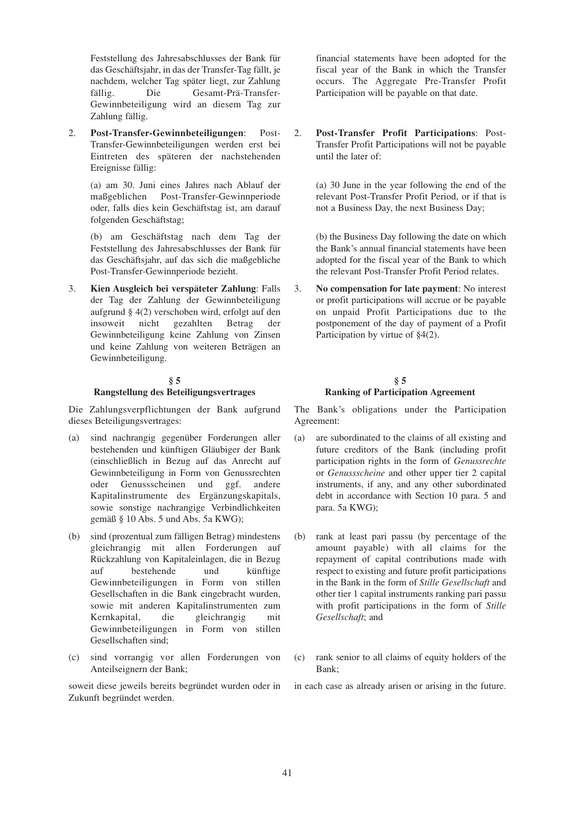Feststellung des Jahresabschlusses der Bank für das Geschäftsjahr, in das der Transfer-Tag fällt, je nachdem, welcher Tag später liegt, zur Zahlung fällig. Die Gesamt-Prä-Transfer-Gewinnbeteiligung wird an diesem Tag zur Zahlung fällig.

2. **Post-Transfer-Gewinnbeteiligungen**: Post-Transfer-Gewinnbeteiligungen werden erst bei Eintreten des späteren der nachstehenden Ereignisse fällig:

(a) am 30. Juni eines Jahres nach Ablauf der maßgeblichen Post-Transfer-Gewinnperiode oder, falls dies kein Geschäftstag ist, am darauf folgenden Geschäftstag;

(b) am Geschäftstag nach dem Tag der Feststellung des Jahresabschlusses der Bank für das Geschäftsjahr, auf das sich die maßgebliche Post-Transfer-Gewinnperiode bezieht.

3. **Kien Ausgleich bei verspäteter Zahlung**: Falls der Tag der Zahlung der Gewinnbeteiligung aufgrund § 4(2) verschoben wird, erfolgt auf den insoweit nicht gezahlten Betrag der Gewinnbeteiligung keine Zahlung von Zinsen und keine Zahlung von weiteren Beträgen an Gewinnbeteiligung.

## **§ 5**

#### **Rangstellung des Beteiligungsvertrages**

Die Zahlungsverpflichtungen der Bank aufgrund dieses Beteiligungsvertrages:

- (a) sind nachrangig gegenüber Forderungen aller bestehenden und künftigen Gläubiger der Bank (einschließlich in Bezug auf das Anrecht auf Gewinnbeteiligung in Form von Genussrechten oder Genussscheinen und ggf. andere Kapitalinstrumente des Ergänzungskapitals, sowie sonstige nachrangige Verbindlichkeiten gemäß § 10 Abs. 5 und Abs. 5a KWG);
- (b) sind (prozentual zum fälligen Betrag) mindestens gleichrangig mit allen Forderungen auf Rückzahlung von Kapitaleinlagen, die in Bezug auf bestehende und künftige Gewinnbeteiligungen in Form von stillen Gesellschaften in die Bank eingebracht wurden, sowie mit anderen Kapitalinstrumenten zum Kernkapital, die gleichrangig mit Gewinnbeteiligungen in Form von stillen Gesellschaften sind;
- (c) sind vorrangig vor allen Forderungen von Anteilseignern der Bank;

soweit diese jeweils bereits begründet wurden oder in Zukunft begründet werden.

financial statements have been adopted for the fiscal year of the Bank in which the Transfer occurs. The Aggregate Pre-Transfer Profit Participation will be payable on that date.

2. **Post-Transfer Profit Participations**: Post-Transfer Profit Participations will not be payable until the later of:

> (a) 30 June in the year following the end of the relevant Post-Transfer Profit Period, or if that is not a Business Day, the next Business Day;

> (b) the Business Day following the date on which the Bank's annual financial statements have been adopted for the fiscal year of the Bank to which the relevant Post-Transfer Profit Period relates.

3. **No compensation for late payment**: No interest or profit participations will accrue or be payable on unpaid Profit Participations due to the postponement of the day of payment of a Profit Participation by virtue of §4(2).

# **§ 5 Ranking of Participation Agreement**

The Bank's obligations under the Participation Agreement:

- (a) are subordinated to the claims of all existing and future creditors of the Bank (including profit participation rights in the form of *Genussrechte* or *Genussscheine* and other upper tier 2 capital instruments, if any, and any other subordinated debt in accordance with Section 10 para. 5 and para. 5a KWG);
- (b) rank at least pari passu (by percentage of the amount payable) with all claims for the repayment of capital contributions made with respect to existing and future profit participations in the Bank in the form of *Stille Gesellschaft* and other tier 1 capital instruments ranking pari passu with profit participations in the form of *Stille Gesellschaft*; and
- (c) rank senior to all claims of equity holders of the Bank;

in each case as already arisen or arising in the future.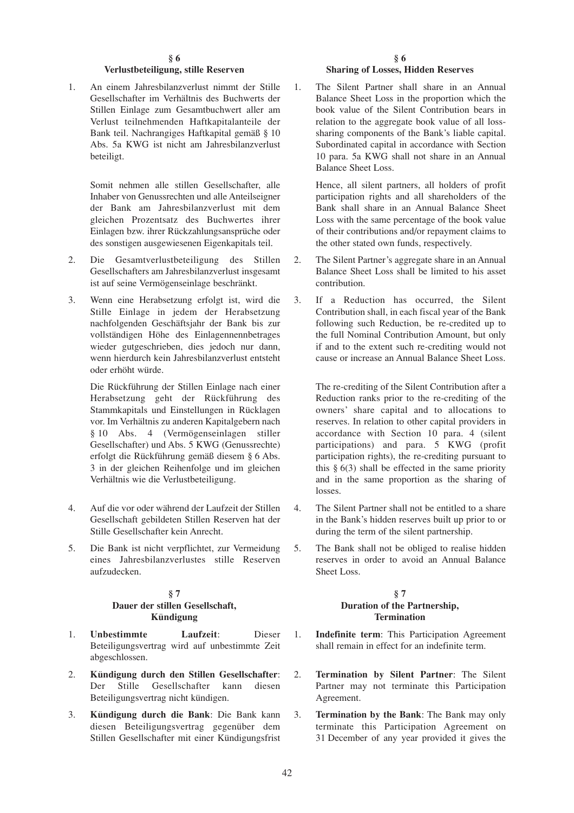#### **§ 6**

#### **Verlustbeteiligung, stille Reserven**

1. An einem Jahresbilanzverlust nimmt der Stille Gesellschafter im Verhältnis des Buchwerts der Stillen Einlage zum Gesamtbuchwert aller am Verlust teilnehmenden Haftkapitalanteile der Bank teil. Nachrangiges Haftkapital gemäß § 10 Abs. 5a KWG ist nicht am Jahresbilanzverlust beteiligt.

> Somit nehmen alle stillen Gesellschafter, alle Inhaber von Genussrechten und alle Anteilseigner der Bank am Jahresbilanzverlust mit dem gleichen Prozentsatz des Buchwertes ihrer Einlagen bzw. ihrer Rückzahlungsansprüche oder des sonstigen ausgewiesenen Eigenkapitals teil.

- 2. Die Gesamtverlustbeteiligung des Stillen Gesellschafters am Jahresbilanzverlust insgesamt ist auf seine Vermögenseinlage beschränkt.
- 3. Wenn eine Herabsetzung erfolgt ist, wird die Stille Einlage in jedem der Herabsetzung nachfolgenden Geschäftsjahr der Bank bis zur vollständigen Höhe des Einlagennennbetrages wieder gutgeschrieben, dies jedoch nur dann, wenn hierdurch kein Jahresbilanzverlust entsteht oder erhöht würde.

Die Rückführung der Stillen Einlage nach einer Herabsetzung geht der Rückführung des Stammkapitals und Einstellungen in Rücklagen vor. Im Verhältnis zu anderen Kapitalgebern nach § 10 Abs. 4 (Vermögenseinlagen stiller Gesellschafter) und Abs. 5 KWG (Genussrechte) erfolgt die Rückführung gemäß diesem § 6 Abs. 3 in der gleichen Reihenfolge und im gleichen Verhältnis wie die Verlustbeteiligung.

- 4. Auf die vor oder während der Laufzeit der Stillen Gesellschaft gebildeten Stillen Reserven hat der Stille Gesellschafter kein Anrecht.
- 5. Die Bank ist nicht verpflichtet, zur Vermeidung eines Jahresbilanzverlustes stille Reserven aufzudecken.

#### **§ 7 Dauer der stillen Gesellschaft, Kündigung**

- 1. **Unbestimmte Laufzeit**: Dieser Beteiligungsvertrag wird auf unbestimmte Zeit abgeschlossen.
- 2. **Kündigung durch den Stillen Gesellschafter**: Der Stille Gesellschafter kann diesen Beteiligungsvertrag nicht kündigen.
- 3. **Kündigung durch die Bank**: Die Bank kann diesen Beteiligungsvertrag gegenüber dem Stillen Gesellschafter mit einer Kündigungsfrist

#### **§ 6 Sharing of Losses, Hidden Reserves**

1. The Silent Partner shall share in an Annual Balance Sheet Loss in the proportion which the book value of the Silent Contribution bears in relation to the aggregate book value of all losssharing components of the Bank's liable capital. Subordinated capital in accordance with Section 10 para. 5a KWG shall not share in an Annual Balance Sheet Loss.

Hence, all silent partners, all holders of profit participation rights and all shareholders of the Bank shall share in an Annual Balance Sheet Loss with the same percentage of the book value of their contributions and/or repayment claims to the other stated own funds, respectively.

- 2. The Silent Partner's aggregate share in an Annual Balance Sheet Loss shall be limited to his asset contribution.
- 3. If a Reduction has occurred, the Silent Contribution shall, in each fiscal year of the Bank following such Reduction, be re-credited up to the full Nominal Contribution Amount, but only if and to the extent such re-crediting would not cause or increase an Annual Balance Sheet Loss.

The re-crediting of the Silent Contribution after a Reduction ranks prior to the re-crediting of the owners' share capital and to allocations to reserves. In relation to other capital providers in accordance with Section 10 para. 4 (silent participations) and para. 5 KWG (profit participation rights), the re-crediting pursuant to this  $§$  6(3) shall be effected in the same priority and in the same proportion as the sharing of losses.

- 4. The Silent Partner shall not be entitled to a share in the Bank's hidden reserves built up prior to or during the term of the silent partnership.
- 5. The Bank shall not be obliged to realise hidden reserves in order to avoid an Annual Balance Sheet Loss.

## **§ 7 Duration of the Partnership, Termination**

- 1. **Indefinite term**: This Participation Agreement shall remain in effect for an indefinite term.
- 2. **Termination by Silent Partner**: The Silent Partner may not terminate this Participation Agreement.
- 3. **Termination by the Bank**: The Bank may only terminate this Participation Agreement on 31 December of any year provided it gives the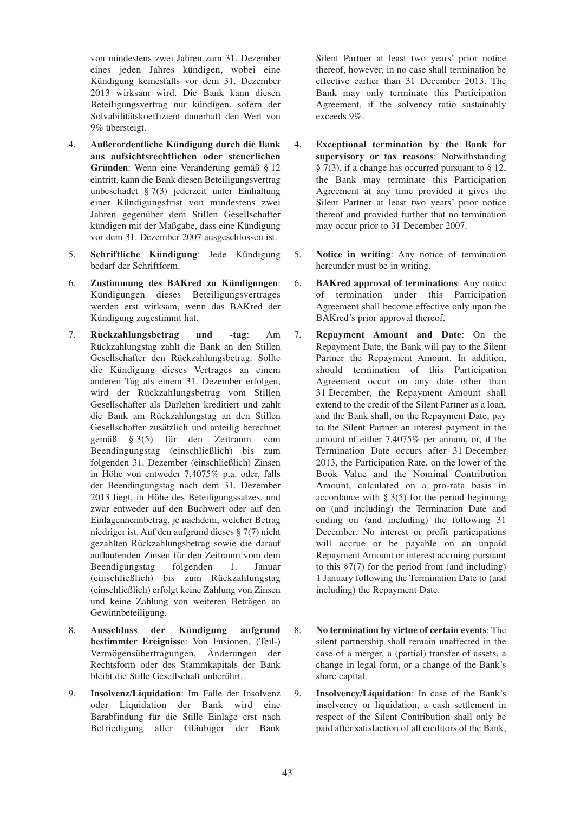von mindestens zwei Jahren zum 31. Dezember eines jeden Jahres kündigen, wobei eine Kündigung keinesfalls vor dem 31. Dezember 2013 wirksam wird. Die Bank kann diesen Beteiligungsvertrag nur kündigen, sofern der Solvabilitätskoeffizient dauerhaft den Wert von 9% übersteigt.

- 4. **Außerordentliche Kündigung durch die Bank aus aufsichtsrechtlichen oder steuerlichen Gründen**: Wenn eine Veränderung gemäß § 12 eintritt, kann die Bank diesen Beteiligungsvertrag unbeschadet § 7(3) jederzeit unter Einhaltung einer Kündigungsfrist von mindestens zwei Jahren gegenüber dem Stillen Gesellschafter kündigen mit der Maßgabe, dass eine Kündigung vor dem 31. Dezember 2007 ausgeschlossen ist.
- 5. **Schriftliche Kündigung**: Jede Kündigung bedarf der Schriftform.
- 6. **Zustimmung des BAKred zu Kündigungen**: Kündigungen dieses Beteiligungsvertrages werden erst wirksam, wenn das BAKred der Kündigung zugestimmt hat.
- 7. **Rückzahlungsbetrag und -tag**: Am Rückzahlungstag zahlt die Bank an den Stillen Gesellschafter den Rückzahlungsbetrag. Sollte die Kündigung dieses Vertrages an einem anderen Tag als einem 31. Dezember erfolgen, wird der Rückzahlungsbetrag vom Stillen Gesellschafter als Darlehen kreditiert und zahlt die Bank am Rückzahlungstag an den Stillen Gesellschafter zusätzlich und anteilig berechnet gemäß § 3(5) für den Zeitraum vom Beendingungstag (einschließlich) bis zum folgenden 31. Dezember (einschließlich) Zinsen in Höhe von entweder 7,4075% p.a. oder, falls der Beendingungstag nach dem 31. Dezember 2013 liegt, in Höhe des Beteiligungssatzes, und zwar entweder auf den Buchwert oder auf den Einlagennennbetrag, je nachdem, welcher Betrag niedriger ist. Auf den aufgrund dieses § 7(7) nicht gezahlten Rückzahlungsbetrag sowie die darauf auflaufenden Zinsen für den Zeitraum vom dem Beendigungstag folgenden 1. Januar (einschließlich) bis zum Rückzahlungstag (einschließlich) erfolgt keine Zahlung von Zinsen und keine Zahlung von weiteren Beträgen an Gewinnbeteiligung.
- 8. **Ausschluss der Kündigung aufgrund bestimmter Ereignisse**: Von Fusionen, (Teil-) Vermögensübertragungen, Änderungen der Rechtsform oder des Stammkapitals der Bank bleibt die Stille Gesellschaft unberührt.
- 9. **Insolvenz/Liquidation**: Im Falle der Insolvenz oder Liquidation der Bank wird eine Barabfindung für die Stille Einlage erst nach Befriedigung aller Gläubiger der Bank

Silent Partner at least two years' prior notice thereof, however, in no case shall termination be effective earlier than 31 December 2013. The Bank may only terminate this Participation Agreement, if the solvency ratio sustainably exceeds 9%.

- 4. **Exceptional termination by the Bank for supervisory or tax reasons**: Notwithstanding § 7(3), if a change has occurred pursuant to § 12, the Bank may terminate this Participation Agreement at any time provided it gives the Silent Partner at least two years' prior notice thereof and provided further that no termination may occur prior to 31 December 2007.
- 5. **Notice in writing**: Any notice of termination hereunder must be in writing.
- 6. **BAKred approval of terminations**: Any notice of termination under this Participation Agreement shall become effective only upon the BAKred's prior approval thereof.
- 7. **Repayment Amount and Date**: On the Repayment Date, the Bank will pay to the Silent Partner the Repayment Amount. In addition, should termination of this Participation Agreement occur on any date other than 31 December, the Repayment Amount shall extend to the credit of the Silent Partner as a loan, and the Bank shall, on the Repayment Date, pay to the Silent Partner an interest payment in the amount of either 7.4075% per annum, or, if the Termination Date occurs after 31 December 2013, the Participation Rate, on the lower of the Book Value and the Nominal Contribution Amount, calculated on a pro-rata basis in accordance with  $\S 3(5)$  for the period beginning on (and including) the Termination Date and ending on (and including) the following 31 December. No interest or profit participations will accrue or be payable on an unpaid Repayment Amount or interest accruing pursuant to this §7(7) for the period from (and including) 1 January following the Termination Date to (and including) the Repayment Date.
- 8. **No termination by virtue of certain events**: The silent partnership shall remain unaffected in the case of a merger, a (partial) transfer of assets, a change in legal form, or a change of the Bank's share capital.
- 9. **Insolvency/Liquidation**: In case of the Bank's insolvency or liquidation, a cash settlement in respect of the Silent Contribution shall only be paid after satisfaction of all creditors of the Bank,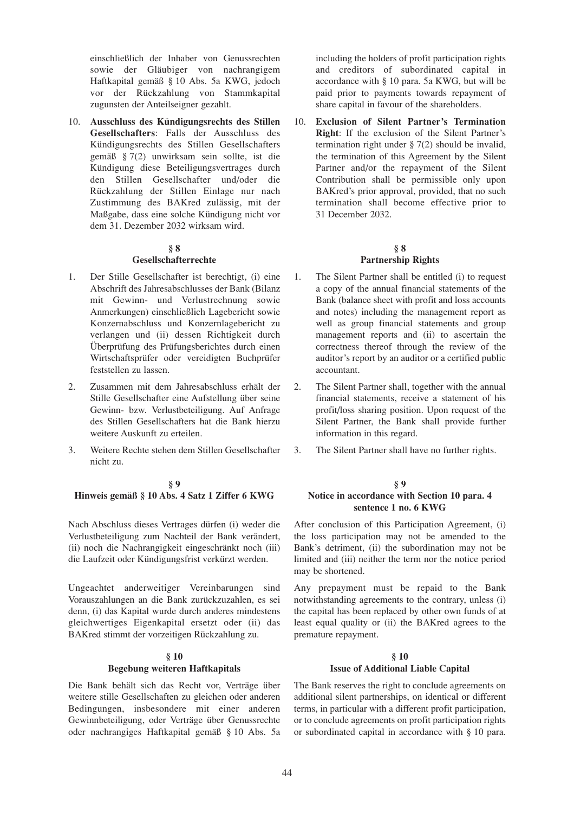einschließlich der Inhaber von Genussrechten sowie der Gläubiger von nachrangigem Haftkapital gemäß § 10 Abs. 5a KWG, jedoch vor der Rückzahlung von Stammkapital zugunsten der Anteilseigner gezahlt.

10. **Ausschluss des Kündigungsrechts des Stillen Gesellschafters**: Falls der Ausschluss des Kündigungsrechts des Stillen Gesellschafters gemäß § 7(2) unwirksam sein sollte, ist die Kündigung diese Beteiligungsvertrages durch den Stillen Gesellschafter und/oder die Rückzahlung der Stillen Einlage nur nach Zustimmung des BAKred zulässig, mit der Maßgabe, dass eine solche Kündigung nicht vor dem 31. Dezember 2032 wirksam wird.

## **§ 8 Gesellschafterrechte**

- 1. Der Stille Gesellschafter ist berechtigt, (i) eine Abschrift des Jahresabschlusses der Bank (Bilanz mit Gewinn- und Verlustrechnung sowie Anmerkungen) einschließlich Lagebericht sowie Konzernabschluss und Konzernlagebericht zu verlangen und (ii) dessen Richtigkeit durch Überprüfung des Prüfungsberichtes durch einen Wirtschaftsprüfer oder vereidigten Buchprüfer feststellen zu lassen.
- 2. Zusammen mit dem Jahresabschluss erhält der Stille Gesellschafter eine Aufstellung über seine Gewinn- bzw. Verlustbeteiligung. Auf Anfrage des Stillen Gesellschafters hat die Bank hierzu weitere Auskunft zu erteilen.
- 3. Weitere Rechte stehen dem Stillen Gesellschafter nicht zu.

## **§ 9 Hinweis gemäß § 10 Abs. 4 Satz 1 Ziffer 6 KWG**

Nach Abschluss dieses Vertrages dürfen (i) weder die Verlustbeteiligung zum Nachteil der Bank verändert, (ii) noch die Nachrangigkeit eingeschränkt noch (iii) die Laufzeit oder Kündigungsfrist verkürzt werden.

Ungeachtet anderweitiger Vereinbarungen sind Vorauszahlungen an die Bank zurückzuzahlen, es sei denn, (i) das Kapital wurde durch anderes mindestens gleichwertiges Eigenkapital ersetzt oder (ii) das BAKred stimmt der vorzeitigen Rückzahlung zu.

#### **§ 10**

#### **Begebung weiteren Haftkapitals**

Die Bank behält sich das Recht vor, Verträge über weitere stille Gesellschaften zu gleichen oder anderen Bedingungen, insbesondere mit einer anderen Gewinnbeteiligung, oder Verträge über Genussrechte oder nachrangiges Haftkapital gemäß § 10 Abs. 5a

including the holders of profit participation rights and creditors of subordinated capital in accordance with § 10 para. 5a KWG, but will be paid prior to payments towards repayment of share capital in favour of the shareholders.

10. **Exclusion of Silent Partner's Termination Right**: If the exclusion of the Silent Partner's termination right under  $\S 7(2)$  should be invalid. the termination of this Agreement by the Silent Partner and/or the repayment of the Silent Contribution shall be permissible only upon BAKred's prior approval, provided, that no such termination shall become effective prior to 31 December 2032.

# **§ 8 Partnership Rights**

- 1. The Silent Partner shall be entitled (i) to request a copy of the annual financial statements of the Bank (balance sheet with profit and loss accounts and notes) including the management report as well as group financial statements and group management reports and (ii) to ascertain the correctness thereof through the review of the auditor's report by an auditor or a certified public accountant.
- 2. The Silent Partner shall, together with the annual financial statements, receive a statement of his profit/loss sharing position. Upon request of the Silent Partner, the Bank shall provide further information in this regard.
- 3. The Silent Partner shall have no further rights.

#### **§ 9 Notice in accordance with Section 10 para. 4 sentence 1 no. 6 KWG**

After conclusion of this Participation Agreement, (i) the loss participation may not be amended to the Bank's detriment, (ii) the subordination may not be limited and (iii) neither the term nor the notice period may be shortened.

Any prepayment must be repaid to the Bank notwithstanding agreements to the contrary, unless (i) the capital has been replaced by other own funds of at least equal quality or (ii) the BAKred agrees to the premature repayment.

#### **§ 10 Issue of Additional Liable Capital**

The Bank reserves the right to conclude agreements on additional silent partnerships, on identical or different terms, in particular with a different profit participation, or to conclude agreements on profit participation rights or subordinated capital in accordance with § 10 para.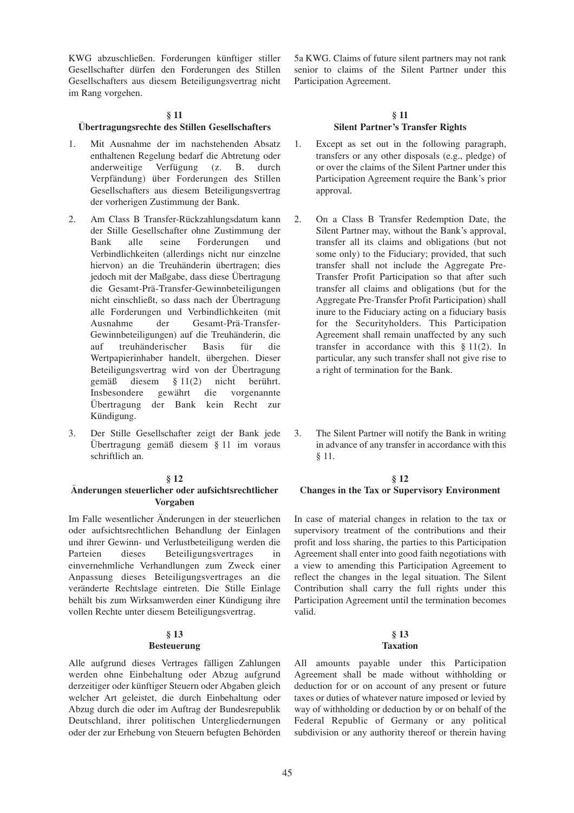KWG abzuschließen. Forderungen künftiger stiller Gesellschafter dürfen den Forderungen des Stillen Gesellschafters aus diesem Beteiligungsvertrag nicht im Rang vorgehen.

#### **§ 11**

#### **Übertragungsrechte des Stillen Gesellschafters**

- 1. Mit Ausnahme der im nachstehenden Absatz enthaltenen Regelung bedarf die Abtretung oder anderweitige Verfügung (z. B. durch Verpfändung) über Forderungen des Stillen Gesellschafters aus diesem Beteiligungsvertrag der vorherigen Zustimmung der Bank.
- 2. Am Class B Transfer-Rückzahlungsdatum kann der Stille Gesellschafter ohne Zustimmung der Bank alle seine Forderungen und Verbindlichkeiten (allerdings nicht nur einzelne hiervon) an die Treuhänderin übertragen; dies jedoch mit der Maßgabe, dass diese Übertragung die Gesamt-Prä-Transfer-Gewinnbeteiligungen nicht einschließt, so dass nach der Übertragung alle Forderungen und Verbindlichkeiten (mit Ausnahme der Gesamt-Prä-Transfer-Gewinnbeteiligungen) auf die Treuhänderin, die auf treuhänderischer Basis für die Wertpapierinhaber handelt, übergehen. Dieser Beteiligungsvertrag wird von der Übertragung gemäß diesem § 11(2) nicht berührt. Insbesondere gewährt die vorgenannte Übertragung der Bank kein Recht zur Kündigung.
- 3. Der Stille Gesellschafter zeigt der Bank jede Übertragung gemäß diesem § 11 im voraus schriftlich an.

#### **§ 12**

#### **Änderungen steuerlicher oder aufsichtsrechtlicher Vorgaben**

Im Falle wesentlicher Änderungen in der steuerlichen oder aufsichtsrechtlichen Behandlung der Einlagen und ihrer Gewinn- und Verlustbeteiligung werden die Parteien dieses Beteiligungsvertrages in einvernehmliche Verhandlungen zum Zweck einer Anpassung dieses Beteiligungsvertrages an die veränderte Rechtslage eintreten. Die Stille Einlage behält bis zum Wirksamwerden einer Kündigung ihre vollen Rechte unter diesem Beteiligungsvertrag.

#### **§ 13 Besteuerung**

Alle aufgrund dieses Vertrages fälligen Zahlungen werden ohne Einbehaltung oder Abzug aufgrund derzeitiger oder künftiger Steuern oder Abgaben gleich welcher Art geleistet, die durch Einbehaltung oder Abzug durch die oder im Auftrag der Bundesrepublik Deutschland, ihrer politischen Untergliedernungen oder der zur Erhebung von Steuern befugten Behörden 5a KWG. Claims of future silent partners may not rank senior to claims of the Silent Partner under this Participation Agreement.

## **§ 11 Silent Partner's Transfer Rights**

- 1. Except as set out in the following paragraph, transfers or any other disposals (e.g., pledge) of or over the claims of the Silent Partner under this Participation Agreement require the Bank's prior approval.
- 2. On a Class B Transfer Redemption Date, the Silent Partner may, without the Bank's approval, transfer all its claims and obligations (but not some only) to the Fiduciary; provided, that such transfer shall not include the Aggregate Pre-Transfer Profit Participation so that after such transfer all claims and obligations (but for the Aggregate Pre-Transfer Profit Participation) shall inure to the Fiduciary acting on a fiduciary basis for the Securityholders. This Participation Agreement shall remain unaffected by any such transfer in accordance with this § 11(2). In particular, any such transfer shall not give rise to a right of termination for the Bank.
- 3. The Silent Partner will notify the Bank in writing in advance of any transfer in accordance with this § 11.

#### **§ 12**

# **Changes in the Tax or Supervisory Environment**

In case of material changes in relation to the tax or supervisory treatment of the contributions and their profit and loss sharing, the parties to this Participation Agreement shall enter into good faith negotiations with a view to amending this Participation Agreement to reflect the changes in the legal situation. The Silent Contribution shall carry the full rights under this Participation Agreement until the termination becomes valid.

#### **§ 13 Taxation**

All amounts payable under this Participation Agreement shall be made without withholding or deduction for or on account of any present or future taxes or duties of whatever nature imposed or levied by way of withholding or deduction by or on behalf of the Federal Republic of Germany or any political subdivision or any authority thereof or therein having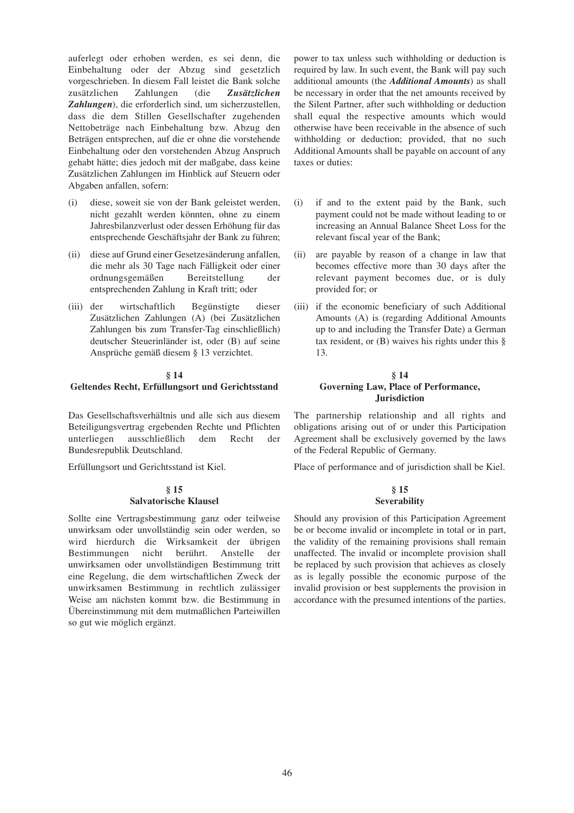auferlegt oder erhoben werden, es sei denn, die Einbehaltung oder der Abzug sind gesetzlich vorgeschrieben. In diesem Fall leistet die Bank solche zusätzlichen Zahlungen (die *Zusätzlichen Zahlungen*), die erforderlich sind, um sicherzustellen, dass die dem Stillen Gesellschafter zugehenden Nettobeträge nach Einbehaltung bzw. Abzug den Beträgen entsprechen, auf die er ohne die vorstehende Einbehaltung oder den vorstehenden Abzug Anspruch gehabt hätte; dies jedoch mit der maßgabe, dass keine Zusätzlichen Zahlungen im Hinblick auf Steuern oder Abgaben anfallen, sofern:

- (i) diese, soweit sie von der Bank geleistet werden, nicht gezahlt werden könnten, ohne zu einem Jahresbilanzverlust oder dessen Erhöhung für das entsprechende Geschäftsjahr der Bank zu führen;
- (ii) diese auf Grund einer Gesetzesänderung anfallen, die mehr als 30 Tage nach Fälligkeit oder einer ordnungsgemäßen Bereitstellung der entsprechenden Zahlung in Kraft tritt; oder
- (iii) der wirtschaftlich Begünstigte dieser Zusätzlichen Zahlungen (A) (bei Zusätzlichen Zahlungen bis zum Transfer-Tag einschließlich) deutscher Steuerinländer ist, oder (B) auf seine Ansprüche gemäß diesem § 13 verzichtet.

# **§ 14**

#### **Geltendes Recht, Erfüllungsort und Gerichtsstand**

Das Gesellschaftsverhältnis und alle sich aus diesem Beteiligungsvertrag ergebenden Rechte und Pflichten unterliegen ausschließlich dem Recht der Bundesrepublik Deutschland.

Erfüllungsort und Gerichtsstand ist Kiel.

## **§ 15 Salvatorische Klausel**

Sollte eine Vertragsbestimmung ganz oder teilweise unwirksam oder unvollständig sein oder werden, so wird hierdurch die Wirksamkeit der übrigen Bestimmungen nicht berührt. Anstelle der unwirksamen oder unvollständigen Bestimmung tritt eine Regelung, die dem wirtschaftlichen Zweck der unwirksamen Bestimmung in rechtlich zulässiger Weise am nächsten kommt bzw. die Bestimmung in Übereinstimmung mit dem mutmaßlichen Parteiwillen so gut wie möglich ergänzt.

power to tax unless such withholding or deduction is required by law. In such event, the Bank will pay such additional amounts (the *Additional Amounts*) as shall be necessary in order that the net amounts received by the Silent Partner, after such withholding or deduction shall equal the respective amounts which would otherwise have been receivable in the absence of such withholding or deduction; provided, that no such Additional Amounts shall be payable on account of any taxes or duties:

- (i) if and to the extent paid by the Bank, such payment could not be made without leading to or increasing an Annual Balance Sheet Loss for the relevant fiscal year of the Bank;
- (ii) are payable by reason of a change in law that becomes effective more than 30 days after the relevant payment becomes due, or is duly provided for; or
- (iii) if the economic beneficiary of such Additional Amounts (A) is (regarding Additional Amounts up to and including the Transfer Date) a German tax resident, or  $(B)$  waives his rights under this  $\S$ 13.

#### **§ 14 Governing Law, Place of Performance, Jurisdiction**

The partnership relationship and all rights and obligations arising out of or under this Participation Agreement shall be exclusively governed by the laws of the Federal Republic of Germany.

Place of performance and of jurisdiction shall be Kiel.

#### **§ 15 Severability**

Should any provision of this Participation Agreement be or become invalid or incomplete in total or in part, the validity of the remaining provisions shall remain unaffected. The invalid or incomplete provision shall be replaced by such provision that achieves as closely as is legally possible the economic purpose of the invalid provision or best supplements the provision in accordance with the presumed intentions of the parties.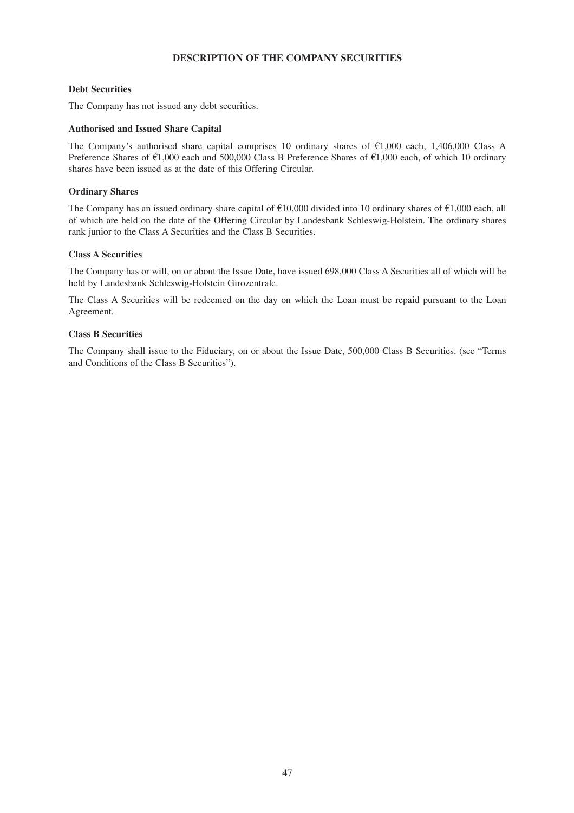# **DESCRIPTION OF THE COMPANY SECURITIES**

## **Debt Securities**

The Company has not issued any debt securities.

## **Authorised and Issued Share Capital**

The Company's authorised share capital comprises 10 ordinary shares of  $\epsilon$ 1,000 each, 1,406,000 Class A Preference Shares of  $\epsilon$ 1,000 each and 500,000 Class B Preference Shares of  $\epsilon$ 1,000 each, of which 10 ordinary shares have been issued as at the date of this Offering Circular.

## **Ordinary Shares**

The Company has an issued ordinary share capital of  $\epsilon$ 10,000 divided into 10 ordinary shares of  $\epsilon$ 1,000 each, all of which are held on the date of the Offering Circular by Landesbank Schleswig-Holstein. The ordinary shares rank junior to the Class A Securities and the Class B Securities.

## **Class A Securities**

The Company has or will, on or about the Issue Date, have issued 698,000 Class A Securities all of which will be held by Landesbank Schleswig-Holstein Girozentrale.

The Class A Securities will be redeemed on the day on which the Loan must be repaid pursuant to the Loan Agreement.

# **Class B Securities**

The Company shall issue to the Fiduciary, on or about the Issue Date, 500,000 Class B Securities. (see "Terms and Conditions of the Class B Securities").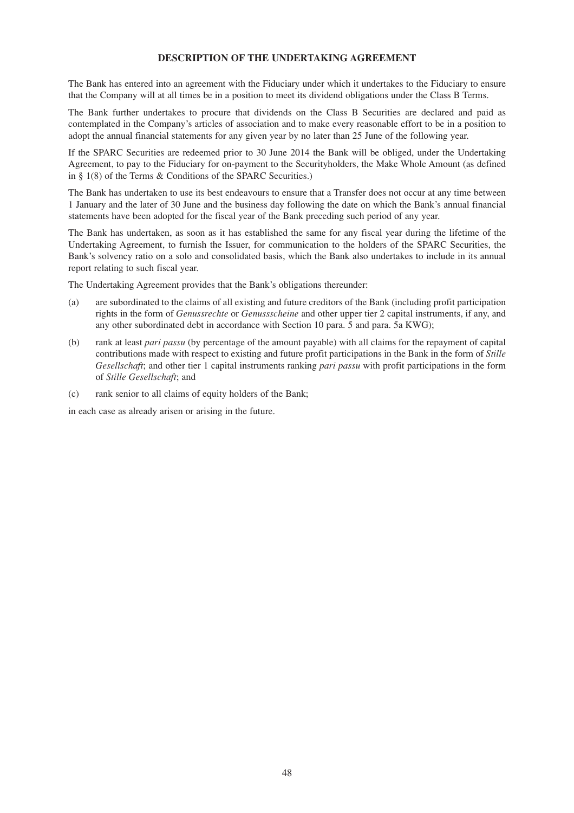## **DESCRIPTION OF THE UNDERTAKING AGREEMENT**

The Bank has entered into an agreement with the Fiduciary under which it undertakes to the Fiduciary to ensure that the Company will at all times be in a position to meet its dividend obligations under the Class B Terms.

The Bank further undertakes to procure that dividends on the Class B Securities are declared and paid as contemplated in the Company's articles of association and to make every reasonable effort to be in a position to adopt the annual financial statements for any given year by no later than 25 June of the following year.

If the SPARC Securities are redeemed prior to 30 June 2014 the Bank will be obliged, under the Undertaking Agreement, to pay to the Fiduciary for on-payment to the Securityholders, the Make Whole Amount (as defined in § 1(8) of the Terms & Conditions of the SPARC Securities.)

The Bank has undertaken to use its best endeavours to ensure that a Transfer does not occur at any time between 1 January and the later of 30 June and the business day following the date on which the Bank's annual financial statements have been adopted for the fiscal year of the Bank preceding such period of any year.

The Bank has undertaken, as soon as it has established the same for any fiscal year during the lifetime of the Undertaking Agreement, to furnish the Issuer, for communication to the holders of the SPARC Securities, the Bank's solvency ratio on a solo and consolidated basis, which the Bank also undertakes to include in its annual report relating to such fiscal year.

The Undertaking Agreement provides that the Bank's obligations thereunder:

- (a) are subordinated to the claims of all existing and future creditors of the Bank (including profit participation rights in the form of *Genussrechte* or *Genussscheine* and other upper tier 2 capital instruments, if any, and any other subordinated debt in accordance with Section 10 para. 5 and para. 5a KWG);
- (b) rank at least *pari passu* (by percentage of the amount payable) with all claims for the repayment of capital contributions made with respect to existing and future profit participations in the Bank in the form of *Stille Gesellschaft*; and other tier 1 capital instruments ranking *pari passu* with profit participations in the form of *Stille Gesellschaft*; and
- (c) rank senior to all claims of equity holders of the Bank;

in each case as already arisen or arising in the future.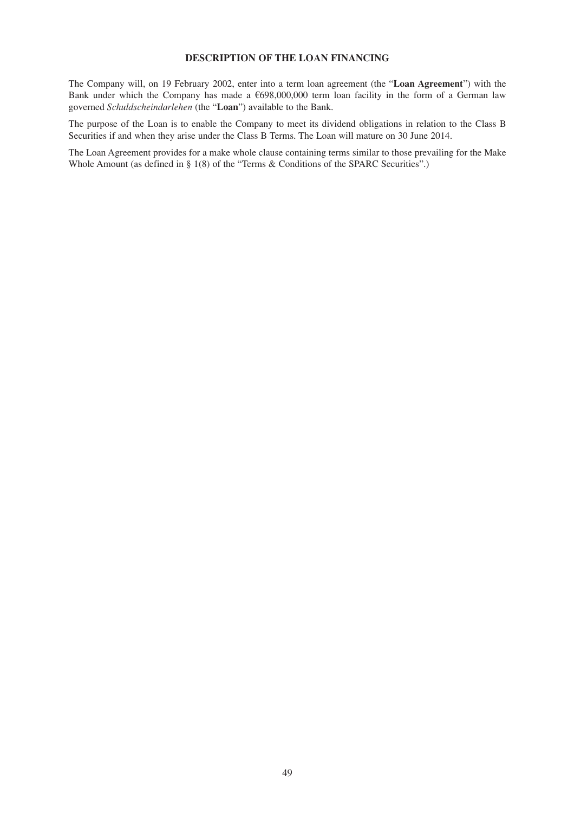# **DESCRIPTION OF THE LOAN FINANCING**

The Company will, on 19 February 2002, enter into a term loan agreement (the "**Loan Agreement**") with the Bank under which the Company has made a  $698,000,000$  term loan facility in the form of a German law governed *Schuldscheindarlehen* (the "**Loan**") available to the Bank.

The purpose of the Loan is to enable the Company to meet its dividend obligations in relation to the Class B Securities if and when they arise under the Class B Terms. The Loan will mature on 30 June 2014.

The Loan Agreement provides for a make whole clause containing terms similar to those prevailing for the Make Whole Amount (as defined in § 1(8) of the "Terms & Conditions of the SPARC Securities".)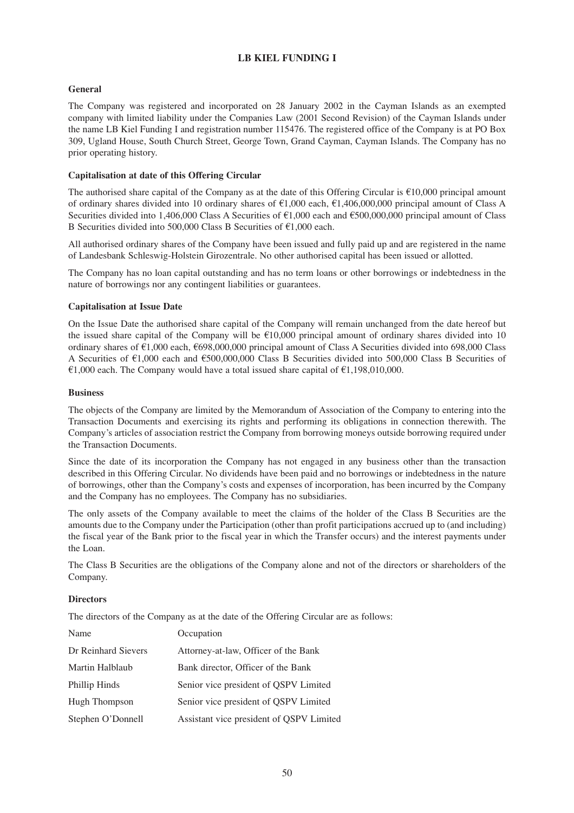# **LB KIEL FUNDING I**

# **General**

The Company was registered and incorporated on 28 January 2002 in the Cayman Islands as an exempted company with limited liability under the Companies Law (2001 Second Revision) of the Cayman Islands under the name LB Kiel Funding I and registration number 115476. The registered office of the Company is at PO Box 309, Ugland House, South Church Street, George Town, Grand Cayman, Cayman Islands. The Company has no prior operating history.

## **Capitalisation at date of this Offering Circular**

The authorised share capital of the Company as at the date of this Offering Circular is  $\epsilon$ 10,000 principal amount of ordinary shares divided into 10 ordinary shares of  $\epsilon$ 1,000 each,  $\epsilon$ 1,406,000,000 principal amount of Class A Securities divided into 1,406,000 Class A Securities of  $\epsilon$ 1,000 each and  $\epsilon$ 500,000,000 principal amount of Class B Securities divided into 500,000 Class B Securities of  $\epsilon$ 1,000 each.

All authorised ordinary shares of the Company have been issued and fully paid up and are registered in the name of Landesbank Schleswig-Holstein Girozentrale. No other authorised capital has been issued or allotted.

The Company has no loan capital outstanding and has no term loans or other borrowings or indebtedness in the nature of borrowings nor any contingent liabilities or guarantees.

## **Capitalisation at Issue Date**

On the Issue Date the authorised share capital of the Company will remain unchanged from the date hereof but the issued share capital of the Company will be  $\epsilon$ 10,000 principal amount of ordinary shares divided into 10 ordinary shares of  $\epsilon$ 1,000 each,  $\epsilon$ 698,000,000 principal amount of Class A Securities divided into 698,000 Class A Securities of  $\epsilon$ 1,000 each and  $\epsilon$ 500,000,000 Class B Securities divided into 500,000 Class B Securities of  $\epsilon$ 1,000 each. The Company would have a total issued share capital of  $\epsilon$ 1,198,010,000.

## **Business**

The objects of the Company are limited by the Memorandum of Association of the Company to entering into the Transaction Documents and exercising its rights and performing its obligations in connection therewith. The Company's articles of association restrict the Company from borrowing moneys outside borrowing required under the Transaction Documents.

Since the date of its incorporation the Company has not engaged in any business other than the transaction described in this Offering Circular. No dividends have been paid and no borrowings or indebtedness in the nature of borrowings, other than the Company's costs and expenses of incorporation, has been incurred by the Company and the Company has no employees. The Company has no subsidiaries.

The only assets of the Company available to meet the claims of the holder of the Class B Securities are the amounts due to the Company under the Participation (other than profit participations accrued up to (and including) the fiscal year of the Bank prior to the fiscal year in which the Transfer occurs) and the interest payments under the Loan.

The Class B Securities are the obligations of the Company alone and not of the directors or shareholders of the Company.

## **Directors**

The directors of the Company as at the date of the Offering Circular are as follows:

| Name                 | Occupation                               |
|----------------------|------------------------------------------|
| Dr Reinhard Sievers  | Attorney-at-law, Officer of the Bank     |
| Martin Halblaub      | Bank director, Officer of the Bank       |
| Phillip Hinds        | Senior vice president of QSPV Limited    |
| <b>Hugh Thompson</b> | Senior vice president of QSPV Limited    |
| Stephen O'Donnell    | Assistant vice president of QSPV Limited |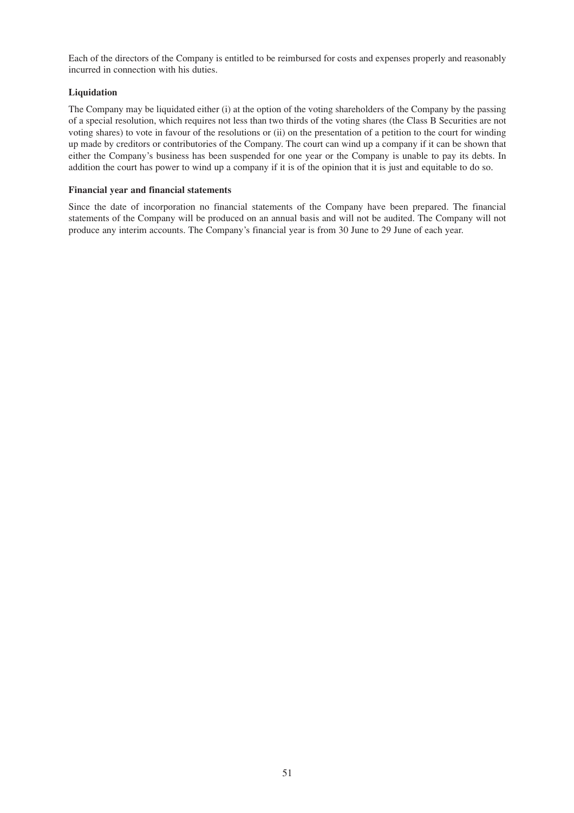Each of the directors of the Company is entitled to be reimbursed for costs and expenses properly and reasonably incurred in connection with his duties.

## **Liquidation**

The Company may be liquidated either (i) at the option of the voting shareholders of the Company by the passing of a special resolution, which requires not less than two thirds of the voting shares (the Class B Securities are not voting shares) to vote in favour of the resolutions or (ii) on the presentation of a petition to the court for winding up made by creditors or contributories of the Company. The court can wind up a company if it can be shown that either the Company's business has been suspended for one year or the Company is unable to pay its debts. In addition the court has power to wind up a company if it is of the opinion that it is just and equitable to do so.

## **Financial year and financial statements**

Since the date of incorporation no financial statements of the Company have been prepared. The financial statements of the Company will be produced on an annual basis and will not be audited. The Company will not produce any interim accounts. The Company's financial year is from 30 June to 29 June of each year.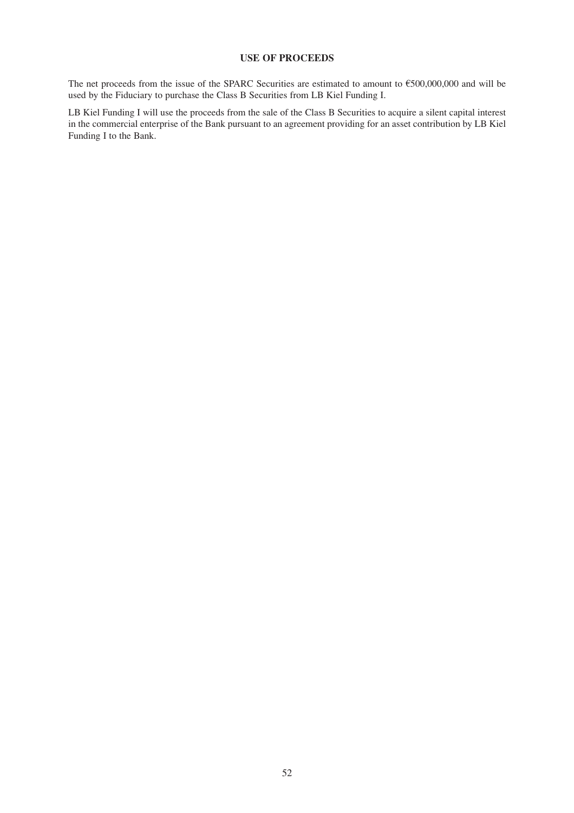# **USE OF PROCEEDS**

The net proceeds from the issue of the SPARC Securities are estimated to amount to  $\epsilon$ 500,000,000 and will be used by the Fiduciary to purchase the Class B Securities from LB Kiel Funding I.

LB Kiel Funding I will use the proceeds from the sale of the Class B Securities to acquire a silent capital interest in the commercial enterprise of the Bank pursuant to an agreement providing for an asset contribution by LB Kiel Funding I to the Bank.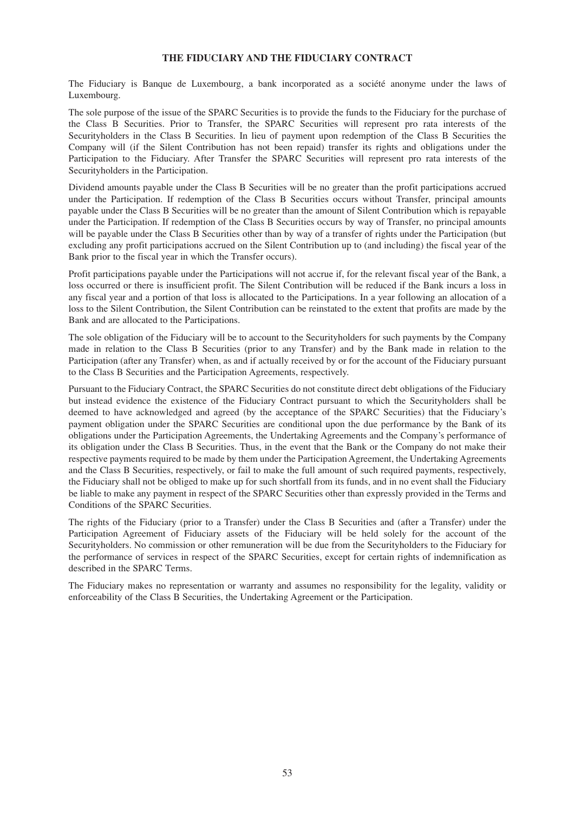## **THE FIDUCIARY AND THE FIDUCIARY CONTRACT**

The Fiduciary is Banque de Luxembourg, a bank incorporated as a société anonyme under the laws of Luxembourg.

The sole purpose of the issue of the SPARC Securities is to provide the funds to the Fiduciary for the purchase of the Class B Securities. Prior to Transfer, the SPARC Securities will represent pro rata interests of the Securityholders in the Class B Securities. In lieu of payment upon redemption of the Class B Securities the Company will (if the Silent Contribution has not been repaid) transfer its rights and obligations under the Participation to the Fiduciary. After Transfer the SPARC Securities will represent pro rata interests of the Securityholders in the Participation.

Dividend amounts payable under the Class B Securities will be no greater than the profit participations accrued under the Participation. If redemption of the Class B Securities occurs without Transfer, principal amounts payable under the Class B Securities will be no greater than the amount of Silent Contribution which is repayable under the Participation. If redemption of the Class B Securities occurs by way of Transfer, no principal amounts will be payable under the Class B Securities other than by way of a transfer of rights under the Participation (but excluding any profit participations accrued on the Silent Contribution up to (and including) the fiscal year of the Bank prior to the fiscal year in which the Transfer occurs).

Profit participations payable under the Participations will not accrue if, for the relevant fiscal year of the Bank, a loss occurred or there is insufficient profit. The Silent Contribution will be reduced if the Bank incurs a loss in any fiscal year and a portion of that loss is allocated to the Participations. In a year following an allocation of a loss to the Silent Contribution, the Silent Contribution can be reinstated to the extent that profits are made by the Bank and are allocated to the Participations.

The sole obligation of the Fiduciary will be to account to the Securityholders for such payments by the Company made in relation to the Class B Securities (prior to any Transfer) and by the Bank made in relation to the Participation (after any Transfer) when, as and if actually received by or for the account of the Fiduciary pursuant to the Class B Securities and the Participation Agreements, respectively.

Pursuant to the Fiduciary Contract, the SPARC Securities do not constitute direct debt obligations of the Fiduciary but instead evidence the existence of the Fiduciary Contract pursuant to which the Securityholders shall be deemed to have acknowledged and agreed (by the acceptance of the SPARC Securities) that the Fiduciary's payment obligation under the SPARC Securities are conditional upon the due performance by the Bank of its obligations under the Participation Agreements, the Undertaking Agreements and the Company's performance of its obligation under the Class B Securities. Thus, in the event that the Bank or the Company do not make their respective payments required to be made by them under the Participation Agreement, the Undertaking Agreements and the Class B Securities, respectively, or fail to make the full amount of such required payments, respectively, the Fiduciary shall not be obliged to make up for such shortfall from its funds, and in no event shall the Fiduciary be liable to make any payment in respect of the SPARC Securities other than expressly provided in the Terms and Conditions of the SPARC Securities.

The rights of the Fiduciary (prior to a Transfer) under the Class B Securities and (after a Transfer) under the Participation Agreement of Fiduciary assets of the Fiduciary will be held solely for the account of the Securityholders. No commission or other remuneration will be due from the Securityholders to the Fiduciary for the performance of services in respect of the SPARC Securities, except for certain rights of indemnification as described in the SPARC Terms.

The Fiduciary makes no representation or warranty and assumes no responsibility for the legality, validity or enforceability of the Class B Securities, the Undertaking Agreement or the Participation.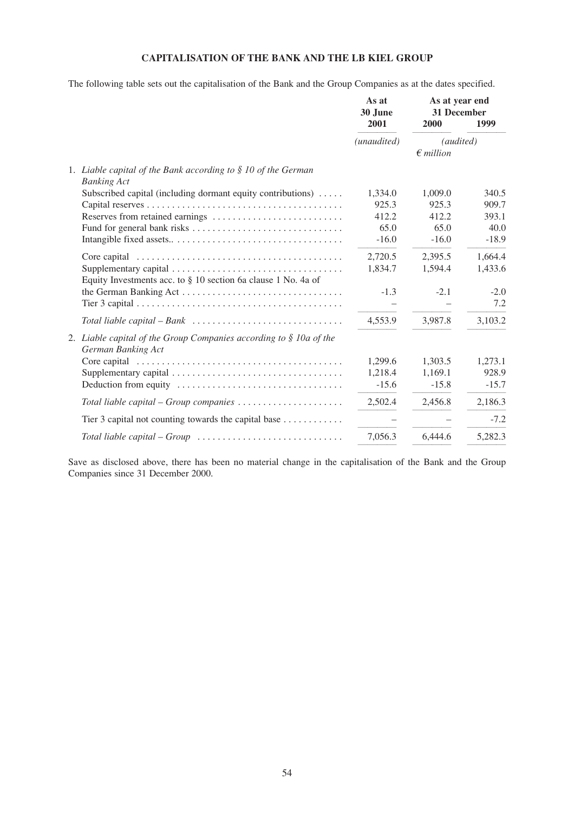# **CAPITALISATION OF THE BANK AND THE LB KIEL GROUP**

The following table sets out the capitalisation of the Bank and the Group Companies as at the dates specified.

|                                                                                             |                                                                                                    | As at<br>30 June | As at year end<br>31 December          |         |
|---------------------------------------------------------------------------------------------|----------------------------------------------------------------------------------------------------|------------------|----------------------------------------|---------|
|                                                                                             |                                                                                                    | 2001             | 2000                                   | 1999    |
|                                                                                             |                                                                                                    | (unaudited)      | <i>(audited)</i><br>$\epsilon$ million |         |
| 1. Liable capital of the Bank according to $\S$ 10 of the German<br><b>Banking Act</b>      |                                                                                                    |                  |                                        |         |
|                                                                                             | Subscribed capital (including dormant equity contributions)                                        | 1,334.0          | 1,009.0                                | 340.5   |
|                                                                                             |                                                                                                    | 925.3            | 925.3                                  | 909.7   |
|                                                                                             |                                                                                                    | 412.2            | 412.2                                  | 393.1   |
|                                                                                             |                                                                                                    | 65.0             | 65.0                                   | 40.0    |
|                                                                                             |                                                                                                    | $-16.0$          | $-16.0$                                | $-18.9$ |
|                                                                                             | Core capital $\ldots \ldots \ldots \ldots \ldots \ldots \ldots \ldots \ldots \ldots \ldots \ldots$ | 2,720.5          | 2,395.5                                | 1,664.4 |
| Equity Investments acc. to $\S$ 10 section 6a clause 1 No. 4a of                            |                                                                                                    | 1,834.7          | 1,594.4                                | 1,433.6 |
|                                                                                             |                                                                                                    | $-1.3$           | $-2.1$                                 | $-2.0$  |
|                                                                                             |                                                                                                    |                  |                                        | 7.2     |
|                                                                                             |                                                                                                    | 4,553.9          | 3,987.8                                | 3,103.2 |
| 2. Liable capital of the Group Companies according to $\S$ 10a of the<br>German Banking Act |                                                                                                    |                  |                                        |         |
|                                                                                             |                                                                                                    | 1,299.6          | 1,303.5                                | 1,273.1 |
|                                                                                             |                                                                                                    | 1,218.4          | 1,169.1                                | 928.9   |
|                                                                                             | Deduction from equity                                                                              | $-15.6$          | $-15.8$                                | $-15.7$ |
|                                                                                             | Total liable capital – Group companies $\dots\dots\dots\dots\dots\dots\dots$                       | 2,502.4          | 2,456.8                                | 2,186.3 |
|                                                                                             | Tier 3 capital not counting towards the capital base                                               |                  |                                        | $-7.2$  |
|                                                                                             | Total liable capital – Group $\ldots \ldots \ldots \ldots \ldots \ldots \ldots \ldots \ldots$      | 7,056.3          | 6,444.6                                | 5,282.3 |

Save as disclosed above, there has been no material change in the capitalisation of the Bank and the Group Companies since 31 December 2000.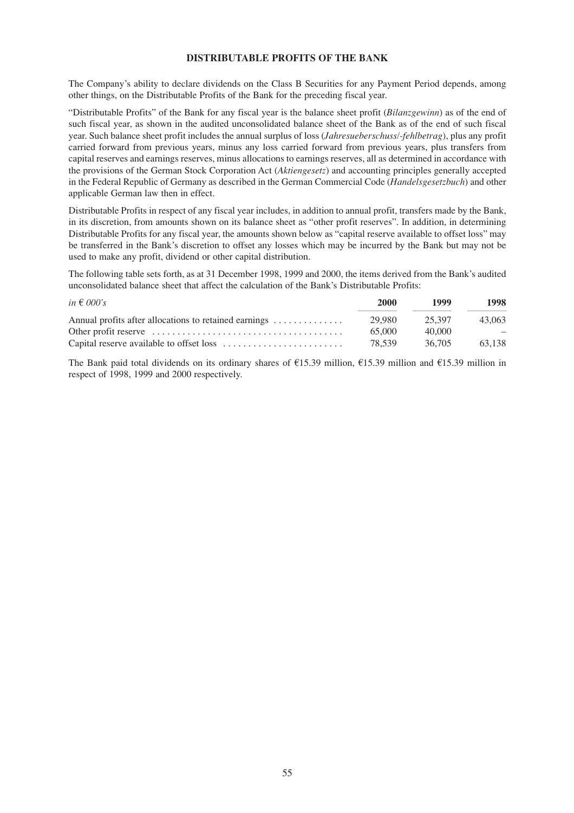## **DISTRIBUTABLE PROFITS OF THE BANK**

The Company's ability to declare dividends on the Class B Securities for any Payment Period depends, among other things, on the Distributable Profits of the Bank for the preceding fiscal year.

"Distributable Profits" of the Bank for any fiscal year is the balance sheet profit (*Bilanzgewinn*) as of the end of such fiscal year, as shown in the audited unconsolidated balance sheet of the Bank as of the end of such fiscal year. Such balance sheet profit includes the annual surplus of loss (*Jahresueberschuss/-fehlbetrag*), plus any profit carried forward from previous years, minus any loss carried forward from previous years, plus transfers from capital reserves and earnings reserves, minus allocations to earnings reserves, all as determined in accordance with the provisions of the German Stock Corporation Act (*Aktiengesetz*) and accounting principles generally accepted in the Federal Republic of Germany as described in the German Commercial Code (*Handelsgesetzbuch*) and other applicable German law then in effect.

Distributable Profits in respect of any fiscal year includes, in addition to annual profit, transfers made by the Bank, in its discretion, from amounts shown on its balance sheet as "other profit reserves". In addition, in determining Distributable Profits for any fiscal year, the amounts shown below as "capital reserve available to offset loss" may be transferred in the Bank's discretion to offset any losses which may be incurred by the Bank but may not be used to make any profit, dividend or other capital distribution.

The following table sets forth, as at 31 December 1998, 1999 and 2000, the items derived from the Bank's audited unconsolidated balance sheet that affect the calculation of the Bank's Distributable Profits:

| in $\epsilon$ 000's                                   | 2000   | 1999   | 1998   |
|-------------------------------------------------------|--------|--------|--------|
| Annual profits after allocations to retained earnings | 29.980 | 25.397 | 43.063 |
|                                                       | 65.000 | 40.000 |        |
|                                                       | 78.539 | 36.705 | 63.138 |

The Bank paid total dividends on its ordinary shares of  $\epsilon$ 15.39 million,  $\epsilon$ 15.39 million and  $\epsilon$ 15.39 million in respect of 1998, 1999 and 2000 respectively.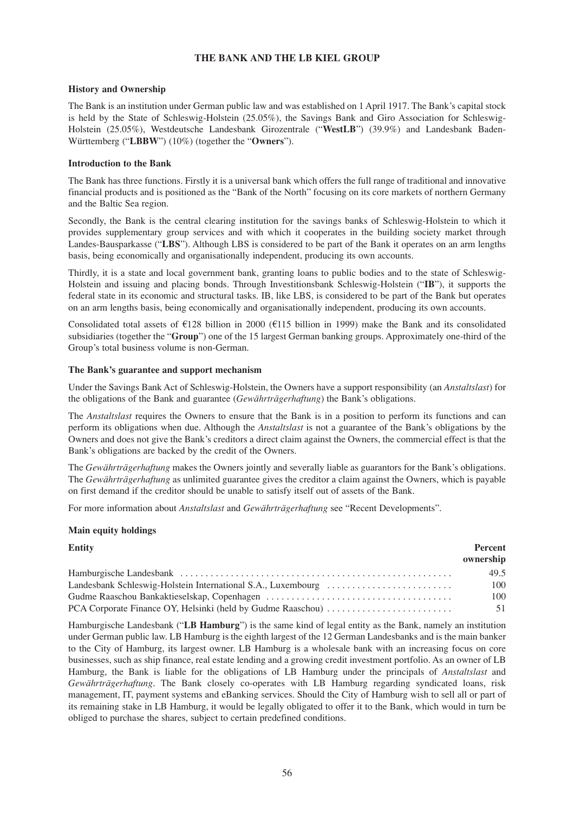# **THE BANK AND THE LB KIEL GROUP**

## **History and Ownership**

The Bank is an institution under German public law and was established on 1 April 1917. The Bank's capital stock is held by the State of Schleswig-Holstein (25.05%), the Savings Bank and Giro Association for Schleswig-Holstein (25.05%), Westdeutsche Landesbank Girozentrale ("**WestLB**") (39.9%) and Landesbank Baden-Württemberg ("**LBBW**") (10%) (together the "**Owners**").

#### **Introduction to the Bank**

The Bank has three functions. Firstly it is a universal bank which offers the full range of traditional and innovative financial products and is positioned as the "Bank of the North" focusing on its core markets of northern Germany and the Baltic Sea region.

Secondly, the Bank is the central clearing institution for the savings banks of Schleswig-Holstein to which it provides supplementary group services and with which it cooperates in the building society market through Landes-Bausparkasse ("**LBS**"). Although LBS is considered to be part of the Bank it operates on an arm lengths basis, being economically and organisationally independent, producing its own accounts.

Thirdly, it is a state and local government bank, granting loans to public bodies and to the state of Schleswig-Holstein and issuing and placing bonds. Through Investitionsbank Schleswig-Holstein ("**IB**"), it supports the federal state in its economic and structural tasks. IB, like LBS, is considered to be part of the Bank but operates on an arm lengths basis, being economically and organisationally independent, producing its own accounts.

Consolidated total assets of  $\epsilon$ 128 billion in 2000 ( $\epsilon$ 115 billion in 1999) make the Bank and its consolidated subsidiaries (together the "**Group**") one of the 15 largest German banking groups. Approximately one-third of the Group's total business volume is non-German.

#### **The Bank's guarantee and support mechanism**

Under the Savings Bank Act of Schleswig-Holstein, the Owners have a support responsibility (an *Anstaltslast*) for the obligations of the Bank and guarantee (*Gewährträgerhaftung*) the Bank's obligations.

The *Anstaltslast* requires the Owners to ensure that the Bank is in a position to perform its functions and can perform its obligations when due. Although the *Anstaltslast* is not a guarantee of the Bank's obligations by the Owners and does not give the Bank's creditors a direct claim against the Owners, the commercial effect is that the Bank's obligations are backed by the credit of the Owners.

The *Gewährträgerhaftung* makes the Owners jointly and severally liable as guarantors for the Bank's obligations. The *Gewährträgerhaftung* as unlimited guarantee gives the creditor a claim against the Owners, which is payable on first demand if the creditor should be unable to satisfy itself out of assets of the Bank.

For more information about *Anstaltslast* and *Gewährträgerhaftung* see "Recent Developments".

## **Main equity holdings**

| <b>Entity</b> | <b>Percent</b><br>ownership |
|---------------|-----------------------------|
|               | 49.5                        |
|               | 100                         |
|               | 100                         |
|               | 51                          |

Hamburgische Landesbank ("**LB Hamburg**") is the same kind of legal entity as the Bank, namely an institution under German public law. LB Hamburg is the eighth largest of the 12 German Landesbanks and is the main banker to the City of Hamburg, its largest owner. LB Hamburg is a wholesale bank with an increasing focus on core businesses, such as ship finance, real estate lending and a growing credit investment portfolio. As an owner of LB Hamburg, the Bank is liable for the obligations of LB Hamburg under the principals of *Anstaltslast* and *Gewährträgerhaftung*. The Bank closely co-operates with LB Hamburg regarding syndicated loans, risk management, IT, payment systems and eBanking services. Should the City of Hamburg wish to sell all or part of its remaining stake in LB Hamburg, it would be legally obligated to offer it to the Bank, which would in turn be obliged to purchase the shares, subject to certain predefined conditions.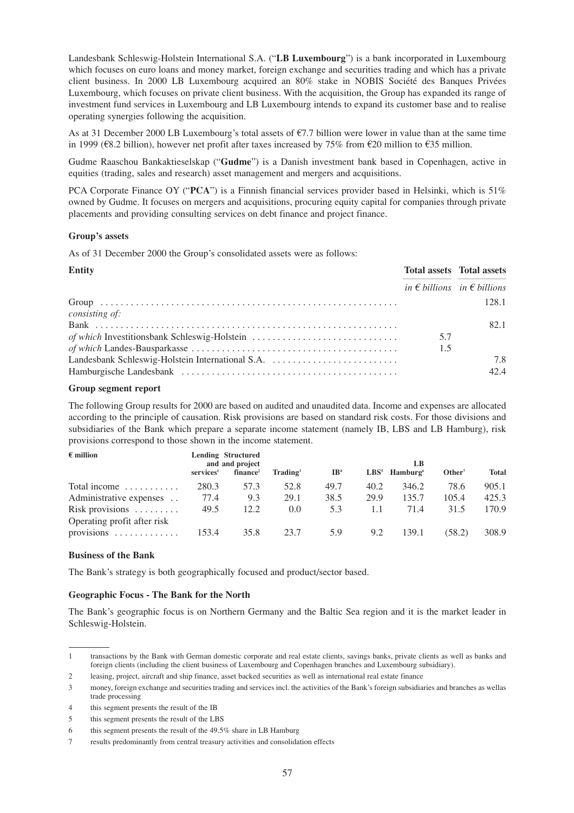Landesbank Schleswig-Holstein International S.A. ("**LB Luxembourg**") is a bank incorporated in Luxembourg which focuses on euro loans and money market, foreign exchange and securities trading and which has a private client business. In 2000 LB Luxembourg acquired an 80% stake in NOBIS Société des Banques Privées Luxembourg, which focuses on private client business. With the acquisition, the Group has expanded its range of investment fund services in Luxembourg and LB Luxembourg intends to expand its customer base and to realise operating synergies following the acquisition.

As at 31 December 2000 LB Luxembourg's total assets of  $\epsilon$ 7.7 billion were lower in value than at the same time in 1999 ( $\epsilon$ 8.2 billion), however net profit after taxes increased by 75% from  $\epsilon$ 20 million to  $\epsilon$ 35 million.

Gudme Raaschou Bankaktieselskap ("**Gudme**") is a Danish investment bank based in Copenhagen, active in equities (trading, sales and research) asset management and mergers and acquisitions.

PCA Corporate Finance OY ("**PCA**") is a Finnish financial services provider based in Helsinki, which is 51% owned by Gudme. It focuses on mergers and acquisitions, procuring equity capital for companies through private placements and providing consulting services on debt finance and project finance.

#### **Group's assets**

As of 31 December 2000 the Group's consolidated assets were as follows:

| <b>Entity</b>                                    |     | <b>Total assets</b> Total assets              |
|--------------------------------------------------|-----|-----------------------------------------------|
|                                                  |     | in $\epsilon$ billions in $\epsilon$ billions |
|                                                  |     | 128.1                                         |
| consisting of:                                   |     |                                               |
|                                                  |     | 82.1                                          |
| of which Investitionsbank Schleswig-Holstein     | 5.7 |                                               |
|                                                  | 1.5 |                                               |
| Landesbank Schleswig-Holstein International S.A. |     | 7.8                                           |
|                                                  |     | 42.4                                          |

#### **Group segment report**

The following Group results for 2000 are based on audited and unaudited data. Income and expenses are allocated according to the principle of causation. Risk provisions are based on standard risk costs. For those divisions and subsidiaries of the Bank which prepare a separate income statement (namely IB, LBS and LB Hamburg), risk provisions correspond to those shown in the income statement.

| $\epsilon$ million                  |                          | <b>Lending Structured</b><br>and and project |                      |                 |      | LB                          |                    |              |  |
|-------------------------------------|--------------------------|----------------------------------------------|----------------------|-----------------|------|-----------------------------|--------------------|--------------|--|
|                                     | $s$ ervices <sup>1</sup> | finance <sup>2</sup>                         | $\mathbf{Trading}^3$ | IB <sup>4</sup> |      | $LBS5$ Hamburg <sup>6</sup> | Other <sup>7</sup> | <b>Total</b> |  |
| Total income $\dots\dots\dots\dots$ | 280.3                    | 57.3                                         | 52.8                 | 49.7            | 40.2 | 346.2                       | 78.6               | 905.1        |  |
| Administrative expenses             | 77.4                     | 9.3                                          | 29.1                 | 38.5            | 29.9 | 135.7                       | 105.4              | 425.3        |  |
| Risk provisions $\dots \dots$       | 49.5                     | 12.2                                         | $0.0^{\circ}$        | 5.3             | 1.1  | 71.4                        | 31.5               | 170.9        |  |
| Operating profit after risk         |                          |                                              |                      |                 |      |                             |                    |              |  |
| provisions                          | 153.4                    | 35.8                                         | 23.7                 | 5.9             | 9.2  | 139.1                       | (58.2)             | 308.9        |  |

#### **Business of the Bank**

The Bank's strategy is both geographically focused and product/sector based.

## **Geographic Focus - The Bank for the North**

The Bank's geographic focus is on Northern Germany and the Baltic Sea region and it is the market leader in Schleswig-Holstein.

<sup>1</sup> transactions by the Bank with German domestic corporate and real estate clients, savings banks, private clients as well as banks and foreign clients (including the client business of Luxembourg and Copenhagen branches and Luxembourg subsidiary).

<sup>2</sup> leasing, project, aircraft and ship finance, asset backed securities as well as international real estate finance

<sup>3</sup> money, foreign exchange and securities trading and services incl. the activities of the Bank's foreign subsidiaries and branches as wellas trade processing

<sup>4</sup> this segment presents the result of the IB

<sup>5</sup> this segment presents the result of the LBS

<sup>6</sup> this segment presents the result of the 49.5% share in LB Hamburg

<sup>7</sup> results predominantly from central treasury activities and consolidation effects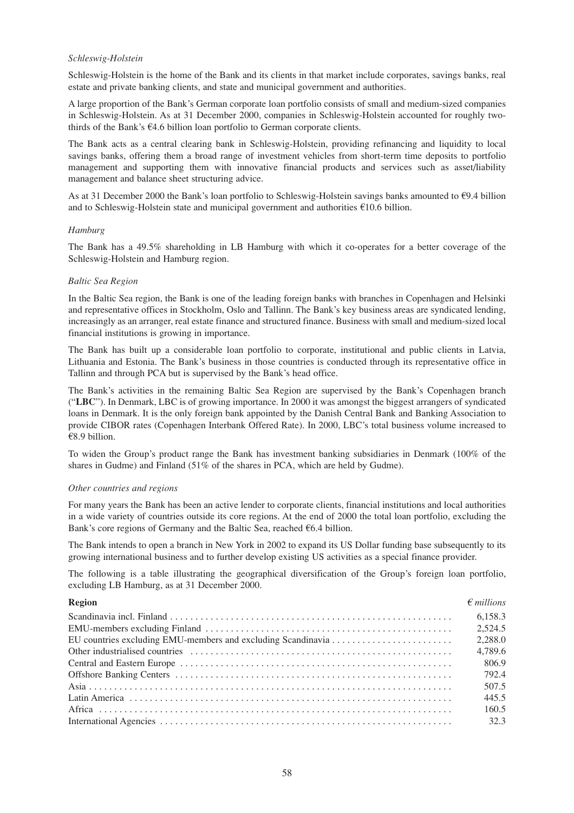#### *Schleswig-Holstein*

Schleswig-Holstein is the home of the Bank and its clients in that market include corporates, savings banks, real estate and private banking clients, and state and municipal government and authorities.

A large proportion of the Bank's German corporate loan portfolio consists of small and medium-sized companies in Schleswig-Holstein. As at 31 December 2000, companies in Schleswig-Holstein accounted for roughly twothirds of the Bank's  $64.6$  billion loan portfolio to German corporate clients.

The Bank acts as a central clearing bank in Schleswig-Holstein, providing refinancing and liquidity to local savings banks, offering them a broad range of investment vehicles from short-term time deposits to portfolio management and supporting them with innovative financial products and services such as asset/liability management and balance sheet structuring advice.

As at 31 December 2000 the Bank's loan portfolio to Schleswig-Holstein savings banks amounted to  $\epsilon$ 9.4 billion and to Schleswig-Holstein state and municipal government and authorities  $\epsilon$ 10.6 billion.

#### *Hamburg*

The Bank has a 49.5% shareholding in LB Hamburg with which it co-operates for a better coverage of the Schleswig-Holstein and Hamburg region.

#### *Baltic Sea Region*

In the Baltic Sea region, the Bank is one of the leading foreign banks with branches in Copenhagen and Helsinki and representative offices in Stockholm, Oslo and Tallinn. The Bank's key business areas are syndicated lending, increasingly as an arranger, real estate finance and structured finance. Business with small and medium-sized local financial institutions is growing in importance.

The Bank has built up a considerable loan portfolio to corporate, institutional and public clients in Latvia, Lithuania and Estonia. The Bank's business in those countries is conducted through its representative office in Tallinn and through PCA but is supervised by the Bank's head office.

The Bank's activities in the remaining Baltic Sea Region are supervised by the Bank's Copenhagen branch ("**LBC**"). In Denmark, LBC is of growing importance. In 2000 it was amongst the biggest arrangers of syndicated loans in Denmark. It is the only foreign bank appointed by the Danish Central Bank and Banking Association to provide CIBOR rates (Copenhagen Interbank Offered Rate). In 2000, LBC's total business volume increased to  $€8.9$  billion.

To widen the Group's product range the Bank has investment banking subsidiaries in Denmark (100% of the shares in Gudme) and Finland (51% of the shares in PCA, which are held by Gudme).

#### *Other countries and regions*

For many years the Bank has been an active lender to corporate clients, financial institutions and local authorities in a wide variety of countries outside its core regions. At the end of 2000 the total loan portfolio, excluding the Bank's core regions of Germany and the Baltic Sea, reached  $66.4$  billion.

The Bank intends to open a branch in New York in 2002 to expand its US Dollar funding base subsequently to its growing international business and to further develop existing US activities as a special finance provider.

The following is a table illustrating the geographical diversification of the Group's foreign loan portfolio, excluding LB Hamburg, as at 31 December 2000.

| <b>Region</b> | $\epsilon$ millions |
|---------------|---------------------|
|               | 6,158.3             |
|               | 2,524.5             |
|               | 2,288.0             |
|               | 4,789.6             |
|               | 806.9               |
|               | 792.4               |
|               | 507.5               |
|               | 445.5               |
|               | 160.5               |
|               | 32.3                |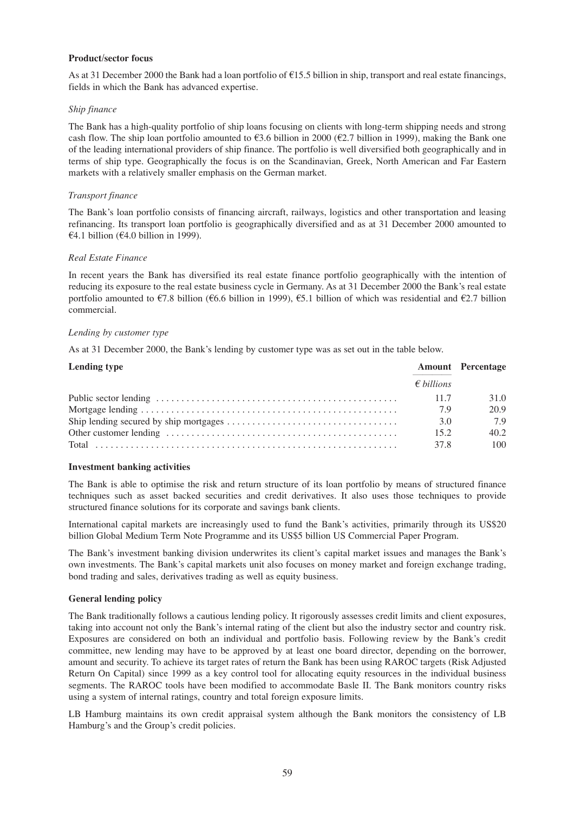#### **Product/sector focus**

As at 31 December 2000 the Bank had a loan portfolio of  $\epsilon$ 15.5 billion in ship, transport and real estate financings, fields in which the Bank has advanced expertise.

#### *Ship finance*

The Bank has a high-quality portfolio of ship loans focusing on clients with long-term shipping needs and strong cash flow. The ship loan portfolio amounted to  $\epsilon$ 3.6 billion in 2000 ( $\epsilon$ 2.7 billion in 1999), making the Bank one of the leading international providers of ship finance. The portfolio is well diversified both geographically and in terms of ship type. Geographically the focus is on the Scandinavian, Greek, North American and Far Eastern markets with a relatively smaller emphasis on the German market.

#### *Transport finance*

The Bank's loan portfolio consists of financing aircraft, railways, logistics and other transportation and leasing refinancing. Its transport loan portfolio is geographically diversified and as at 31 December 2000 amounted to  $\epsilon$ 4.1 billion ( $\epsilon$ 4.0 billion in 1999).

#### *Real Estate Finance*

In recent years the Bank has diversified its real estate finance portfolio geographically with the intention of reducing its exposure to the real estate business cycle in Germany. As at 31 December 2000 the Bank's real estate portfolio amounted to  $\epsilon$ 7.8 billion ( $\epsilon$ 6.6 billion in 1999),  $\epsilon$ 5.1 billion of which was residential and  $\epsilon$ 2.7 billion commercial.

#### *Lending by customer type*

As at 31 December 2000, the Bank's lending by customer type was as set out in the table below.

| Lending type |                     | <b>Amount</b> Percentage |
|--------------|---------------------|--------------------------|
|              | $\epsilon$ billions |                          |
|              | 11.7                | 31.0                     |
|              | 7.9                 | 20.9                     |
|              | 3.0                 | 7.9                      |
|              | 15.2                | 40.2                     |
|              | 37.8                | 100                      |

## **Investment banking activities**

The Bank is able to optimise the risk and return structure of its loan portfolio by means of structured finance techniques such as asset backed securities and credit derivatives. It also uses those techniques to provide structured finance solutions for its corporate and savings bank clients.

International capital markets are increasingly used to fund the Bank's activities, primarily through its US\$20 billion Global Medium Term Note Programme and its US\$5 billion US Commercial Paper Program.

The Bank's investment banking division underwrites its client's capital market issues and manages the Bank's own investments. The Bank's capital markets unit also focuses on money market and foreign exchange trading, bond trading and sales, derivatives trading as well as equity business.

## **General lending policy**

The Bank traditionally follows a cautious lending policy. It rigorously assesses credit limits and client exposures, taking into account not only the Bank's internal rating of the client but also the industry sector and country risk. Exposures are considered on both an individual and portfolio basis. Following review by the Bank's credit committee, new lending may have to be approved by at least one board director, depending on the borrower, amount and security. To achieve its target rates of return the Bank has been using RAROC targets (Risk Adjusted Return On Capital) since 1999 as a key control tool for allocating equity resources in the individual business segments. The RAROC tools have been modified to accommodate Basle II. The Bank monitors country risks using a system of internal ratings, country and total foreign exposure limits.

LB Hamburg maintains its own credit appraisal system although the Bank monitors the consistency of LB Hamburg's and the Group's credit policies.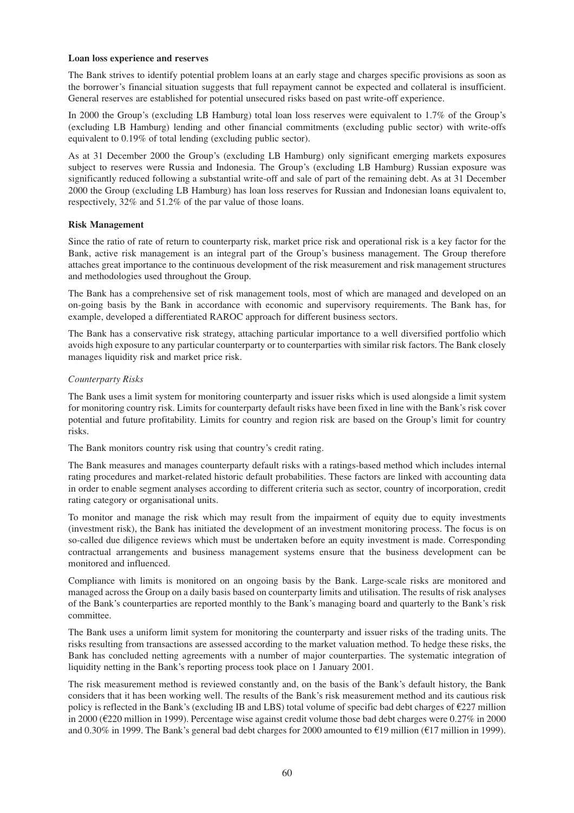#### **Loan loss experience and reserves**

The Bank strives to identify potential problem loans at an early stage and charges specific provisions as soon as the borrower's financial situation suggests that full repayment cannot be expected and collateral is insufficient. General reserves are established for potential unsecured risks based on past write-off experience.

In 2000 the Group's (excluding LB Hamburg) total loan loss reserves were equivalent to 1.7% of the Group's (excluding LB Hamburg) lending and other financial commitments (excluding public sector) with write-offs equivalent to 0.19% of total lending (excluding public sector).

As at 31 December 2000 the Group's (excluding LB Hamburg) only significant emerging markets exposures subject to reserves were Russia and Indonesia. The Group's (excluding LB Hamburg) Russian exposure was significantly reduced following a substantial write-off and sale of part of the remaining debt. As at 31 December 2000 the Group (excluding LB Hamburg) has loan loss reserves for Russian and Indonesian loans equivalent to, respectively, 32% and 51.2% of the par value of those loans.

## **Risk Management**

Since the ratio of rate of return to counterparty risk, market price risk and operational risk is a key factor for the Bank, active risk management is an integral part of the Group's business management. The Group therefore attaches great importance to the continuous development of the risk measurement and risk management structures and methodologies used throughout the Group.

The Bank has a comprehensive set of risk management tools, most of which are managed and developed on an on-going basis by the Bank in accordance with economic and supervisory requirements. The Bank has, for example, developed a differentiated RAROC approach for different business sectors.

The Bank has a conservative risk strategy, attaching particular importance to a well diversified portfolio which avoids high exposure to any particular counterparty or to counterparties with similar risk factors. The Bank closely manages liquidity risk and market price risk.

## *Counterparty Risks*

The Bank uses a limit system for monitoring counterparty and issuer risks which is used alongside a limit system for monitoring country risk. Limits for counterparty default risks have been fixed in line with the Bank's risk cover potential and future profitability. Limits for country and region risk are based on the Group's limit for country risks.

The Bank monitors country risk using that country's credit rating.

The Bank measures and manages counterparty default risks with a ratings-based method which includes internal rating procedures and market-related historic default probabilities. These factors are linked with accounting data in order to enable segment analyses according to different criteria such as sector, country of incorporation, credit rating category or organisational units.

To monitor and manage the risk which may result from the impairment of equity due to equity investments (investment risk), the Bank has initiated the development of an investment monitoring process. The focus is on so-called due diligence reviews which must be undertaken before an equity investment is made. Corresponding contractual arrangements and business management systems ensure that the business development can be monitored and influenced.

Compliance with limits is monitored on an ongoing basis by the Bank. Large-scale risks are monitored and managed across the Group on a daily basis based on counterparty limits and utilisation. The results of risk analyses of the Bank's counterparties are reported monthly to the Bank's managing board and quarterly to the Bank's risk committee.

The Bank uses a uniform limit system for monitoring the counterparty and issuer risks of the trading units. The risks resulting from transactions are assessed according to the market valuation method. To hedge these risks, the Bank has concluded netting agreements with a number of major counterparties. The systematic integration of liquidity netting in the Bank's reporting process took place on 1 January 2001.

The risk measurement method is reviewed constantly and, on the basis of the Bank's default history, the Bank considers that it has been working well. The results of the Bank's risk measurement method and its cautious risk policy is reflected in the Bank's (excluding IB and LBS) total volume of specific bad debt charges of  $\epsilon$ 227 million in 2000 ( $E$ 220 million in 1999). Percentage wise against credit volume those bad debt charges were 0.27% in 2000 and 0.30% in 1999. The Bank's general bad debt charges for 2000 amounted to  $\text{\textsterling}19$  million ( $\text{\textsterling}17$  million in 1999).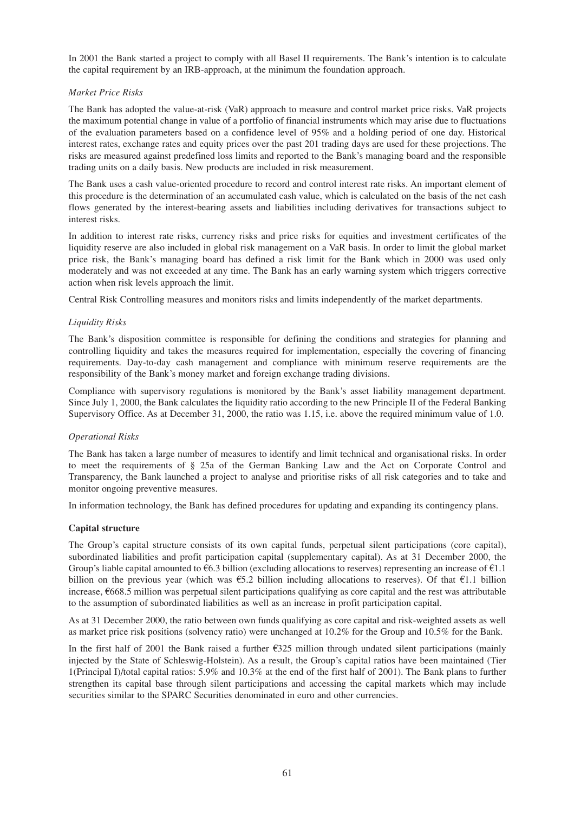In 2001 the Bank started a project to comply with all Basel II requirements. The Bank's intention is to calculate the capital requirement by an IRB-approach, at the minimum the foundation approach.

## *Market Price Risks*

The Bank has adopted the value-at-risk (VaR) approach to measure and control market price risks. VaR projects the maximum potential change in value of a portfolio of financial instruments which may arise due to fluctuations of the evaluation parameters based on a confidence level of 95% and a holding period of one day. Historical interest rates, exchange rates and equity prices over the past 201 trading days are used for these projections. The risks are measured against predefined loss limits and reported to the Bank's managing board and the responsible trading units on a daily basis. New products are included in risk measurement.

The Bank uses a cash value-oriented procedure to record and control interest rate risks. An important element of this procedure is the determination of an accumulated cash value, which is calculated on the basis of the net cash flows generated by the interest-bearing assets and liabilities including derivatives for transactions subject to interest risks.

In addition to interest rate risks, currency risks and price risks for equities and investment certificates of the liquidity reserve are also included in global risk management on a VaR basis. In order to limit the global market price risk, the Bank's managing board has defined a risk limit for the Bank which in 2000 was used only moderately and was not exceeded at any time. The Bank has an early warning system which triggers corrective action when risk levels approach the limit.

Central Risk Controlling measures and monitors risks and limits independently of the market departments.

## *Liquidity Risks*

The Bank's disposition committee is responsible for defining the conditions and strategies for planning and controlling liquidity and takes the measures required for implementation, especially the covering of financing requirements. Day-to-day cash management and compliance with minimum reserve requirements are the responsibility of the Bank's money market and foreign exchange trading divisions.

Compliance with supervisory regulations is monitored by the Bank's asset liability management department. Since July 1, 2000, the Bank calculates the liquidity ratio according to the new Principle II of the Federal Banking Supervisory Office. As at December 31, 2000, the ratio was 1.15, i.e. above the required minimum value of 1.0.

## *Operational Risks*

The Bank has taken a large number of measures to identify and limit technical and organisational risks. In order to meet the requirements of § 25a of the German Banking Law and the Act on Corporate Control and Transparency, the Bank launched a project to analyse and prioritise risks of all risk categories and to take and monitor ongoing preventive measures.

In information technology, the Bank has defined procedures for updating and expanding its contingency plans.

## **Capital structure**

The Group's capital structure consists of its own capital funds, perpetual silent participations (core capital), subordinated liabilities and profit participation capital (supplementary capital). As at 31 December 2000, the Group's liable capital amounted to  $\epsilon$ 6.3 billion (excluding allocations to reserves) representing an increase of  $\epsilon$ 1.1 billion on the previous year (which was  $\epsilon$ 5.2 billion including allocations to reserves). Of that  $\epsilon$ 1.1 billion increase,  $6668.5$  million was perpetual silent participations qualifying as core capital and the rest was attributable to the assumption of subordinated liabilities as well as an increase in profit participation capital.

As at 31 December 2000, the ratio between own funds qualifying as core capital and risk-weighted assets as well as market price risk positions (solvency ratio) were unchanged at 10.2% for the Group and 10.5% for the Bank.

In the first half of 2001 the Bank raised a further  $\epsilon$ 325 million through undated silent participations (mainly injected by the State of Schleswig-Holstein). As a result, the Group's capital ratios have been maintained (Tier 1(Principal I)/total capital ratios: 5.9% and 10.3% at the end of the first half of 2001). The Bank plans to further strengthen its capital base through silent participations and accessing the capital markets which may include securities similar to the SPARC Securities denominated in euro and other currencies.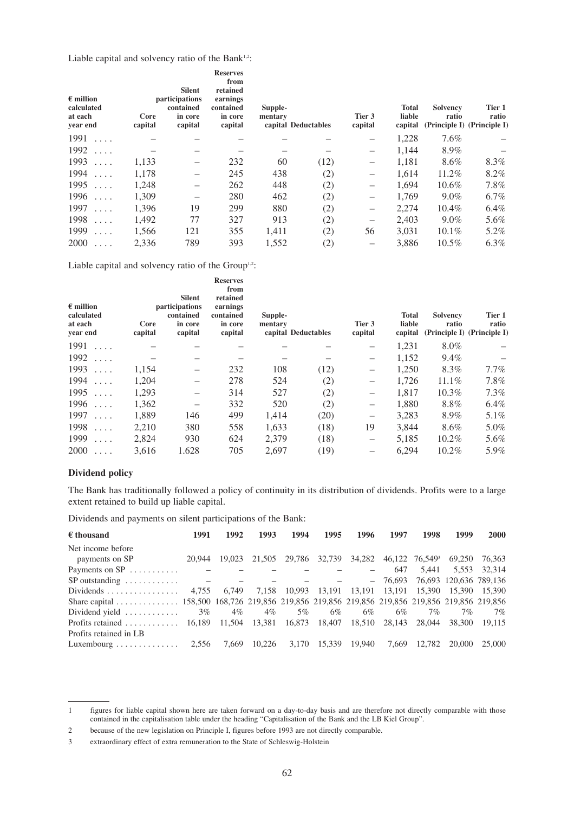Liable capital and solvency ratio of the Bank<sup>1,2</sup>:

| $\epsilon$ million<br>calculated<br>at each<br>year end | Core<br>capital | <b>Silent</b><br>participations<br>contained<br>in core<br>capital | <b>Reserves</b><br>from<br>retained<br>earnings<br>contained<br>in core<br>capital | Supple-<br>mentary | capital Deductables | Tier 3<br>capital        | <b>Total</b><br>liable<br>capital | <b>Solvency</b><br>ratio<br>(Principle I) (Principle I) | Tier 1<br>ratio |
|---------------------------------------------------------|-----------------|--------------------------------------------------------------------|------------------------------------------------------------------------------------|--------------------|---------------------|--------------------------|-----------------------------------|---------------------------------------------------------|-----------------|
| 1991<br>$\cdot$ $\cdot$ $\cdot$                         |                 |                                                                    |                                                                                    |                    |                     | —                        | 1,228                             | 7.6%                                                    |                 |
| 1992<br>.                                               |                 |                                                                    |                                                                                    |                    |                     | $\qquad \qquad$          | 1,144                             | 8.9%                                                    |                 |
| 1993<br>$\cdot$ $\cdot$ $\cdot$                         | 1,133           |                                                                    | 232                                                                                | 60                 | (12)                | $\overline{\phantom{m}}$ | 1,181                             | 8.6%                                                    | $8.3\%$         |
| 1994<br>.                                               | 1,178           |                                                                    | 245                                                                                | 438                | (2)                 | $\qquad \qquad -$        | 1,614                             | 11.2%                                                   | 8.2%            |
| 1995<br>.                                               | 1,248           | -                                                                  | 262                                                                                | 448                | (2)                 | $\overline{\phantom{m}}$ | 1.694                             | $10.6\%$                                                | $7.8\%$         |
| 1996<br>.                                               | 1,309           |                                                                    | 280                                                                                | 462                | (2)                 | $\qquad \qquad -$        | 1,769                             | $9.0\%$                                                 | $6.7\%$         |
| 1997<br>.                                               | 1,396           | 19                                                                 | 299                                                                                | 880                | (2)                 | $\overline{\phantom{0}}$ | 2,274                             | $10.4\%$                                                | $6.4\%$         |
| 1998<br>.                                               | 1,492           | 77                                                                 | 327                                                                                | 913                | (2)                 | $\qquad \qquad -$        | 2,403                             | $9.0\%$                                                 | 5.6%            |
| 1999<br>$\cdot$ $\cdot$ $\cdot$                         | 1,566           | 121                                                                | 355                                                                                | 1,411              | (2)                 | 56                       | 3,031                             | $10.1\%$                                                | 5.2%            |
| 2000<br>$\cdots$                                        | 2,336           | 789                                                                | 393                                                                                | 1,552              | (2)                 |                          | 3.886                             | $10.5\%$                                                | $6.3\%$         |

Liable capital and solvency ratio of the Group<sup>1,2</sup>:

| $\epsilon$ million<br>calculated<br>at each<br>year end | Core<br>capital | <b>Silent</b><br>participations<br>contained<br>in core<br>capital | <b>Reserves</b><br>from<br>retained<br>earnings<br>contained<br>in core<br>capital | Supple-<br>mentary | capital Deductables | Tier 3<br>capital                                                         | Total<br>liable<br>capital | <b>Solvency</b><br>ratio<br>(Principle I) (Principle I) | Tier 1<br>ratio |
|---------------------------------------------------------|-----------------|--------------------------------------------------------------------|------------------------------------------------------------------------------------|--------------------|---------------------|---------------------------------------------------------------------------|----------------------------|---------------------------------------------------------|-----------------|
| 1991<br>$\ldots$ .                                      |                 |                                                                    |                                                                                    |                    |                     | $\qquad \qquad -$                                                         | 1,231                      | $8.0\%$                                                 |                 |
| 1992<br>$\ldots$ .                                      |                 |                                                                    |                                                                                    |                    |                     | $\qquad \qquad -$                                                         | 1,152                      | 9.4%                                                    |                 |
| 1993<br>$\cdot$ $\cdot$ $\cdot$                         | 1,154           |                                                                    | 232                                                                                | 108                | (12)                | $\qquad \qquad -$                                                         | 1,250                      | 8.3%                                                    | $7.7\%$         |
| 1994<br>.                                               | 1,204           | —                                                                  | 278                                                                                | 524                | (2)                 | $\overline{\phantom{m}}$                                                  | 1.726                      | 11.1%                                                   | 7.8%            |
| 1995<br>$\cdot$ $\cdot$ $\cdot$                         | 1,293           | —                                                                  | 314                                                                                | 527                | (2)                 | $\qquad \qquad -$                                                         | 1,817                      | 10.3%                                                   | 7.3%            |
| 1996<br>.                                               | 1,362           |                                                                    | 332                                                                                | 520                | (2)                 | $\hspace{1.0cm} \rule{1.5cm}{0.15cm} \hspace{1.0cm} \rule{1.5cm}{0.15cm}$ | 1,880                      | 8.8%                                                    | $6.4\%$         |
| 1997<br>$\cdot$ $\cdot$ $\cdot$                         | 1,889           | 146                                                                | 499                                                                                | 1,414              | (20)                | $\overline{\phantom{m}}$                                                  | 3,283                      | 8.9%                                                    | 5.1%            |
| 1998<br>.                                               | 2,210           | 380                                                                | 558                                                                                | 1,633              | (18)                | 19                                                                        | 3,844                      | 8.6%                                                    | $5.0\%$         |
| 1999<br>$\cdot$ $\cdot$ $\cdot$                         | 2,824           | 930                                                                | 624                                                                                | 2,379              | (18)                | $\qquad \qquad -$                                                         | 5,185                      | $10.2\%$                                                | 5.6%            |
| 2000<br>.                                               | 3,616           | 1.628                                                              | 705                                                                                | 2,697              | (19)                | $\qquad \qquad -$                                                         | 6,294                      | $10.2\%$                                                | 5.9%            |

## **Dividend policy**

The Bank has traditionally followed a policy of continuity in its distribution of dividends. Profits were to a large extent retained to build up liable capital.

Dividends and payments on silent participations of the Bank:

| $\epsilon$ thousand                                                                           | 1991       | 1992                     | 1993   | 1994                     | 1995   | 1996                                                   | 1997          | 1998                              | 1999                   | 2000   |
|-----------------------------------------------------------------------------------------------|------------|--------------------------|--------|--------------------------|--------|--------------------------------------------------------|---------------|-----------------------------------|------------------------|--------|
| Net income before                                                                             |            |                          |        |                          |        |                                                        |               |                                   |                        |        |
| payments on SP                                                                                | 20,944     | 19,023                   | 21,505 | 29.786                   | 32,739 |                                                        |               | 34,282 46,122 76,549 <sup>3</sup> | 69.250                 | 76.363 |
| Payments on $SP$                                                                              |            |                          |        |                          |        |                                                        | 647           | 5.441                             | 5,553                  | 32,314 |
| $SP$ outstanding $\dots \dots \dots$                                                          | $\sim$ $-$ | $\overline{\phantom{a}}$ |        | $\overline{\phantom{m}}$ |        | <b>Service</b> Control                                 | $-76,693$     |                                   | 76,693 120,636 789,136 |        |
|                                                                                               | 4,755      | 6.749                    |        |                          |        | 7,158 10,993 13,191 13,191 13,191 15,390 15,390 15,390 |               |                                   |                        |        |
| Share capital 158,500 168,726 219,856 219,856 219,856 219,856 219,856 219,856 219,856 219,856 |            |                          |        |                          |        |                                                        |               |                                   |                        |        |
| Dividend yield $\ldots \ldots \ldots \ldots$ 3%                                               |            | 4%                       | $4\%$  | 5%                       | 6%     | 6%                                                     | 6%            | 7%                                | 7%                     | 7%     |
| Profits retained 16,189 11,504 13,381 16,873 18,407                                           |            |                          |        |                          |        |                                                        | 18,510 28,143 | 28.044                            | 38,300                 | 19.115 |
| Profits retained in LB                                                                        |            |                          |        |                          |        |                                                        |               |                                   |                        |        |
| Luxembourg $\ldots \ldots \ldots \ldots$ 2,556                                                |            | 7.669                    | 10.226 | 3.170                    | 15.339 | 19.940                                                 | 7.669         | 12.782                            | 20,000                 | 25,000 |

<sup>1</sup> figures for liable capital shown here are taken forward on a day-to-day basis and are therefore not directly comparable with those contained in the capitalisation table under the heading "Capitalisation of the Bank and the LB Kiel Group".

<sup>2</sup> because of the new legislation on Principle I, figures before 1993 are not directly comparable.

<sup>3</sup> extraordinary effect of extra remuneration to the State of Schleswig-Holstein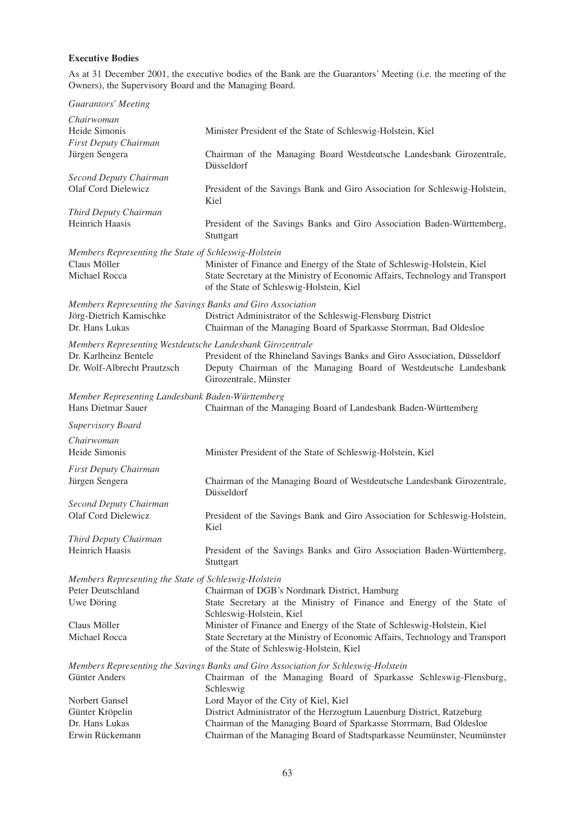# **Executive Bodies**

As at 31 December 2001, the executive bodies of the Bank are the Guarantors' Meeting (i.e. the meeting of the Owners), the Supervisory Board and the Managing Board.

| <b>Guarantors' Meeting</b>                                             |                                                                                                                                                                                                      |
|------------------------------------------------------------------------|------------------------------------------------------------------------------------------------------------------------------------------------------------------------------------------------------|
| Chairwoman                                                             |                                                                                                                                                                                                      |
| Heide Simonis                                                          | Minister President of the State of Schleswig-Holstein, Kiel                                                                                                                                          |
| First Deputy Chairman                                                  |                                                                                                                                                                                                      |
| Jürgen Sengera                                                         | Chairman of the Managing Board Westdeutsche Landesbank Girozentrale,<br>Düsseldorf                                                                                                                   |
| Second Deputy Chairman                                                 |                                                                                                                                                                                                      |
| Olaf Cord Dielewicz                                                    | President of the Savings Bank and Giro Association for Schleswig-Holstein,<br>Kiel                                                                                                                   |
| Third Deputy Chairman                                                  |                                                                                                                                                                                                      |
| Heinrich Haasis                                                        | President of the Savings Banks and Giro Association Baden-Württemberg,<br>Stuttgart                                                                                                                  |
| Members Representing the State of Schleswig-Holstein                   |                                                                                                                                                                                                      |
| Claus Möller<br>Michael Rocca                                          | Minister of Finance and Energy of the State of Schleswig-Holstein, Kiel<br>State Secretary at the Ministry of Economic Affairs, Technology and Transport<br>of the State of Schleswig-Holstein, Kiel |
| Members Representing the Savings Banks and Giro Association            |                                                                                                                                                                                                      |
| Jörg-Dietrich Kamischke<br>Dr. Hans Lukas                              | District Administrator of the Schleswig-Flensburg District<br>Chairman of the Managing Board of Sparkasse Storrman, Bad Oldesloe                                                                     |
| Members Representing Westdeutsche Landesbank Girozentrale              |                                                                                                                                                                                                      |
| Dr. Karlheinz Bentele                                                  | President of the Rhineland Savings Banks and Giro Association, Düsseldorf                                                                                                                            |
| Dr. Wolf-Albrecht Prautzsch                                            | Deputy Chairman of the Managing Board of Westdeutsche Landesbank<br>Girozentrale, Münster                                                                                                            |
| Member Representing Landesbank Baden-Württemberg<br>Hans Dietmar Sauer | Chairman of the Managing Board of Landesbank Baden-Württemberg                                                                                                                                       |
| <b>Supervisory Board</b>                                               |                                                                                                                                                                                                      |
|                                                                        |                                                                                                                                                                                                      |
| Chairwoman<br>Heide Simonis                                            | Minister President of the State of Schleswig-Holstein, Kiel                                                                                                                                          |
| First Deputy Chairman                                                  |                                                                                                                                                                                                      |
| Jürgen Sengera                                                         | Chairman of the Managing Board of Westdeutsche Landesbank Girozentrale,<br>Düsseldorf                                                                                                                |
| Second Deputy Chairman                                                 |                                                                                                                                                                                                      |
| <b>Olaf Cord Dielewicz</b>                                             | President of the Savings Bank and Giro Association for Schleswig-Holstein,<br>Kiel                                                                                                                   |
| Third Deputy Chairman                                                  |                                                                                                                                                                                                      |
| Heinrich Haasis                                                        | President of the Savings Banks and Giro Association Baden-Württemberg,<br>Stuttgart                                                                                                                  |
| Members Representing the State of Schleswig-Holstein                   |                                                                                                                                                                                                      |
| Peter Deutschland                                                      | Chairman of DGB's Nordmark District, Hamburg                                                                                                                                                         |
| Uwe Döring                                                             | State Secretary at the Ministry of Finance and Energy of the State of                                                                                                                                |
|                                                                        | Schleswig-Holstein, Kiel                                                                                                                                                                             |
| Claus Möller                                                           | Minister of Finance and Energy of the State of Schleswig-Holstein, Kiel                                                                                                                              |
| Michael Rocca                                                          | State Secretary at the Ministry of Economic Affairs, Technology and Transport<br>of the State of Schleswig-Holstein, Kiel                                                                            |
|                                                                        | Members Representing the Savings Banks and Giro Association for Schleswig-Holstein                                                                                                                   |
| Günter Anders                                                          | Chairman of the Managing Board of Sparkasse Schleswig-Flensburg,<br>Schleswig                                                                                                                        |
| Norbert Gansel                                                         | Lord Mayor of the City of Kiel, Kiel                                                                                                                                                                 |
| Günter Kröpelin                                                        | District Administrator of the Herzogtum Lauenburg District, Ratzeburg                                                                                                                                |
| Dr. Hans Lukas                                                         | Chairman of the Managing Board of Sparkasse Storrmarn, Bad Oldesloe                                                                                                                                  |
| Erwin Rückemann                                                        | Chairman of the Managing Board of Stadtsparkasse Neumünster, Neumünster                                                                                                                              |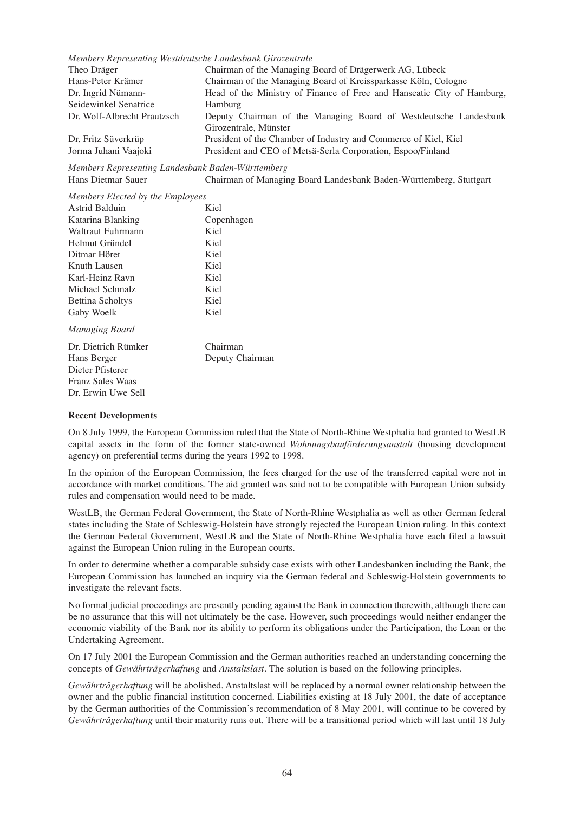|  |  | Members Representing Westdeutsche Landesbank Girozentrale |
|--|--|-----------------------------------------------------------|
|--|--|-----------------------------------------------------------|

| Theo Dräger                 | Chairman of the Managing Board of Drägerwerk AG, Lübeck                |
|-----------------------------|------------------------------------------------------------------------|
| Hans-Peter Krämer           | Chairman of the Managing Board of Kreissparkasse Köln, Cologne         |
| Dr. Ingrid Nümann-          | Head of the Ministry of Finance of Free and Hanseatic City of Hamburg, |
| Seidewinkel Senatrice       | <b>Hamburg</b>                                                         |
| Dr. Wolf-Albrecht Prautzsch | Deputy Chairman of the Managing Board of Westdeutsche Landesbank       |
|                             | Girozentrale, Münster                                                  |
| Dr. Fritz Süverkrüp         | President of the Chamber of Industry and Commerce of Kiel, Kiel        |
| Jorma Juhani Vaajoki        | President and CEO of Metsä-Serla Corporation, Espoo/Finland            |

*Members Representing Landesbank Baden-Württemberg* Hans Dietmar Sauer Chairman of Managing Board Landesbank Baden-Württemberg, Stuttgart

| Members Elected by the Employees |            |
|----------------------------------|------------|
| Astrid Balduin                   | Kiel       |
| Katarina Blanking                | Copenhagen |

| Katarina Diamanig       | COPULITATUL     |
|-------------------------|-----------------|
| Waltraut Fuhrmann       | Kiel            |
| Helmut Gründel          | Kiel            |
| Ditmar Höret            | Kiel            |
| Knuth Lausen            | Kiel            |
| Karl-Heinz Ravn         | Kiel            |
| Michael Schmalz         | Kiel            |
| <b>Bettina Scholtys</b> | Kiel            |
| Gaby Woelk              | Kiel            |
| Managing Board          |                 |
| Dr. Dietrich Rümker     | Chairman        |
| Hans Berger             | Deputy Chairman |
| Dieter Pfisterer        |                 |
| <b>Franz Sales Waas</b> |                 |

# **Recent Developments**

Dr. Erwin Uwe Sell

On 8 July 1999, the European Commission ruled that the State of North-Rhine Westphalia had granted to WestLB capital assets in the form of the former state-owned *Wohnungsbauförderungsanstalt* (housing development agency) on preferential terms during the years 1992 to 1998.

In the opinion of the European Commission, the fees charged for the use of the transferred capital were not in accordance with market conditions. The aid granted was said not to be compatible with European Union subsidy rules and compensation would need to be made.

WestLB, the German Federal Government, the State of North-Rhine Westphalia as well as other German federal states including the State of Schleswig-Holstein have strongly rejected the European Union ruling. In this context the German Federal Government, WestLB and the State of North-Rhine Westphalia have each filed a lawsuit against the European Union ruling in the European courts.

In order to determine whether a comparable subsidy case exists with other Landesbanken including the Bank, the European Commission has launched an inquiry via the German federal and Schleswig-Holstein governments to investigate the relevant facts.

No formal judicial proceedings are presently pending against the Bank in connection therewith, although there can be no assurance that this will not ultimately be the case. However, such proceedings would neither endanger the economic viability of the Bank nor its ability to perform its obligations under the Participation, the Loan or the Undertaking Agreement.

On 17 July 2001 the European Commission and the German authorities reached an understanding concerning the concepts of *Gewährträgerhaftung* and *Anstaltslast*. The solution is based on the following principles.

*Gewährträgerhaftung* will be abolished. Anstaltslast will be replaced by a normal owner relationship between the owner and the public financial institution concerned. Liabilities existing at 18 July 2001, the date of acceptance by the German authorities of the Commission's recommendation of 8 May 2001, will continue to be covered by *Gewährträgerhaftung* until their maturity runs out. There will be a transitional period which will last until 18 July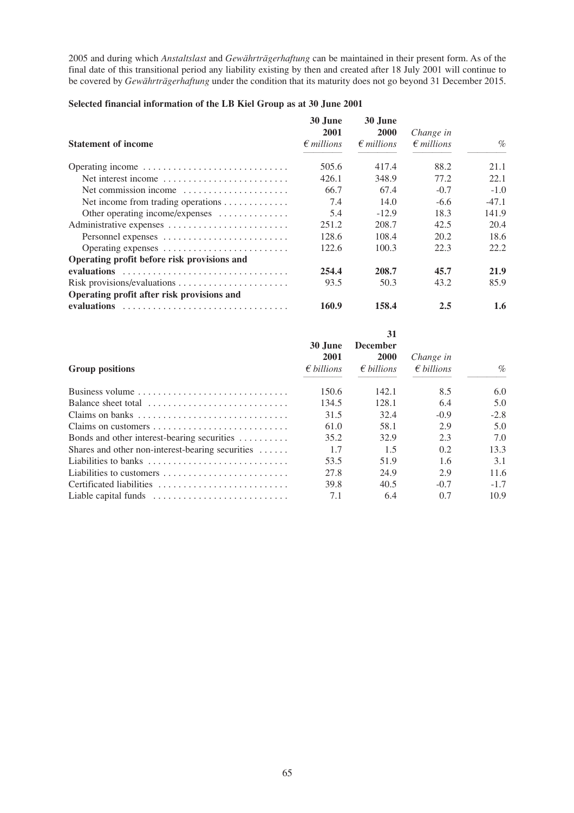2005 and during which *Anstaltslast* and *Gewährträgerhaftung* can be maintained in their present form. As of the final date of this transitional period any liability existing by then and created after 18 July 2001 will continue to be covered by *Gewährträgerhaftung* under the condition that its maturity does not go beyond 31 December 2015.

# **Selected financial information of the LB Kiel Group as at 30 June 2001**

|                                                             | 30 June                     | 30 June                            |                                  |         |
|-------------------------------------------------------------|-----------------------------|------------------------------------|----------------------------------|---------|
| <b>Statement of income</b>                                  | 2001<br>$\epsilon$ millions | <b>2000</b><br>$\epsilon$ millions | Change in<br>$\epsilon$ millions | $\%$    |
| Operating income                                            | 505.6                       | 417.4                              | 88.2                             | 21.1    |
| Net interest income                                         | 426.1                       | 348.9                              | 77.2                             | 22.1    |
| Net commission income $\dots\dots\dots\dots\dots\dots\dots$ | 66.7                        | 67.4                               | $-0.7$                           | $-1.0$  |
| Net income from trading operations                          | 7.4                         | 14.0                               | $-6.6$                           | $-47.1$ |
| Other operating income/expenses                             | 5.4                         | $-12.9$                            | 18.3                             | 141.9   |
| Administrative expenses                                     | 251.2                       | 208.7                              | 42.5                             | 20.4    |
| Personnel expenses                                          | 128.6                       | 108.4                              | 20.2                             | 18.6    |
|                                                             | 122.6                       | 100.3                              | 22.3                             | 22.2    |
| Operating profit before risk provisions and                 |                             |                                    |                                  |         |
|                                                             | 254.4                       | 208.7                              | 45.7                             | 21.9    |
|                                                             | 93.5                        | 50.3                               | 43.2                             | 85.9    |
| Operating profit after risk provisions and                  |                             |                                    |                                  |         |
|                                                             | 160.9                       | 158.4                              | 2.5                              | 1.6     |

|                                                           | 30 June<br>2001     | 31<br>December<br><b>2000</b> | Change in           |        |
|-----------------------------------------------------------|---------------------|-------------------------------|---------------------|--------|
| <b>Group positions</b>                                    | $\epsilon$ billions | $\epsilon$ billions           | $\epsilon$ billions | $\%$   |
| Business volume                                           | 150.6               | 142.1                         | 8.5                 | 6.0    |
| Balance sheet total                                       | 134.5               | 128.1                         | 6.4                 | 5.0    |
|                                                           | 31.5                | 32.4                          | $-0.9$              | $-2.8$ |
|                                                           | 61.0                | 58.1                          | 2.9                 | 5.0    |
| Bonds and other interest-bearing securities $\dots \dots$ | 35.2                | 32.9                          | 2.3                 | 7.0    |
| Shares and other non-interest-bearing securities $\dots$  | 1.7                 | 1.5                           | 0.2                 | 13.3   |
| Liabilities to banks                                      | 53.5                | 51.9                          | 1.6                 | 3.1    |
| Liabilities to customers                                  | 27.8                | 24.9                          | 2.9                 | 11.6   |
| Certificated liabilities                                  | 39.8                | 40.5                          | $-0.7$              | $-1.7$ |
| Liable capital funds                                      | 7.1                 | 6.4                           | 0.7                 | 10.9   |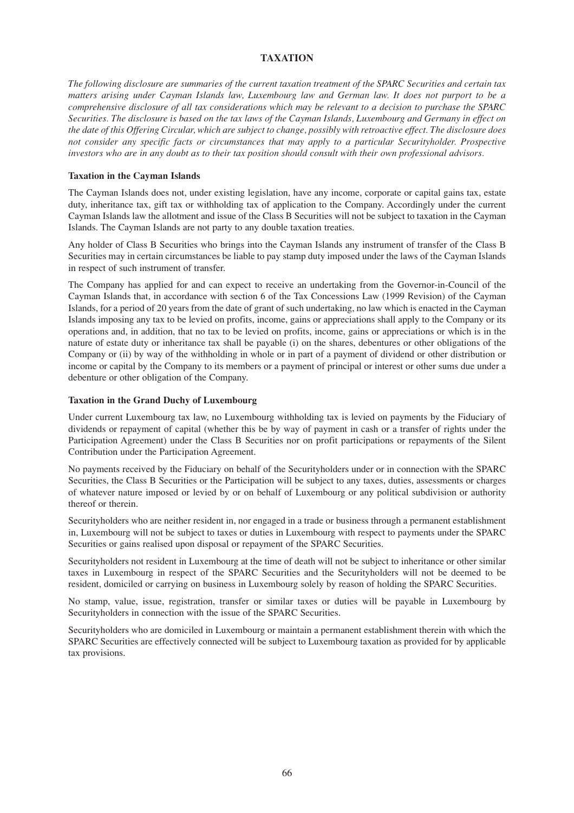# **TAXATION**

*The following disclosure are summaries of the current taxation treatment of the SPARC Securities and certain tax matters arising under Cayman Islands law, Luxembourg law and German law. It does not purport to be a comprehensive disclosure of all tax considerations which may be relevant to a decision to purchase the SPARC Securities. The disclosure is based on the tax laws of the Cayman Islands, Luxembourg and Germany in effect on the date of this Offering Circular, which are subject to change, possibly with retroactive effect. The disclosure does not consider any specific facts or circumstances that may apply to a particular Securityholder. Prospective investors who are in any doubt as to their tax position should consult with their own professional advisors.*

#### **Taxation in the Cayman Islands**

The Cayman Islands does not, under existing legislation, have any income, corporate or capital gains tax, estate duty, inheritance tax, gift tax or withholding tax of application to the Company. Accordingly under the current Cayman Islands law the allotment and issue of the Class B Securities will not be subject to taxation in the Cayman Islands. The Cayman Islands are not party to any double taxation treaties.

Any holder of Class B Securities who brings into the Cayman Islands any instrument of transfer of the Class B Securities may in certain circumstances be liable to pay stamp duty imposed under the laws of the Cayman Islands in respect of such instrument of transfer.

The Company has applied for and can expect to receive an undertaking from the Governor-in-Council of the Cayman Islands that, in accordance with section 6 of the Tax Concessions Law (1999 Revision) of the Cayman Islands, for a period of 20 years from the date of grant of such undertaking, no law which is enacted in the Cayman Islands imposing any tax to be levied on profits, income, gains or appreciations shall apply to the Company or its operations and, in addition, that no tax to be levied on profits, income, gains or appreciations or which is in the nature of estate duty or inheritance tax shall be payable (i) on the shares, debentures or other obligations of the Company or (ii) by way of the withholding in whole or in part of a payment of dividend or other distribution or income or capital by the Company to its members or a payment of principal or interest or other sums due under a debenture or other obligation of the Company.

#### **Taxation in the Grand Duchy of Luxembourg**

Under current Luxembourg tax law, no Luxembourg withholding tax is levied on payments by the Fiduciary of dividends or repayment of capital (whether this be by way of payment in cash or a transfer of rights under the Participation Agreement) under the Class B Securities nor on profit participations or repayments of the Silent Contribution under the Participation Agreement.

No payments received by the Fiduciary on behalf of the Securityholders under or in connection with the SPARC Securities, the Class B Securities or the Participation will be subject to any taxes, duties, assessments or charges of whatever nature imposed or levied by or on behalf of Luxembourg or any political subdivision or authority thereof or therein.

Securityholders who are neither resident in, nor engaged in a trade or business through a permanent establishment in, Luxembourg will not be subject to taxes or duties in Luxembourg with respect to payments under the SPARC Securities or gains realised upon disposal or repayment of the SPARC Securities.

Securityholders not resident in Luxembourg at the time of death will not be subject to inheritance or other similar taxes in Luxembourg in respect of the SPARC Securities and the Securityholders will not be deemed to be resident, domiciled or carrying on business in Luxembourg solely by reason of holding the SPARC Securities.

No stamp, value, issue, registration, transfer or similar taxes or duties will be payable in Luxembourg by Securityholders in connection with the issue of the SPARC Securities.

Securityholders who are domiciled in Luxembourg or maintain a permanent establishment therein with which the SPARC Securities are effectively connected will be subject to Luxembourg taxation as provided for by applicable tax provisions.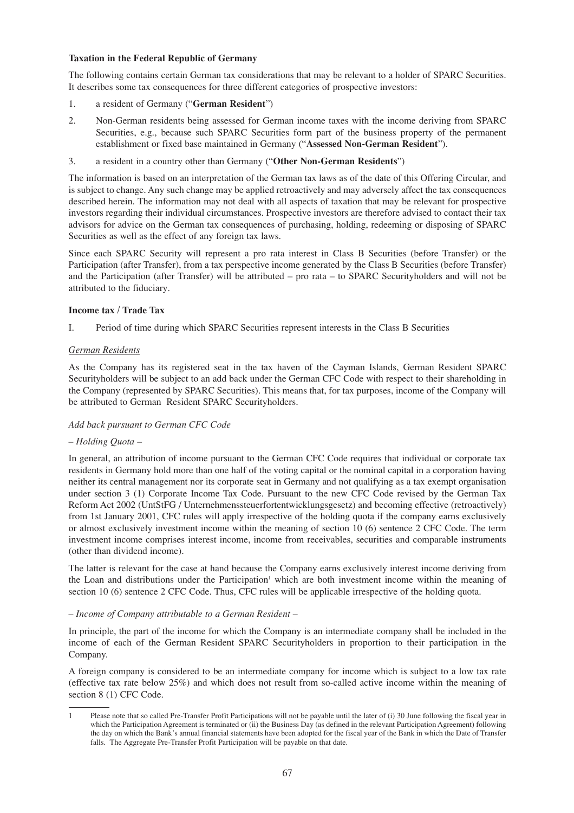## **Taxation in the Federal Republic of Germany**

The following contains certain German tax considerations that may be relevant to a holder of SPARC Securities. It describes some tax consequences for three different categories of prospective investors:

- 1. a resident of Germany ("**German Resident**")
- 2. Non-German residents being assessed for German income taxes with the income deriving from SPARC Securities, e.g., because such SPARC Securities form part of the business property of the permanent establishment or fixed base maintained in Germany ("**Assessed Non-German Resident**").
- 3. a resident in a country other than Germany ("**Other Non-German Residents**")

The information is based on an interpretation of the German tax laws as of the date of this Offering Circular, and is subject to change. Any such change may be applied retroactively and may adversely affect the tax consequences described herein. The information may not deal with all aspects of taxation that may be relevant for prospective investors regarding their individual circumstances. Prospective investors are therefore advised to contact their tax advisors for advice on the German tax consequences of purchasing, holding, redeeming or disposing of SPARC Securities as well as the effect of any foreign tax laws.

Since each SPARC Security will represent a pro rata interest in Class B Securities (before Transfer) or the Participation (after Transfer), from a tax perspective income generated by the Class B Securities (before Transfer) and the Participation (after Transfer) will be attributed – pro rata – to SPARC Securityholders and will not be attributed to the fiduciary.

#### **Income tax / Trade Tax**

I. Period of time during which SPARC Securities represent interests in the Class B Securities

#### *German Residents*

As the Company has its registered seat in the tax haven of the Cayman Islands, German Resident SPARC Securityholders will be subject to an add back under the German CFC Code with respect to their shareholding in the Company (represented by SPARC Securities). This means that, for tax purposes, income of the Company will be attributed to German Resident SPARC Securityholders.

#### *Add back pursuant to German CFC Code*

#### *– Holding Quota –*

In general, an attribution of income pursuant to the German CFC Code requires that individual or corporate tax residents in Germany hold more than one half of the voting capital or the nominal capital in a corporation having neither its central management nor its corporate seat in Germany and not qualifying as a tax exempt organisation under section 3 (1) Corporate Income Tax Code. Pursuant to the new CFC Code revised by the German Tax Reform Act 2002 (UntStFG / Unternehmenssteuerfortentwicklungsgesetz) and becoming effective (retroactively) from 1st January 2001, CFC rules will apply irrespective of the holding quota if the company earns exclusively or almost exclusively investment income within the meaning of section 10 (6) sentence 2 CFC Code. The term investment income comprises interest income, income from receivables, securities and comparable instruments (other than dividend income).

The latter is relevant for the case at hand because the Company earns exclusively interest income deriving from the Loan and distributions under the Participation<sup>1</sup> which are both investment income within the meaning of section 10 (6) sentence 2 CFC Code. Thus, CFC rules will be applicable irrespective of the holding quota.

#### *– Income of Company attributable to a German Resident –*

In principle, the part of the income for which the Company is an intermediate company shall be included in the income of each of the German Resident SPARC Securityholders in proportion to their participation in the Company.

A foreign company is considered to be an intermediate company for income which is subject to a low tax rate (effective tax rate below 25%) and which does not result from so-called active income within the meaning of section 8 (1) CFC Code.

<sup>1</sup> Please note that so called Pre-Transfer Profit Participations will not be payable until the later of (i) 30 June following the fiscal year in which the Participation Agreement is terminated or (ii) the Business Day (as defined in the relevant Participation Agreement) following the day on which the Bank's annual financial statements have been adopted for the fiscal year of the Bank in which the Date of Transfer falls. The Aggregate Pre-Transfer Profit Participation will be payable on that date.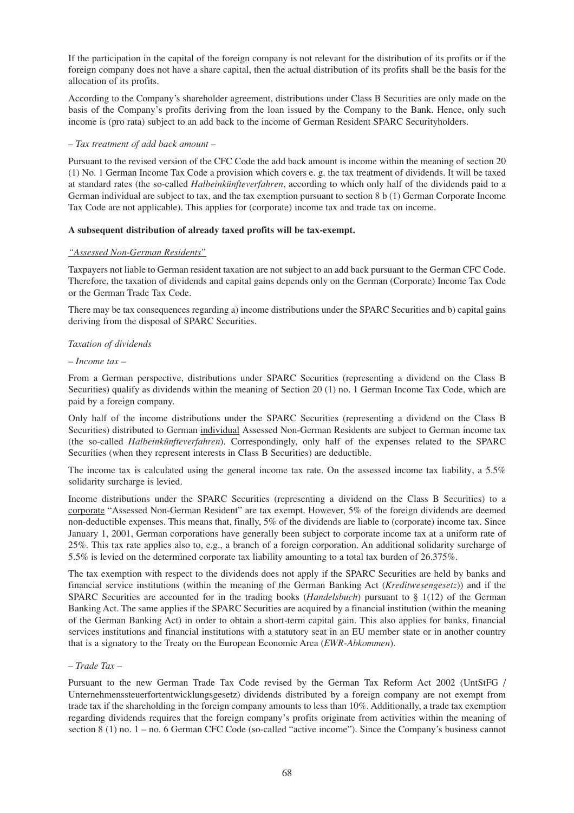If the participation in the capital of the foreign company is not relevant for the distribution of its profits or if the foreign company does not have a share capital, then the actual distribution of its profits shall be the basis for the allocation of its profits.

According to the Company's shareholder agreement, distributions under Class B Securities are only made on the basis of the Company's profits deriving from the loan issued by the Company to the Bank. Hence, only such income is (pro rata) subject to an add back to the income of German Resident SPARC Securityholders.

#### *– Tax treatment of add back amount –*

Pursuant to the revised version of the CFC Code the add back amount is income within the meaning of section 20 (1) No. 1 German Income Tax Code a provision which covers e. g. the tax treatment of dividends. It will be taxed at standard rates (the so-called *Halbeinkünfteverfahren*, according to which only half of the dividends paid to a German individual are subject to tax, and the tax exemption pursuant to section 8 b (1) German Corporate Income Tax Code are not applicable). This applies for (corporate) income tax and trade tax on income.

#### **A subsequent distribution of already taxed profits will be tax-exempt.**

#### *"Assessed Non-German Residents"*

Taxpayers not liable to German resident taxation are not subject to an add back pursuant to the German CFC Code. Therefore, the taxation of dividends and capital gains depends only on the German (Corporate) Income Tax Code or the German Trade Tax Code.

There may be tax consequences regarding a) income distributions under the SPARC Securities and b) capital gains deriving from the disposal of SPARC Securities.

#### *Taxation of dividends*

#### *– Income tax –*

From a German perspective, distributions under SPARC Securities (representing a dividend on the Class B Securities) qualify as dividends within the meaning of Section 20 (1) no. 1 German Income Tax Code, which are paid by a foreign company.

Only half of the income distributions under the SPARC Securities (representing a dividend on the Class B Securities) distributed to German individual Assessed Non-German Residents are subject to German income tax (the so-called *Halbeinkünfteverfahren*). Correspondingly, only half of the expenses related to the SPARC Securities (when they represent interests in Class B Securities) are deductible.

The income tax is calculated using the general income tax rate. On the assessed income tax liability, a 5.5% solidarity surcharge is levied.

Income distributions under the SPARC Securities (representing a dividend on the Class B Securities) to a corporate "Assessed Non-German Resident" are tax exempt. However, 5% of the foreign dividends are deemed non-deductible expenses. This means that, finally, 5% of the dividends are liable to (corporate) income tax. Since January 1, 2001, German corporations have generally been subject to corporate income tax at a uniform rate of 25%. This tax rate applies also to, e.g., a branch of a foreign corporation. An additional solidarity surcharge of 5.5% is levied on the determined corporate tax liability amounting to a total tax burden of 26.375%.

The tax exemption with respect to the dividends does not apply if the SPARC Securities are held by banks and financial service institutions (within the meaning of the German Banking Act (*Kreditwesengesetz*)) and if the SPARC Securities are accounted for in the trading books (*Handelsbuch*) pursuant to § 1(12) of the German Banking Act. The same applies if the SPARC Securities are acquired by a financial institution (within the meaning of the German Banking Act) in order to obtain a short-term capital gain. This also applies for banks, financial services institutions and financial institutions with a statutory seat in an EU member state or in another country that is a signatory to the Treaty on the European Economic Area (*EWR-Abkommen*).

#### *– Trade Tax –*

Pursuant to the new German Trade Tax Code revised by the German Tax Reform Act 2002 (UntStFG / Unternehmenssteuerfortentwicklungsgesetz) dividends distributed by a foreign company are not exempt from trade tax if the shareholding in the foreign company amounts to less than 10%. Additionally, a trade tax exemption regarding dividends requires that the foreign company's profits originate from activities within the meaning of section 8 (1) no. 1 – no. 6 German CFC Code (so-called "active income"). Since the Company's business cannot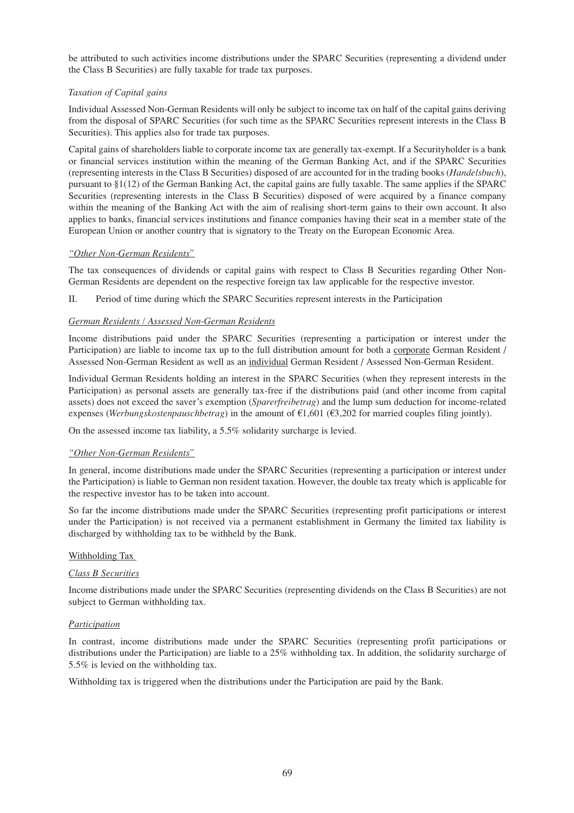be attributed to such activities income distributions under the SPARC Securities (representing a dividend under the Class B Securities) are fully taxable for trade tax purposes.

## *Taxation of Capital gains*

Individual Assessed Non-German Residents will only be subject to income tax on half of the capital gains deriving from the disposal of SPARC Securities (for such time as the SPARC Securities represent interests in the Class B Securities). This applies also for trade tax purposes.

Capital gains of shareholders liable to corporate income tax are generally tax-exempt. If a Securityholder is a bank or financial services institution within the meaning of the German Banking Act, and if the SPARC Securities (representing interests in the Class B Securities) disposed of are accounted for in the trading books (*Handelsbuch*), pursuant to §1(12) of the German Banking Act, the capital gains are fully taxable. The same applies if the SPARC Securities (representing interests in the Class B Securities) disposed of were acquired by a finance company within the meaning of the Banking Act with the aim of realising short-term gains to their own account. It also applies to banks, financial services institutions and finance companies having their seat in a member state of the European Union or another country that is signatory to the Treaty on the European Economic Area.

# *"Other Non-German Residents"*

The tax consequences of dividends or capital gains with respect to Class B Securities regarding Other Non-German Residents are dependent on the respective foreign tax law applicable for the respective investor.

II. Period of time during which the SPARC Securities represent interests in the Participation

## *German Residents / Assessed Non-German Residents*

Income distributions paid under the SPARC Securities (representing a participation or interest under the Participation) are liable to income tax up to the full distribution amount for both a corporate German Resident / Assessed Non-German Resident as well as an individual German Resident / Assessed Non-German Resident.

Individual German Residents holding an interest in the SPARC Securities (when they represent interests in the Participation) as personal assets are generally tax-free if the distributions paid (and other income from capital assets) does not exceed the saver's exemption (*Sparerfreibetrag*) and the lump sum deduction for income-related expenses (*Werbungskostenpauschbetrag*) in the amount of  $\epsilon$ 1,601 ( $\epsilon$ 3,202 for married couples filing jointly).

On the assessed income tax liability, a 5.5% solidarity surcharge is levied.

## *"Other Non-German Residents"*

In general, income distributions made under the SPARC Securities (representing a participation or interest under the Participation) is liable to German non resident taxation. However, the double tax treaty which is applicable for the respective investor has to be taken into account.

So far the income distributions made under the SPARC Securities (representing profit participations or interest under the Participation) is not received via a permanent establishment in Germany the limited tax liability is discharged by withholding tax to be withheld by the Bank.

## Withholding Tax

## *Class B Securities*

Income distributions made under the SPARC Securities (representing dividends on the Class B Securities) are not subject to German withholding tax.

## *Participation*

In contrast, income distributions made under the SPARC Securities (representing profit participations or distributions under the Participation) are liable to a 25% withholding tax. In addition, the solidarity surcharge of 5.5% is levied on the withholding tax.

Withholding tax is triggered when the distributions under the Participation are paid by the Bank.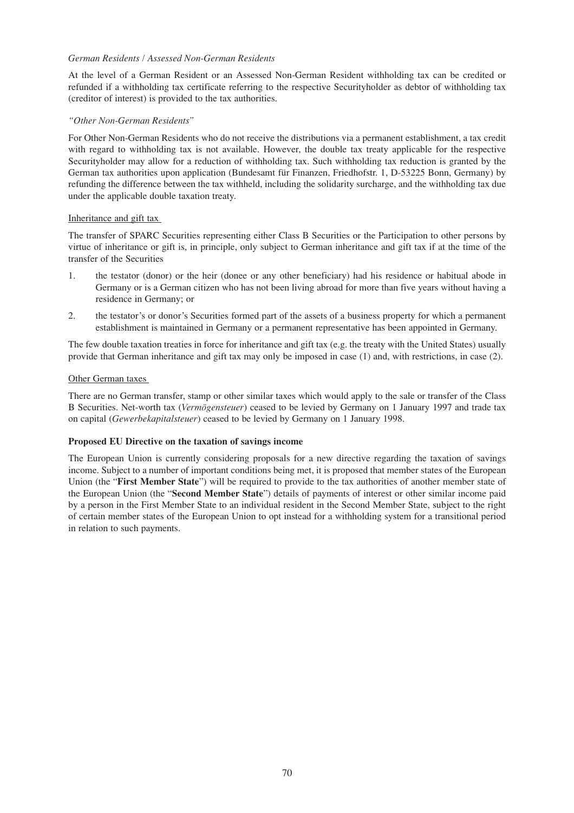## *German Residents / Assessed Non-German Residents*

At the level of a German Resident or an Assessed Non-German Resident withholding tax can be credited or refunded if a withholding tax certificate referring to the respective Securityholder as debtor of withholding tax (creditor of interest) is provided to the tax authorities.

#### *"Other Non-German Residents"*

For Other Non-German Residents who do not receive the distributions via a permanent establishment, a tax credit with regard to withholding tax is not available. However, the double tax treaty applicable for the respective Securityholder may allow for a reduction of withholding tax. Such withholding tax reduction is granted by the German tax authorities upon application (Bundesamt für Finanzen, Friedhofstr. 1, D-53225 Bonn, Germany) by refunding the difference between the tax withheld, including the solidarity surcharge, and the withholding tax due under the applicable double taxation treaty.

#### Inheritance and gift tax

The transfer of SPARC Securities representing either Class B Securities or the Participation to other persons by virtue of inheritance or gift is, in principle, only subject to German inheritance and gift tax if at the time of the transfer of the Securities

- 1. the testator (donor) or the heir (donee or any other beneficiary) had his residence or habitual abode in Germany or is a German citizen who has not been living abroad for more than five years without having a residence in Germany; or
- 2. the testator's or donor's Securities formed part of the assets of a business property for which a permanent establishment is maintained in Germany or a permanent representative has been appointed in Germany.

The few double taxation treaties in force for inheritance and gift tax (e.g. the treaty with the United States) usually provide that German inheritance and gift tax may only be imposed in case (1) and, with restrictions, in case (2).

## Other German taxes

There are no German transfer, stamp or other similar taxes which would apply to the sale or transfer of the Class B Securities. Net-worth tax (*Vermögensteuer*) ceased to be levied by Germany on 1 January 1997 and trade tax on capital (*Gewerbekapitalsteuer*) ceased to be levied by Germany on 1 January 1998.

## **Proposed EU Directive on the taxation of savings income**

The European Union is currently considering proposals for a new directive regarding the taxation of savings income. Subject to a number of important conditions being met, it is proposed that member states of the European Union (the "**First Member State**") will be required to provide to the tax authorities of another member state of the European Union (the "**Second Member State**") details of payments of interest or other similar income paid by a person in the First Member State to an individual resident in the Second Member State, subject to the right of certain member states of the European Union to opt instead for a withholding system for a transitional period in relation to such payments.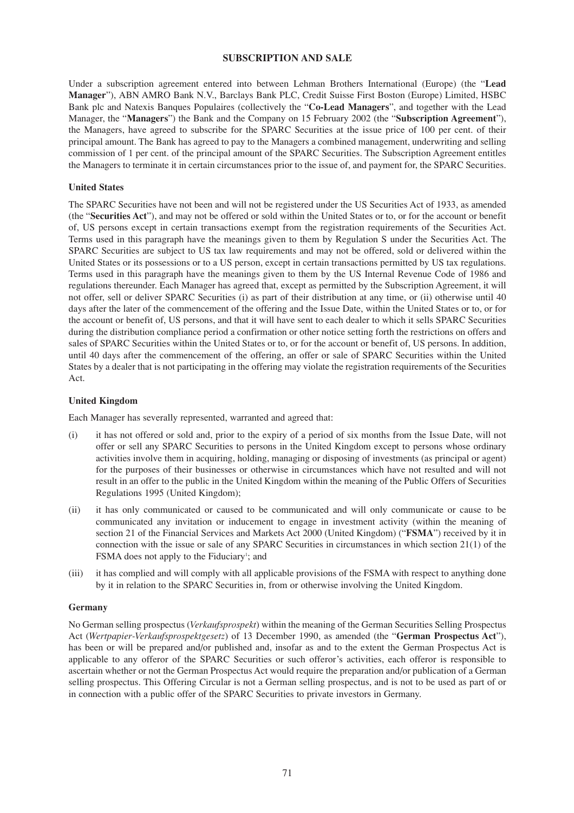## **SUBSCRIPTION AND SALE**

Under a subscription agreement entered into between Lehman Brothers International (Europe) (the "**Lead Manager**"), ABN AMRO Bank N.V., Barclays Bank PLC, Credit Suisse First Boston (Europe) Limited, HSBC Bank plc and Natexis Banques Populaires (collectively the "**Co-Lead Managers**", and together with the Lead Manager, the "**Managers**") the Bank and the Company on 15 February 2002 (the "**Subscription Agreement**"), the Managers, have agreed to subscribe for the SPARC Securities at the issue price of 100 per cent. of their principal amount. The Bank has agreed to pay to the Managers a combined management, underwriting and selling commission of 1 per cent. of the principal amount of the SPARC Securities. The Subscription Agreement entitles the Managers to terminate it in certain circumstances prior to the issue of, and payment for, the SPARC Securities.

## **United States**

The SPARC Securities have not been and will not be registered under the US Securities Act of 1933, as amended (the "**Securities Act**"), and may not be offered or sold within the United States or to, or for the account or benefit of, US persons except in certain transactions exempt from the registration requirements of the Securities Act. Terms used in this paragraph have the meanings given to them by Regulation S under the Securities Act. The SPARC Securities are subject to US tax law requirements and may not be offered, sold or delivered within the United States or its possessions or to a US person, except in certain transactions permitted by US tax regulations. Terms used in this paragraph have the meanings given to them by the US Internal Revenue Code of 1986 and regulations thereunder. Each Manager has agreed that, except as permitted by the Subscription Agreement, it will not offer, sell or deliver SPARC Securities (i) as part of their distribution at any time, or (ii) otherwise until 40 days after the later of the commencement of the offering and the Issue Date, within the United States or to, or for the account or benefit of, US persons, and that it will have sent to each dealer to which it sells SPARC Securities during the distribution compliance period a confirmation or other notice setting forth the restrictions on offers and sales of SPARC Securities within the United States or to, or for the account or benefit of, US persons. In addition, until 40 days after the commencement of the offering, an offer or sale of SPARC Securities within the United States by a dealer that is not participating in the offering may violate the registration requirements of the Securities Act.

#### **United Kingdom**

Each Manager has severally represented, warranted and agreed that:

- (i) it has not offered or sold and, prior to the expiry of a period of six months from the Issue Date, will not offer or sell any SPARC Securities to persons in the United Kingdom except to persons whose ordinary activities involve them in acquiring, holding, managing or disposing of investments (as principal or agent) for the purposes of their businesses or otherwise in circumstances which have not resulted and will not result in an offer to the public in the United Kingdom within the meaning of the Public Offers of Securities Regulations 1995 (United Kingdom);
- (ii) it has only communicated or caused to be communicated and will only communicate or cause to be communicated any invitation or inducement to engage in investment activity (within the meaning of section 21 of the Financial Services and Markets Act 2000 (United Kingdom) ("**FSMA**") received by it in connection with the issue or sale of any SPARC Securities in circumstances in which section 21(1) of the FSMA does not apply to the Fiduciary<sup>1</sup>; and
- (iii) it has complied and will comply with all applicable provisions of the FSMA with respect to anything done by it in relation to the SPARC Securities in, from or otherwise involving the United Kingdom.

#### **Germany**

No German selling prospectus (*Verkaufsprospekt*) within the meaning of the German Securities Selling Prospectus Act (*Wertpapier-Verkaufsprospektgesetz*) of 13 December 1990, as amended (the "**German Prospectus Act**"), has been or will be prepared and/or published and, insofar as and to the extent the German Prospectus Act is applicable to any offeror of the SPARC Securities or such offeror's activities, each offeror is responsible to ascertain whether or not the German Prospectus Act would require the preparation and/or publication of a German selling prospectus. This Offering Circular is not a German selling prospectus, and is not to be used as part of or in connection with a public offer of the SPARC Securities to private investors in Germany.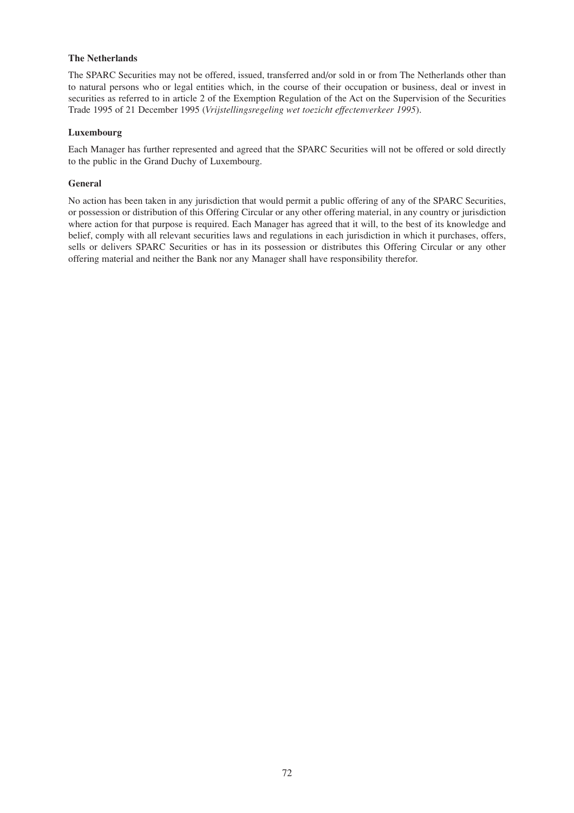## **The Netherlands**

The SPARC Securities may not be offered, issued, transferred and/or sold in or from The Netherlands other than to natural persons who or legal entities which, in the course of their occupation or business, deal or invest in securities as referred to in article 2 of the Exemption Regulation of the Act on the Supervision of the Securities Trade 1995 of 21 December 1995 (*Vrijstellingsregeling wet toezicht effectenverkeer 1995*).

#### **Luxembourg**

Each Manager has further represented and agreed that the SPARC Securities will not be offered or sold directly to the public in the Grand Duchy of Luxembourg.

#### **General**

No action has been taken in any jurisdiction that would permit a public offering of any of the SPARC Securities, or possession or distribution of this Offering Circular or any other offering material, in any country or jurisdiction where action for that purpose is required. Each Manager has agreed that it will, to the best of its knowledge and belief, comply with all relevant securities laws and regulations in each jurisdiction in which it purchases, offers, sells or delivers SPARC Securities or has in its possession or distributes this Offering Circular or any other offering material and neither the Bank nor any Manager shall have responsibility therefor.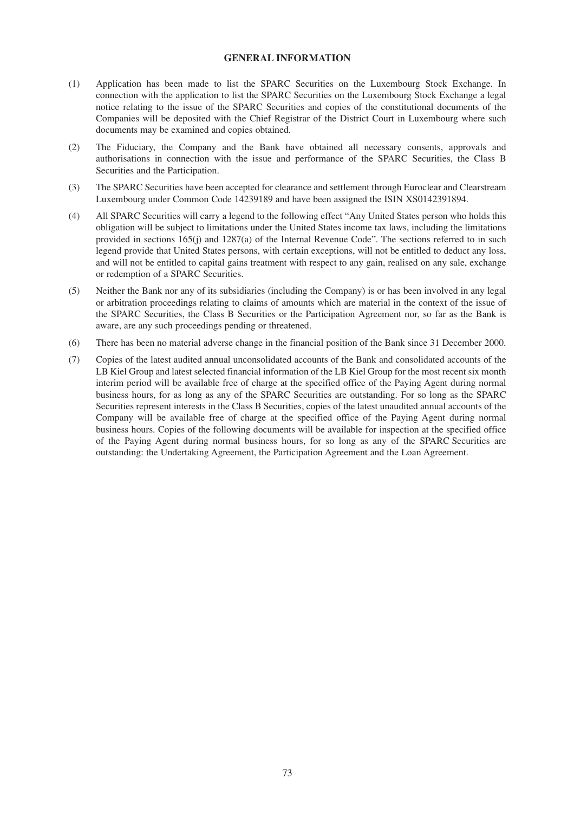## **GENERAL INFORMATION**

- (1) Application has been made to list the SPARC Securities on the Luxembourg Stock Exchange. In connection with the application to list the SPARC Securities on the Luxembourg Stock Exchange a legal notice relating to the issue of the SPARC Securities and copies of the constitutional documents of the Companies will be deposited with the Chief Registrar of the District Court in Luxembourg where such documents may be examined and copies obtained.
- (2) The Fiduciary, the Company and the Bank have obtained all necessary consents, approvals and authorisations in connection with the issue and performance of the SPARC Securities, the Class B Securities and the Participation.
- (3) The SPARC Securities have been accepted for clearance and settlement through Euroclear and Clearstream Luxembourg under Common Code 14239189 and have been assigned the ISIN XS0142391894.
- (4) All SPARC Securities will carry a legend to the following effect "Any United States person who holds this obligation will be subject to limitations under the United States income tax laws, including the limitations provided in sections 165(j) and 1287(a) of the Internal Revenue Code". The sections referred to in such legend provide that United States persons, with certain exceptions, will not be entitled to deduct any loss, and will not be entitled to capital gains treatment with respect to any gain, realised on any sale, exchange or redemption of a SPARC Securities.
- (5) Neither the Bank nor any of its subsidiaries (including the Company) is or has been involved in any legal or arbitration proceedings relating to claims of amounts which are material in the context of the issue of the SPARC Securities, the Class B Securities or the Participation Agreement nor, so far as the Bank is aware, are any such proceedings pending or threatened.
- (6) There has been no material adverse change in the financial position of the Bank since 31 December 2000.
- (7) Copies of the latest audited annual unconsolidated accounts of the Bank and consolidated accounts of the LB Kiel Group and latest selected financial information of the LB Kiel Group for the most recent six month interim period will be available free of charge at the specified office of the Paying Agent during normal business hours, for as long as any of the SPARC Securities are outstanding. For so long as the SPARC Securities represent interests in the Class B Securities, copies of the latest unaudited annual accounts of the Company will be available free of charge at the specified office of the Paying Agent during normal business hours. Copies of the following documents will be available for inspection at the specified office of the Paying Agent during normal business hours, for so long as any of the SPARC Securities are outstanding: the Undertaking Agreement, the Participation Agreement and the Loan Agreement.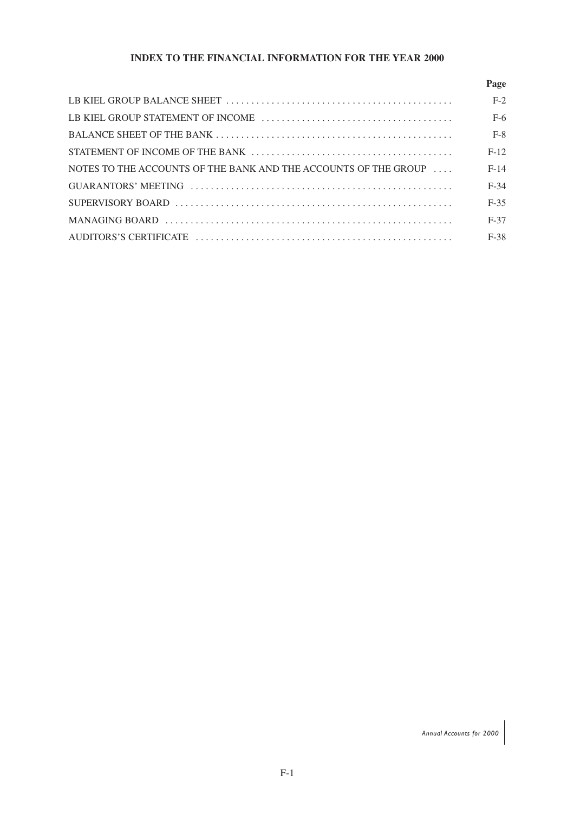# **INDEX TO THE FINANCIAL INFORMATION FOR THE YEAR 2000**

|                                                                 | Page   |
|-----------------------------------------------------------------|--------|
|                                                                 | $F-2$  |
|                                                                 | $F-6$  |
|                                                                 | $F-8$  |
|                                                                 | $F-12$ |
| NOTES TO THE ACCOUNTS OF THE BANK AND THE ACCOUNTS OF THE GROUP | $F-14$ |
|                                                                 | $F-34$ |
|                                                                 | $F-35$ |
|                                                                 | $F-37$ |
|                                                                 | $F-38$ |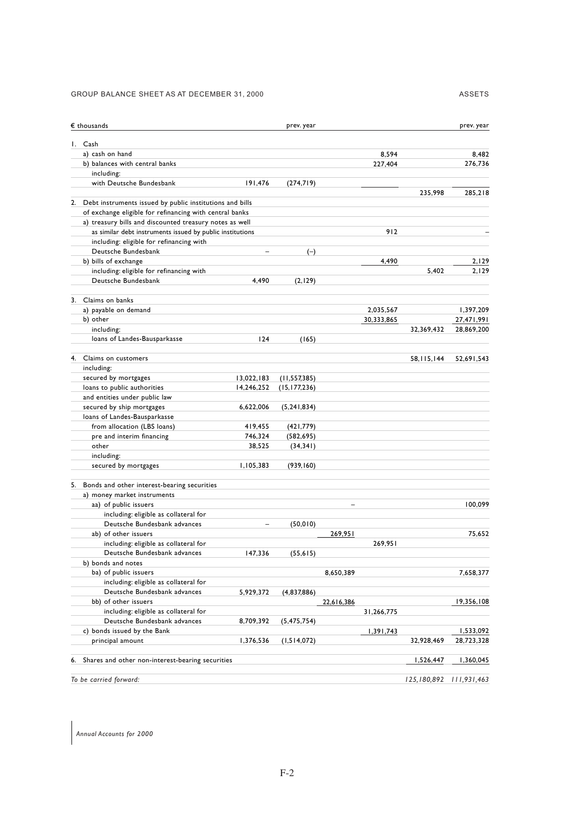#### GROUP BALANCE SHEET AS AT DECEMBER 31, 2000

| $\epsilon$ thousands                                                                                                 |                   | prev. year     |            |            |                             | prev. year |
|----------------------------------------------------------------------------------------------------------------------|-------------------|----------------|------------|------------|-----------------------------|------------|
| Cash<br>Ι.                                                                                                           |                   |                |            |            |                             |            |
| a) cash on hand                                                                                                      |                   |                |            | 8,594      |                             | 8.482      |
| b) balances with central banks                                                                                       |                   |                |            | 227,404    |                             | 276,736    |
| including:                                                                                                           |                   |                |            |            |                             |            |
| with Deutsche Bundesbank                                                                                             | 191,476           | (274,719)      |            |            |                             |            |
|                                                                                                                      |                   |                |            |            | 235,998                     | 285,218    |
| Debt instruments issued by public institutions and bills<br>2.                                                       |                   |                |            |            |                             |            |
| of exchange eligible for refinancing with central banks                                                              |                   |                |            |            |                             |            |
| a) treasury bills and discounted treasury notes as well<br>as similar debt instruments issued by public institutions |                   |                |            | 912        |                             |            |
| including: eligible for refinancing with                                                                             |                   |                |            |            |                             |            |
| Deutsche Bundesbank                                                                                                  |                   |                |            |            |                             |            |
|                                                                                                                      |                   | $(-)$          |            |            |                             |            |
| b) bills of exchange                                                                                                 |                   |                |            | 4,490      |                             | 2,129      |
| including: eligible for refinancing with                                                                             |                   |                |            |            | 5,402                       | 2,129      |
| Deutsche Bundesbank                                                                                                  | 4,490             | (2,129)        |            |            |                             |            |
| Claims on banks<br>3.                                                                                                |                   |                |            |            |                             |            |
| a) payable on demand                                                                                                 |                   |                |            | 2,035,567  |                             | 1,397,209  |
| b) other                                                                                                             |                   |                |            | 30,333,865 |                             | 27,471,991 |
| including:                                                                                                           |                   |                |            |            | 32,369,432                  | 28,869,200 |
| loans of Landes-Bausparkasse                                                                                         | 124               | (165)          |            |            |                             |            |
| Claims on customers                                                                                                  |                   |                |            |            |                             |            |
| 4.                                                                                                                   |                   |                |            |            | 58, 115, 144                | 52,691,543 |
| including:                                                                                                           |                   |                |            |            |                             |            |
| secured by mortgages                                                                                                 | 13,022,183        | (11, 557, 385) |            |            |                             |            |
| loans to public authorities                                                                                          | 14,246,252        | (15, 177, 236) |            |            |                             |            |
| and entities under public law                                                                                        |                   |                |            |            |                             |            |
| secured by ship mortgages                                                                                            | 6,622,006         | (5, 241, 834)  |            |            |                             |            |
| loans of Landes-Bausparkasse                                                                                         |                   |                |            |            |                             |            |
| from allocation (LBS loans)                                                                                          | 419,455           | (421, 779)     |            |            |                             |            |
| pre and interim financing                                                                                            | 746,324           | (582, 695)     |            |            |                             |            |
| other                                                                                                                | 38,525            | (34, 341)      |            |            |                             |            |
| including:                                                                                                           |                   |                |            |            |                             |            |
| secured by mortgages                                                                                                 | 1,105,383         | (939, 160)     |            |            |                             |            |
| 5. Bonds and other interest-bearing securities                                                                       |                   |                |            |            |                             |            |
| a) money market instruments                                                                                          |                   |                |            |            |                             |            |
| aa) of public issuers                                                                                                |                   |                | L.         |            |                             | 100,099    |
| including: eligible as collateral for                                                                                |                   |                |            |            |                             |            |
| Deutsche Bundesbank advances                                                                                         | $\qquad \qquad -$ | (50, 010)      |            |            |                             |            |
| ab) of other issuers                                                                                                 |                   |                | 269,951    |            |                             | 75.652     |
| including: eligible as collateral for                                                                                |                   |                |            | 269.951    |                             |            |
| Deutsche Bundesbank advances                                                                                         | 147,336           | (55, 615)      |            |            |                             |            |
| b) bonds and notes                                                                                                   |                   |                |            |            |                             |            |
| ba) of public issuers                                                                                                |                   |                | 8,650,389  |            |                             | 7,658,377  |
| including: eligible as collateral for                                                                                |                   |                |            |            |                             |            |
| Deutsche Bundesbank advances                                                                                         | 5,929,372         | (4,837,886)    |            |            |                             |            |
| bb) of other issuers                                                                                                 |                   |                | 22,616,386 |            |                             | 19,356,108 |
| including: eligible as collateral for                                                                                |                   |                |            | 31,266,775 |                             |            |
| Deutsche Bundesbank advances                                                                                         | 8,709,392         | (5,475,754)    |            |            |                             |            |
| c) bonds issued by the Bank                                                                                          |                   |                |            | 1,391,743  |                             | 1,533,092  |
| principal amount                                                                                                     | 1,376,536         | (1,514,072)    |            |            | 32,928,469                  | 28,723,328 |
|                                                                                                                      |                   |                |            |            |                             |            |
| Shares and other non-interest-bearing securities<br>6.                                                               |                   |                |            |            | 1,526,447                   | 1,360,045  |
| To be carried forward:                                                                                               |                   |                |            |            | 125, 180, 892 111, 931, 463 |            |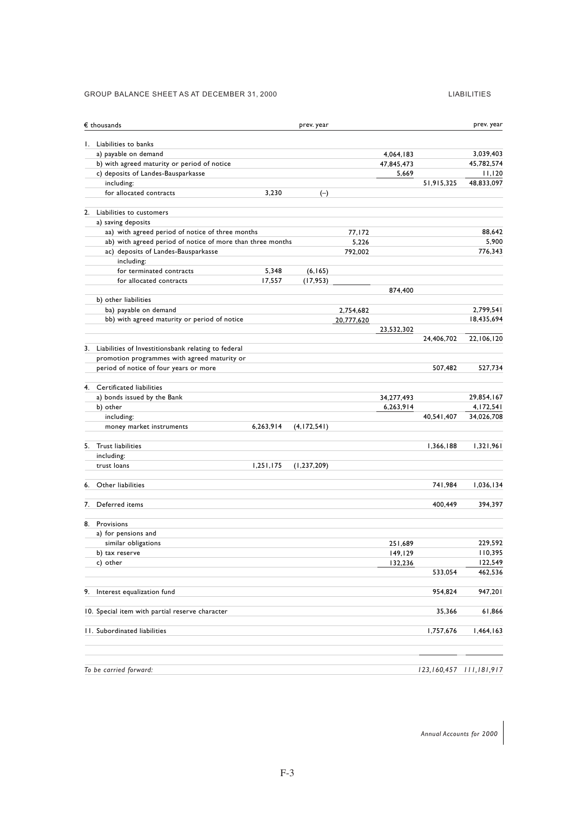#### GROUP BALANCE SHEET AS AT DECEMBER 31, 2000 LIABILITIES

|    | $\epsilon$ thousands                                       |           | prev. year    |            |            |             | prev. year  |
|----|------------------------------------------------------------|-----------|---------------|------------|------------|-------------|-------------|
|    | 1. Liabilities to banks                                    |           |               |            |            |             |             |
|    | a) payable on demand                                       |           |               |            | 4,064,183  |             | 3,039,403   |
|    | b) with agreed maturity or period of notice                |           |               |            | 47,845,473 |             | 45,782,574  |
|    | c) deposits of Landes-Bausparkasse                         |           |               |            | 5,669      |             | 11,120      |
|    | including:                                                 |           |               |            |            | 51,915,325  | 48,833,097  |
|    | for allocated contracts                                    | 3,230     | $(-)$         |            |            |             |             |
|    | 2. Liabilities to customers                                |           |               |            |            |             |             |
|    | a) saving deposits                                         |           |               |            |            |             |             |
|    | aa) with agreed period of notice of three months           |           |               | 77,172     |            |             | 88.642      |
|    | ab) with agreed period of notice of more than three months |           |               | 5,226      |            |             | 5,900       |
|    | ac) deposits of Landes-Bausparkasse                        |           |               | 792,002    |            |             | 776,343     |
|    | including:                                                 |           |               |            |            |             |             |
|    | for terminated contracts                                   | 5,348     | (6, 165)      |            |            |             |             |
|    | for allocated contracts                                    | 17,557    | (17, 953)     |            |            |             |             |
|    | b) other liabilities                                       |           |               |            | 874,400    |             |             |
|    | ba) payable on demand                                      |           |               | 2,754,682  |            |             | 2,799,541   |
|    | bb) with agreed maturity or period of notice               |           |               | 20,777,620 |            |             | 18,435,694  |
|    |                                                            |           |               |            | 23,532,302 |             |             |
| 3. | Liabilities of Investitionsbank relating to federal        |           |               |            |            | 24,406,702  | 22,106,120  |
|    | promotion programmes with agreed maturity or               |           |               |            |            |             |             |
|    | period of notice of four years or more                     |           |               |            |            | 507,482     | 527,734     |
|    |                                                            |           |               |            |            |             |             |
|    | 4. Certificated liabilities                                |           |               |            |            |             |             |
|    | a) bonds issued by the Bank                                |           |               |            | 34,277,493 |             | 29,854,167  |
|    | b) other                                                   |           |               |            | 6,263,914  |             | 4,172,541   |
|    | including:                                                 |           |               |            |            | 40,541,407  | 34,026,708  |
|    | money market instruments                                   | 6,263,914 | (4,172,541)   |            |            |             |             |
|    | 5. Trust liabilities                                       |           |               |            |            | 1,366,188   | 1,321,961   |
|    | including:                                                 |           |               |            |            |             |             |
|    | trust loans                                                | 1,251,175 | (1, 237, 209) |            |            |             |             |
| 6. | Other liabilities                                          |           |               |            |            | 741,984     | 1,036,134   |
| 7. | Deferred items                                             |           |               |            |            | 400,449     | 394,397     |
|    |                                                            |           |               |            |            |             |             |
| 8. | Provisions<br>a) for pensions and                          |           |               |            |            |             |             |
|    | similar obligations                                        |           |               |            | 251,689    |             | 229,592     |
|    | b) tax reserve                                             |           |               |            | 149,129    |             | 110,395     |
|    | c) other                                                   |           |               |            | 132,236    |             | 122,549     |
|    |                                                            |           |               |            |            | 533,054     | 462,536     |
| 9. | Interest equalization fund                                 |           |               |            |            | 954,824     | 947,201     |
|    | 10. Special item with partial reserve character            |           |               |            |            | 35,366      | 61,866      |
|    | 11. Subordinated liabilities                               |           |               |            |            | 1,757,676   | 1,464,163   |
|    | To be carried forward:                                     |           |               |            |            | 123,160,457 | 111,181,917 |
|    |                                                            |           |               |            |            |             |             |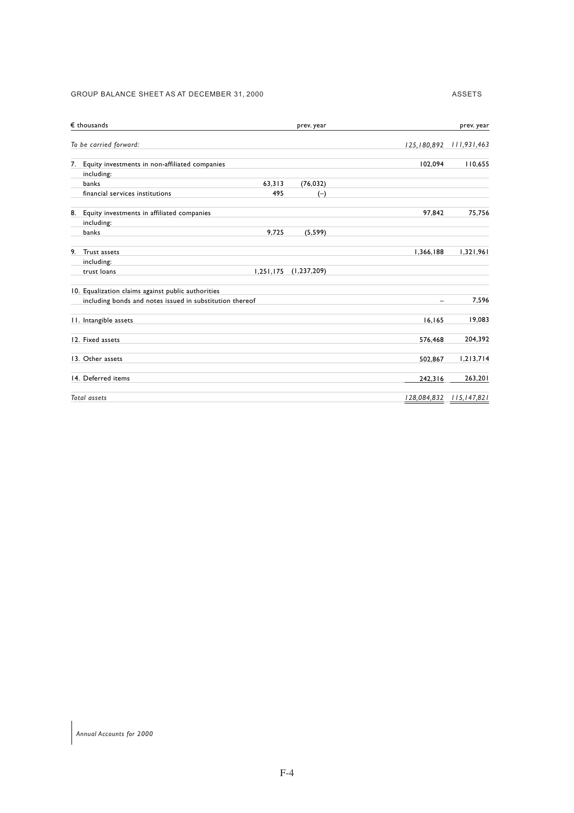## GROUP BALANCE SHEET AS AT DECEMBER 31, 2000 ASSETS

| $\epsilon$ thousands                                     |           | prev. year    |             | prev. year    |
|----------------------------------------------------------|-----------|---------------|-------------|---------------|
| To be carried forward:                                   |           |               | 125,180,892 | 111,931,463   |
| Equity investments in non-affiliated companies<br>7.     |           |               | 102,094     | 110,655       |
| including:                                               |           |               |             |               |
| banks                                                    | 63.313    | (76, 032)     |             |               |
| financial services institutions                          | 495       | $(-)$         |             |               |
| Equity investments in affiliated companies<br>8.         |           |               | 97,842      | 75,756        |
| including:                                               |           |               |             |               |
| banks                                                    | 9,725     | (5, 599)      |             |               |
| 9.<br>Trust assets                                       |           |               | 1,366,188   | 1,321,961     |
| including:                                               |           |               |             |               |
| trust loans                                              | 1,251,175 | (1, 237, 209) |             |               |
| 10. Equalization claims against public authorities       |           |               |             |               |
| including bonds and notes issued in substitution thereof |           |               |             | 7,596         |
| 11. Intangible assets                                    |           |               | 16, 165     | 19,083        |
| 12. Fixed assets                                         |           |               | 576,468     | 204,392       |
| 13. Other assets                                         |           |               | 502,867     | 1,213,714     |
| 14. Deferred items                                       |           |               | 242,316     | 263,201       |
| <b>Total assets</b>                                      |           |               | 128,084,832 | 115, 147, 821 |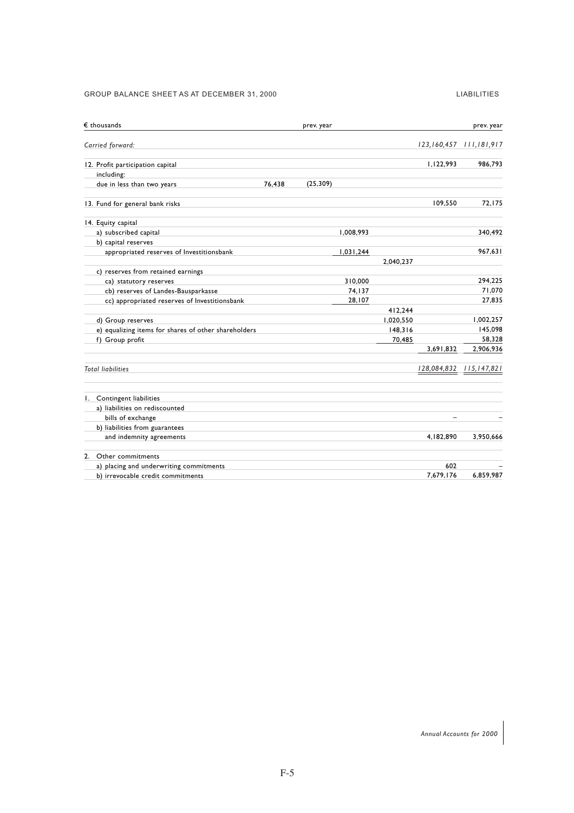#### GROUP BALANCE SHEET AS AT DECEMBER 31, 2000 LIABILITIES

| $\epsilon$ thousands                                 |        | prev. year |           |           |                          | prev. year    |
|------------------------------------------------------|--------|------------|-----------|-----------|--------------------------|---------------|
| Carried forward:                                     |        |            |           |           | 123,160,457              | 111,181,917   |
| 12. Profit participation capital                     |        |            |           |           | 1,122,993                | 986,793       |
| including:                                           |        |            |           |           |                          |               |
| due in less than two years                           | 76,438 | (25, 309)  |           |           |                          |               |
| 13. Fund for general bank risks                      |        |            |           |           | 109,550                  | 72,175        |
| 14. Equity capital                                   |        |            |           |           |                          |               |
| a) subscribed capital                                |        |            | 1,008,993 |           |                          | 340,492       |
| b) capital reserves                                  |        |            |           |           |                          |               |
| appropriated reserves of Investitionsbank            |        |            | 1,031,244 |           |                          | 967.631       |
|                                                      |        |            |           | 2,040,237 |                          |               |
| c) reserves from retained earnings                   |        |            |           |           |                          |               |
| ca) statutory reserves                               |        |            | 310,000   |           |                          | 294.225       |
| cb) reserves of Landes-Bausparkasse                  |        |            | 74,137    |           |                          | 71,070        |
| cc) appropriated reserves of Investitionsbank        |        |            | 28,107    |           |                          | 27.835        |
|                                                      |        |            |           | 412,244   |                          |               |
| d) Group reserves                                    |        |            |           | 1,020,550 |                          | 1,002,257     |
| e) equalizing items for shares of other shareholders |        |            |           | 148,316   |                          | 145,098       |
| f) Group profit                                      |        |            |           | 70.485    |                          | 58,328        |
|                                                      |        |            |           |           | 3,691,832                | 2,906,936     |
| <b>Total liabilities</b>                             |        |            |           |           | 128,084,832              | 115, 147, 821 |
| 1. Contingent liabilities                            |        |            |           |           |                          |               |
| a) liabilities on rediscounted                       |        |            |           |           |                          |               |
| bills of exchange                                    |        |            |           |           | $\overline{\phantom{a}}$ |               |
| b) liabilities from guarantees                       |        |            |           |           |                          |               |
| and indemnity agreements                             |        |            |           |           | 4,182,890                | 3,950,666     |
| 2. Other commitments                                 |        |            |           |           |                          |               |
| a) placing and underwriting commitments              |        |            |           |           | 602                      |               |
| b) irrevocable credit commitments                    |        |            |           |           | 7,679,176                | 6,859,987     |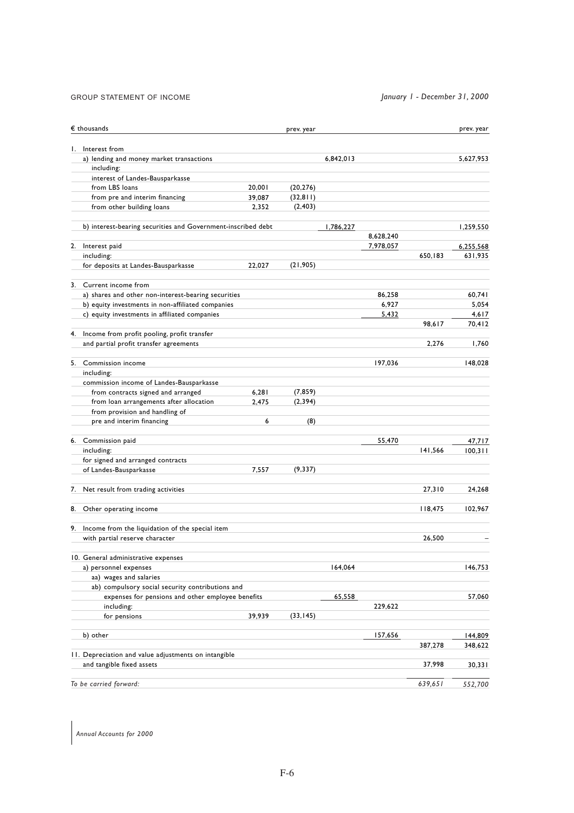## GROUP STATEMENT OF INCOME *January 1 - December 31, 2000*

| $\epsilon$ thousands                                                                     |        | prev. year |           |           |         | prev. year |
|------------------------------------------------------------------------------------------|--------|------------|-----------|-----------|---------|------------|
| 1. Interest from                                                                         |        |            |           |           |         |            |
| a) lending and money market transactions                                                 |        |            | 6,842,013 |           |         | 5.627.953  |
| including:                                                                               |        |            |           |           |         |            |
| interest of Landes-Bausparkasse                                                          |        |            |           |           |         |            |
| from LBS loans                                                                           | 20,001 | (20, 276)  |           |           |         |            |
| from pre and interim financing                                                           | 39,087 | (32, 811)  |           |           |         |            |
| from other building loans                                                                | 2,352  | (2, 403)   |           |           |         |            |
| b) interest-bearing securities and Government-inscribed debt                             |        |            | 1,786,227 |           |         | 1,259,550  |
|                                                                                          |        |            |           | 8,628,240 |         |            |
| 2. Interest paid                                                                         |        |            |           | 7,978,057 |         | 6,255,568  |
| including:                                                                               |        |            |           |           | 650,183 | 631,935    |
| for deposits at Landes-Bausparkasse                                                      | 22,027 | (21, 905)  |           |           |         |            |
| 3. Current income from                                                                   |        |            |           |           |         |            |
| a) shares and other non-interest-bearing securities                                      |        |            |           | 86,258    |         | 60,741     |
| b) equity investments in non-affiliated companies                                        |        |            |           | 6,927     |         | 5,054      |
| c) equity investments in affiliated companies                                            |        |            |           | 5,432     |         | 4,617      |
|                                                                                          |        |            |           |           | 98,617  | 70,412     |
| 4. Income from profit pooling, profit transfer<br>and partial profit transfer agreements |        |            |           |           | 2,276   | 1,760      |
|                                                                                          |        |            |           |           |         |            |
| 5. Commission income                                                                     |        |            |           | 197,036   |         | 148,028    |
| including:                                                                               |        |            |           |           |         |            |
| commission income of Landes-Bausparkasse                                                 |        |            |           |           |         |            |
| from contracts signed and arranged                                                       | 6,281  | (7, 859)   |           |           |         |            |
| from loan arrangements after allocation                                                  | 2,475  | (2, 394)   |           |           |         |            |
| from provision and handling of                                                           |        |            |           |           |         |            |
| pre and interim financing                                                                | 6      | (8)        |           |           |         |            |
| 6. Commission paid                                                                       |        |            |           | 55,470    |         | 47,717     |
| including:                                                                               |        |            |           |           | 141,566 | 100, 311   |
| for signed and arranged contracts                                                        |        |            |           |           |         |            |
| of Landes-Bausparkasse                                                                   | 7,557  | (9, 337)   |           |           |         |            |
| 7. Net result from trading activities                                                    |        |            |           |           | 27,310  | 24,268     |
| 8. Other operating income                                                                |        |            |           |           | 118,475 | 102,967    |
| 9. Income from the liquidation of the special item                                       |        |            |           |           |         |            |
| with partial reserve character                                                           |        |            |           |           | 26,500  |            |
| 10. General administrative expenses                                                      |        |            |           |           |         |            |
| a) personnel expenses                                                                    |        |            | 164,064   |           |         | 146,753    |
| aa) wages and salaries                                                                   |        |            |           |           |         |            |
| ab) compulsory social security contributions and                                         |        |            |           |           |         |            |
| expenses for pensions and other employee benefits                                        |        |            | 65,558    |           |         | 57,060     |
| including:                                                                               |        |            |           | 229,622   |         |            |
| for pensions                                                                             | 39,939 | (33, 145)  |           |           |         |            |
| b) other                                                                                 |        |            |           | 157,656   |         | 144,809    |
|                                                                                          |        |            |           |           | 387,278 | 348,622    |
| 11. Depreciation and value adjustments on intangible<br>and tangible fixed assets        |        |            |           |           | 37,998  | 30,331     |
|                                                                                          |        |            |           |           |         |            |
| To be carried forward:                                                                   |        |            |           |           | 639,651 | 552,700    |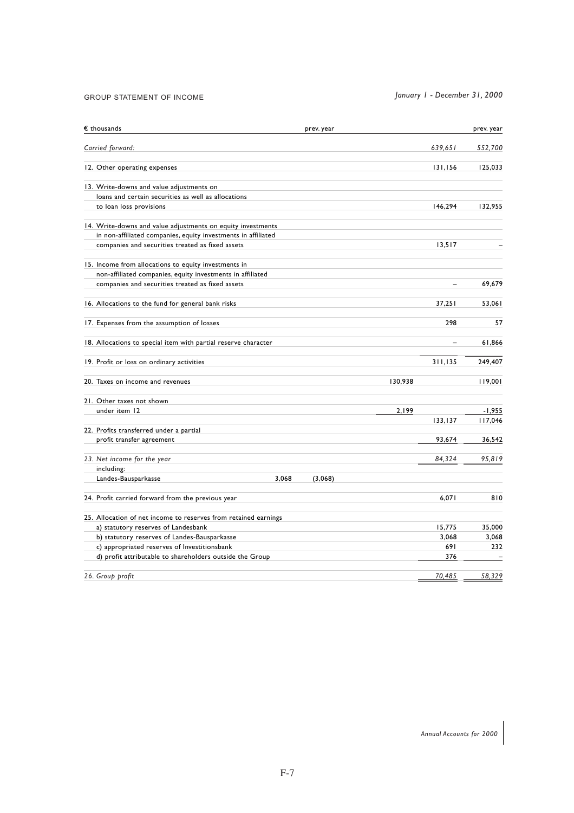#### GROUP STATEMENT OF INCOME

*January 1 - December 31, 2000*

| $\epsilon$ thousands                                            | prev. year |         |                | prev. year |
|-----------------------------------------------------------------|------------|---------|----------------|------------|
| Carried forward:                                                |            |         | 639,651        | 552,700    |
| 12. Other operating expenses                                    |            |         | 131,156        | 125,033    |
| 13. Write-downs and value adjustments on                        |            |         |                |            |
| loans and certain securities as well as allocations             |            |         |                |            |
| to loan loss provisions                                         |            |         | 146,294        | 132,955    |
| 14. Write-downs and value adjustments on equity investments     |            |         |                |            |
| in non-affiliated companies, equity investments in affiliated   |            |         |                |            |
| companies and securities treated as fixed assets                |            |         | 13,517         |            |
| 15. Income from allocations to equity investments in            |            |         |                |            |
| non-affiliated companies, equity investments in affiliated      |            |         |                |            |
| companies and securities treated as fixed assets                |            |         | $\overline{a}$ | 69,679     |
| 16. Allocations to the fund for general bank risks              |            |         | 37.251         | 53.061     |
| 17. Expenses from the assumption of losses                      |            |         | 298            | 57         |
| 18. Allocations to special item with partial reserve character  |            |         | L.             | 61,866     |
| 19. Profit or loss on ordinary activities                       |            |         | 311,135        | 249,407    |
| 20. Taxes on income and revenues                                |            | 130,938 |                | 119,001    |
| 21. Other taxes not shown                                       |            |         |                |            |
| under item 12                                                   |            | 2,199   |                | $-1,955$   |
|                                                                 |            |         | 133,137        | 117,046    |
| 22. Profits transferred under a partial                         |            |         |                |            |
| profit transfer agreement                                       |            |         | 93,674         | 36,542     |
| 23. Net income for the year                                     |            |         | 84,324         | 95,819     |
| including:                                                      |            |         |                |            |
| Landes-Bausparkasse<br>3,068                                    | (3,068)    |         |                |            |
| 24. Profit carried forward from the previous year               |            |         | 6,071          | 810        |
| 25. Allocation of net income to reserves from retained earnings |            |         |                |            |
| a) statutory reserves of Landesbank                             |            |         | 15,775         | 35,000     |
| b) statutory reserves of Landes-Bausparkasse                    |            |         | 3.068          | 3,068      |
| c) appropriated reserves of Investitionsbank                    |            |         | 691            | 232        |
| d) profit attributable to shareholders outside the Group        |            |         | 376            |            |
| 26. Group profit                                                |            |         | 70,485         | 58,329     |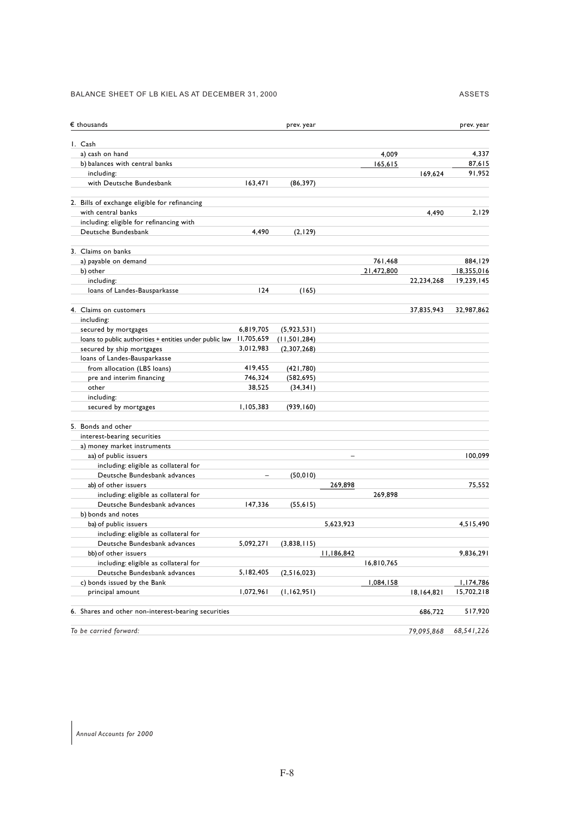#### BALANCE SHEET OF LB KIEL AS AT DECEMBER 31, 2000 ASSETS

| $\epsilon$ thousands                                    |                          | prev. year   |                   |            |            | prev. year |
|---------------------------------------------------------|--------------------------|--------------|-------------------|------------|------------|------------|
| I. Cash                                                 |                          |              |                   |            |            |            |
| a) cash on hand                                         |                          |              |                   | 4,009      |            | 4,337      |
| b) balances with central banks                          |                          |              |                   | 165,615    |            | 87,615     |
| including:                                              |                          |              |                   |            | 169,624    | 91.952     |
| with Deutsche Bundesbank                                | 163,471                  | (86, 397)    |                   |            |            |            |
| 2. Bills of exchange eligible for refinancing           |                          |              |                   |            |            |            |
| with central banks                                      |                          |              |                   |            | 4,490      | 2,129      |
| including: eligible for refinancing with                |                          |              |                   |            |            |            |
| Deutsche Bundesbank                                     | 4,490                    | (2, 129)     |                   |            |            |            |
| 3. Claims on banks                                      |                          |              |                   |            |            |            |
| a) payable on demand                                    |                          |              |                   | 761,468    |            | 884,129    |
| b) other                                                |                          |              |                   | 21,472,800 |            | 18,355,016 |
| including:                                              |                          |              |                   |            | 22,234,268 | 19,239,145 |
| loans of Landes-Bausparkasse                            | 124                      | (165)        |                   |            |            |            |
| 4. Claims on customers                                  |                          |              |                   |            | 37,835,943 | 32,987,862 |
| including:                                              |                          |              |                   |            |            |            |
| secured by mortgages                                    | 6,819,705                | (5,923,531)  |                   |            |            |            |
| loans to public authorities + entities under public law | 11,705,659               | (11,501,284) |                   |            |            |            |
| secured by ship mortgages                               | 3,012,983                | (2,307,268)  |                   |            |            |            |
| loans of Landes-Bausparkasse                            |                          |              |                   |            |            |            |
| from allocation (LBS loans)                             | 419,455                  | (421,780)    |                   |            |            |            |
| pre and interim financing                               | 746,324                  | (582, 695)   |                   |            |            |            |
| other                                                   | 38,525                   | (34, 341)    |                   |            |            |            |
| including:                                              |                          |              |                   |            |            |            |
| secured by mortgages                                    | 1,105,383                | (939, 160)   |                   |            |            |            |
| 5. Bonds and other                                      |                          |              |                   |            |            |            |
| interest-bearing securities                             |                          |              |                   |            |            |            |
| a) money market instruments                             |                          |              |                   |            |            |            |
| aa) of public issuers                                   |                          |              | $\qquad \qquad -$ |            |            | 100,099    |
| including: eligible as collateral for                   |                          |              |                   |            |            |            |
| Deutsche Bundesbank advances                            | $\overline{\phantom{0}}$ | (50, 010)    |                   |            |            |            |
| ab) of other issuers                                    |                          |              | 269,898           |            |            | 75,552     |
| including: eligible as collateral for                   |                          |              |                   | 269,898    |            |            |
| Deutsche Bundesbank advances                            | 147,336                  | (55, 615)    |                   |            |            |            |
| b) bonds and notes                                      |                          |              |                   |            |            |            |
| ba) of public issuers                                   |                          |              | 5,623,923         |            |            | 4,515,490  |
| including: eligible as collateral for                   |                          |              |                   |            |            |            |
| Deutsche Bundesbank advances                            | 5,092,271                | (3,838,115)  |                   |            |            |            |
| bb) of other issuers                                    |                          |              | 11,186,842        |            |            | 9,836,291  |
| including: eligible as collateral for                   |                          |              |                   | 16,810,765 |            |            |
| Deutsche Bundesbank advances                            | 5,182,405                | (2,516,023)  |                   |            |            |            |
| c) bonds issued by the Bank                             |                          |              |                   | 1,084,158  |            | 1,174,786  |
| principal amount                                        | 1,072,961                | (1,162,951)  |                   |            | 18,164,821 | 15,702,218 |
| 6. Shares and other non-interest-bearing securities     |                          |              |                   |            | 686,722    | 517,920    |
| To be carried forward:                                  |                          |              |                   |            | 79,095,868 | 68,541,226 |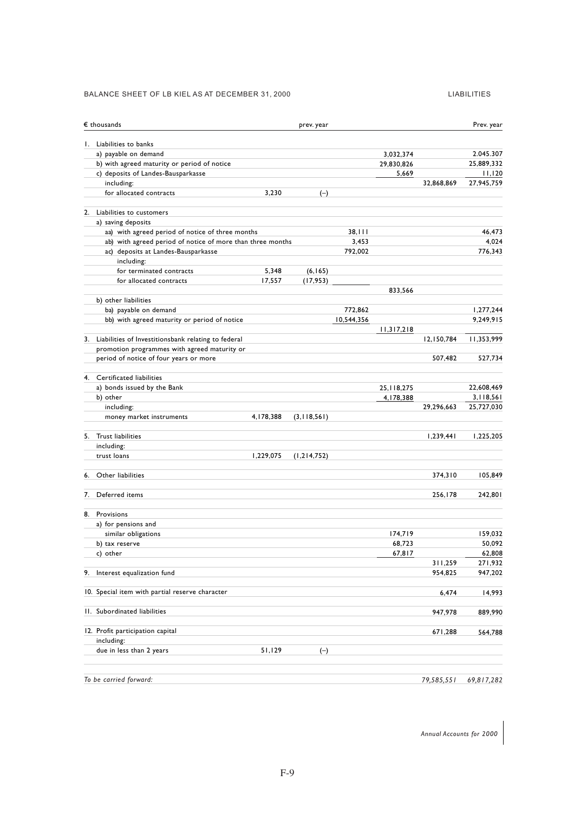## BALANCE SHEET OF LB KIEL AS AT DECEMBER 31, 2000 LIABILITIES

|    | $\epsilon$ thousands                                       |           | prev. year    |            |              |            | Prev. year |
|----|------------------------------------------------------------|-----------|---------------|------------|--------------|------------|------------|
|    | 1. Liabilities to banks                                    |           |               |            |              |            |            |
|    | a) payable on demand                                       |           |               |            | 3,032,374    |            | 2.045.307  |
|    | b) with agreed maturity or period of notice                |           |               |            | 29,830,826   |            | 25,889,332 |
|    | c) deposits of Landes-Bausparkasse                         |           |               |            | 5,669        |            | 11,120     |
|    | including:                                                 |           |               |            |              | 32,868,869 | 27,945,759 |
|    | for allocated contracts                                    | 3,230     | $(-)$         |            |              |            |            |
|    | 2. Liabilities to customers                                |           |               |            |              |            |            |
|    | a) saving deposits                                         |           |               |            |              |            |            |
|    | aa) with agreed period of notice of three months           |           |               | 38,111     |              |            | 46,473     |
|    | ab) with agreed period of notice of more than three months |           |               | 3,453      |              |            | 4,024      |
|    | ac) deposits at Landes-Bausparkasse<br>including:          |           |               | 792,002    |              |            | 776,343    |
|    | for terminated contracts                                   | 5,348     | (6, 165)      |            |              |            |            |
|    | for allocated contracts                                    | 17,557    | (17, 953)     |            |              |            |            |
|    |                                                            |           |               |            | 833,566      |            |            |
|    | b) other liabilities                                       |           |               |            |              |            |            |
|    | ba) payable on demand                                      |           |               | 772,862    |              |            | 1,277,244  |
|    | bb) with agreed maturity or period of notice               |           |               | 10,544,356 |              |            | 9,249,915  |
|    |                                                            |           |               |            | 11,317,218   |            |            |
|    | 3. Liabilities of Investitionsbank relating to federal     |           |               |            |              | 12,150,784 | 11,353,999 |
|    | promotion programmes with agreed maturity or               |           |               |            |              |            |            |
|    | period of notice of four years or more                     |           |               |            |              | 507,482    | 527,734    |
|    | 4. Certificated liabilities                                |           |               |            |              |            |            |
|    | a) bonds issued by the Bank                                |           |               |            | 25, 118, 275 |            | 22,608,469 |
|    | b) other                                                   |           |               |            | 4,178,388    |            | 3,118,561  |
|    | including:                                                 |           |               |            |              | 29,296,663 | 25,727,030 |
|    | money market instruments                                   | 4,178,388 | (3,118,561)   |            |              |            |            |
|    | 5. Trust liabilities                                       |           |               |            |              | 1,239,441  | 1,225,205  |
|    | including:                                                 |           |               |            |              |            |            |
|    | trust loans                                                | 1,229,075 | (1, 214, 752) |            |              |            |            |
| 6. | Other liabilities                                          |           |               |            |              | 374,310    | 105,849    |
| 7. | Deferred items                                             |           |               |            |              | 256,178    | 242,801    |
|    | 8. Provisions                                              |           |               |            |              |            |            |
|    | a) for pensions and                                        |           |               |            |              |            |            |
|    | similar obligations                                        |           |               |            | 174,719      |            | 159,032    |
|    | b) tax reserve                                             |           |               |            | 68.723       |            | 50,092     |
|    | c) other                                                   |           |               |            | 67,817       |            | 62,808     |
|    |                                                            |           |               |            |              | 311,259    | 271,932    |
|    | 9. Interest equalization fund                              |           |               |            |              | 954,825    | 947,202    |
|    | 10. Special item with partial reserve character            |           |               |            |              | 6,474      | 14,993     |
|    | II. Subordinated liabilities                               |           |               |            |              | 947,978    | 889,990    |
|    | 12. Profit participation capital                           |           |               |            |              | 671,288    | 564,788    |
|    | including:                                                 |           |               |            |              |            |            |
|    | due in less than 2 years                                   | 51,129    | $(-)$         |            |              |            |            |
|    |                                                            |           |               |            |              |            |            |
|    | To be carried forward:                                     |           |               |            |              | 79,585,551 | 69,817,282 |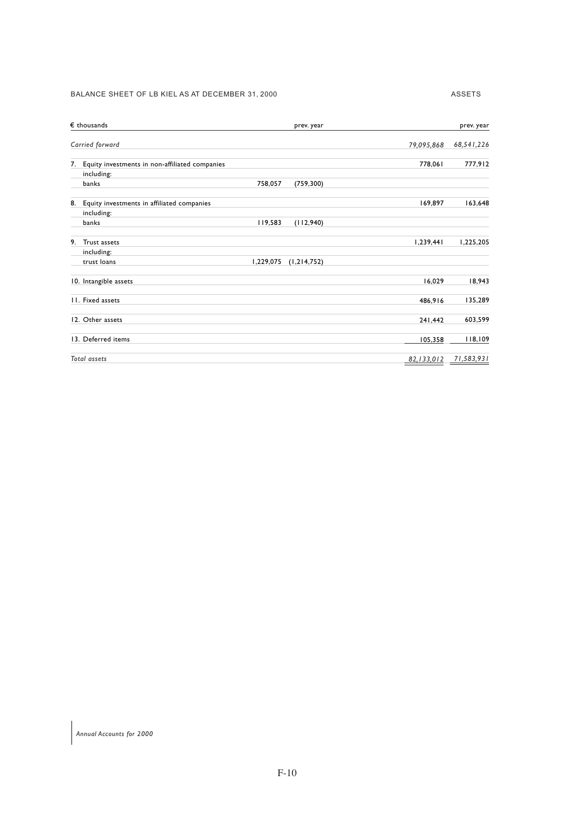#### BALANCE SHEET OF LB KIEL AS AT DECEMBER 31, 2000 ASSETS

| $\epsilon$ thousands<br>prev. year             |              | prev. year |
|------------------------------------------------|--------------|------------|
| Carried forward                                | 79,095,868   | 68,541,226 |
| Equity investments in non-affiliated companies | 778,061      | 777,912    |
| including:                                     |              |            |
| banks<br>758,057<br>(759, 300)                 |              |            |
| Equity investments in affiliated companies     | 169,897      | 163,648    |
| including:<br>banks<br>119,583<br>(112,940)    |              |            |
|                                                |              |            |
| Trust assets                                   | 1,239,441    | 1,225,205  |
| including:                                     |              |            |
| 1,229,075<br>trust loans<br>(1, 214, 752)      |              |            |
| 10. Intangible assets                          | 16,029       | 18,943     |
| 11. Fixed assets                               | 486,916      | 135,289    |
| 12. Other assets                               | 241,442      | 603,599    |
| 13. Deferred items                             | 105,358      | 118,109    |
| Total assets                                   | 82, 133, 012 | 71,583,931 |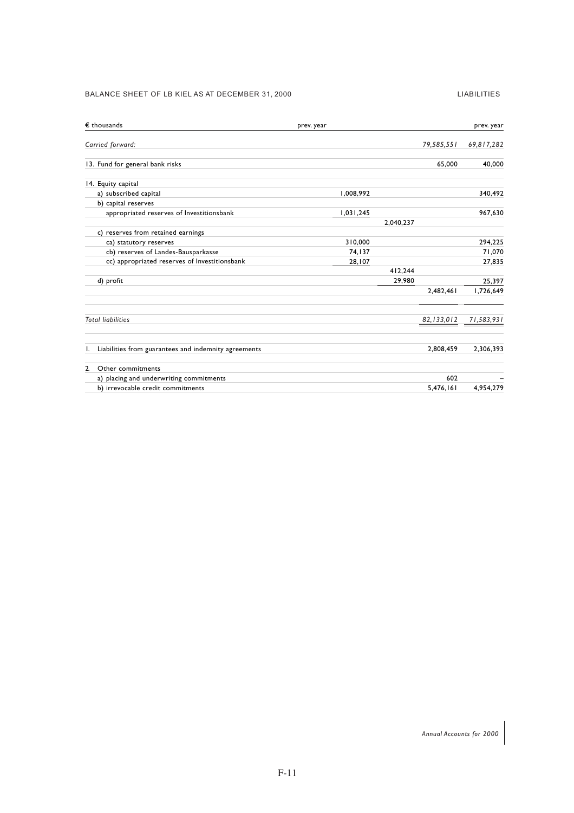#### BALANCE SHEET OF LB KIEL AS AT DECEMBER 31, 2000 LIABILITIES

| $\epsilon$ thousands                                       | prev. year |           |              | prev. year |
|------------------------------------------------------------|------------|-----------|--------------|------------|
| Carried forward:                                           |            |           | 79,585,551   | 69,817,282 |
| 13. Fund for general bank risks                            |            |           | 65.000       | 40,000     |
| 14. Equity capital                                         |            |           |              |            |
| a) subscribed capital                                      | 1,008,992  |           |              | 340,492    |
| b) capital reserves                                        |            |           |              |            |
| appropriated reserves of Investitionsbank                  | 1,031,245  |           |              | 967,630    |
|                                                            |            | 2,040,237 |              |            |
| c) reserves from retained earnings                         |            |           |              |            |
| ca) statutory reserves                                     | 310,000    |           |              | 294.225    |
| cb) reserves of Landes-Bausparkasse                        | 74.137     |           |              | 71,070     |
| cc) appropriated reserves of Investitionsbank              | 28,107     |           |              | 27,835     |
|                                                            |            | 412.244   |              |            |
| d) profit                                                  |            | 29,980    |              | 25,397     |
|                                                            |            |           | 2,482,461    | 1,726,649  |
| <b>Total liabilities</b>                                   |            |           | 82, 133, 012 | 71,583,931 |
|                                                            |            |           |              |            |
| Liabilities from guarantees and indemnity agreements<br>ı. |            |           | 2,808,459    | 2,306,393  |
| Other commitments<br>$\mathbf{2}$                          |            |           |              |            |
| a) placing and underwriting commitments                    |            |           | 602          |            |
| b) irrevocable credit commitments                          |            |           | 5.476.161    | 4.954.279  |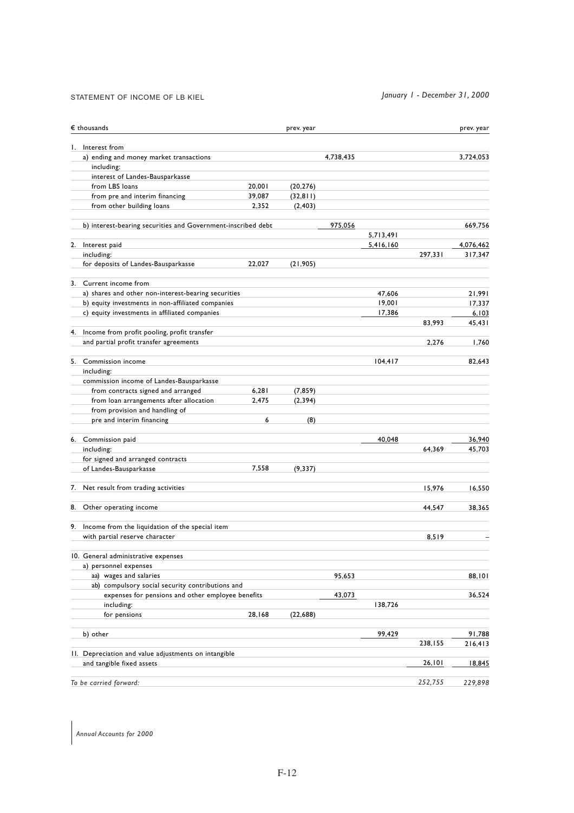## STATEMENT OF INCOME OF LB KIEL *January 1 - December 31, 2000*

| $\epsilon$ thousands                                         |        | prev. year |           |           |         | prev. year |
|--------------------------------------------------------------|--------|------------|-----------|-----------|---------|------------|
| 1. Interest from                                             |        |            |           |           |         |            |
| a) ending and money market transactions                      |        |            | 4,738,435 |           |         | 3.724.053  |
| including:                                                   |        |            |           |           |         |            |
| interest of Landes-Bausparkasse                              |        |            |           |           |         |            |
| from LBS loans                                               | 20,001 | (20, 276)  |           |           |         |            |
| from pre and interim financing                               | 39,087 | (32, 811)  |           |           |         |            |
| from other building loans                                    | 2,352  | (2, 403)   |           |           |         |            |
| b) interest-bearing securities and Government-inscribed debt |        |            | 975,056   |           |         | 669,756    |
|                                                              |        |            |           | 5,713,491 |         |            |
| 2. Interest paid                                             |        |            |           | 5,416,160 |         | 4,076,462  |
| including:                                                   |        |            |           |           | 297.331 | 317,347    |
| for deposits of Landes-Bausparkasse                          | 22,027 | (21, 905)  |           |           |         |            |
| 3. Current income from                                       |        |            |           |           |         |            |
| a) shares and other non-interest-bearing securities          |        |            |           | 47,606    |         | 21,991     |
| b) equity investments in non-affiliated companies            |        |            |           | 19,001    |         | 17,337     |
| c) equity investments in affiliated companies                |        |            |           | 17,386    |         | 6,103      |
|                                                              |        |            |           |           | 83,993  | 45,431     |
| 4. Income from profit pooling, profit transfer               |        |            |           |           |         |            |
| and partial profit transfer agreements                       |        |            |           |           | 2,276   | 1,760      |
| 5. Commission income                                         |        |            |           | 104, 417  |         | 82,643     |
| including:                                                   |        |            |           |           |         |            |
| commission income of Landes-Bausparkasse                     |        |            |           |           |         |            |
| from contracts signed and arranged                           | 6,281  | (7, 859)   |           |           |         |            |
| from loan arrangements after allocation                      | 2,475  | (2, 394)   |           |           |         |            |
| from provision and handling of                               |        |            |           |           |         |            |
| pre and interim financing                                    | 6      | (8)        |           |           |         |            |
| 6. Commission paid                                           |        |            |           | 40,048    |         | 36,940     |
| including:                                                   |        |            |           |           | 64,369  | 45,703     |
| for signed and arranged contracts                            |        |            |           |           |         |            |
| of Landes-Bausparkasse                                       | 7,558  | (9, 337)   |           |           |         |            |
| 7. Net result from trading activities                        |        |            |           |           | 15,976  | 16,550     |
| 8. Other operating income                                    |        |            |           |           | 44,547  | 38,365     |
|                                                              |        |            |           |           |         |            |
| 9. Income from the liquidation of the special item           |        |            |           |           |         |            |
| with partial reserve character                               |        |            |           |           | 8,519   |            |
| 10. General administrative expenses                          |        |            |           |           |         |            |
| a) personnel expenses                                        |        |            |           |           |         |            |
| aa) wages and salaries                                       |        |            | 95,653    |           |         | 88,101     |
| ab) compulsory social security contributions and             |        |            |           |           |         |            |
| expenses for pensions and other employee benefits            |        |            | 43,073    |           |         | 36,524     |
| including:                                                   |        |            |           | 138,726   |         |            |
| for pensions                                                 | 28,168 | (22, 688)  |           |           |         |            |
| b) other                                                     |        |            |           | 99,429    |         | 91,788     |
| 11. Depreciation and value adjustments on intangible         |        |            |           |           | 238,155 | 216,413    |
| and tangible fixed assets                                    |        |            |           |           | 26,101  | 18,845     |
|                                                              |        |            |           |           |         |            |
| To be carried forward:                                       |        |            |           |           | 252,755 | 229,898    |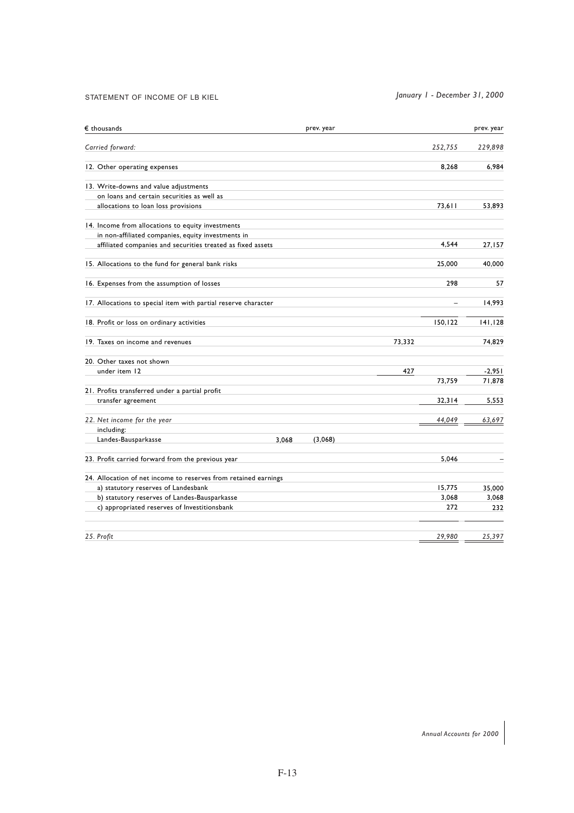## STATEMENT OF INCOME OF LB KIEL *January 1 - December 31, 2000*

| $\epsilon$ thousands                                            | prev. year |         | prev. year |
|-----------------------------------------------------------------|------------|---------|------------|
| Carried forward:                                                |            | 252,755 | 229,898    |
| 12. Other operating expenses                                    |            | 8.268   | 6,984      |
| 13. Write-downs and value adjustments                           |            |         |            |
| on loans and certain securities as well as                      |            |         |            |
| allocations to loan loss provisions                             |            | 73,611  | 53,893     |
| 14. Income from allocations to equity investments               |            |         |            |
| in non-affiliated companies, equity investments in              |            |         |            |
| affiliated companies and securities treated as fixed assets     |            | 4,544   | 27,157     |
| 15. Allocations to the fund for general bank risks              |            | 25,000  | 40,000     |
| 16. Expenses from the assumption of losses                      |            | 298     | 57         |
| 17. Allocations to special item with partial reserve character  |            | L.      | 14.993     |
| 18. Profit or loss on ordinary activities                       |            | 150,122 | 141.128    |
| 19. Taxes on income and revenues                                |            | 73.332  | 74.829     |
| 20. Other taxes not shown                                       |            |         |            |
| under item 12                                                   |            | 427     | $-2,951$   |
|                                                                 |            | 73,759  | 71,878     |
| 21. Profits transferred under a partial profit                  |            |         |            |
| transfer agreement                                              |            | 32,314  | 5,553      |
| 22. Net income for the year                                     |            | 44,049  | 63,697     |
| including:                                                      |            |         |            |
| Landes-Bausparkasse<br>3,068                                    | (3,068)    |         |            |
| 23. Profit carried forward from the previous year               |            | 5,046   |            |
| 24. Allocation of net income to reserves from retained earnings |            |         |            |
| a) statutory reserves of Landesbank                             |            | 15.775  | 35.000     |
| b) statutory reserves of Landes-Bausparkasse                    |            | 3,068   | 3,068      |
| c) appropriated reserves of Investitionsbank                    |            | 272     | 232        |
| 25. Profit                                                      |            | 29,980  | 25,397     |
|                                                                 |            |         |            |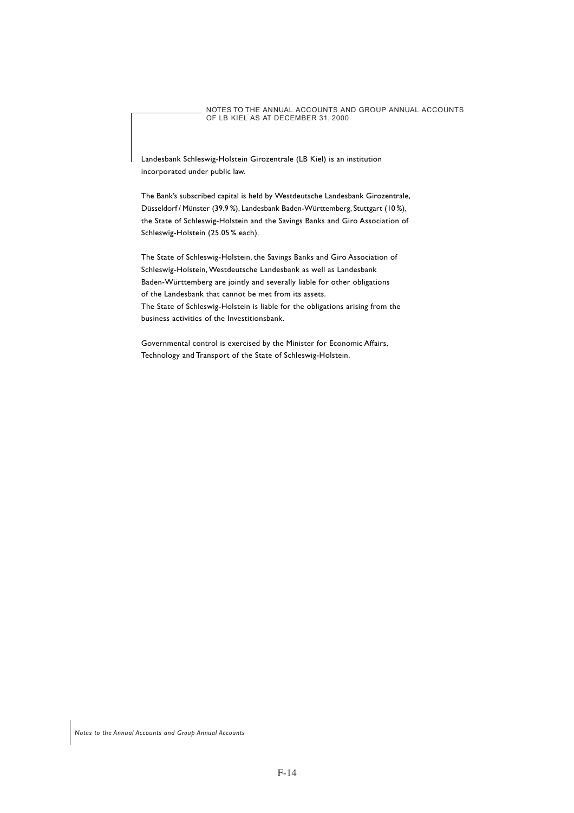NOTES TO THE ANNUAL ACCOUNTS AND GROUP ANNUAL ACCOUNTS OF LB KIEL AS AT DECEMBER 31, 2000

Landesbank Schleswig-Holstein Girozentrale (LB Kiel) is an institution incorporated under public law.

The Bank's subscribed capital is held by Westdeutsche Landesbank Girozentrale, Düsseldorf / Münster (39.9 %), Landesbank Baden-Württemberg, Stuttgart (10%), the State of Schleswig-Holstein and the Savings Banks and Giro Association of Schleswig-Holstein (25.05 % each).

The State of Schleswig-Holstein, the Savings Banks and Giro Association of Schleswig-Holstein, Westdeutsche Landesbank as well as Landesbank Baden-Württemberg are jointly and severally liable for other obligations of the Landesbank that cannot be met from its assets. The State of Schleswig-Holstein is liable for the obligations arising from the business activities of the Investitionsbank.

Governmental control is exercised by the Minister for Economic Affairs, Technology and Transport of the State of Schleswig-Holstein.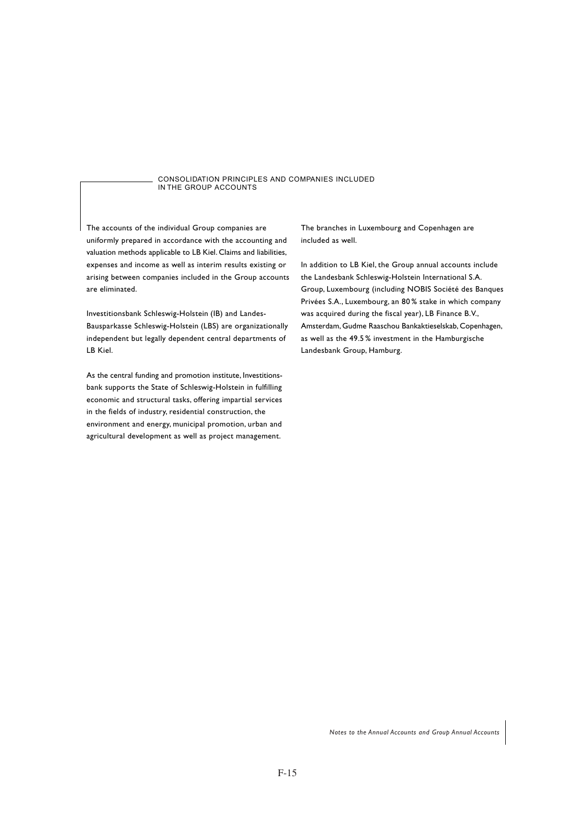CONSOLIDATION PRINCIPLES AND COMPANIES INCLUDED IN THE GROUP ACCOUNTS

The accounts of the individual Group companies are uniformly prepared in accordance with the accounting and valuation methods applicable to LB Kiel. Claims and liabilities, expenses and income as well as interim results existing or arising between companies included in the Group accounts are eliminated.

Investitionsbank Schleswig-Holstein (IB) and Landes-Bausparkasse Schleswig-Holstein (LBS) are organizationally independent but legally dependent central departments of LB Kiel.

As the central funding and promotion institute, Investitionsbank supports the State of Schleswig-Holstein in fulfilling economic and structural tasks, offering impartial services in the fields of industry, residential construction, the environment and energy, municipal promotion, urban and agricultural development as well as project management.

The branches in Luxembourg and Copenhagen are included as well.

In addition to LB Kiel, the Group annual accounts include the Landesbank Schleswig-Holstein International S.A. Group, Luxembourg (including NOBIS Société des Banques Privées S.A., Luxembourg, an 80% stake in which company was acquired during the fiscal year), LB Finance B.V., Amsterdam, Gudme Raaschou Bankaktieselskab, Copenhagen, as well as the 49.5 % investment in the Hamburgische Landesbank Group, Hamburg.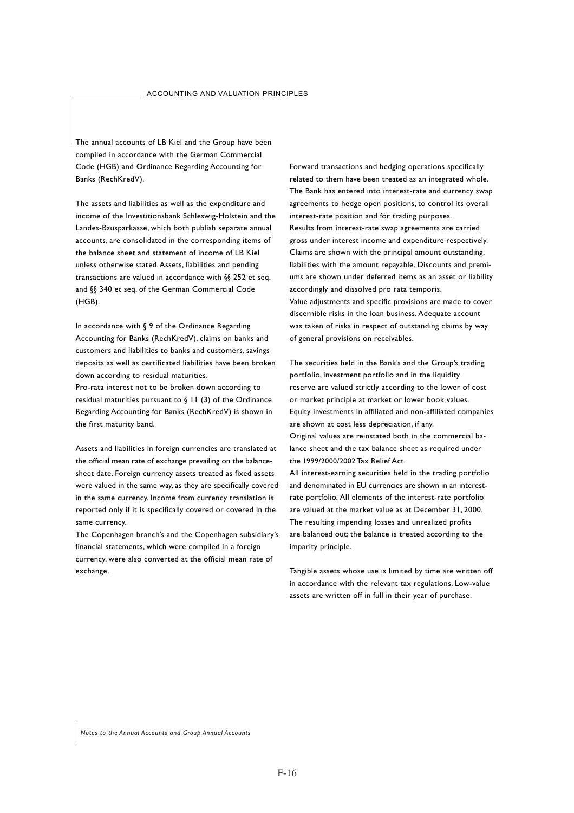The annual accounts of LB Kiel and the Group have been compiled in accordance with the German Commercial Code (HGB) and Ordinance Regarding Accounting for Banks (RechKredV).

The assets and liabilities as well as the expenditure and income of the Investitionsbank Schleswig-Holstein and the Landes-Bausparkasse, which both publish separate annual accounts, are consolidated in the corresponding items of the balance sheet and statement of income of LB Kiel unless otherwise stated. Assets, liabilities and pending transactions are valued in accordance with §§ 252 et seq. and §§ 340 et seq. of the German Commercial Code (HGB).

In accordance with § 9 of the Ordinance Regarding Accounting for Banks (RechKredV), claims on banks and customers and liabilities to banks and customers, savings deposits as well as certificated liabilities have been broken down according to residual maturities.

Pro-rata interest not to be broken down according to residual maturities pursuant to § 11 (3) of the Ordinance Regarding Accounting for Banks (RechKredV) is shown in the first maturity band.

Assets and liabilities in foreign currencies are translated at the official mean rate of exchange prevailing on the balancesheet date. Foreign currency assets treated as fixed assets were valued in the same way, as they are specifically covered in the same currency. Income from currency translation is reported only if it is specifically covered or covered in the same currency.

The Copenhagen branch's and the Copenhagen subsidiary's financial statements, which were compiled in a foreign currency, were also converted at the official mean rate of exchange.

Forward transactions and hedging operations specifically related to them have been treated as an integrated whole. The Bank has entered into interest-rate and currency swap agreements to hedge open positions, to control its overall interest-rate position and for trading purposes. Results from interest-rate swap agreements are carried gross under interest income and expenditure respectively. Claims are shown with the principal amount outstanding, liabilities with the amount repayable. Discounts and premiums are shown under deferred items as an asset or liability accordingly and dissolved pro rata temporis. Value adjustments and specific provisions are made to cover discernible risks in the loan business. Adequate account was taken of risks in respect of outstanding claims by way of general provisions on receivables.

The securities held in the Bank's and the Group's trading portfolio, investment portfolio and in the liquidity reserve are valued strictly according to the lower of cost or market principle at market or lower book values. Equity investments in affiliated and non-affiliated companies are shown at cost less depreciation, if any. Original values are reinstated both in the commercial balance sheet and the tax balance sheet as required under the 1999/2000/2002 Tax Relief Act. All interest-earning securities held in the trading portfolio and denominated in EU currencies are shown in an interestrate portfolio. All elements of the interest-rate portfolio are valued at the market value as at December 31, 2000. The resulting impending losses and unrealized profits are balanced out; the balance is treated according to the imparity principle.

Tangible assets whose use is limited by time are written off in accordance with the relevant tax regulations. Low-value assets are written off in full in their year of purchase.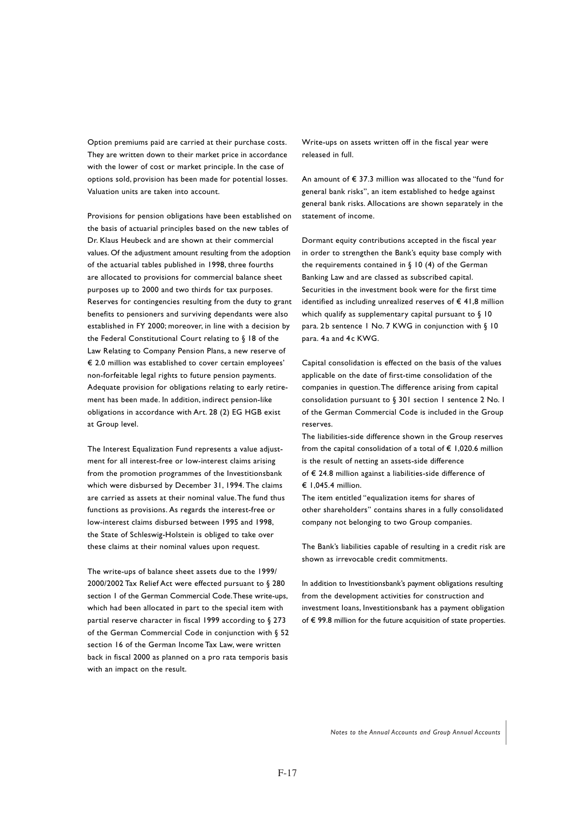Option premiums paid are carried at their purchase costs. They are written down to their market price in accordance with the lower of cost or market principle. In the case of options sold, provision has been made for potential losses. Valuation units are taken into account.

Provisions for pension obligations have been established on the basis of actuarial principles based on the new tables of Dr. Klaus Heubeck and are shown at their commercial values. Of the adjustment amount resulting from the adoption of the actuarial tables published in 1998, three fourths are allocated to provisions for commercial balance sheet purposes up to 2000 and two thirds for tax purposes. Reserves for contingencies resulting from the duty to grant benefits to pensioners and surviving dependants were also established in FY 2000; moreover, in line with a decision by the Federal Constitutional Court relating to § 18 of the Law Relating to Company Pension Plans, a new reserve of € 2.0 million was established to cover certain employees' non-forfeitable legal rights to future pension payments. Adequate provision for obligations relating to early retirement has been made. In addition, indirect pension-like obligations in accordance with Art. 28 (2) EG HGB exist at Group level.

The Interest Equalization Fund represents a value adjustment for all interest-free or low-interest claims arising from the promotion programmes of the Investitionsbank which were disbursed by December 31, 1994. The claims are carried as assets at their nominal value. The fund thus functions as provisions. As regards the interest-free or low-interest claims disbursed between 1995 and 1998, the State of Schleswig-Holstein is obliged to take over these claims at their nominal values upon request.

The write-ups of balance sheet assets due to the 1999/ 2000/2002 Tax Relief Act were effected pursuant to § 280 section 1 of the German Commercial Code. These write-ups, which had been allocated in part to the special item with partial reserve character in fiscal 1999 according to § 273 of the German Commercial Code in conjunction with § 52 section 16 of the German Income Tax Law, were written back in fiscal 2000 as planned on a pro rata temporis basis with an impact on the result.

Write-ups on assets written off in the fiscal year were released in full.

An amount of € 37.3 million was allocated to the "fund for general bank risks", an item established to hedge against general bank risks. Allocations are shown separately in the statement of income.

Dormant equity contributions accepted in the fiscal year in order to strengthen the Bank's equity base comply with the requirements contained in  $\S$  10 (4) of the German Banking Law and are classed as subscribed capital. Securities in the investment book were for the first time identified as including unrealized reserves of  $\epsilon$  41,8 million which qualify as supplementary capital pursuant to  $\S$  10 para. 2b sentence 1 No. 7 KWG in conjunction with § 10 para. 4a and 4c KWG.

Capital consolidation is effected on the basis of the values applicable on the date of first-time consolidation of the companies in question. The difference arising from capital consolidation pursuant to § 301 section 1 sentence 2 No. 1 of the German Commercial Code is included in the Group reserves.

The liabilities-side difference shown in the Group reserves from the capital consolidation of a total of  $\epsilon$  1,020.6 million is the result of netting an assets-side difference of € 24.8 million against a liabilities-side difference of  $£ 1,045.4$  million.

The item entitled "equalization items for shares of other shareholders" contains shares in a fully consolidated company not belonging to two Group companies.

The Bank's liabilities capable of resulting in a credit risk are shown as irrevocable credit commitments.

In addition to Investitionsbank's payment obligations resulting from the development activities for construction and investment loans, Investitionsbank has a payment obligation of € 99.8 million for the future acquisition of state properties.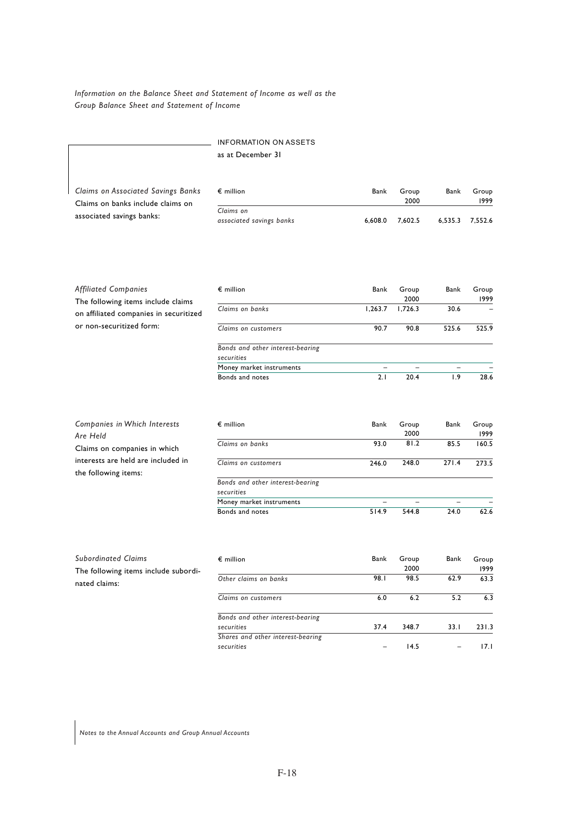## *Information on the Balance Sheet and Statement of Income as well as the Group Balance Sheet and Statement of Income*

## INFORMATION ON ASSETS as at December 31

*Claims on Associated Savings Banks* Claims on banks include claims on associated savings banks:

| $\epsilon$ million                    | Bank    | Group<br>2000 | Bank | Group<br>1999   |
|---------------------------------------|---------|---------------|------|-----------------|
| Claims on<br>associated savings banks | 6.608.0 | 7.602.5       |      | 6.535.3 7.552.6 |

28.6

1.9

20.4

2.1

| <b>Affiliated Companies</b><br>The following items include claims | $\epsilon$ million                     | Bank    | Group<br>2000 | Bank  | Group<br>1999 |
|-------------------------------------------------------------------|----------------------------------------|---------|---------------|-------|---------------|
| on affiliated companies in securitized                            | Claims on banks                        | 1.263.7 | 1.726.3       | 30.6  |               |
| or non-securitized form:                                          | Claims on customers                    | 90.7    | 90.8          | 525.6 | 525.9         |
|                                                                   | Bonds and other interest-bearing       |         |               |       |               |
|                                                                   | securities<br>Money market instruments |         |               |       |               |
|                                                                   |                                        |         |               |       |               |

**Bonds** and notes

| Companies in Which Interests<br>Are Held                   | $\epsilon$ million               | Bank  | Group<br>2000 | Bank  | Group<br>1999 |
|------------------------------------------------------------|----------------------------------|-------|---------------|-------|---------------|
| Claims on companies in which                               | Claims on banks                  | 93.0  | 81.2          | 85.5  | 160.5         |
| interests are held are included in<br>the following items: | Claims on customers              | 246.0 | 248.0         | 271.4 | 273.5         |
|                                                            | Bonds and other interest-bearing |       |               |       |               |
|                                                            | securities                       |       |               |       |               |
|                                                            | Money market instruments         |       |               |       |               |
|                                                            | Bonds and notes                  | 514.9 | 544.8         | 24.0  | 62.6          |

| <b>Subordinated Claims</b><br>$\epsilon$ million      |                                   | Bank | Group<br>2000 | Bank | Group<br>1999 |
|-------------------------------------------------------|-----------------------------------|------|---------------|------|---------------|
| The following items include subordi-<br>nated claims: | Other claims on banks             | 98.I | 98.5          | 62.9 | 63.3          |
|                                                       | Claims on customers               | 6.0  | 6.2           | 5.2  | 6.3           |
|                                                       | Bonds and other interest-bearing  |      |               |      |               |
|                                                       | securities                        | 37.4 | 348.7         | 33.1 | 231.3         |
|                                                       | Shares and other interest-bearing |      |               |      |               |
|                                                       | securities                        |      | 14.5          |      | 17. L         |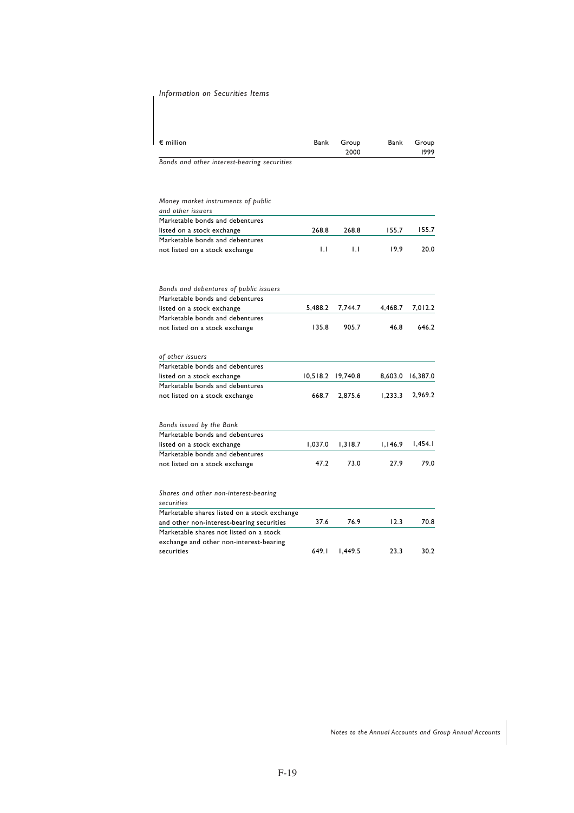## *Information on Securities Items*

| $\epsilon$ million                                                | Bank     | Group<br>2000 | Bank    | Group<br>1999 |
|-------------------------------------------------------------------|----------|---------------|---------|---------------|
| Bonds and other interest-bearing securities                       |          |               |         |               |
| Money market instruments of public<br>and other issuers           |          |               |         |               |
| Marketable bonds and debentures                                   |          |               |         |               |
| listed on a stock exchange                                        | 268.8    | 268.8         | 155.7   | 155.7         |
| Marketable bonds and debentures                                   |          |               |         |               |
| not listed on a stock exchange                                    | IJ       | IJ            | 19.9    | 20.0          |
| Bonds and debentures of public issuers                            |          |               |         |               |
| Marketable bonds and debentures                                   |          |               |         |               |
| listed on a stock exchange                                        | 5.488.2  | 7,744.7       | 4,468.7 | 7,012.2       |
| Marketable bonds and debentures<br>not listed on a stock exchange | 135.8    | 905.7         | 46.8    | 646.2         |
|                                                                   |          |               |         |               |
| of other issuers                                                  |          |               |         |               |
| Marketable bonds and debentures                                   |          |               |         |               |
| listed on a stock exchange                                        | 10,518.2 | 19,740.8      | 8,603.0 | 16,387.0      |
| Marketable bonds and debentures                                   |          |               |         |               |
| not listed on a stock exchange                                    | 668.7    | 2,875.6       | 1.233.3 | 2,969.2       |
| Bonds issued by the Bank                                          |          |               |         |               |
| Marketable bonds and debentures                                   |          |               |         |               |
| listed on a stock exchange                                        | 1,037.0  | 1,318.7       | 1,146.9 | 1,454.1       |
| Marketable bonds and debentures                                   |          |               |         |               |
| not listed on a stock exchange                                    | 47.2     | 73.0          | 27.9    | 79.0          |
| Shares and other non-interest-bearing                             |          |               |         |               |
| securities                                                        |          |               |         |               |
| Marketable shares listed on a stock exchange                      |          |               |         |               |
| and other non-interest-bearing securities                         | 37.6     | 76.9          | 12.3    | 70.8          |
| Marketable shares not listed on a stock                           |          |               |         |               |
| exchange and other non-interest-bearing                           |          |               |         |               |
| securities                                                        | 649.I    | 1,449.5       | 23.3    | 30.2          |
|                                                                   |          |               |         |               |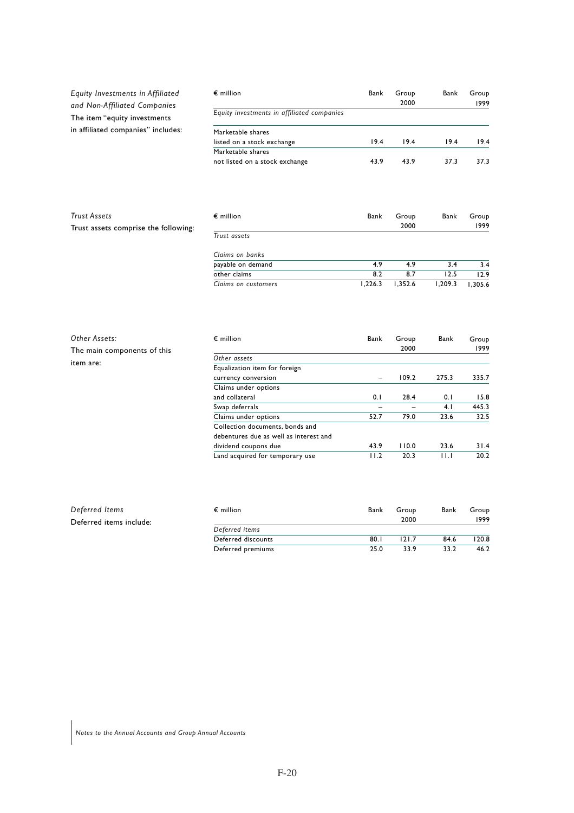| Equity Investments in Affiliated<br>and Non-Affiliated Companies | $\epsilon$ million                         | Bank                     | Group<br>2000 | Bank    | Group<br>1999 |
|------------------------------------------------------------------|--------------------------------------------|--------------------------|---------------|---------|---------------|
| The item "equity investments                                     | Equity investments in affiliated companies |                          |               |         |               |
| in affiliated companies" includes:                               | Marketable shares                          |                          |               |         |               |
|                                                                  | listed on a stock exchange                 | 19.4                     | 19.4          | 19.4    | 19.4          |
|                                                                  | Marketable shares                          |                          |               |         |               |
|                                                                  | not listed on a stock exchange             | 43.9                     | 43.9          | 37.3    | 37.3          |
|                                                                  |                                            |                          |               |         |               |
| <b>Trust Assets</b>                                              | $\epsilon$ million                         | Bank                     | Group         | Bank    | Group         |
| Trust assets comprise the following:                             |                                            |                          | 2000          |         | 1999          |
|                                                                  | Trust assets                               |                          |               |         |               |
|                                                                  | Claims on banks                            |                          |               |         |               |
|                                                                  | payable on demand                          | 4.9                      | 4.9           | 3.4     | 3.4           |
|                                                                  | other claims                               | 8.2                      | 8.7           | 12.5    | 12.9          |
|                                                                  | Claims on customers                        | 1,226.3                  | 1,352.6       | 1,209.3 | 1,305.6       |
|                                                                  |                                            |                          |               |         |               |
| Other Assets:                                                    | $\epsilon$ million                         | Bank                     | Group         | Bank    | Group         |
| The main components of this                                      |                                            |                          | 2000          |         | 1999          |
|                                                                  | Other assets                               |                          |               |         |               |
| item are:                                                        | Equalization item for foreign              |                          |               |         |               |
|                                                                  | currency conversion                        |                          | 109.2         | 275.3   | 335.7         |
|                                                                  | Claims under options                       |                          |               |         |               |
|                                                                  | and collateral                             | 0.1                      | 28.4          | 0.1     | 15.8          |
|                                                                  | Swap deferrals                             | $\overline{\phantom{0}}$ |               | 4.1     | 445.3         |
|                                                                  | Claims under options                       | 52.7                     | 79.0          | 23.6    | 32.5          |
|                                                                  | Collection documents, bonds and            |                          |               |         |               |

| Deferred Items          | $\epsilon$ million | Bank | Group | Bank | Group |
|-------------------------|--------------------|------|-------|------|-------|
| Deferred items include: |                    |      | 2000  |      | 1999  |
|                         | Deferred items     |      |       |      |       |
|                         | Deferred discounts | 80.1 | 121.7 | 84.6 | 120.8 |
|                         | Deferred premiums  | 25.0 | 33.9  | 33.2 | 46.2  |

debentures due as well as interest and

31.4 20.2

23.6 11.1

110.0 20.3

43.9 11.2

Land acquired for temporary use

dividend coupons due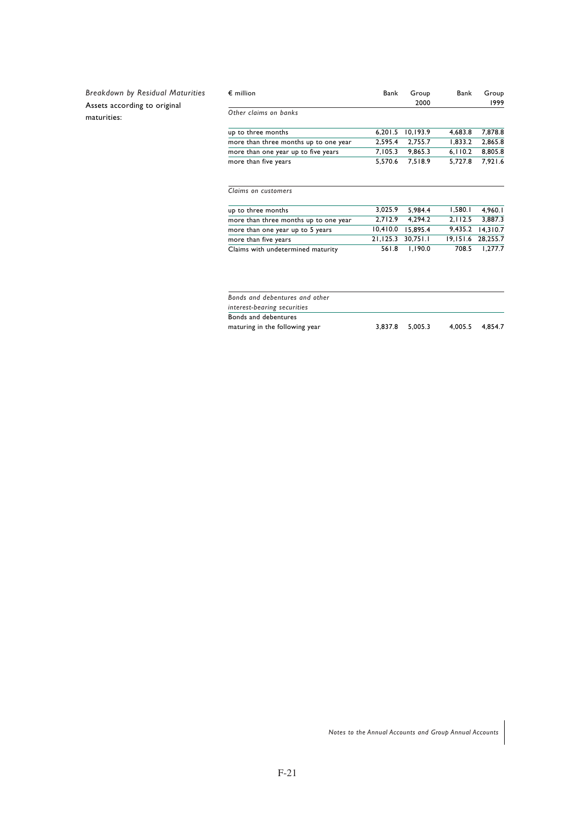*Breakdown by Residual Maturities* Assets according to original maturities:

| $\epsilon$ million                    | Bank      | Group<br>2000 | Bank     | Group<br>1999 |
|---------------------------------------|-----------|---------------|----------|---------------|
| Other claims on banks                 |           |               |          |               |
| up to three months                    | 6.201.5   | 10,193.9      | 4.683.8  | 7,878.8       |
| more than three months up to one year | 2,595.4   | 2.755.7       | 1,833.2  | 2.865.8       |
| more than one year up to five years   | 7,105.3   | 9.865.3       | 6, 110.2 | 8,805.8       |
| more than five years                  | 5.570.6   | 7.518.9       | 5,727.8  | 7.921.6       |
| Claims on customers                   |           |               |          |               |
| up to three months                    | 3.025.9   | 5.984.4       | 1.580.1  | 4,960.1       |
| more than three months up to one year | 2,712.9   | 4,294.2       | 2,112.5  | 3,887.3       |
| more than one year up to 5 years      | 10,410.0  | 15.895.4      | 9,435.2  | 14,310.7      |
| more than five years                  | 21, 125.3 | 30.751.1      | 19,151.6 | 28,255.7      |
| Claims with undetermined maturity     | 561.8     | 1.190.0       | 708.5    | 1.277.7       |
|                                       |           |               |          |               |
|                                       |           |               |          |               |
|                                       |           |               |          |               |

|  | 3.837.8 5.005.3 | 4.005.5 4.854.7 |
|--|-----------------|-----------------|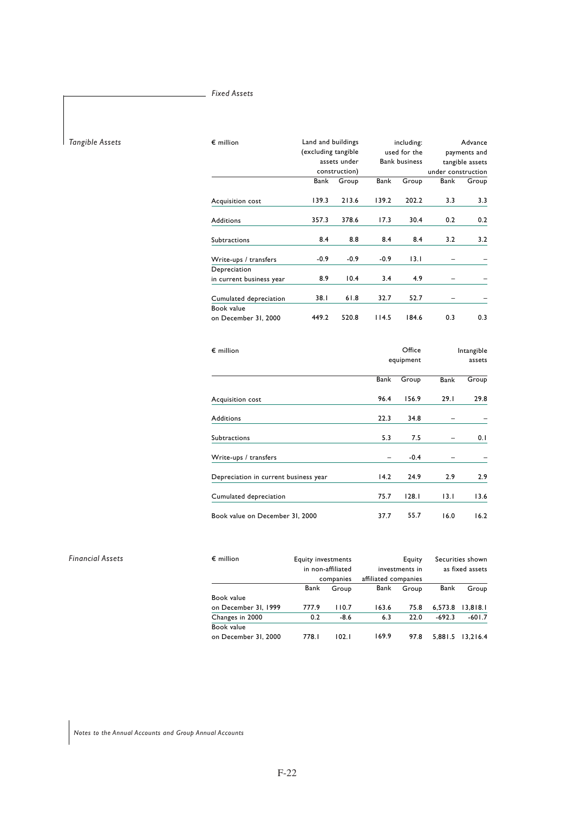## *Fixed Assets*

## *Tangible Assets*

*Financial Assets*

| $\epsilon$ million       |        | Land and buildings<br>(excluding tangible |        | including:<br>used for the |                    | Advance         |
|--------------------------|--------|-------------------------------------------|--------|----------------------------|--------------------|-----------------|
|                          |        |                                           |        |                            |                    | payments and    |
|                          |        | assets under                              |        | <b>Bank business</b>       |                    | tangible assets |
|                          |        | construction)                             |        |                            | under construction |                 |
|                          | Bank   | Group                                     | Bank   | Group                      | Bank               | Group           |
| Acquisition cost         | 139.3  | 213.6                                     | 139.2  | 202.2                      | 3.3                | 3.3             |
| <b>Additions</b>         | 357.3  | 378.6                                     | 17.3   | 30.4                       | 0.2                | 0.2             |
| Subtractions             | 8.4    | 8.8                                       | 8.4    | 8.4                        | 3.2                | 3.2             |
| Write-ups / transfers    | $-0.9$ | $-0.9$                                    | $-0.9$ | 13.1                       |                    |                 |
| Depreciation             |        |                                           |        |                            |                    |                 |
| in current business year | 8.9    | 10.4                                      | 3.4    | 4.9                        |                    |                 |
| Cumulated depreciation   | 38.I   | 61.8                                      | 32.7   | 52.7                       |                    |                 |
| Book value               |        |                                           |        |                            |                    |                 |
| on December 31, 2000     | 449.2  | 520.8                                     | 114.5  | 184.6                      | 0.3                | 0.3             |

| $\epsilon$ million                    |           | Office | Intangible |       |  |
|---------------------------------------|-----------|--------|------------|-------|--|
|                                       | equipment |        | assets     |       |  |
|                                       | Bank      | Group  | Bank       | Group |  |
| Acquisition cost                      | 96.4      | 156.9  | 29.1       | 29.8  |  |
| <b>Additions</b>                      | 22.3      | 34.8   |            |       |  |
| <b>Subtractions</b>                   | 5.3       | 7.5    |            | 0.1   |  |
| Write-ups / transfers                 |           | $-0.4$ |            |       |  |
| Depreciation in current business year | 14.2      | 24.9   | 2.9        | 2.9   |  |
| Cumulated depreciation                | 75.7      | 128.1  | 13.1       | 13.6  |  |
| Book value on December 31, 2000       | 37.7      | 55.7   | 16.0       | 16.2  |  |

| $\epsilon$ million   | <b>Equity investments</b><br>Equity<br>in non-affiliated<br>investments in<br>affiliated companies<br>companies |        |       |       |          | Securities shown<br>as fixed assets |
|----------------------|-----------------------------------------------------------------------------------------------------------------|--------|-------|-------|----------|-------------------------------------|
|                      |                                                                                                                 |        |       |       |          |                                     |
|                      | Bank                                                                                                            | Group  | Bank  | Group | Bank     | Group                               |
| Book value           |                                                                                                                 |        |       |       |          |                                     |
| on December 31, 1999 | 777.9                                                                                                           | 110.7  | 163.6 | 75.8  | 6.573.8  | 13.818.1                            |
| Changes in 2000      | 0.2                                                                                                             | $-8.6$ | 6.3   | 22.0  | $-692.3$ | $-601.7$                            |
| Book value           |                                                                                                                 |        |       |       |          |                                     |
| on December 31, 2000 | 778.I                                                                                                           | 102.1  | 169.9 | 97.8  | 5.881.5  | 13.216.4                            |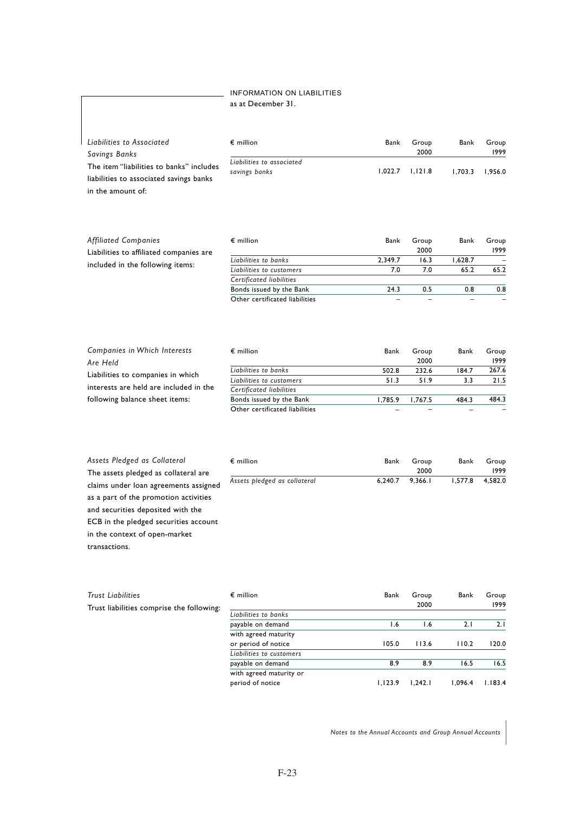## INFORMATION ON LIABILITIES as at December 31.

| Liabilities to Associated                | $\epsilon$ million                         | Bank    | Group   | Bank    | Group   |
|------------------------------------------|--------------------------------------------|---------|---------|---------|---------|
| Savings Banks                            |                                            |         | 2000    |         | 1999    |
| The item "liabilities to banks" includes | Liabilities to associated<br>savings banks | 1.022.7 | 1.121.8 | 1.703.3 | 1.956.0 |
| liabilities to associated savings banks  |                                            |         |         |         |         |

in the amount of:

| <b>Affiliated Companies</b>             | $\epsilon$ million             | Bank    | Group | Bank    | Group |
|-----------------------------------------|--------------------------------|---------|-------|---------|-------|
| Liabilities to affiliated companies are |                                |         | 2000  |         | 1999  |
|                                         | Liabilities to banks           | 2.349.7 | 16.3  | 1.628.7 | -     |
| included in the following items:        | Liabilities to customers       | 7.0     | 7.0   | 65.2    | 65.2  |
|                                         | Certificated liabilities       |         |       |         |       |
|                                         | Bonds issued by the Bank       | 24.3    | 0.5   | 0.8     | 0.8   |
|                                         | Other certificated liabilities |         |       |         |       |

| Companies in Which Interests           | $\epsilon$ million             | Bank    | Group   | Bank  | Group |
|----------------------------------------|--------------------------------|---------|---------|-------|-------|
| Are Held                               |                                |         | 2000    |       | 1999  |
| Liabilities to companies in which      | Liabilities to banks           | 502.8   | 232.6   | 184.7 | 267.6 |
|                                        | Liabilities to customers       | 51.3    | 51.9    | 3.3   | 21.5  |
| interests are held are included in the | Certificated liabilities       |         |         |       |       |
| following balance sheet items:         | Bonds issued by the Bank       | 1.785.9 | 1.767.5 | 484.3 | 484.3 |
|                                        | Other certificated liabilities |         |         |       |       |

| Assets Pledged as Collateral          | $\epsilon$ million           | Bank    | Group   | Bank    | Group   |
|---------------------------------------|------------------------------|---------|---------|---------|---------|
| The assets pledged as collateral are  |                              |         | 2000    |         | 1999    |
| claims under loan agreements assigned | Assets pledged as collateral | 6.240.7 | 9.366.1 | 1.577.8 | 4.582.0 |
| as a part of the promotion activities |                              |         |         |         |         |

claims under loan agreements assigned as a part of the promotion activities and securities deposited with the ECB in the pledged securities account in the context of open-market transactions.

| <b>Trust Liabilities</b>                  | $\epsilon$ million       | Bank    | Group   | Bank    | Group   |
|-------------------------------------------|--------------------------|---------|---------|---------|---------|
| Trust liabilities comprise the following: |                          |         | 2000    |         | 1999    |
|                                           | Liabilities to banks     |         |         |         |         |
|                                           | payable on demand        | 6. ا    | 1.6     | 2.1     | 2.1     |
|                                           | with agreed maturity     |         |         |         |         |
|                                           | or period of notice      | 105.0   | 113.6   | 110.2   | 120.0   |
|                                           | Liabilities to customers |         |         |         |         |
|                                           | payable on demand        | 8.9     | 8.9     | 16.5    | 16.5    |
|                                           | with agreed maturity or  |         |         |         |         |
|                                           | period of notice         | 1.123.9 | 1.242.1 | 1.096.4 | 1.183.4 |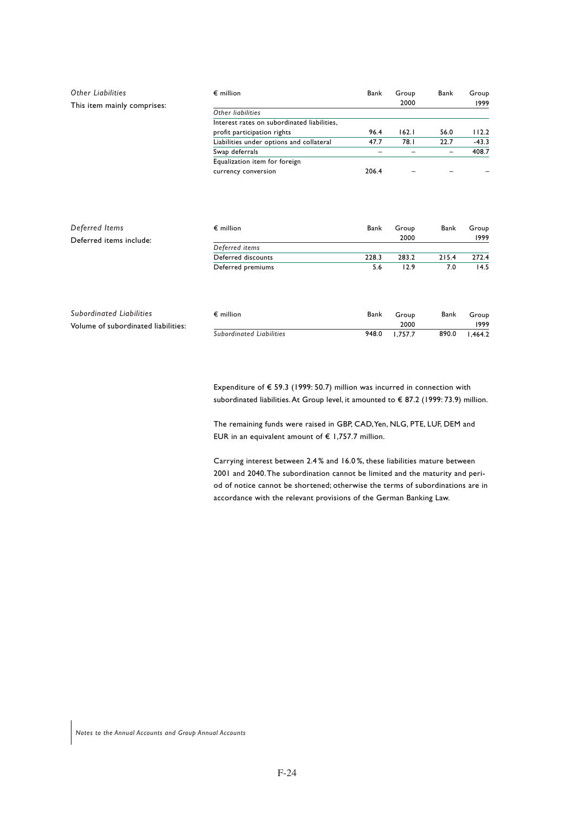| <b>Other Liabilities</b>    | $\epsilon$ million                          | Bank  | Group<br>2000 | Bank | Group<br>1999 |
|-----------------------------|---------------------------------------------|-------|---------------|------|---------------|
| This item mainly comprises: | Other liabilities                           |       |               |      |               |
|                             | Interest rates on subordinated liabilities, |       |               |      |               |
|                             | profit participation rights                 | 96.4  | 162.1         | 56.0 | 112.2         |
|                             | Liabilities under options and collateral    | 47.7  | 78.I          | 22.7 | $-43.3$       |
|                             | Swap deferrals                              |       |               |      | 408.7         |
|                             | Equalization item for foreign               |       |               |      |               |
|                             | currency conversion                         | 206.4 |               |      |               |
|                             |                                             |       |               |      |               |

| Deferred Items                      | $\epsilon$ million       | Bank  | Group   | Bank  | Group   |
|-------------------------------------|--------------------------|-------|---------|-------|---------|
| Deferred items include:             |                          |       | 2000    |       | 1999    |
|                                     | Deferred items           |       |         |       |         |
|                                     | Deferred discounts       | 228.3 | 283.2   | 215.4 | 272.4   |
|                                     | Deferred premiums        | 5.6   | 12.9    | 7.0   | 14.5    |
|                                     |                          |       |         |       |         |
| Subordinated Liabilities            | $\epsilon$ million       | Bank  | Group   | Bank  | Group   |
| Volume of subordinated liabilities: |                          |       | 2000    |       | 1999    |
|                                     | Subordinated Liabilities | 948.0 | 1.757.7 | 890.0 | 1.464.2 |

Expenditure of € 59.3 (1999: 50.7) million was incurred in connection with subordinated liabilities. At Group level, it amounted to € 87.2 (1999: 73.9) million.

The remaining funds were raised in GBP, CAD, Yen, NLG, PTE, LUF, DEM and EUR in an equivalent amount of  $\epsilon$  1,757.7 million.

Carrying interest between 2.4 % and 16.0 %, these liabilities mature between 2001 and 2040. The subordination cannot be limited and the maturity and period of notice cannot be shortened; otherwise the terms of subordinations are in accordance with the relevant provisions of the German Banking Law.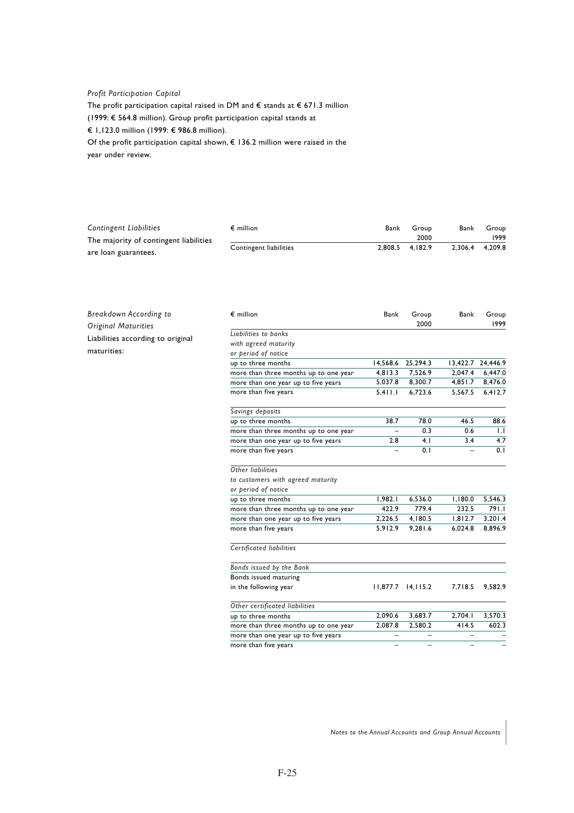## *Profit Participation Capital*

The profit participation capital raised in DM and  $\epsilon$  stands at  $\epsilon$  671.3 million (1999: € 564.8 million). Group profit participation capital stands at € 1,123.0 million (1999: € 986.8 million). Of the profit participation capital shown, € 136.2 million were raised in the year under review.

| <b>Contingent Liabilities</b>          | $\epsilon$ million     | Bank | Group           | Bank    | Group   |
|----------------------------------------|------------------------|------|-----------------|---------|---------|
| The majority of contingent liabilities |                        |      | 2000            |         | 1999    |
|                                        | Contingent liabilities |      | 2,808.5 4.182.9 | 2.306.4 | 4.209.8 |
| are loan guarantees.                   |                        |      |                 |         |         |

| Breakdown According to            | $\epsilon$ million                    | Bank    | Group                    | Bank    | Group<br>1999     |
|-----------------------------------|---------------------------------------|---------|--------------------------|---------|-------------------|
| <b>Original Maturities</b>        | Liabilities to banks                  |         | 2000                     |         |                   |
| Liabilities according to original |                                       |         |                          |         |                   |
| maturities:                       | with agreed maturity                  |         |                          |         |                   |
|                                   | or period of notice                   |         |                          |         |                   |
|                                   | up to three months                    |         | 14,568.6 25,294.3        |         | 13,422.7 24,446.9 |
|                                   | more than three months up to one year | 4,813.3 | 7,526.9                  | 2,047.4 | 6,447.0           |
|                                   | more than one year up to five years   | 5,037.8 | 8,300.7                  | 4,851.7 | 8,476.0           |
|                                   | more than five years                  | 5,411.1 | 6,723.6                  | 5,567.5 | 6,412.7           |
|                                   | Savings deposits                      |         |                          |         |                   |
|                                   | up to three months                    | 38.7    | 78.0                     | 46.5    | 88.6              |
|                                   | more than three months up to one year |         | 0.3                      | 0.6     | 1.1               |
|                                   | more than one year up to five years   | 2.8     | 4.1                      | 3.4     | 4.7               |
|                                   | more than five years                  |         | 0.1                      |         | 0.1               |
|                                   | Other liabilities                     |         |                          |         |                   |
|                                   | to customers with agreed maturity     |         |                          |         |                   |
|                                   | or period of notice                   |         |                          |         |                   |
|                                   | up to three months                    | 1,982.1 | 6,536.0                  | 1,180.0 | 5,546.3           |
|                                   | more than three months up to one year | 422.9   | 779.4                    | 232.5   | 791.1             |
|                                   | more than one year up to five years   | 2,226.5 | 4,180.5                  | 1,812.7 | 3,201.4           |
|                                   | more than five years                  | 5,912.9 | 9,281.6                  | 6,024.8 | 8,896.9           |
|                                   | Certificated liabilities              |         |                          |         |                   |
|                                   | Bonds issued by the Bank              |         |                          |         |                   |
|                                   | Bonds issued maturing                 |         |                          |         |                   |
|                                   | in the following year                 |         | $11,877.7$ $14,115.2$    | 7,718.5 | 9,582.9           |
|                                   | Other certificated liabilities        |         |                          |         |                   |
|                                   | up to three months                    | 2,090.6 | 3,683.7                  | 2,704.1 | 3,570.3           |
|                                   | more than three months up to one year | 2,087.8 | 2,580.2                  | 414.5   | 602.3             |
|                                   | more than one year up to five years   |         |                          |         |                   |
|                                   | more than five years                  |         | $\overline{\phantom{0}}$ | L.      |                   |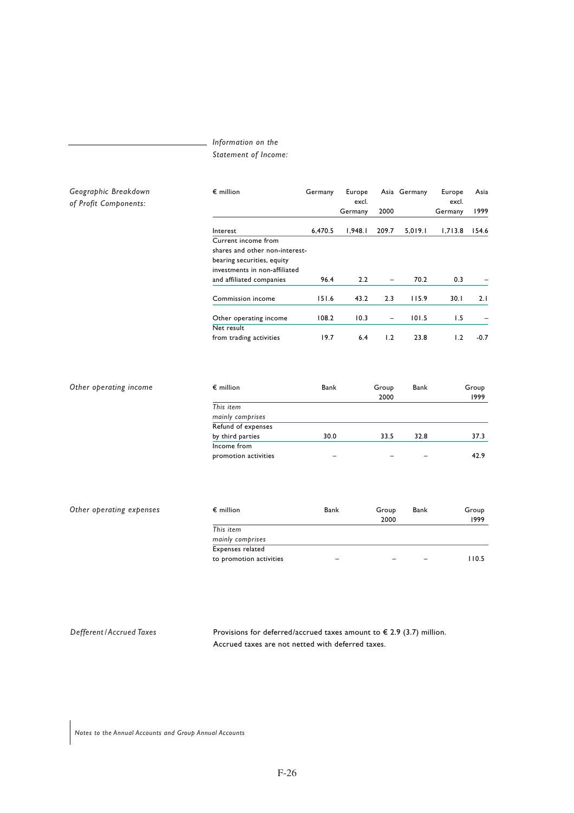## *Information on the*

*Statement of Income:*

| Geographic Breakdown<br>of Profit Components: | $\epsilon$ million             | Germany | Europe<br>excl. |                          | Asia Germany | Europe<br>excl. | Asia   |
|-----------------------------------------------|--------------------------------|---------|-----------------|--------------------------|--------------|-----------------|--------|
|                                               |                                |         | Germany         | 2000                     |              | Germany         | 1999   |
|                                               | Interest                       | 6,470.5 | 1.948.1         | 209.7                    | 5,019.1      | 1,713.8         | 154.6  |
|                                               | Current income from            |         |                 |                          |              |                 |        |
|                                               | shares and other non-interest- |         |                 |                          |              |                 |        |
|                                               | bearing securities, equity     |         |                 |                          |              |                 |        |
|                                               | investments in non-affiliated  |         |                 |                          |              |                 |        |
|                                               | and affiliated companies       | 96.4    | 2.2             | $\overline{\phantom{a}}$ | 70.2         | 0.3             |        |
|                                               | Commission income              | 151.6   | 43.2            | 2.3                      | 115.9        | 30.1            | 2.1    |
|                                               | Other operating income         | 108.2   | 10.3            | $\overline{\phantom{0}}$ | 101.5        | 1.5             |        |
|                                               | Net result                     |         |                 |                          |              |                 |        |
|                                               | from trading activities        | 19.7    | 6.4             | 1.2                      | 23.8         | 1.2             | $-0.7$ |

| Other operating income | $\epsilon$ million   | Bank | Group | Bank | Group |
|------------------------|----------------------|------|-------|------|-------|
|                        |                      |      | 2000  |      | 1999  |
|                        | This item            |      |       |      |       |
|                        | mainly comprises     |      |       |      |       |
|                        | Refund of expenses   |      |       |      |       |
|                        | by third parties     | 30.0 | 33.5  | 32.8 | 37.3  |
|                        | Income from          |      |       |      |       |
|                        | promotion activities | -    |       |      | 42.9  |

| $\epsilon$ million      | Bank | Group | Bank | Group |
|-------------------------|------|-------|------|-------|
|                         |      | 2000  |      | 1999  |
| This item               |      |       |      |       |
| mainly comprises        |      |       |      |       |
| Expenses related        |      |       |      |       |
| to promotion activities |      |       | -    | 110.5 |

*Other operating expenses*

*Defferent / Accrued Taxes* Provisions for deferred/accrued taxes amount to € 2.9 (3.7) million. Accrued taxes are not netted with deferred taxes.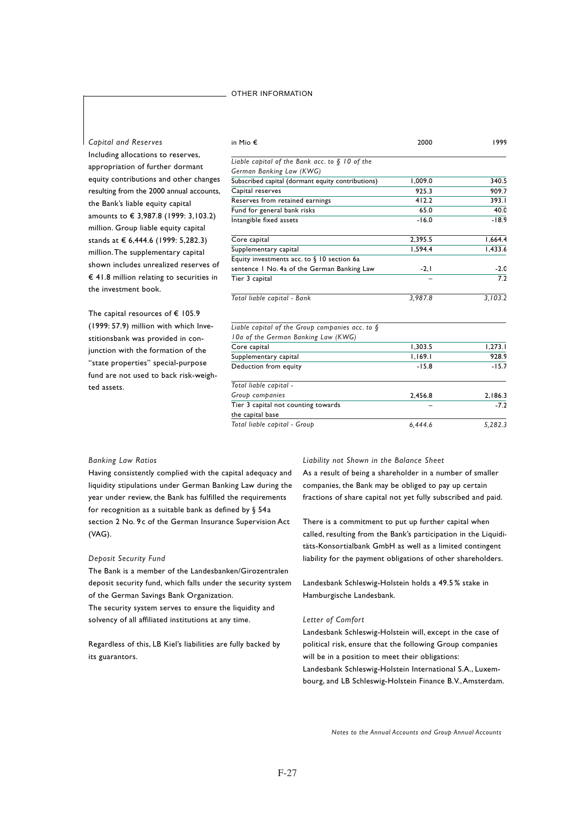#### OTHER INFORMATION

## *Capital and Reserves*

Including allocations to reserves, appropriation of further dormant equity contributions and other changes resulting from the 2000 annual accounts, the Bank's liable equity capital amounts to € 3,987.8 (1999: 3,103.2) million. Group liable equity capital stands at € 6,444.6 (1999: 5,282.3) million. The supplementary capital shown includes unrealized reserves of € 41.8 million relating to securities in the investment book.

The capital resources of € 105.9 (1999: 57.9) million with which Investitionsbank was provided in conjunction with the formation of the "state properties" special-purpose fund are not used to back risk-weighted assets.

#### in Mio € *Liable capital of the Bank acc. to § 10 of the German Banking Law (KWG)* Subscribed capital (dormant equity contributions) Capital reserves Reserves from retained earnings Fund for general bank risks Intangible fixed assets Core capital Supplementary capital Equity investments acc. to § 10 section 6a sentence 1 No. 4a of the German Banking Law Tier 3 capital *Total liable capital - Bank Liable capital of the Group companies acc. to § 10a of the German Banking Law (KWG)* Core capital Supplementary capital Deduction from equity *Total liable capital - Group companies* Tier 3 capital not counting towards the capital base 1999 340.5 909.7 393.1 40.0 -18.9 1,664.4 1,433.6 -2.0  $\overline{72}$ *3,103.2*  $1,273.1$ 928.9 -15.7 2,186.3  $\overline{.72}$ 2000 1,009.0 925.3 412.2 65.0 -16.0 2,395.5 1,594.4  $-2.1$ – *3,987.8* 1,303.5 1,169.1  $-15.8$ 2,456.8 –

*Total liable capital - Group*

#### *Banking Law Ratios*

Having consistently complied with the capital adequacy and liquidity stipulations under German Banking Law during the year under review, the Bank has fulfilled the requirements for recognition as a suitable bank as defined by § 54a section 2 No. 9c of the German Insurance Supervision Act (VAG).

#### *Deposit Security Fund*

The Bank is a member of the Landesbanken/Girozentralen deposit security fund, which falls under the security system of the German Savings Bank Organization.

The security system serves to ensure the liquidity and solvency of all affiliated institutions at any time.

Regardless of this, LB Kiel's liabilities are fully backed by its guarantors.

*Liability not Shown in the Balance Sheet* As a result of being a shareholder in a number of smaller companies, the Bank may be obliged to pay up certain fractions of share capital not yet fully subscribed and paid.

*6,444.6*

*5,282.3*

There is a commitment to put up further capital when called, resulting from the Bank's participation in the Liquiditäts-Konsortialbank GmbH as well as a limited contingent liability for the payment obligations of other shareholders.

Landesbank Schleswig-Holstein holds a 49.5 % stake in Hamburgische Landesbank.

#### *Letter of Comfort*

Landesbank Schleswig-Holstein will, except in the case of political risk, ensure that the following Group companies will be in a position to meet their obligations: Landesbank Schleswig-Holstein International S.A., Luxembourg, and LB Schleswig-Holstein Finance B.V., Amsterdam.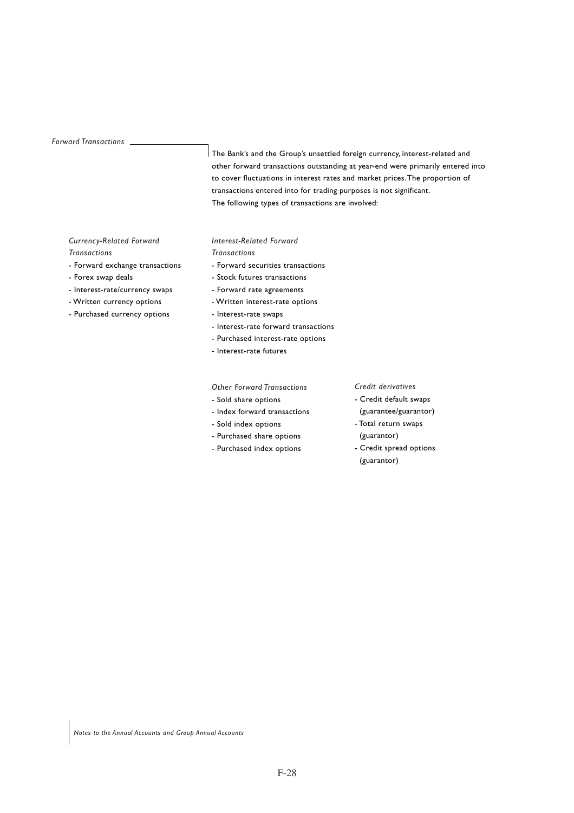#### *Forward Transactions*

The Bank's and the Group's unsettled foreign currency, interest-related and other forward transactions outstanding at year-end were primarily entered into to cover fluctuations in interest rates and market prices. The proportion of transactions entered into for trading purposes is not significant. The following types of transactions are involved:

## *Currency-Related Forward*

## *Transactions*

- Forward exchange transactions
- Forex swap deals
- Interest-rate/currency swaps
- Written currency options
- Purchased currency options

## *Interest-Related Forward*

## *Transactions*

- Forward securities transactions
- Stock futures transactions
- Forward rate agreements
- Written interest-rate options
- Interest-rate swaps
- Interest-rate forward transactions
- Purchased interest-rate options
- Interest-rate futures

#### *Other Forward Transactions*

- Sold share options
- Index forward transactions
- Sold index options
- Purchased share options
- Purchased index options

#### *Credit derivatives*

- Credit default swaps
- (guarantee/guarantor)
- Total return swaps
- (guarantor) - Credit spread options
- (guarantor)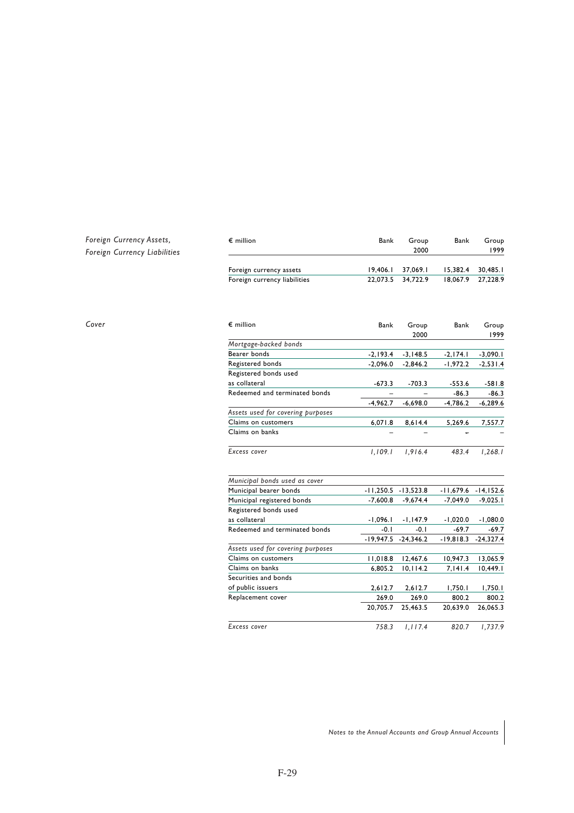## *Foreign Currency Assets, Foreign Currency Liabilities*

| $\epsilon$ million           | Bank              | Group               | Bank                | Group |
|------------------------------|-------------------|---------------------|---------------------|-------|
|                              |                   | 2000                |                     | 1999  |
| Foreign currency assets      |                   | $19,406.1$ 37,069.1 | $15.382.4$ 30.485.1 |       |
| Foreign currency liabilities | 22.073.5 34.722.9 |                     | 18,067.9 27,228.9   |       |

| Cover | $\epsilon$ million                | Bank       | Group<br>2000         | Bank        | Group<br>1999         |
|-------|-----------------------------------|------------|-----------------------|-------------|-----------------------|
|       | Mortgage-backed bonds             |            |                       |             |                       |
|       | Bearer bonds                      | $-2,193.4$ | $-3,148.5$            | $-2, 174.1$ | $-3,090.1$            |
|       | Registered bonds                  | $-2,096.0$ | $-2,846.2$            | $-1,972.2$  | $-2,531.4$            |
|       | Registered bonds used             |            |                       |             |                       |
|       | as collateral                     | $-673.3$   | $-703.3$              | $-553.6$    | $-581.8$              |
|       | Redeemed and terminated bonds     |            |                       | $-86.3$     | $-86.3$               |
|       |                                   | $-4,962.7$ | $-6,698.0$            | $-4,786.2$  | $-6,289.6$            |
|       | Assets used for covering purposes |            |                       |             |                       |
|       | Claims on customers               | 6,071.8    | 8,614.4               | 5,269.6     | 7,557.7               |
|       | Claims on banks                   |            |                       |             |                       |
|       | Excess cover                      | 1,109.1    | 1,916.4               | 483.4       | 1,268.1               |
|       | Municipal bonds used as cover     |            |                       |             |                       |
|       | Municipal bearer bonds            |            | $-11,250.5 -13,523.8$ |             | $-11,679.6 -14,152.6$ |
|       | Municipal registered bonds        | $-7,600.8$ | $-9,674.4$            | $-7,049.0$  | $-9,025.1$            |
|       | Registered bonds used             |            |                       |             |                       |
|       | as collateral                     | $-1,096.1$ | $-1,147.9$            | $-1,020.0$  | $-1,080.0$            |
|       | Redeemed and terminated bonds     | $-0.1$     | $-0.1$                | $-69.7$     | $-69.7$               |
|       |                                   |            | $-19,947.5 -24,346.2$ | $-19,818.3$ | $-24,327.4$           |
|       | Assets used for covering purposes |            |                       |             |                       |
|       | Claims on customers               | 11,018.8   | 12,467.6              | 10,947.3    | 13,065.9              |
|       | Claims on banks                   | 6,805.2    | 10, 114.2             | 7,141.4     | 10,449.1              |
|       | Securities and bonds              |            |                       |             |                       |
|       | of public issuers                 | 2,612.7    | 2,612.7               | 1,750.1     | 1,750.1               |
|       | Replacement cover                 | 269.0      | 269.0                 | 800.2       | 800.2                 |
|       |                                   | 20,705.7   | 25,463.5              | 20,639.0    | 26,065.3              |
|       | Excess cover                      | 758.3      | 1, 117.4              | 820.7       | 1,737.9               |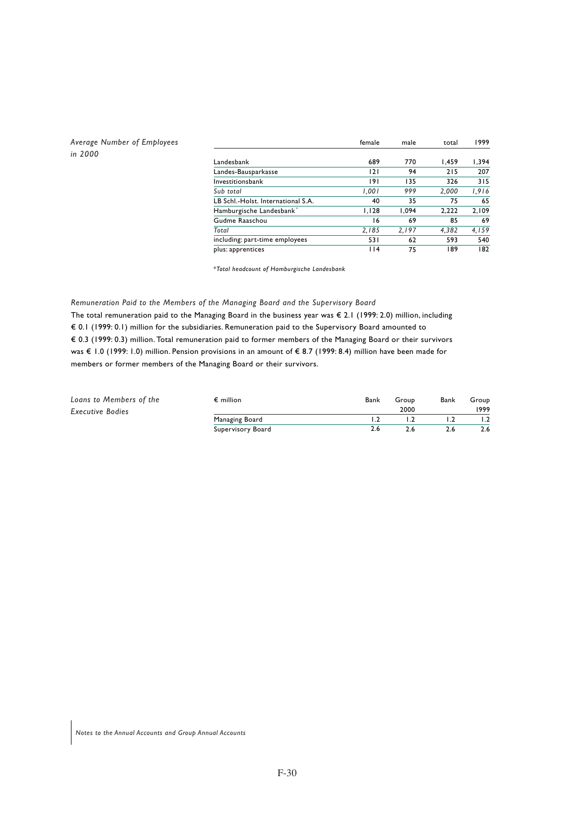## *Average Number of Employees in 2000*

|                                    | female | male  | total | 1999  |
|------------------------------------|--------|-------|-------|-------|
| Landesbank                         | 689    | 770   | 1.459 | 1,394 |
| Landes-Bausparkasse                | 2      | 94    | 215   | 207   |
| Investitionsbank                   | 191    | 135   | 326   | 315   |
| Sub total                          | 1,001  | 999   | 2,000 | 1,916 |
| LB Schl.-Holst. International S.A. | 40     | 35    | 75    | 65    |
| Hamburgische Landesbank*           | 1.128  | 1.094 | 2,222 | 2.109 |
| Gudme Raaschou                     | 16     | 69    | 85    | 69    |
| Total                              | 2,185  | 2,197 | 4,382 | 4,159 |
| including: part-time employees     | 531    | 62    | 593   | 540   |
| plus: apprentices                  | 114    | 75    | 189   | 182   |

*\*Total headcount of Hamburgische Landesbank*

## *Remuneration Paid to the Members of the Managing Board and the Supervisory Board*

The total remuneration paid to the Managing Board in the business year was € 2.1 (1999: 2.0) million, including € 0.1 (1999: 0.1) million for the subsidiaries. Remuneration paid to the Supervisory Board amounted to € 0.3 (1999: 0.3) million. Total remuneration paid to former members of the Managing Board or their survivors was € 1.0 (1999: 1.0) million. Pension provisions in an amount of € 8.7 (1999: 8.4) million have been made for members or former members of the Managing Board or their survivors.

| Loans to Members of the | $\epsilon$ million | Bank | Group | Bank | Group |
|-------------------------|--------------------|------|-------|------|-------|
| <b>Executive Bodies</b> |                    |      | 2000  |      | 1999  |
|                         | Managing Board     |      |       |      |       |
|                         | Supervisory Board  |      |       |      | 2.6   |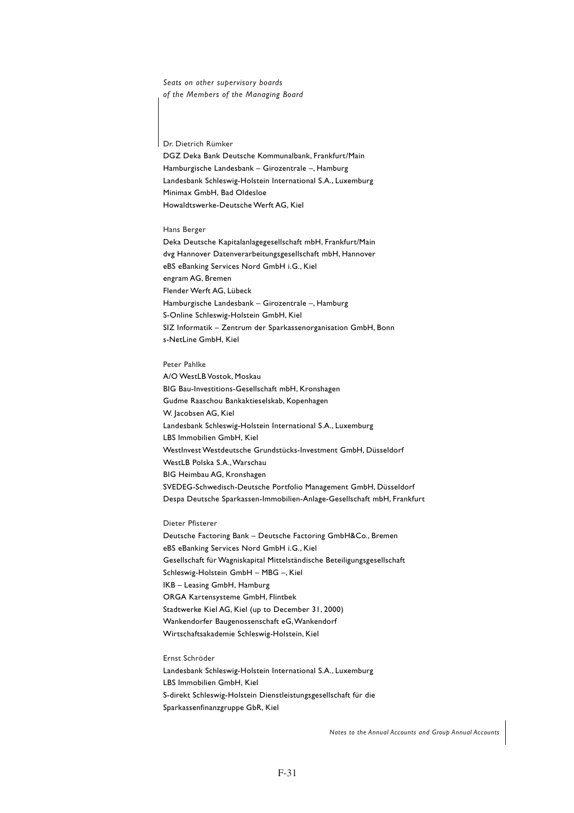*Seats on other supervisory boards of the Members of the Managing Board*

Dr. Dietrich Rümker

DGZ Deka Bank Deutsche Kommunalbank, Frankfurt/Main Hamburgische Landesbank – Girozentrale –, Hamburg Landesbank Schleswig-Holstein International S.A., Luxemburg Minimax GmbH, Bad Oldesloe Howaldtswerke-Deutsche Werft AG, Kiel

#### Hans Berger

Deka Deutsche Kapitalanlagegesellschaft mbH, Frankfurt/Main dvg Hannover Datenverarbeitungsgesellschaft mbH, Hannover eBS eBanking Services Nord GmbH i.G., Kiel engram AG, Bremen Flender Werft AG, Lübeck Hamburgische Landesbank – Girozentrale –, Hamburg S-Online Schleswig-Holstein GmbH, Kiel SIZ Informatik – Zentrum der Sparkassenorganisation GmbH, Bonn s-NetLine GmbH, Kiel

#### Peter Pahlke

A/O WestLB Vostok, Moskau BIG Bau-Investitions-Gesellschaft mbH, Kronshagen Gudme Raaschou Bankaktieselskab, Kopenhagen W. Jacobsen AG, Kiel Landesbank Schleswig-Holstein International S.A., Luxemburg LBS Immobilien GmbH, Kiel WestInvest Westdeutsche Grundstücks-Investment GmbH, Düsseldorf Westl B Polska S.A., Warschau BIG Heimbau AG, Kronshagen SVEDEG-Schwedisch-Deutsche Portfolio Management GmbH, Düsseldorf Despa Deutsche Sparkassen-Immobilien-Anlage-Gesellschaft mbH, Frankfurt

#### Dieter Pfisterer

Deutsche Factoring Bank – Deutsche Factoring GmbH&Co., Bremen eBS eBanking Services Nord GmbH i.G., Kiel Gesellschaft für Wagniskapital Mittelständische Beteiligungsgesellschaft Schleswig-Holstein GmbH – MBG –, Kiel IKB – Leasing GmbH, Hamburg ORGA Kartensysteme GmbH, Flintbek Stadtwerke Kiel AG, Kiel (up to December 31, 2000) Wankendorfer Baugenossenschaft eG, Wankendorf Wirtschaftsakademie Schleswig-Holstein, Kiel

Ernst Schröder Landesbank Schleswig-Holstein International S.A., Luxemburg LBS Immobilien GmbH, Kiel S-direkt Schleswig-Holstein Dienstleistungsgesellschaft für die Sparkassenfinanzgruppe GbR, Kiel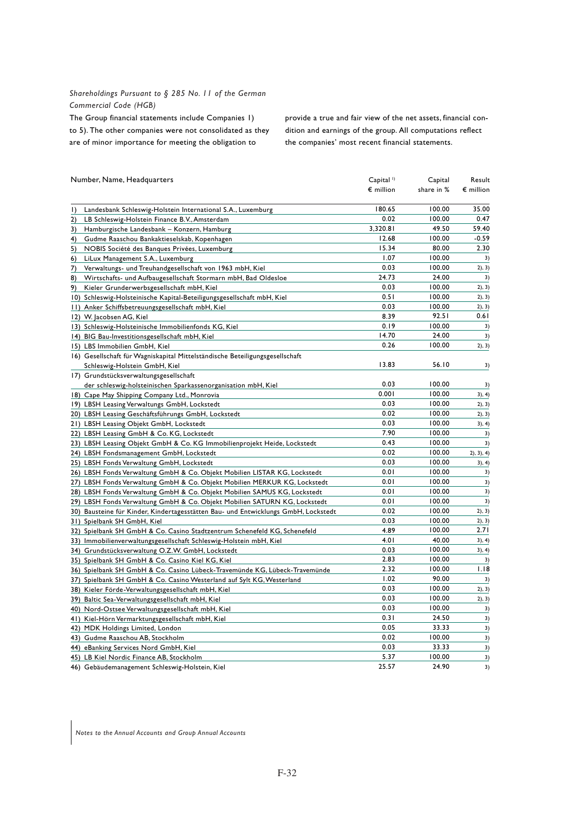## *Shareholdings Pursuant to § 285 No. 11 of the German Commercial Code (HGB)*

The Group financial statements include Companies 1) to 5). The other companies were not consolidated as they are of minor importance for meeting the obligation to

provide a true and fair view of the net assets, financial condition and earnings of the group. All computations reflect the companies' most recent financial statements.

| Number, Name, Headquarters                                                         | Capital <sup>1</sup> | Capital    | Result             |
|------------------------------------------------------------------------------------|----------------------|------------|--------------------|
|                                                                                    | $\epsilon$ million   | share in % | $\epsilon$ million |
| Landesbank Schleswig-Holstein International S.A., Luxemburg<br>$\vert$             | 180.65               | 100.00     | 35.00              |
| 2)<br>LB Schleswig-Holstein Finance B.V., Amsterdam                                | 0.02                 | 100.00     | 0.47               |
| 3)<br>Hamburgische Landesbank - Konzern, Hamburg                                   | 3,320.81             | 49.50      | 59.40              |
| 4)<br>Gudme Raaschou Bankaktieselskab, Kopenhagen                                  | 12.68                | 100.00     | $-0.59$            |
| 5)<br>NOBIS Société des Banques Privées, Luxemburg                                 | 15.34                | 80.00      | 2.30               |
| 6)<br>LiLux Management S.A., Luxemburg                                             | 1.07                 | 100.00     | 3)                 |
| 7)<br>Verwaltungs- und Treuhandgesellschaft von 1963 mbH, Kiel                     | 0.03                 | 100.00     | 2), 3)             |
| Wirtschafts- und Aufbaugesellschaft Stormarn mbH, Bad Oldesloe<br>8)               | 24.73                | 24.00      | 3)                 |
| 9)<br>Kieler Grunderwerbsgesellschaft mbH, Kiel                                    | 0.03                 | 100.00     | 2), 3)             |
| 10) Schleswig-Holsteinische Kapital-Beteiligungsgesellschaft mbH, Kiel             | 0.51                 | 100.00     | 2), 3)             |
| 11) Anker Schiffsbetreuungsgesellschaft mbH, Kiel                                  | 0.03                 | 100.00     | 2), 3)             |
| 12) W. Jacobsen AG, Kiel                                                           | 8.39                 | 92.51      | 0.61               |
| 13) Schleswig-Holsteinische Immobilienfonds KG, Kiel                               | 0.19                 | 100.00     | 3)                 |
| 14) BIG Bau-Investitionsgesellschaft mbH, Kiel                                     | 14.70                | 24.00      | 3)                 |
| 15) LBS Immobilien GmbH, Kiel                                                      | 0.26                 | 100.00     | 2), 3)             |
| 16) Gesellschaft für Wagniskapital Mittelständische Beteiligungsgesellschaft       |                      |            |                    |
| Schleswig-Holstein GmbH, Kiel                                                      | 13.83                | 56.10      | 3)                 |
| 17) Grundstücksverwaltungsgesellschaft                                             |                      |            |                    |
| der schleswig-holsteinischen Sparkassenorganisation mbH, Kiel                      | 0.03                 | 100.00     | 3)                 |
| 18) Cape May Shipping Company Ltd., Monrovia                                       | 0.001                | 100.00     | 3), 4)             |
| 19) LBSH Leasing Verwaltungs GmbH, Lockstedt                                       | 0.03                 | 100.00     | 2), 3)             |
| 20) LBSH Leasing Geschäftsführungs GmbH, Lockstedt                                 | 0.02                 | 100.00     | 2), 3)             |
| 21) LBSH Leasing Objekt GmbH, Lockstedt                                            | 0.03                 | 100.00     | 3), 4)             |
| 22) LBSH Leasing GmbH & Co. KG, Lockstedt                                          | 7.90                 | 100.00     | 3)                 |
| 23) LBSH Leasing Objekt GmbH & Co. KG Immobilienprojekt Heide, Lockstedt           | 0.43                 | 100.00     | 3)                 |
| 24) LBSH Fondsmanagement GmbH, Lockstedt                                           | 0.02                 | 100.00     | 2), 3), 4)         |
| 25) LBSH Fonds Verwaltung GmbH, Lockstedt                                          | 0.03                 | 100.00     | 3), 4)             |
| 26) LBSH Fonds Verwaltung GmbH & Co. Objekt Mobilien LISTAR KG, Lockstedt          | 0.01                 | 100.00     | 3)                 |
| 27) LBSH Fonds Verwaltung GmbH & Co. Objekt Mobilien MERKUR KG, Lockstedt          | 0.01                 | 100.00     | 3)                 |
| 28) LBSH Fonds Verwaltung GmbH & Co. Objekt Mobilien SAMUS KG, Lockstedt           | 0.01                 | 100.00     | 3)                 |
| 29) LBSH Fonds Verwaltung GmbH & Co. Objekt Mobilien SATURN KG, Lockstedt          | 0.01                 | 100.00     | 3)                 |
| 30) Bausteine für Kinder, Kindertagesstätten Bau- und Entwicklungs GmbH, Lockstedt | 0.02                 | 100.00     | 2), 3)             |
| 31) Spielbank SH GmbH, Kiel                                                        | 0.03                 | 100.00     | 2), 3)             |
| 32) Spielbank SH GmbH & Co. Casino Stadtzentrum Schenefeld KG, Schenefeld          | 4.89                 | 100.00     | 2.71               |
| 33) Immobilienverwaltungsgesellschaft Schleswig-Holstein mbH, Kiel                 | 4.01                 | 40.00      | 3), 4)             |
| 34) Grundstücksverwaltung O.Z.W. GmbH, Lockstedt                                   | 0.03                 | 100.00     | 3), 4)             |
| 35) Spielbank SH GmbH & Co. Casino Kiel KG, Kiel                                   | 2.83                 | 100.00     | 3)                 |
| 36) Spielbank SH GmbH & Co. Casino Lübeck-Travemünde KG, Lübeck-Travemünde         | 2.32                 | 100.00     | 1.18               |
| 37) Spielbank SH GmbH & Co. Casino Westerland auf Sylt KG, Westerland              | 1.02                 | 90.00      | 3)                 |
| 38) Kieler Förde-Verwaltungsgesellschaft mbH, Kiel                                 | 0.03                 | 100.00     | 2), 3)             |
| 39) Baltic Sea-Verwaltungsgesellschaft mbH, Kiel                                   | 0.03                 | 100.00     | 2), 3)             |
| 40) Nord-Ostsee Verwaltungsgesellschaft mbH, Kiel                                  | 0.03                 | 100.00     | 3)                 |
| 41) Kiel-Hörn Vermarktungsgesellschaft mbH, Kiel                                   | 0.31                 | 24.50      | 3)                 |
| 42) MDK Holdings Limited, London                                                   | 0.05                 | 33.33      | 3)                 |
| 43) Gudme Raaschou AB, Stockholm                                                   | 0.02                 | 100.00     | 3)                 |
| 44) eBanking Services Nord GmbH, Kiel                                              | 0.03                 | 33.33      | 3)                 |
| 45) LB Kiel Nordic Finance AB, Stockholm                                           | 5.37                 | 100.00     | 3)                 |
| 46) Gebäudemanagement Schleswig-Holstein, Kiel                                     | 25.57                | 24.90      | 3)                 |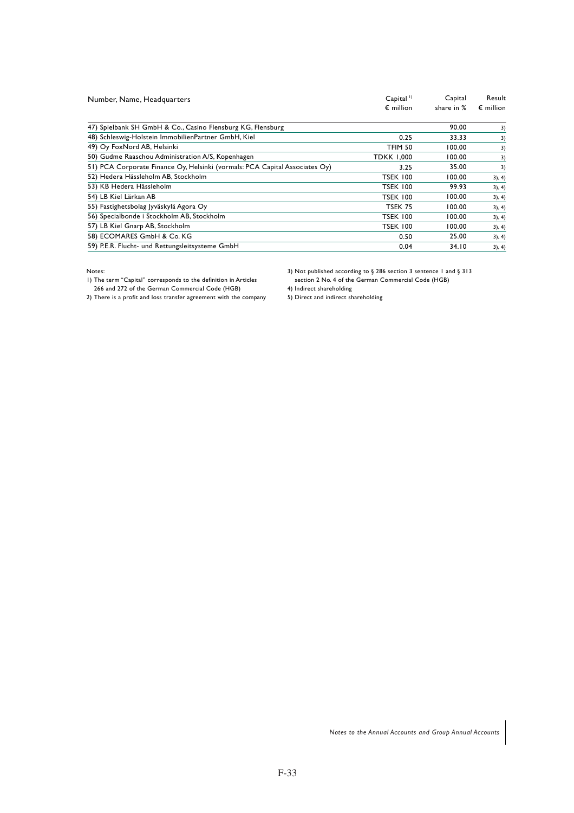| Number, Name, Headquarters                                                  | $Capital$ <sup>1)</sup><br>$\epsilon$ million | Capital<br>share in % | Result<br>$\epsilon$ million |
|-----------------------------------------------------------------------------|-----------------------------------------------|-----------------------|------------------------------|
| 47) Spielbank SH GmbH & Co., Casino Flensburg KG, Flensburg                 |                                               | 90.00                 | 3)                           |
| 48) Schleswig-Holstein ImmobilienPartner GmbH, Kiel                         | 0.25                                          | 33.33                 | 3)                           |
| 49) Oy FoxNord AB, Helsinki                                                 | TFIM 50                                       | 100.00                | 3)                           |
| 50) Gudme Raaschou Administration A/S, Kopenhagen                           | <b>TDKK 1,000</b>                             | 100.00                | 3)                           |
| 51) PCA Corporate Finance Oy, Helsinki (vormals: PCA Capital Associates Oy) | 3.25                                          | 35.00                 | 3)                           |
| 52) Hedera Hässleholm AB, Stockholm                                         | <b>TSEK 100</b>                               | 100.00                | 3), 4)                       |
| 53) KB Hedera Hässleholm                                                    | <b>TSEK 100</b>                               | 99.93                 | 3), 4)                       |
| 54) LB Kiel Lärkan AB                                                       | <b>TSEK 100</b>                               | 100.00                | 3), 4)                       |
| 55) Fastighetsbolag Jyväskylä Agora Oy                                      | <b>TSEK 75</b>                                | 100.00                | 3), 4)                       |
| 56) Specialbonde i Stockholm AB, Stockholm                                  | <b>TSEK 100</b>                               | 100.00                | 3), 4)                       |
| 57) LB Kiel Gnarp AB, Stockholm                                             | <b>TSEK 100</b>                               | 100.00                | 3), 4)                       |
| 58) ECOMARES GmbH & Co. KG                                                  | 0.50                                          | 25.00                 | 3), 4)                       |
| 59) P.E.R. Flucht- und Rettungsleitsysteme GmbH                             | 0.04                                          | 34.10                 | 3), 4)                       |

Notes:

1) The term "Capital" corresponds to the definition in Articles 266 and 272 of the German Commercial Code (HGB)

3) Not published according to § 286 section 3 sentence 1 and § 313 section 2 No. 4 of the German Commercial Code (HGB)

4) Indirect shareholding

2) There is a profit and loss transfer agreement with the company

5) Direct and indirect shareholding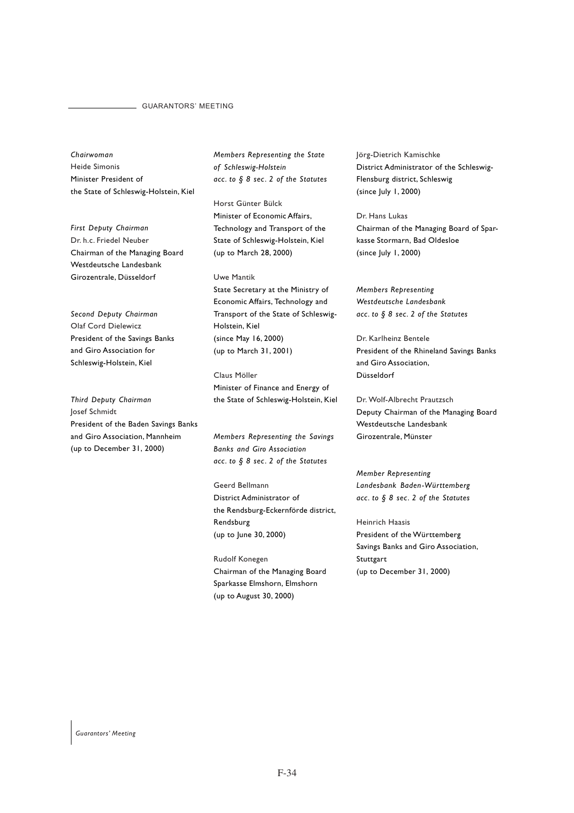#### GUARANTORS' MEETING

*Chairwoman* Heide Simonis Minister President of the State of Schleswig-Holstein, Kiel

*First Deputy Chairman* Dr. h.c. Friedel Neuber Chairman of the Managing Board Westdeutsche Landesbank Girozentrale, Düsseldorf

*Second Deputy Chairman* Olaf Cord Dielewicz President of the Savings Banks and Giro Association for Schleswig-Holstein, Kiel

*Third Deputy Chairman* Josef Schmidt President of the Baden Savings Banks and Giro Association, Mannheim (up to December 31, 2000)

*Members Representing the State of Schleswig-Holstein acc. to § 8 sec. 2 of the Statutes*

Horst Günter Bülck Minister of Economic Affairs, Technology and Transport of the State of Schleswig-Holstein, Kiel (up to March 28, 2000)

Uwe Mantik State Secretary at the Ministry of Economic Affairs, Technology and Transport of the State of Schleswig-Holstein, Kiel (since May 16, 2000) (up to March 31, 2001)

Claus Möller Minister of Finance and Energy of the State of Schleswig-Holstein, Kiel

*Members Representing the Savings Banks and Giro Association acc. to § 8 sec. 2 of the Statutes*

Geerd Bellmann District Administrator of the Rendsburg-Eckernförde district, Rendsburg (up to June 30, 2000)

Rudolf Konegen Chairman of the Managing Board Sparkasse Elmshorn, Elmshorn (up to August 30, 2000)

Jörg-Dietrich Kamischke District Administrator of the Schleswig-Flensburg district, Schleswig (since July 1, 2000)

Dr. Hans Lukas Chairman of the Managing Board of Sparkasse Stormarn, Bad Oldesloe (since July 1, 2000)

*Members Representing Westdeutsche Landesbank acc. to § 8 sec. 2 of the Statutes*

Dr. Karlheinz Bentele President of the Rhineland Savings Banks and Giro Association, Düsseldorf

Dr. Wolf-Albrecht Prautzsch Deputy Chairman of the Managing Board Westdeutsche Landesbank Girozentrale, Münster

*Member Representing Landesbank Baden-Württemberg acc. to § 8 sec. 2 of the Statutes*

Heinrich Haasis President of the Württemberg Savings Banks and Giro Association, **Stuttgart** (up to December 31, 2000)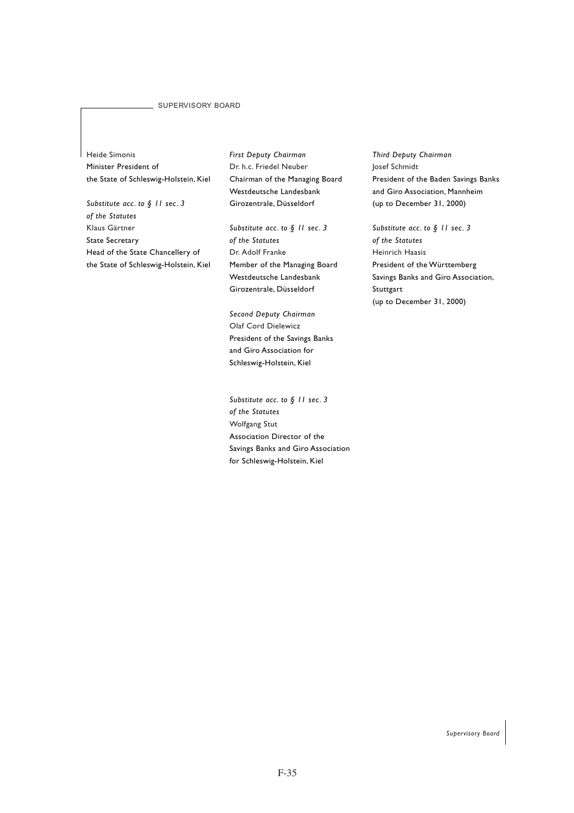#### SUPERVISORY BOARD

Heide Simonis Minister President of the State of Schleswig-Holstein, Kiel

*Substitute acc. to § 11 sec. 3 of the Statutes* Klaus Gärtner State Secretary Head of the State Chancellery of the State of Schleswig-Holstein, Kiel *First Deputy Chairman* Dr. h.c. Friedel Neuber Chairman of the Managing Board Westdeutsche Landesbank Girozentrale, Düsseldorf

*Substitute acc. to § 11 sec. 3 of the Statutes* Dr. Adolf Franke Member of the Managing Board Westdeutsche Landesbank Girozentrale, Düsseldorf

*Second Deputy Chairman* Olaf Cord Dielewicz President of the Savings Banks and Giro Association for Schleswig-Holstein, Kiel

*Substitute acc. to § 11 sec. 3 of the Statutes* Wolfgang Stut Association Director of the Savings Banks and Giro Association for Schleswig-Holstein, Kiel

*Third Deputy Chairman* Josef Schmidt President of the Baden Savings Banks and Giro Association, Mannheim (up to December 31, 2000)

*Substitute acc. to § 11 sec. 3 of the Statutes* Heinrich Haasis President of the Württemberg Savings Banks and Giro Association, Stuttgart (up to December 31, 2000)

*Supervisory Board*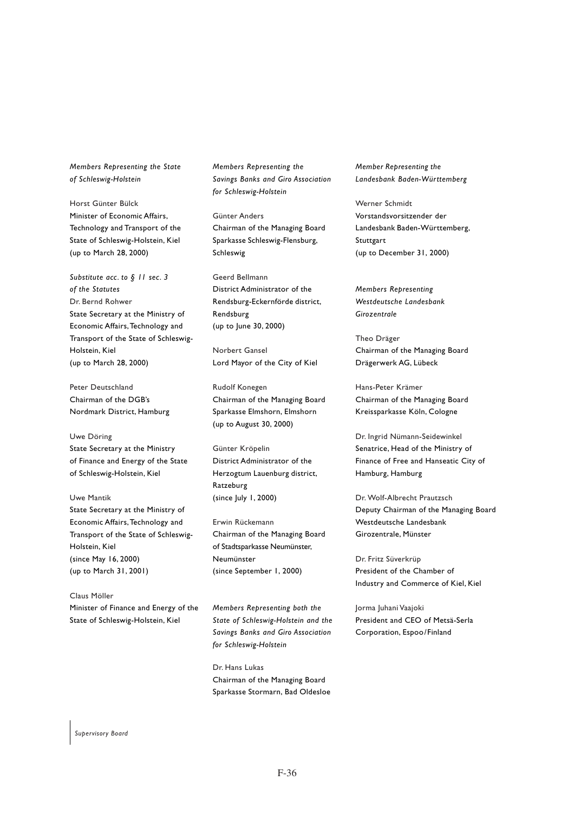*Members Representing the State of Schleswig-Holstein*

Horst Günter Bülck Minister of Economic Affairs, Technology and Transport of the State of Schleswig-Holstein, Kiel (up to March 28, 2000)

*Substitute acc. to § 11 sec. 3 of the Statutes* Dr. Bernd Rohwer State Secretary at the Ministry of Economic Affairs, Technology and Transport of the State of Schleswig-Holstein, Kiel (up to March 28, 2000)

Peter Deutschland Chairman of the DGB's Nordmark District, Hamburg

Uwe Döring State Secretary at the Ministry of Finance and Energy of the State of Schleswig-Holstein, Kiel

Uwe Mantik State Secretary at the Ministry of Economic Affairs, Technology and Transport of the State of Schleswig-Holstein, Kiel (since May 16, 2000) (up to March 31, 2001)

Claus Möller Minister of Finance and Energy of the State of Schleswig-Holstein, Kiel

*Members Representing the Savings Banks and Giro Association for Schleswig-Holstein*

Günter Anders Chairman of the Managing Board Sparkasse Schleswig-Flensburg, Schleswig

Geerd Bellmann District Administrator of the Rendsburg-Eckernförde district, Rendsburg (up to June 30, 2000)

Norbert Gansel Lord Mayor of the City of Kiel

Rudolf Konegen Chairman of the Managing Board Sparkasse Elmshorn, Elmshorn (up to August 30, 2000)

Günter Kröpelin District Administrator of the Herzogtum Lauenburg district, Ratzeburg (since July 1, 2000)

Erwin Rückemann Chairman of the Managing Board of Stadtsparkasse Neumünster, Neumünster (since September 1, 2000)

*Members Representing both the State of Schleswig-Holstein and the Savings Banks and Giro Association for Schleswig-Holstein*

Dr. Hans Lukas Chairman of the Managing Board Sparkasse Stormarn, Bad Oldesloe *Member Representing the Landesbank Baden-Württemberg*

Werner Schmidt Vorstandsvorsitzender der Landesbank Baden-Württemberg, **Stuttgart** (up to December 31, 2000)

*Members Representing Westdeutsche Landesbank Girozentrale*

Theo Dräger Chairman of the Managing Board Drägerwerk AG, Lübeck

Hans-Peter Krämer Chairman of the Managing Board Kreissparkasse Köln, Cologne

Dr. Ingrid Nümann-Seidewinkel Senatrice, Head of the Ministry of Finance of Free and Hanseatic City of Hamburg, Hamburg

Dr. Wolf-Albrecht Prautzsch Deputy Chairman of the Managing Board Westdeutsche Landesbank Girozentrale, Münster

Dr. Fritz Süverkrüp President of the Chamber of Industry and Commerce of Kiel, Kiel

Jorma Juhani Vaajoki President and CEO of Metsä-Serla Corporation, Espoo/Finland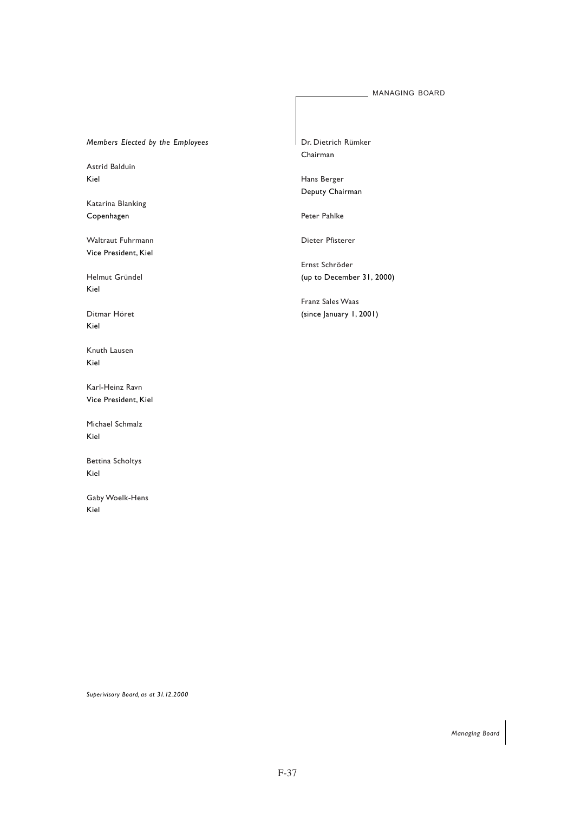### MANAGING BOARD

# *Members Elected by the Employees*

Astrid Balduin Kiel

Katarina Blanking Copenhagen

Waltraut Fuhrmann Vice President, Kiel

Helmut Gründel Kiel

Ditmar Höret Kiel

Knuth Lausen Kiel

Karl-Heinz Ravn Vice President, Kiel

Michael Schmalz Kiel

Bettina Scholtys Kiel

Gaby Woelk-Hens Kiel

Dr. Dietrich Rümker Chairman

Hans Berger Deputy Chairman

Peter Pahlke

Dieter Pfisterer

Ernst Schröder (up to December 31, 2000)

Franz Sales Waas (since January 1, 2001)

*Superivisory Board, as at 31.12.2000*

*Managing Board*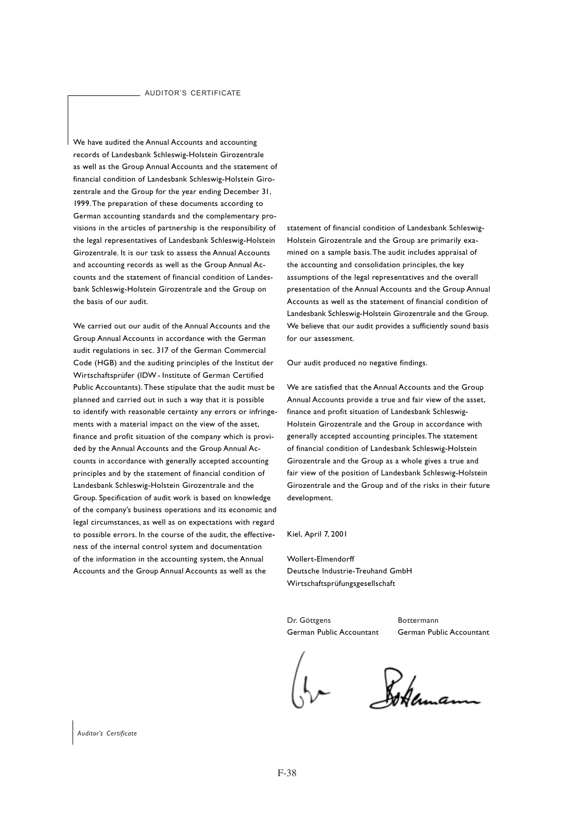We have audited the Annual Accounts and accounting records of Landesbank Schleswig-Holstein Girozentrale as well as the Group Annual Accounts and the statement of financial condition of Landesbank Schleswig-Holstein Girozentrale and the Group for the year ending December 31, 1999. The preparation of these documents according to German accounting standards and the complementary provisions in the articles of partnership is the responsibility of the legal representatives of Landesbank Schleswig-Holstein Girozentrale. It is our task to assess the Annual Accounts and accounting records as well as the Group Annual Accounts and the statement of financial condition of Landesbank Schleswig-Holstein Girozentrale and the Group on the basis of our audit.

We carried out our audit of the Annual Accounts and the Group Annual Accounts in accordance with the German audit regulations in sec. 317 of the German Commercial Code (HGB) and the auditing principles of the Institut der Wirtschaftsprüfer (IDW - Institute of German Certified Public Accountants). These stipulate that the audit must be planned and carried out in such a way that it is possible to identify with reasonable certainty any errors or infringements with a material impact on the view of the asset, finance and profit situation of the company which is provided by the Annual Accounts and the Group Annual Accounts in accordance with generally accepted accounting principles and by the statement of financial condition of Landesbank Schleswig-Holstein Girozentrale and the Group. Specification of audit work is based on knowledge of the company's business operations and its economic and legal circumstances, as well as on expectations with regard to possible errors. In the course of the audit, the effectiveness of the internal control system and documentation of the information in the accounting system, the Annual Accounts and the Group Annual Accounts as well as the

statement of financial condition of Landesbank Schleswig-Holstein Girozentrale and the Group are primarily examined on a sample basis. The audit includes appraisal of the accounting and consolidation principles, the key assumptions of the legal representatives and the overall presentation of the Annual Accounts and the Group Annual Accounts as well as the statement of financial condition of Landesbank Schleswig-Holstein Girozentrale and the Group. We believe that our audit provides a sufficiently sound basis for our assessment.

Our audit produced no negative findings.

We are satisfied that the Annual Accounts and the Group Annual Accounts provide a true and fair view of the asset, finance and profit situation of Landesbank Schleswig-Holstein Girozentrale and the Group in accordance with generally accepted accounting principles. The statement of financial condition of Landesbank Schleswig-Holstein Girozentrale and the Group as a whole gives a true and fair view of the position of Landesbank Schleswig-Holstein Girozentrale and the Group and of the risks in their future development.

Kiel, April 7, 2001

Wollert-Elmendorff Deutsche Industrie-Treuhand GmbH Wirtschaftsprüfungsgesellschaft

Dr. Göttgens Bottermann

German Public Accountant German Public Accountant

Sokaman

*Auditor's Certificate*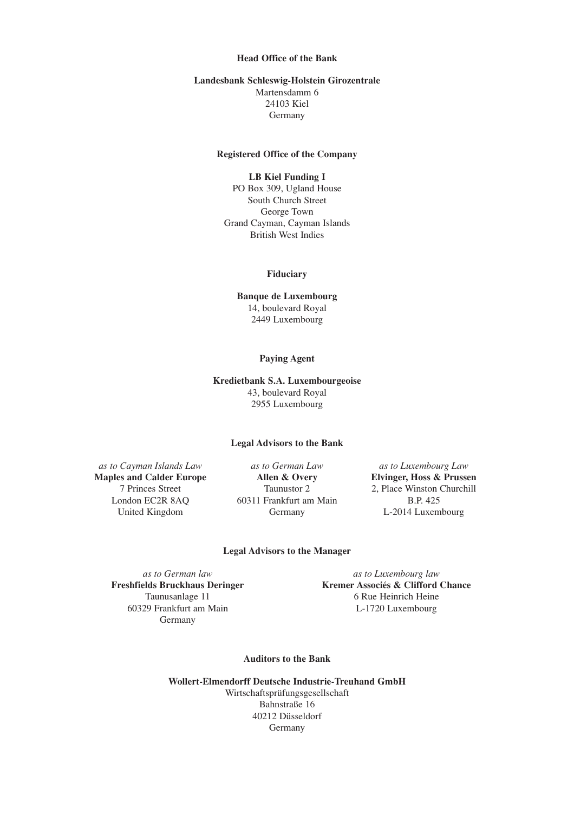# **Head Office of the Bank**

## **Landesbank Schleswig-Holstein Girozentrale** Martensdamm 6 24103 Kiel Germany

## **Registered Office of the Company**

# **LB Kiel Funding I**

PO Box 309, Ugland House South Church Street George Town Grand Cayman, Cayman Islands British West Indies

### **Fiduciary**

**Banque de Luxembourg** 14, boulevard Royal 2449 Luxembourg

### **Paying Agent**

# **Kredietbank S.A. Luxembourgeoise** 43, boulevard Royal 2955 Luxembourg

#### **Legal Advisors to the Bank**

*as to Cayman Islands Law as to German Law as to Luxembourg Law* **Maples and Calder Europe Allen & Overy Elvinger, Hoss & Prussen**

London EC2R 8AQ 60311 Frankfurt am Main B.P. 425 United Kingdom Germany L-2014 Luxembourg

7 Princes Street Taunustor 2 2, Place Winston Churchill

### **Legal Advisors to the Manager**

60329 Frankfurt am Main L-1720 Luxembourg Germany

*as to German law as to Luxembourg law* **Freshfields Bruckhaus Deringer Kremer Associés & Clifford Chance** Taunusanlage 11 6 Rue Heinrich Heine

### **Auditors to the Bank**

**Wollert-Elmendorff Deutsche Industrie-Treuhand GmbH** Wirtschaftsprüfungsgesellschaft Bahnstraße 16 40212 Düsseldorf Germany